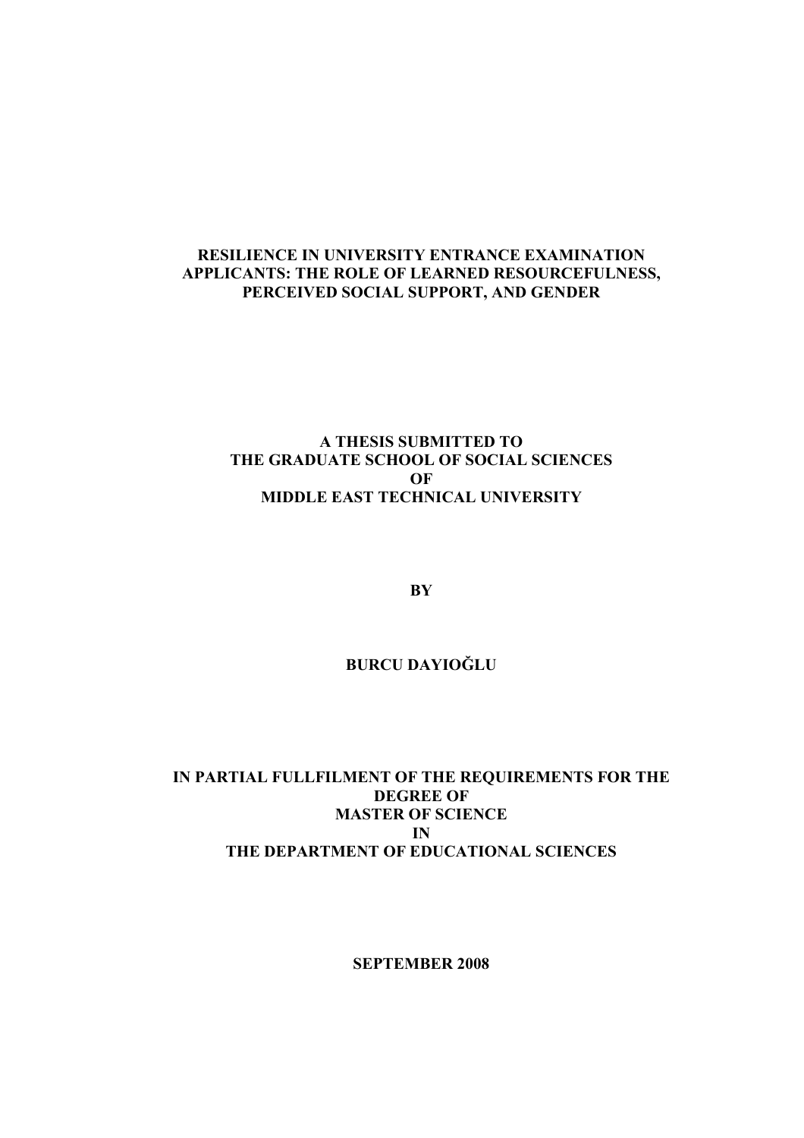# RESILIENCE IN UNIVERSITY ENTRANCE EXAMINATION APPLICANTS: THE ROLE OF LEARNED RESOURCEFULNESS, PERCEIVED SOCIAL SUPPORT, AND GENDER

# A THESIS SUBMITTED TO THE GRADUATE SCHOOL OF SOCIAL SCIENCES OF MIDDLE EAST TECHNICAL UNIVERSITY

**BY** 

# BURCU DAYIOĞLU

# IN PARTIAL FULLFILMENT OF THE REQUIREMENTS FOR THE DEGREE OF MASTER OF SCIENCE IN THE DEPARTMENT OF EDUCATIONAL SCIENCES

SEPTEMBER 2008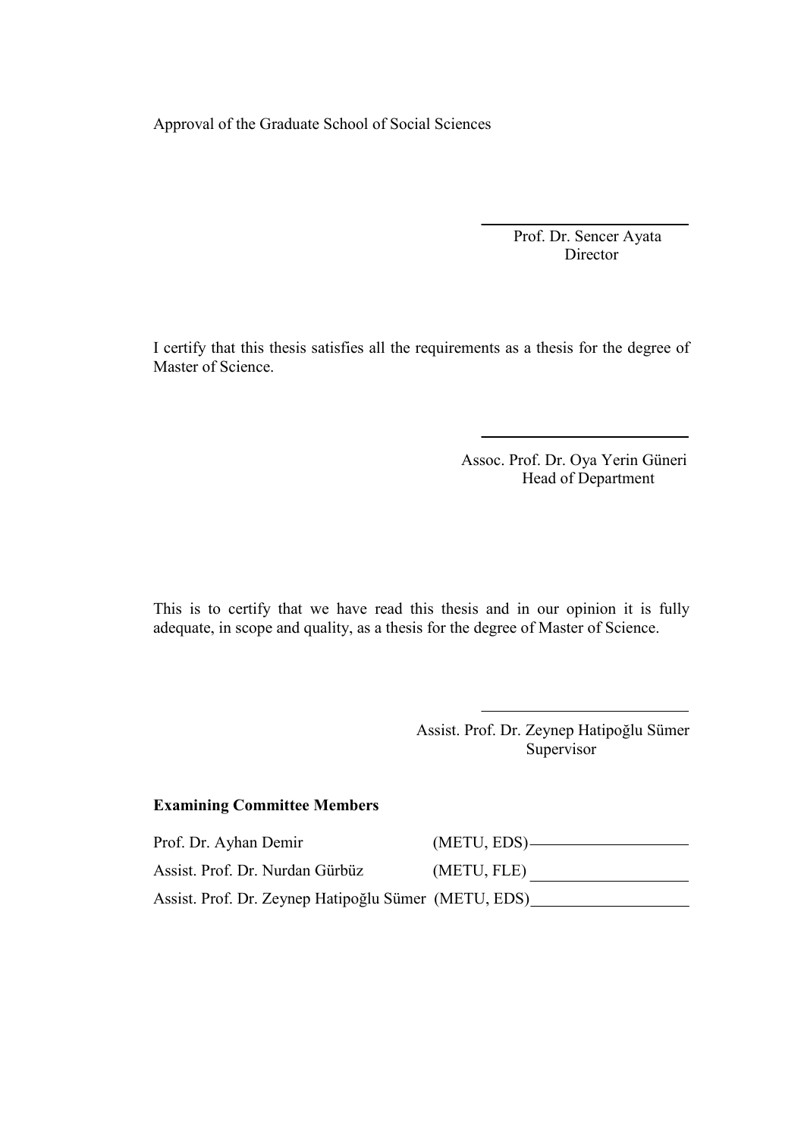Approval of the Graduate School of Social Sciences

 Prof. Dr. Sencer Ayata Director

I certify that this thesis satisfies all the requirements as a thesis for the degree of Master of Science.

> Assoc. Prof. Dr. Oya Yerin Güneri Head of Department

This is to certify that we have read this thesis and in our opinion it is fully adequate, in scope and quality, as a thesis for the degree of Master of Science.

> Assist. Prof. Dr. Zeynep Hatipoğlu Sümer Supervisor

#### Examining Committee Members

Prof. Dr. Ayhan Demir (METU, EDS) Assist. Prof. Dr. Nurdan Gürbüz (METU, FLE) Assist. Prof. Dr. Zeynep Hatipoğlu Sümer (METU, EDS)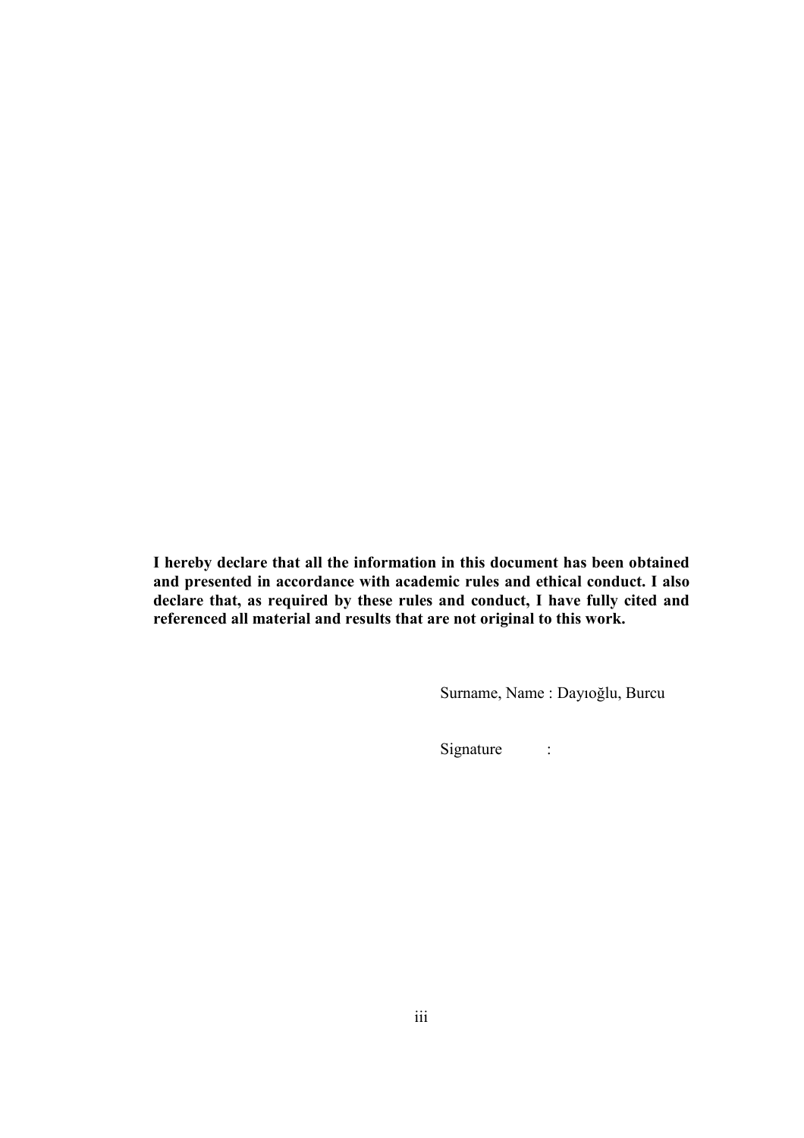I hereby declare that all the information in this document has been obtained and presented in accordance with academic rules and ethical conduct. I also declare that, as required by these rules and conduct, I have fully cited and referenced all material and results that are not original to this work.

Surname, Name : Dayıoğlu, Burcu

Signature :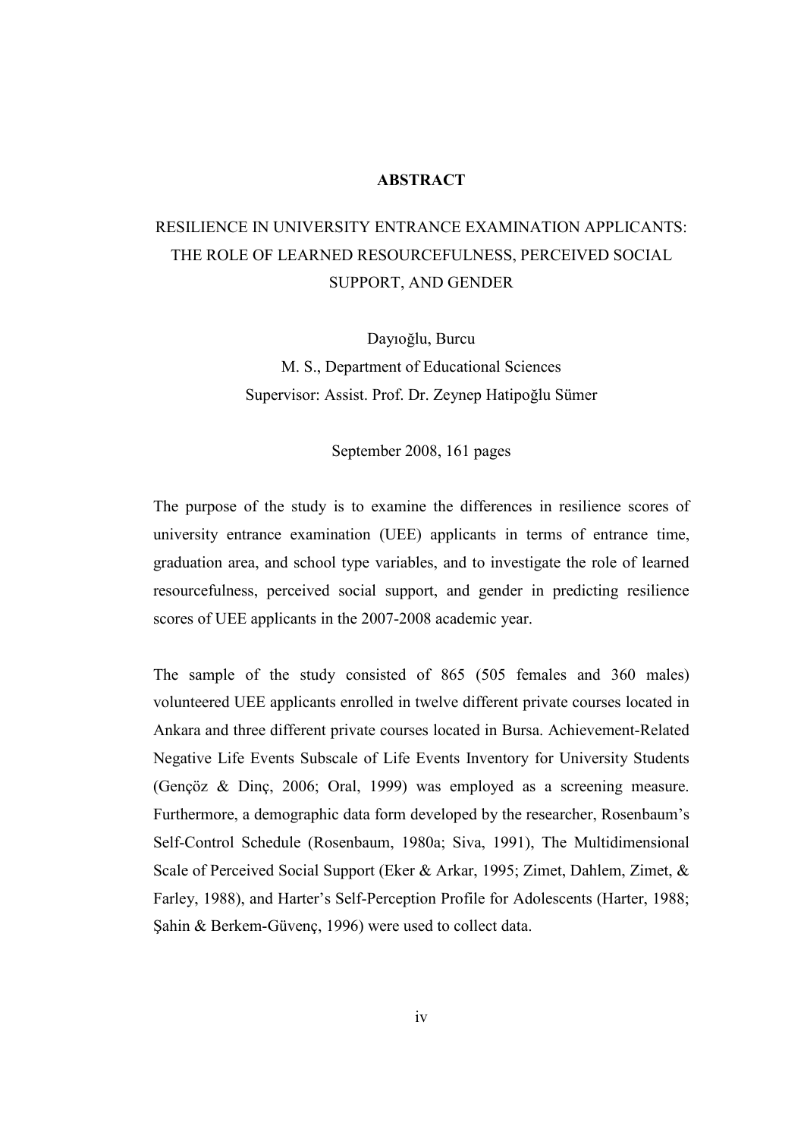#### **ABSTRACT**

# RESILIENCE IN UNIVERSITY ENTRANCE EXAMINATION APPLICANTS: THE ROLE OF LEARNED RESOURCEFULNESS, PERCEIVED SOCIAL SUPPORT, AND GENDER

Dayıoğlu, Burcu M. S., Department of Educational Sciences Supervisor: Assist. Prof. Dr. Zeynep Hatipoğlu Sümer

September 2008, 161 pages

The purpose of the study is to examine the differences in resilience scores of university entrance examination (UEE) applicants in terms of entrance time, graduation area, and school type variables, and to investigate the role of learned resourcefulness, perceived social support, and gender in predicting resilience scores of UEE applicants in the 2007-2008 academic year.

The sample of the study consisted of 865 (505 females and 360 males) volunteered UEE applicants enrolled in twelve different private courses located in Ankara and three different private courses located in Bursa. Achievement-Related Negative Life Events Subscale of Life Events Inventory for University Students (Gençöz & Dinç, 2006; Oral, 1999) was employed as a screening measure. Furthermore, a demographic data form developed by the researcher, Rosenbaum's Self-Control Schedule (Rosenbaum, 1980a; Siva, 1991), The Multidimensional Scale of Perceived Social Support (Eker & Arkar, 1995; Zimet, Dahlem, Zimet, & Farley, 1988), and Harter's Self-Perception Profile for Adolescents (Harter, 1988; Şahin & Berkem-Güvenç, 1996) were used to collect data.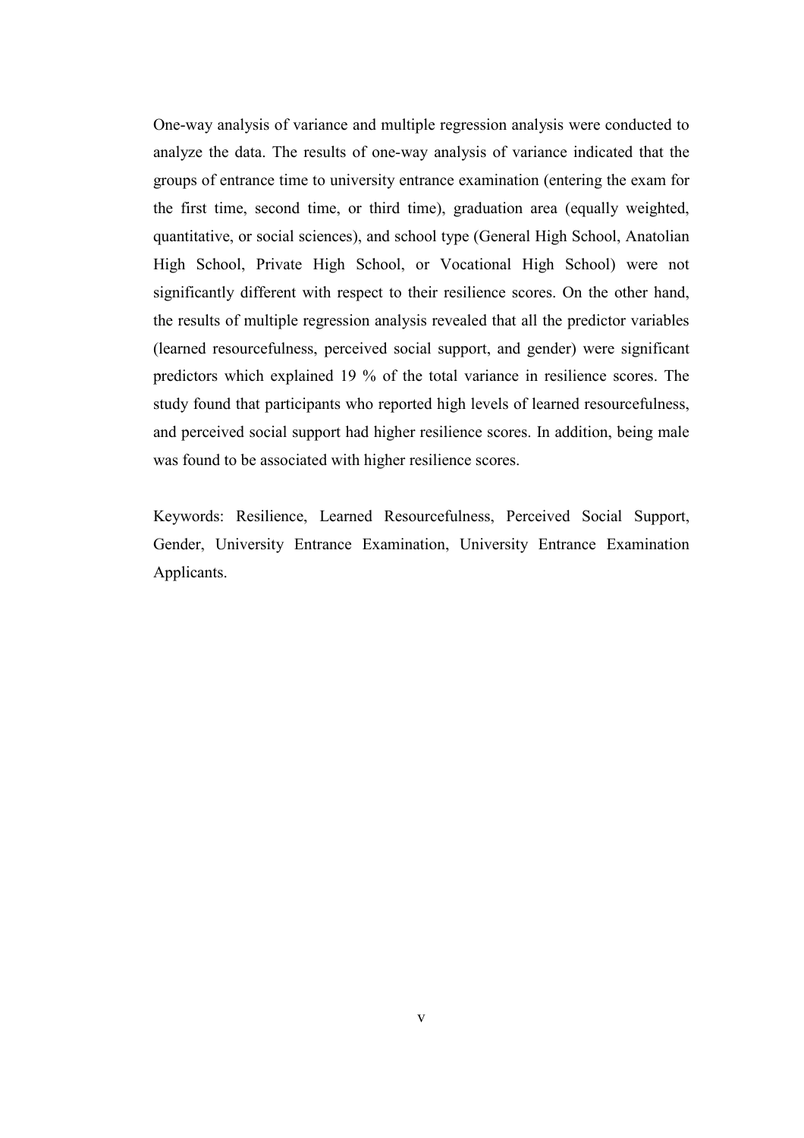One-way analysis of variance and multiple regression analysis were conducted to analyze the data. The results of one-way analysis of variance indicated that the groups of entrance time to university entrance examination (entering the exam for the first time, second time, or third time), graduation area (equally weighted, quantitative, or social sciences), and school type (General High School, Anatolian High School, Private High School, or Vocational High School) were not significantly different with respect to their resilience scores. On the other hand, the results of multiple regression analysis revealed that all the predictor variables (learned resourcefulness, perceived social support, and gender) were significant predictors which explained 19 % of the total variance in resilience scores. The study found that participants who reported high levels of learned resourcefulness, and perceived social support had higher resilience scores. In addition, being male was found to be associated with higher resilience scores.

Keywords: Resilience, Learned Resourcefulness, Perceived Social Support, Gender, University Entrance Examination, University Entrance Examination Applicants.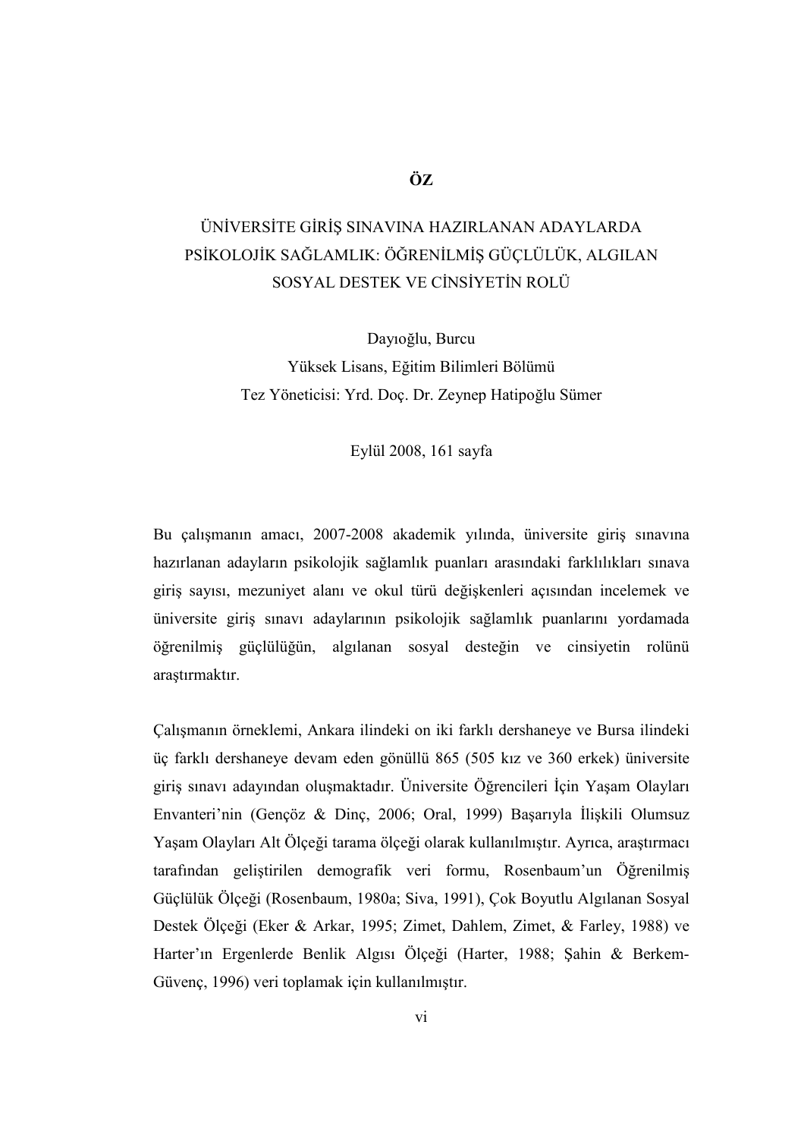# ÖZ

# ÜNİVERSİTE GİRİŞ SINAVINA HAZIRLANAN ADAYLARDA PSİKOLOJİK SAĞLAMLIK: ÖĞRENİLMİŞ GÜÇLÜLÜK, ALGILAN SOSYAL DESTEK VE CİNSİYETİN ROLÜ

Dayıoğlu, Burcu Yüksek Lisans, Eğitim Bilimleri Bölümü Tez Yöneticisi: Yrd. Doç. Dr. Zeynep Hatipoğlu Sümer

## Eylül 2008, 161 sayfa

Bu çalışmanın amacı, 2007-2008 akademik yılında, üniversite giriş sınavına hazırlanan adayların psikolojik sağlamlık puanları arasındaki farklılıkları sınava giriş sayısı, mezuniyet alanı ve okul türü değişkenleri açısından incelemek ve üniversite giriş sınavı adaylarının psikolojik sağlamlık puanlarını yordamada öğrenilmiş güçlülüğün, algılanan sosyal desteğin ve cinsiyetin rolünü araştırmaktır.

Çalışmanın örneklemi, Ankara ilindeki on iki farklı dershaneye ve Bursa ilindeki üç farklı dershaneye devam eden gönüllü 865 (505 kız ve 360 erkek) üniversite giriş sınavı adayından oluşmaktadır. Üniversite Öğrencileri İçin Yaşam Olayları Envanteri'nin (Gençöz & Dinç, 2006; Oral, 1999) Başarıyla İlişkili Olumsuz Yaşam Olayları Alt Ölçeği tarama ölçeği olarak kullanılmıştır. Ayrıca, araştırmacı tarafından geliştirilen demografik veri formu, Rosenbaum'un Öğrenilmiş Güçlülük Ölçeği (Rosenbaum, 1980a; Siva, 1991), Çok Boyutlu Algılanan Sosyal Destek Ölçeği (Eker & Arkar, 1995; Zimet, Dahlem, Zimet, & Farley, 1988) ve Harter'ın Ergenlerde Benlik Algısı Ölçeği (Harter, 1988; Şahin & Berkem-Güvenç, 1996) veri toplamak için kullanılmıştır.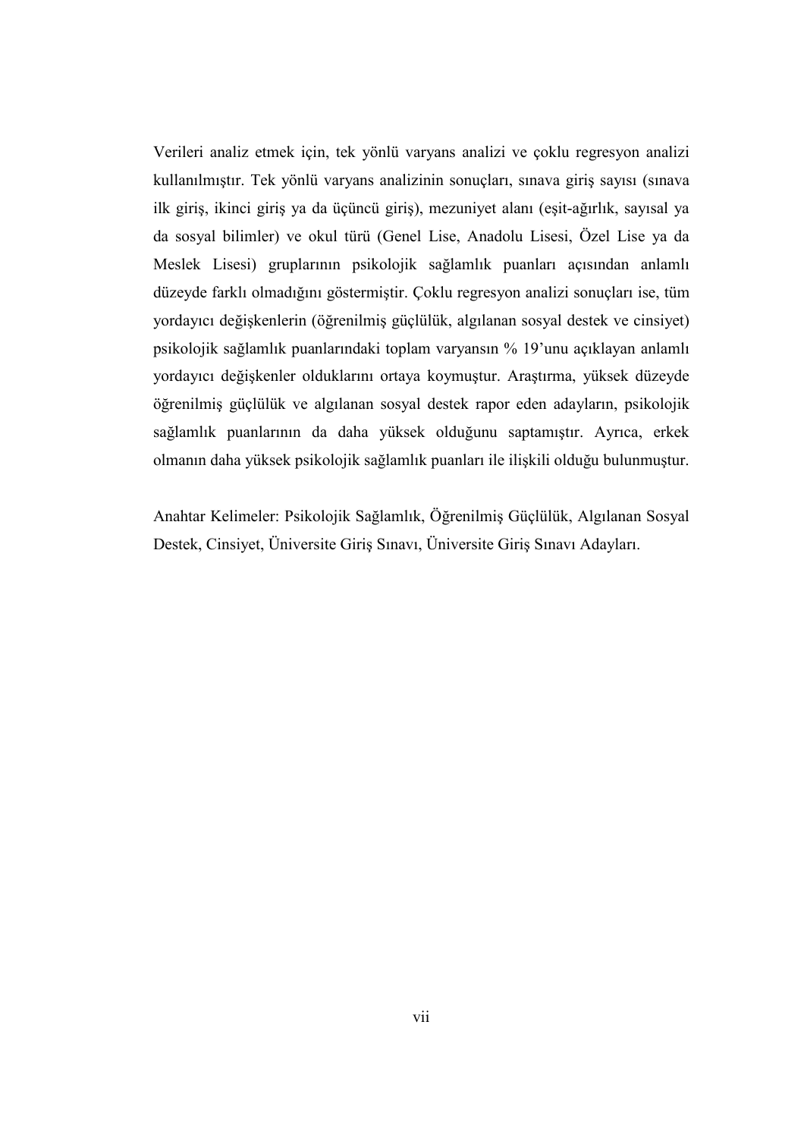Verileri analiz etmek için, tek yönlü varyans analizi ve çoklu regresyon analizi kullanılmıştır. Tek yönlü varyans analizinin sonuçları, sınava giriş sayısı (sınava ilk giriş, ikinci giriş ya da üçüncü giriş), mezuniyet alanı (eşit-ağırlık, sayısal ya da sosyal bilimler) ve okul türü (Genel Lise, Anadolu Lisesi, Özel Lise ya da Meslek Lisesi) gruplarının psikolojik sağlamlık puanları açısından anlamlı düzeyde farklı olmadığını göstermiştir. Çoklu regresyon analizi sonuçları ise, tüm yordayıcı değişkenlerin (öğrenilmiş güçlülük, algılanan sosyal destek ve cinsiyet) psikolojik sağlamlık puanlarındaki toplam varyansın % 19'unu açıklayan anlamlı yordayıcı değişkenler olduklarını ortaya koymuştur. Araştırma, yüksek düzeyde öğrenilmiş güçlülük ve algılanan sosyal destek rapor eden adayların, psikolojik sağlamlık puanlarının da daha yüksek olduğunu saptamıştır. Ayrıca, erkek olmanın daha yüksek psikolojik sağlamlık puanları ile ilişkili olduğu bulunmuştur.

Anahtar Kelimeler: Psikolojik Sağlamlık, Öğrenilmiş Güçlülük, Algılanan Sosyal Destek, Cinsiyet, Üniversite Giriş Sınavı, Üniversite Giriş Sınavı Adayları.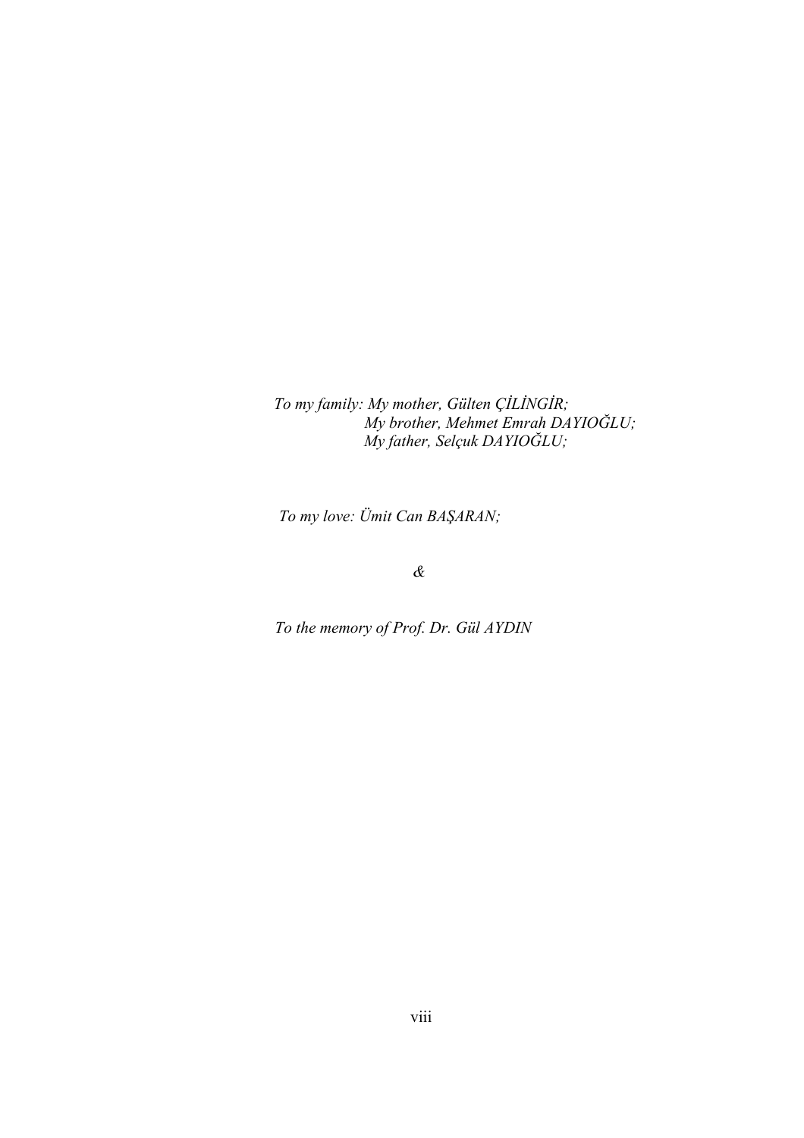To my family: My mother, Gülten ÇİLİNGİR; My brother, Mehmet Emrah DAYIOĞLU; My father, Selçuk DAYIOĞLU;

To my love: Ümit Can BAŞARAN;

&

To the memory of Prof. Dr. Gül AYDIN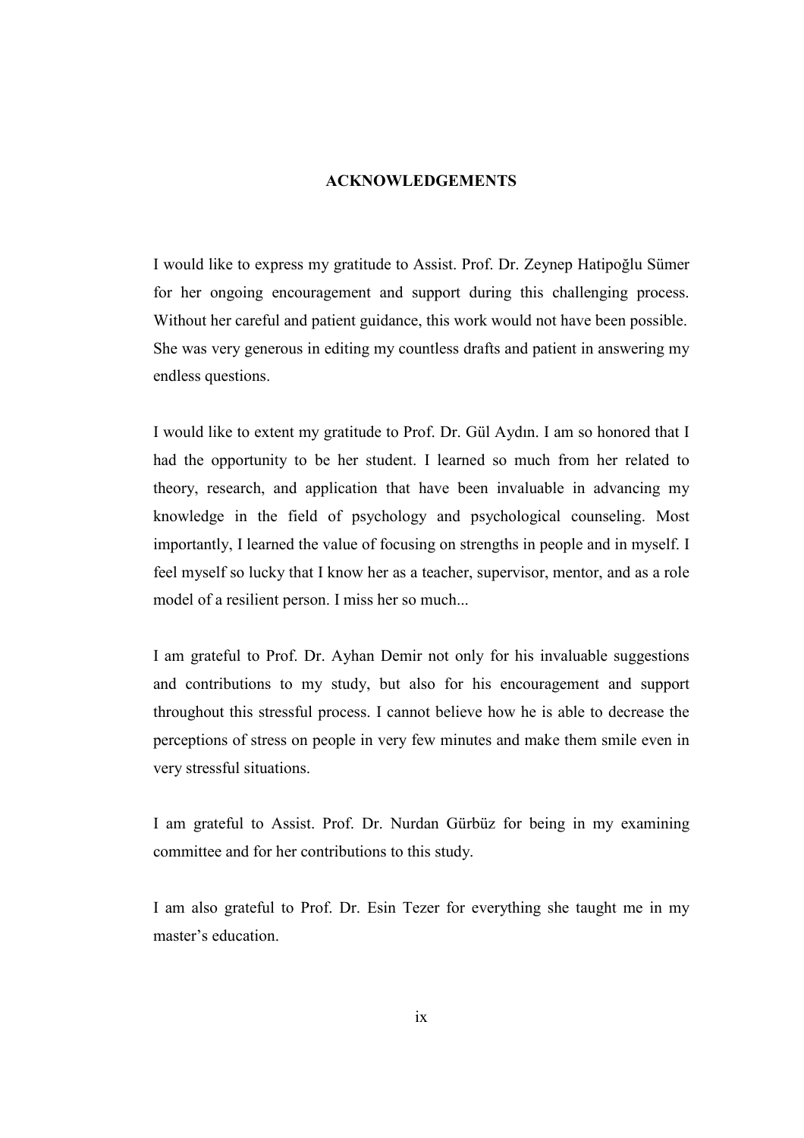#### ACKNOWLEDGEMENTS

I would like to express my gratitude to Assist. Prof. Dr. Zeynep Hatipoğlu Sümer for her ongoing encouragement and support during this challenging process. Without her careful and patient guidance, this work would not have been possible. She was very generous in editing my countless drafts and patient in answering my endless questions.

I would like to extent my gratitude to Prof. Dr. Gül Aydın. I am so honored that I had the opportunity to be her student. I learned so much from her related to theory, research, and application that have been invaluable in advancing my knowledge in the field of psychology and psychological counseling. Most importantly, I learned the value of focusing on strengths in people and in myself. I feel myself so lucky that I know her as a teacher, supervisor, mentor, and as a role model of a resilient person. I miss her so much...

I am grateful to Prof. Dr. Ayhan Demir not only for his invaluable suggestions and contributions to my study, but also for his encouragement and support throughout this stressful process. I cannot believe how he is able to decrease the perceptions of stress on people in very few minutes and make them smile even in very stressful situations.

I am grateful to Assist. Prof. Dr. Nurdan Gürbüz for being in my examining committee and for her contributions to this study.

I am also grateful to Prof. Dr. Esin Tezer for everything she taught me in my master's education.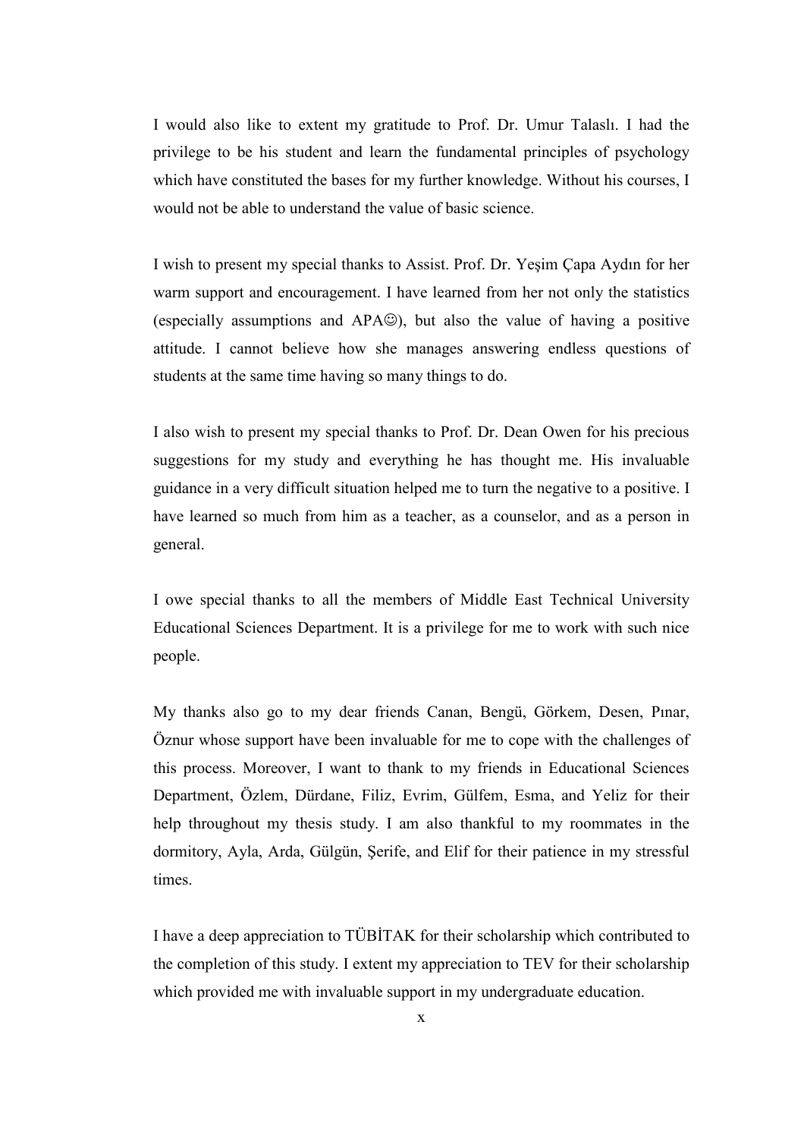I would also like to extent my gratitude to Prof. Dr. Umur Talaslı. I had the privilege to be his student and learn the fundamental principles of psychology which have constituted the bases for my further knowledge. Without his courses, I would not be able to understand the value of basic science.

I wish to present my special thanks to Assist. Prof. Dr. Yeşim Çapa Aydın for her warm support and encouragement. I have learned from her not only the statistics (especially assumptions and APA☺), but also the value of having a positive attitude. I cannot believe how she manages answering endless questions of students at the same time having so many things to do.

I also wish to present my special thanks to Prof. Dr. Dean Owen for his precious suggestions for my study and everything he has thought me. His invaluable guidance in a very difficult situation helped me to turn the negative to a positive. I have learned so much from him as a teacher, as a counselor, and as a person in general.

I owe special thanks to all the members of Middle East Technical University Educational Sciences Department. It is a privilege for me to work with such nice people.

My thanks also go to my dear friends Canan, Bengü, Görkem, Desen, Pınar, Öznur whose support have been invaluable for me to cope with the challenges of this process. Moreover, I want to thank to my friends in Educational Sciences Department, Özlem, Dürdane, Filiz, Evrim, Gülfem, Esma, and Yeliz for their help throughout my thesis study. I am also thankful to my roommates in the dormitory, Ayla, Arda, Gülgün, Şerife, and Elif for their patience in my stressful times.

I have a deep appreciation to TÜBİTAK for their scholarship which contributed to the completion of this study. I extent my appreciation to TEV for their scholarship which provided me with invaluable support in my undergraduate education.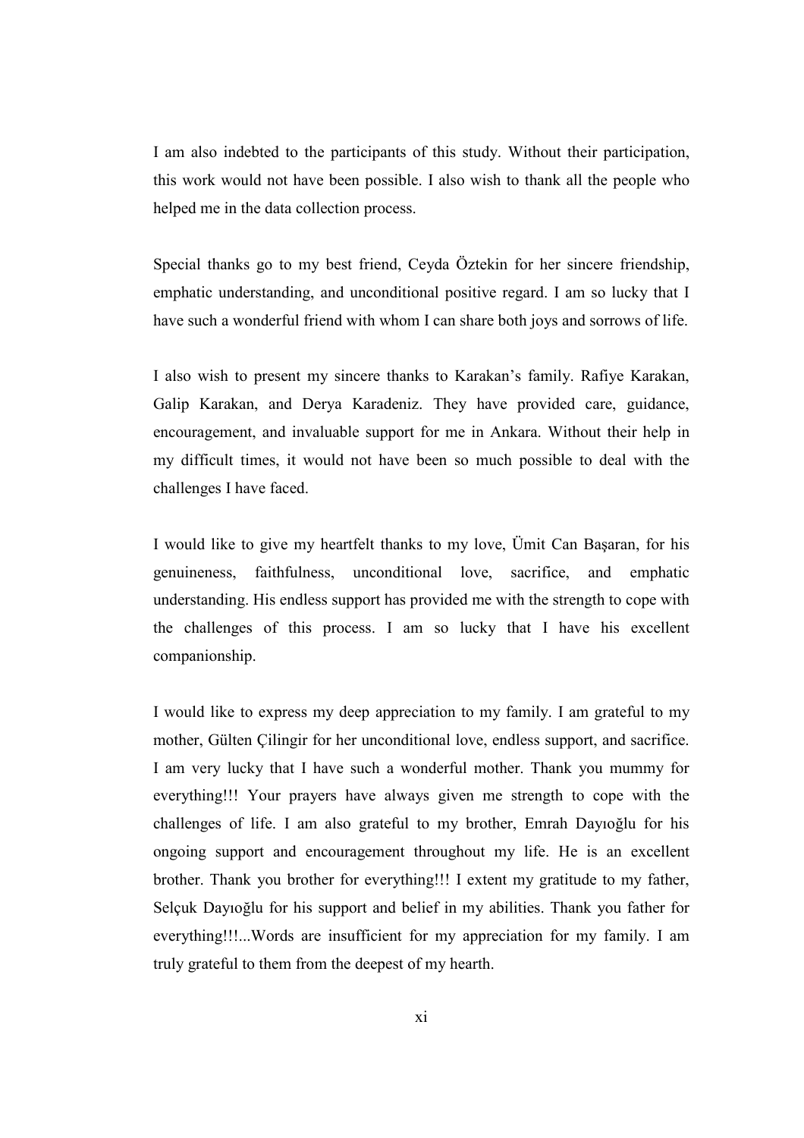I am also indebted to the participants of this study. Without their participation, this work would not have been possible. I also wish to thank all the people who helped me in the data collection process.

Special thanks go to my best friend, Ceyda Öztekin for her sincere friendship, emphatic understanding, and unconditional positive regard. I am so lucky that I have such a wonderful friend with whom I can share both joys and sorrows of life.

I also wish to present my sincere thanks to Karakan's family. Rafiye Karakan, Galip Karakan, and Derya Karadeniz. They have provided care, guidance, encouragement, and invaluable support for me in Ankara. Without their help in my difficult times, it would not have been so much possible to deal with the challenges I have faced.

I would like to give my heartfelt thanks to my love, Ümit Can Başaran, for his genuineness, faithfulness, unconditional love, sacrifice, and emphatic understanding. His endless support has provided me with the strength to cope with the challenges of this process. I am so lucky that I have his excellent companionship.

I would like to express my deep appreciation to my family. I am grateful to my mother, Gülten Çilingir for her unconditional love, endless support, and sacrifice. I am very lucky that I have such a wonderful mother. Thank you mummy for everything!!! Your prayers have always given me strength to cope with the challenges of life. I am also grateful to my brother, Emrah Dayıoğlu for his ongoing support and encouragement throughout my life. He is an excellent brother. Thank you brother for everything!!! I extent my gratitude to my father, Selçuk Dayıoğlu for his support and belief in my abilities. Thank you father for everything!!!...Words are insufficient for my appreciation for my family. I am truly grateful to them from the deepest of my hearth.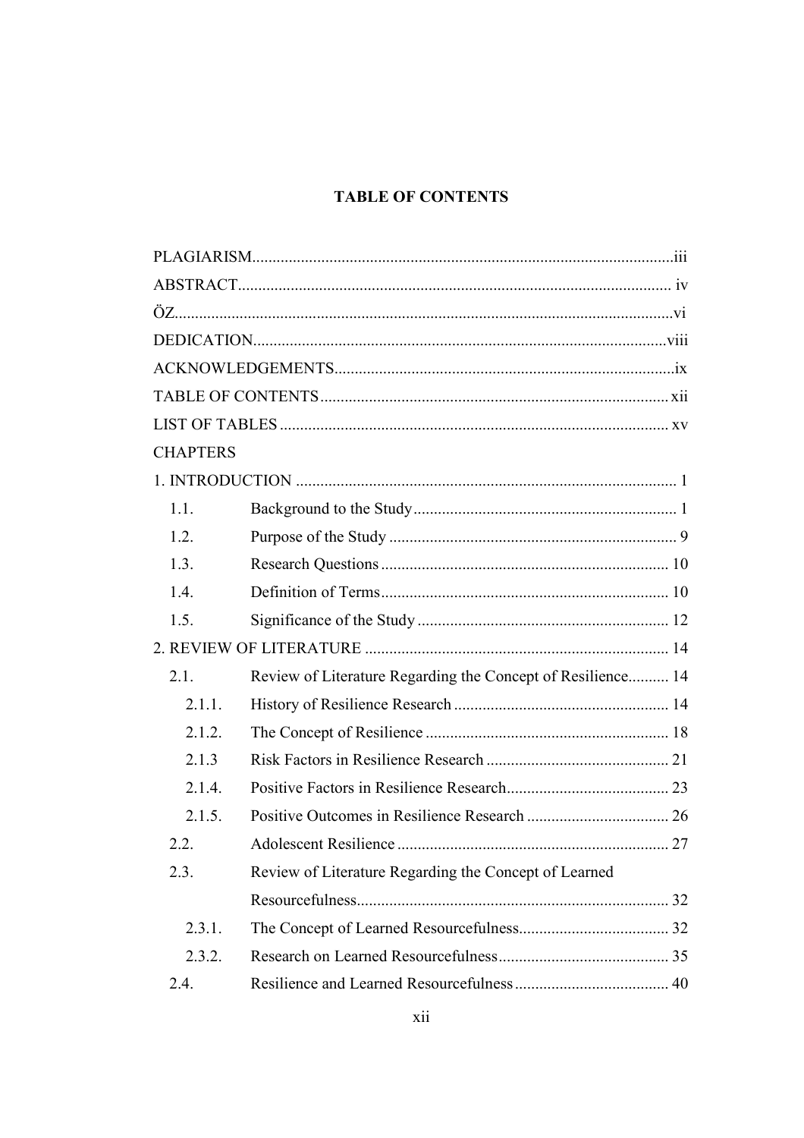# **TABLE OF CONTENTS**

| <b>CHAPTERS</b> |                                                             |  |
|-----------------|-------------------------------------------------------------|--|
|                 |                                                             |  |
| 1.1.            |                                                             |  |
| 1.2.            |                                                             |  |
| 1.3.            |                                                             |  |
| 1.4.            |                                                             |  |
| 1.5.            |                                                             |  |
|                 |                                                             |  |
| 2.1.            | Review of Literature Regarding the Concept of Resilience 14 |  |
| 2.1.1.          |                                                             |  |
| 2.1.2.          |                                                             |  |
| 2.1.3           |                                                             |  |
| 2.1.4.          |                                                             |  |
| 2.1.5.          |                                                             |  |
| 2.2.            |                                                             |  |
| 2.3.            | Review of Literature Regarding the Concept of Learned       |  |
|                 |                                                             |  |
| 2.3.1.          |                                                             |  |
| 2.3.2.          |                                                             |  |
| 2.4.            |                                                             |  |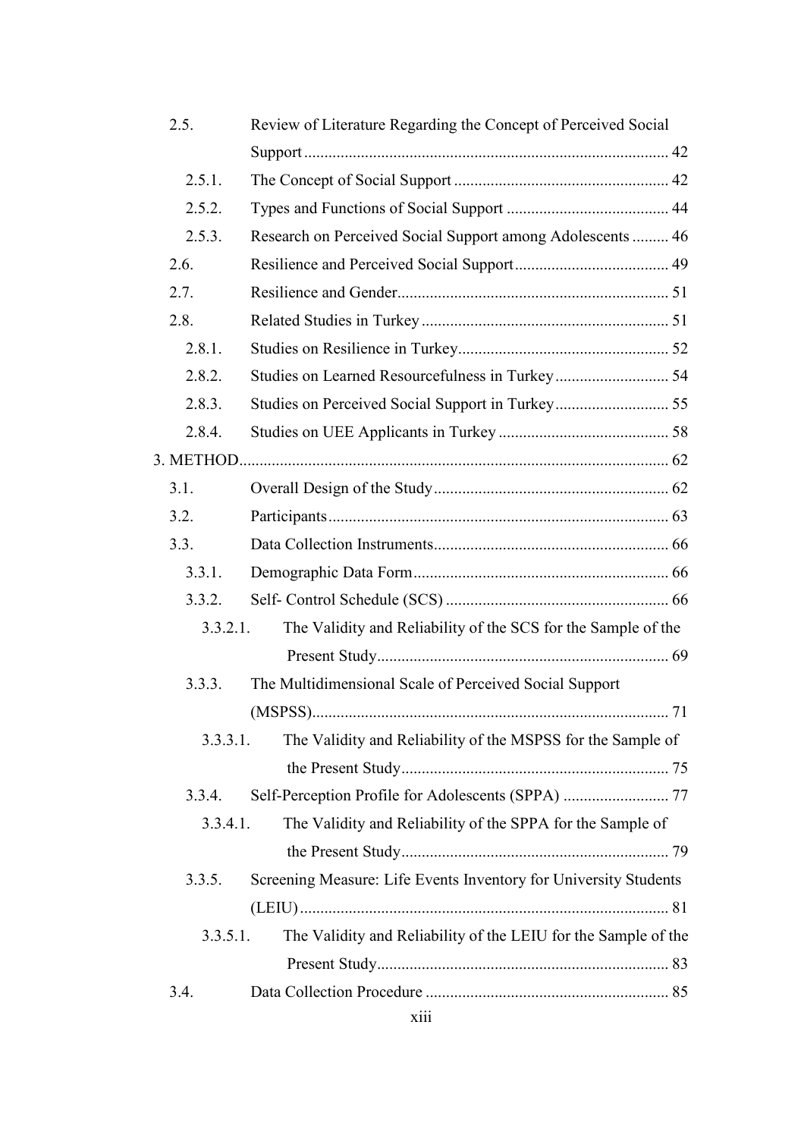| 2.5.     | Review of Literature Regarding the Concept of Perceived Social   |  |
|----------|------------------------------------------------------------------|--|
|          |                                                                  |  |
| 2.5.1.   |                                                                  |  |
| 2.5.2.   |                                                                  |  |
| 2.5.3.   | Research on Perceived Social Support among Adolescents  46       |  |
| 2.6.     |                                                                  |  |
| 2.7.     |                                                                  |  |
| 2.8.     |                                                                  |  |
| 2.8.1.   |                                                                  |  |
| 2.8.2.   |                                                                  |  |
| 2.8.3.   |                                                                  |  |
| 2.8.4.   |                                                                  |  |
|          |                                                                  |  |
| 3.1.     |                                                                  |  |
| 3.2.     |                                                                  |  |
| 3.3.     |                                                                  |  |
| 3.3.1.   |                                                                  |  |
| 3.3.2.   |                                                                  |  |
| 3.3.2.1. | The Validity and Reliability of the SCS for the Sample of the    |  |
|          |                                                                  |  |
| 3.3.3.   | The Multidimensional Scale of Perceived Social Support           |  |
|          |                                                                  |  |
| 3.3.3.1. | The Validity and Reliability of the MSPSS for the Sample of      |  |
|          |                                                                  |  |
| 3.3.4.   | Self-Perception Profile for Adolescents (SPPA)  77               |  |
| 3.3.4.1. | The Validity and Reliability of the SPPA for the Sample of       |  |
|          |                                                                  |  |
| 3.3.5.   | Screening Measure: Life Events Inventory for University Students |  |
|          |                                                                  |  |
| 3.3.5.1. | The Validity and Reliability of the LEIU for the Sample of the   |  |
|          |                                                                  |  |
| 3.4.     |                                                                  |  |
|          |                                                                  |  |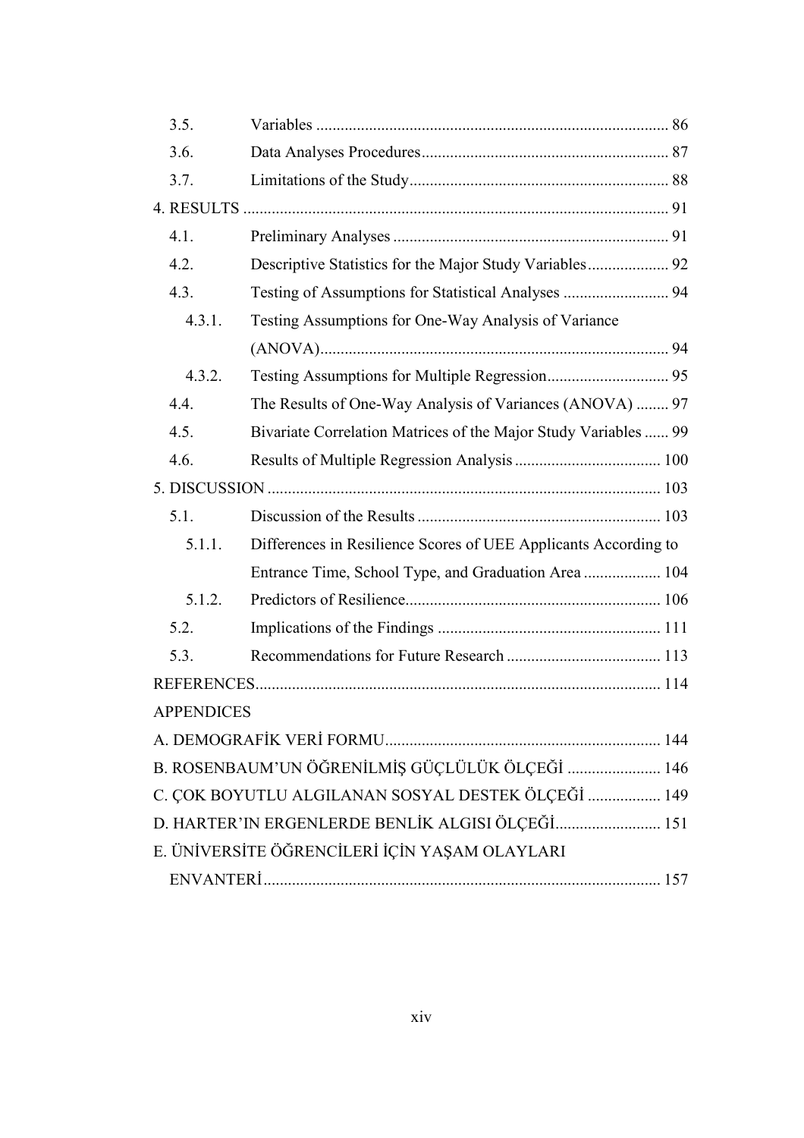| 3.5.              |                                                                 |  |
|-------------------|-----------------------------------------------------------------|--|
| 3.6.              |                                                                 |  |
| 3.7.              |                                                                 |  |
|                   |                                                                 |  |
| 4.1.              |                                                                 |  |
| 4.2.              |                                                                 |  |
| 4.3.              |                                                                 |  |
| 4.3.1.            | Testing Assumptions for One-Way Analysis of Variance            |  |
|                   |                                                                 |  |
| 4.3.2.            |                                                                 |  |
| 4.4.              | The Results of One-Way Analysis of Variances (ANOVA)  97        |  |
| 4.5.              | Bivariate Correlation Matrices of the Major Study Variables  99 |  |
| 4.6.              |                                                                 |  |
|                   |                                                                 |  |
| 5.1.              |                                                                 |  |
| 5.1.1.            | Differences in Resilience Scores of UEE Applicants According to |  |
|                   | Entrance Time, School Type, and Graduation Area  104            |  |
| 5.1.2.            |                                                                 |  |
| 5.2.              |                                                                 |  |
| 5.3.              |                                                                 |  |
|                   |                                                                 |  |
| <b>APPENDICES</b> |                                                                 |  |
|                   |                                                                 |  |
|                   | B. ROSENBAUM'UN ÖĞRENİLMİŞ GÜÇLÜLÜK ÖLÇEĞİ  146                 |  |
|                   | C. ÇOK BOYUTLU ALGILANAN SOSYAL DESTEK ÖLÇEĞİ  149              |  |
|                   | D. HARTER'IN ERGENLERDE BENLİK ALGISI ÖLÇEĞİ 151                |  |
|                   | E. ÜNİVERSİTE ÖĞRENCİLERİ İÇİN YAŞAM OLAYLARI                   |  |
|                   |                                                                 |  |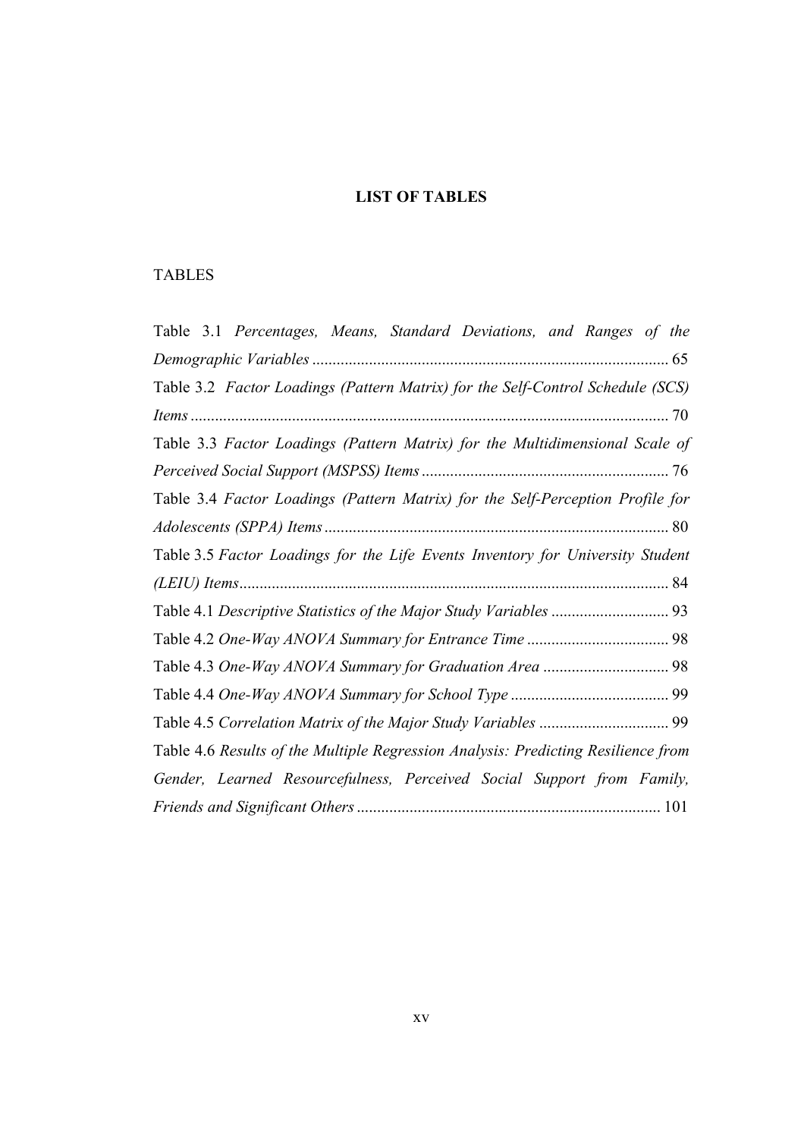# LIST OF TABLES

# TABLES

| Table 3.1 Percentages, Means, Standard Deviations, and Ranges of the              |
|-----------------------------------------------------------------------------------|
|                                                                                   |
| Table 3.2 Factor Loadings (Pattern Matrix) for the Self-Control Schedule (SCS)    |
|                                                                                   |
| Table 3.3 Factor Loadings (Pattern Matrix) for the Multidimensional Scale of      |
|                                                                                   |
| Table 3.4 Factor Loadings (Pattern Matrix) for the Self-Perception Profile for    |
|                                                                                   |
| Table 3.5 Factor Loadings for the Life Events Inventory for University Student    |
|                                                                                   |
|                                                                                   |
|                                                                                   |
|                                                                                   |
|                                                                                   |
|                                                                                   |
| Table 4.6 Results of the Multiple Regression Analysis: Predicting Resilience from |
| Gender, Learned Resourcefulness, Perceived Social Support from Family,            |
|                                                                                   |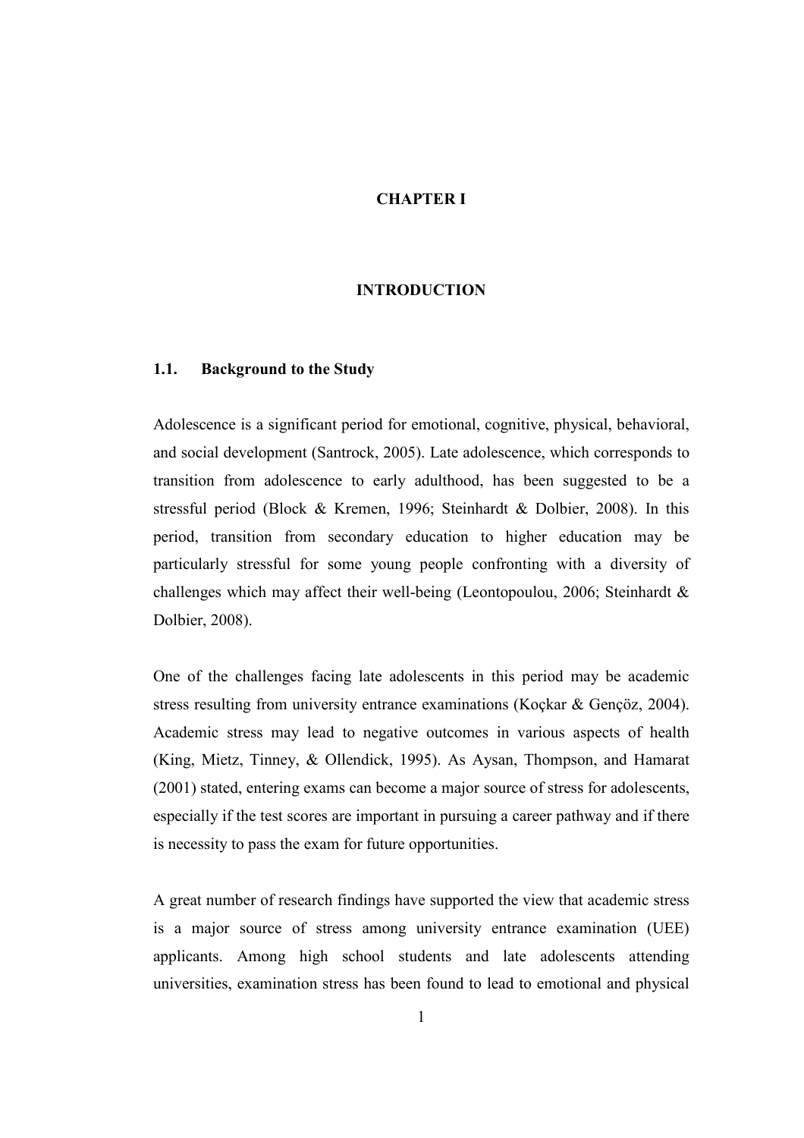# CHAPTER I

# INTRODUCTION

#### 1.1. Background to the Study

Adolescence is a significant period for emotional, cognitive, physical, behavioral, and social development (Santrock, 2005). Late adolescence, which corresponds to transition from adolescence to early adulthood, has been suggested to be a stressful period (Block & Kremen, 1996; Steinhardt & Dolbier, 2008). In this period, transition from secondary education to higher education may be particularly stressful for some young people confronting with a diversity of challenges which may affect their well-being (Leontopoulou, 2006; Steinhardt & Dolbier, 2008).

One of the challenges facing late adolescents in this period may be academic stress resulting from university entrance examinations (Koçkar & Gençöz, 2004). Academic stress may lead to negative outcomes in various aspects of health (King, Mietz, Tinney, & Ollendick, 1995). As Aysan, Thompson, and Hamarat (2001) stated, entering exams can become a major source of stress for adolescents, especially if the test scores are important in pursuing a career pathway and if there is necessity to pass the exam for future opportunities.

A great number of research findings have supported the view that academic stress is a major source of stress among university entrance examination (UEE) applicants. Among high school students and late adolescents attending universities, examination stress has been found to lead to emotional and physical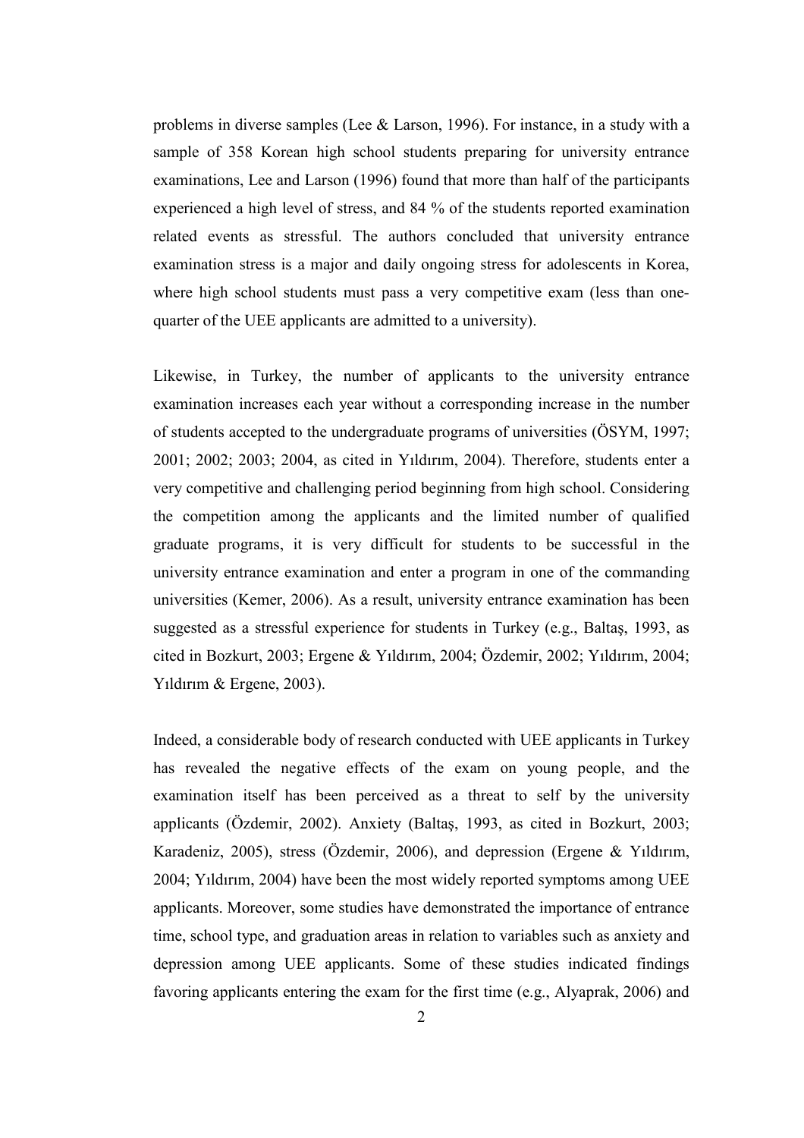problems in diverse samples (Lee & Larson, 1996). For instance, in a study with a sample of 358 Korean high school students preparing for university entrance examinations, Lee and Larson (1996) found that more than half of the participants experienced a high level of stress, and 84 % of the students reported examination related events as stressful. The authors concluded that university entrance examination stress is a major and daily ongoing stress for adolescents in Korea, where high school students must pass a very competitive exam (less than onequarter of the UEE applicants are admitted to a university).

Likewise, in Turkey, the number of applicants to the university entrance examination increases each year without a corresponding increase in the number of students accepted to the undergraduate programs of universities (ÖSYM, 1997; 2001; 2002; 2003; 2004, as cited in Yıldırım, 2004). Therefore, students enter a very competitive and challenging period beginning from high school. Considering the competition among the applicants and the limited number of qualified graduate programs, it is very difficult for students to be successful in the university entrance examination and enter a program in one of the commanding universities (Kemer, 2006). As a result, university entrance examination has been suggested as a stressful experience for students in Turkey (e.g., Baltaş, 1993, as cited in Bozkurt, 2003; Ergene & Yıldırım, 2004; Özdemir, 2002; Yıldırım, 2004; Yıldırım & Ergene, 2003).

Indeed, a considerable body of research conducted with UEE applicants in Turkey has revealed the negative effects of the exam on young people, and the examination itself has been perceived as a threat to self by the university applicants (Özdemir, 2002). Anxiety (Baltaş, 1993, as cited in Bozkurt, 2003; Karadeniz, 2005), stress (Özdemir, 2006), and depression (Ergene & Yıldırım, 2004; Yıldırım, 2004) have been the most widely reported symptoms among UEE applicants. Moreover, some studies have demonstrated the importance of entrance time, school type, and graduation areas in relation to variables such as anxiety and depression among UEE applicants. Some of these studies indicated findings favoring applicants entering the exam for the first time (e.g., Alyaprak, 2006) and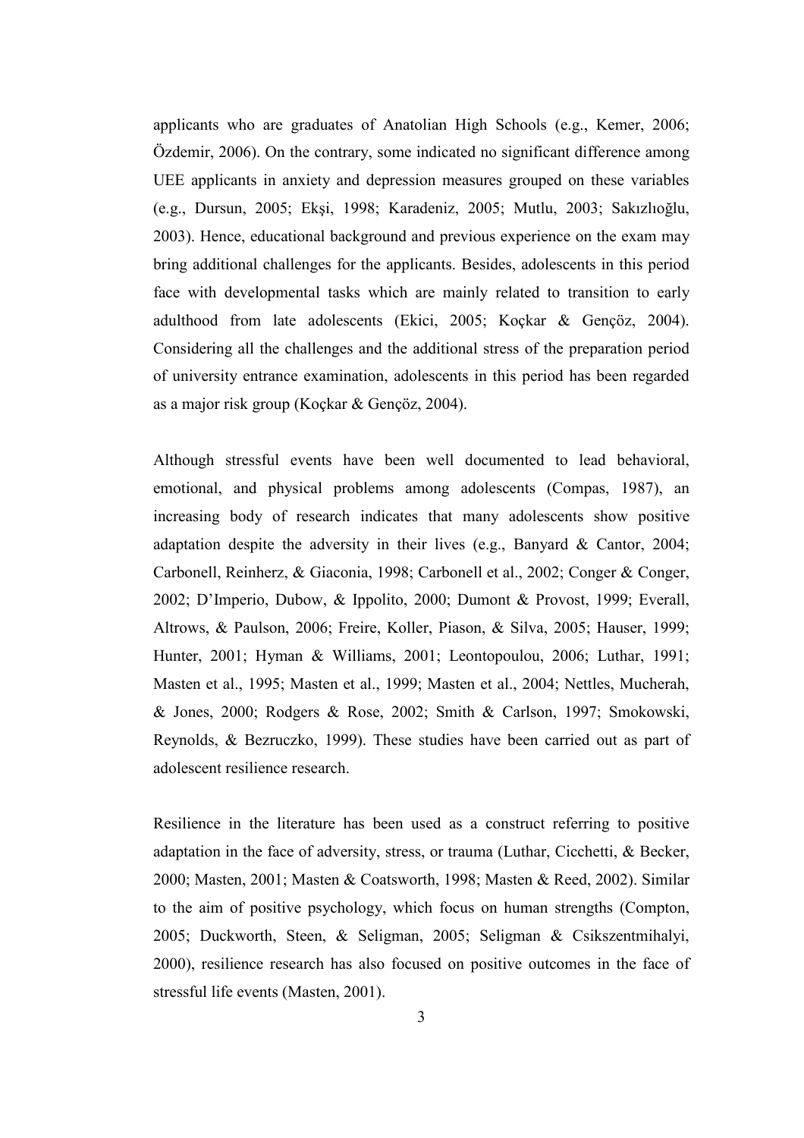applicants who are graduates of Anatolian High Schools (e.g., Kemer, 2006; Özdemir, 2006). On the contrary, some indicated no significant difference among UEE applicants in anxiety and depression measures grouped on these variables (e.g., Dursun, 2005; Ekşi, 1998; Karadeniz, 2005; Mutlu, 2003; Sakızlıoğlu, 2003). Hence, educational background and previous experience on the exam may bring additional challenges for the applicants. Besides, adolescents in this period face with developmental tasks which are mainly related to transition to early adulthood from late adolescents (Ekici, 2005; Koçkar & Gençöz, 2004). Considering all the challenges and the additional stress of the preparation period of university entrance examination, adolescents in this period has been regarded as a major risk group (Koçkar & Gençöz, 2004).

Although stressful events have been well documented to lead behavioral, emotional, and physical problems among adolescents (Compas, 1987), an increasing body of research indicates that many adolescents show positive adaptation despite the adversity in their lives (e.g., Banyard & Cantor, 2004; Carbonell, Reinherz, & Giaconia, 1998; Carbonell et al., 2002; Conger & Conger, 2002; D'Imperio, Dubow, & Ippolito, 2000; Dumont & Provost, 1999; Everall, Altrows, & Paulson, 2006; Freire, Koller, Piason, & Silva, 2005; Hauser, 1999; Hunter, 2001; Hyman & Williams, 2001; Leontopoulou, 2006; Luthar, 1991; Masten et al., 1995; Masten et al., 1999; Masten et al., 2004; Nettles, Mucherah, & Jones, 2000; Rodgers & Rose, 2002; Smith & Carlson, 1997; Smokowski, Reynolds, & Bezruczko, 1999). These studies have been carried out as part of adolescent resilience research.

Resilience in the literature has been used as a construct referring to positive adaptation in the face of adversity, stress, or trauma (Luthar, Cicchetti, & Becker, 2000; Masten, 2001; Masten & Coatsworth, 1998; Masten & Reed, 2002). Similar to the aim of positive psychology, which focus on human strengths (Compton, 2005; Duckworth, Steen, & Seligman, 2005; Seligman & Csikszentmihalyi, 2000), resilience research has also focused on positive outcomes in the face of stressful life events (Masten, 2001).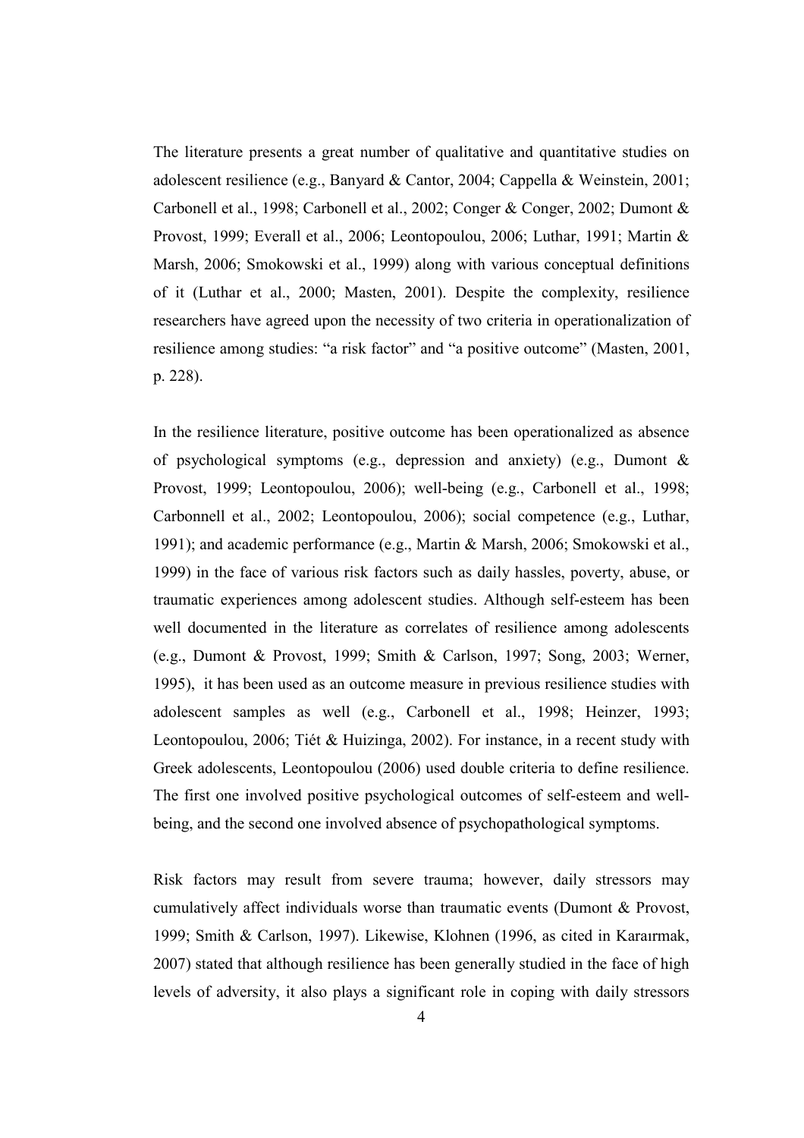The literature presents a great number of qualitative and quantitative studies on adolescent resilience (e.g., Banyard & Cantor, 2004; Cappella & Weinstein, 2001; Carbonell et al., 1998; Carbonell et al., 2002; Conger & Conger, 2002; Dumont & Provost, 1999; Everall et al., 2006; Leontopoulou, 2006; Luthar, 1991; Martin & Marsh, 2006; Smokowski et al., 1999) along with various conceptual definitions of it (Luthar et al., 2000; Masten, 2001). Despite the complexity, resilience researchers have agreed upon the necessity of two criteria in operationalization of resilience among studies: "a risk factor" and "a positive outcome" (Masten, 2001, p. 228).

In the resilience literature, positive outcome has been operationalized as absence of psychological symptoms (e.g., depression and anxiety) (e.g., Dumont & Provost, 1999; Leontopoulou, 2006); well-being (e.g., Carbonell et al., 1998; Carbonnell et al., 2002; Leontopoulou, 2006); social competence (e.g., Luthar, 1991); and academic performance (e.g., Martin & Marsh, 2006; Smokowski et al., 1999) in the face of various risk factors such as daily hassles, poverty, abuse, or traumatic experiences among adolescent studies. Although self-esteem has been well documented in the literature as correlates of resilience among adolescents (e.g., Dumont & Provost, 1999; Smith & Carlson, 1997; Song, 2003; Werner, 1995), it has been used as an outcome measure in previous resilience studies with adolescent samples as well (e.g., Carbonell et al., 1998; Heinzer, 1993; Leontopoulou, 2006; Tiét & Huizinga, 2002). For instance, in a recent study with Greek adolescents, Leontopoulou (2006) used double criteria to define resilience. The first one involved positive psychological outcomes of self-esteem and wellbeing, and the second one involved absence of psychopathological symptoms.

Risk factors may result from severe trauma; however, daily stressors may cumulatively affect individuals worse than traumatic events (Dumont & Provost, 1999; Smith & Carlson, 1997). Likewise, Klohnen (1996, as cited in Karaırmak, 2007) stated that although resilience has been generally studied in the face of high levels of adversity, it also plays a significant role in coping with daily stressors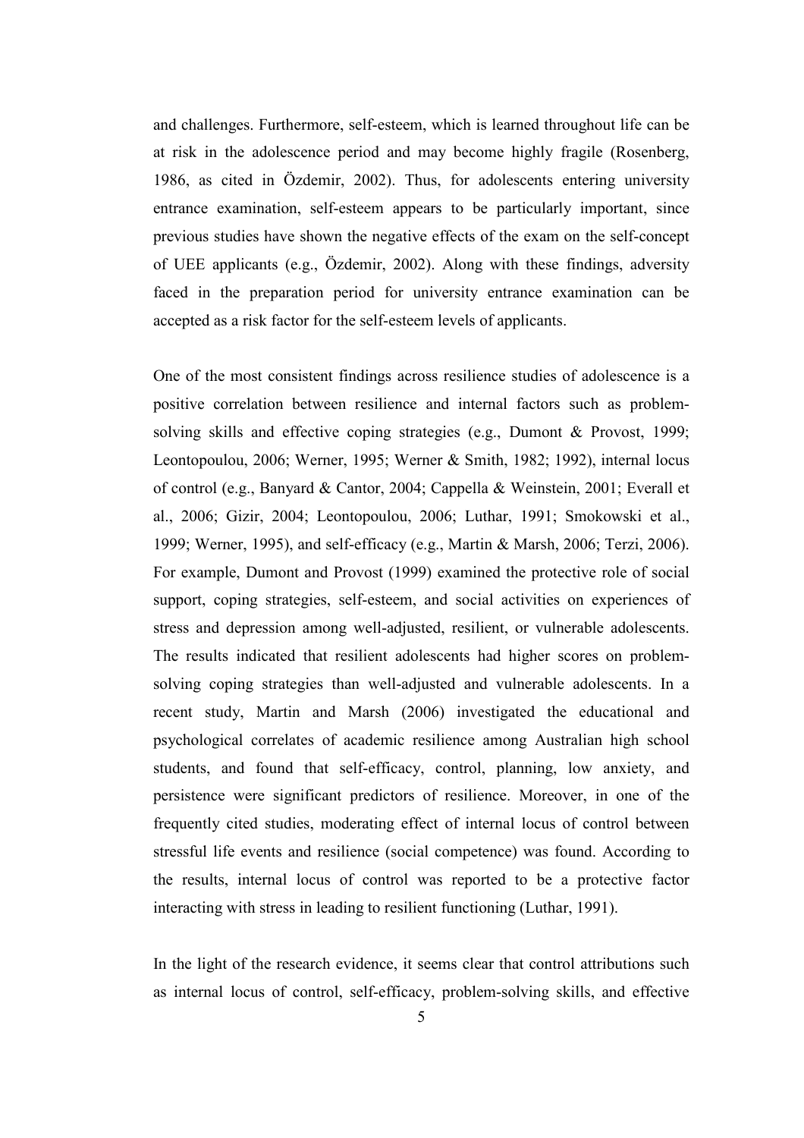and challenges. Furthermore, self-esteem, which is learned throughout life can be at risk in the adolescence period and may become highly fragile (Rosenberg, 1986, as cited in Özdemir, 2002). Thus, for adolescents entering university entrance examination, self-esteem appears to be particularly important, since previous studies have shown the negative effects of the exam on the self-concept of UEE applicants (e.g., Özdemir, 2002). Along with these findings, adversity faced in the preparation period for university entrance examination can be accepted as a risk factor for the self-esteem levels of applicants.

One of the most consistent findings across resilience studies of adolescence is a positive correlation between resilience and internal factors such as problemsolving skills and effective coping strategies (e.g., Dumont & Provost, 1999; Leontopoulou, 2006; Werner, 1995; Werner & Smith, 1982; 1992), internal locus of control (e.g., Banyard & Cantor, 2004; Cappella & Weinstein, 2001; Everall et al., 2006; Gizir, 2004; Leontopoulou, 2006; Luthar, 1991; Smokowski et al., 1999; Werner, 1995), and self-efficacy (e.g., Martin & Marsh, 2006; Terzi, 2006). For example, Dumont and Provost (1999) examined the protective role of social support, coping strategies, self-esteem, and social activities on experiences of stress and depression among well-adjusted, resilient, or vulnerable adolescents. The results indicated that resilient adolescents had higher scores on problemsolving coping strategies than well-adjusted and vulnerable adolescents. In a recent study, Martin and Marsh (2006) investigated the educational and psychological correlates of academic resilience among Australian high school students, and found that self-efficacy, control, planning, low anxiety, and persistence were significant predictors of resilience. Moreover, in one of the frequently cited studies, moderating effect of internal locus of control between stressful life events and resilience (social competence) was found. According to the results, internal locus of control was reported to be a protective factor interacting with stress in leading to resilient functioning (Luthar, 1991).

In the light of the research evidence, it seems clear that control attributions such as internal locus of control, self-efficacy, problem-solving skills, and effective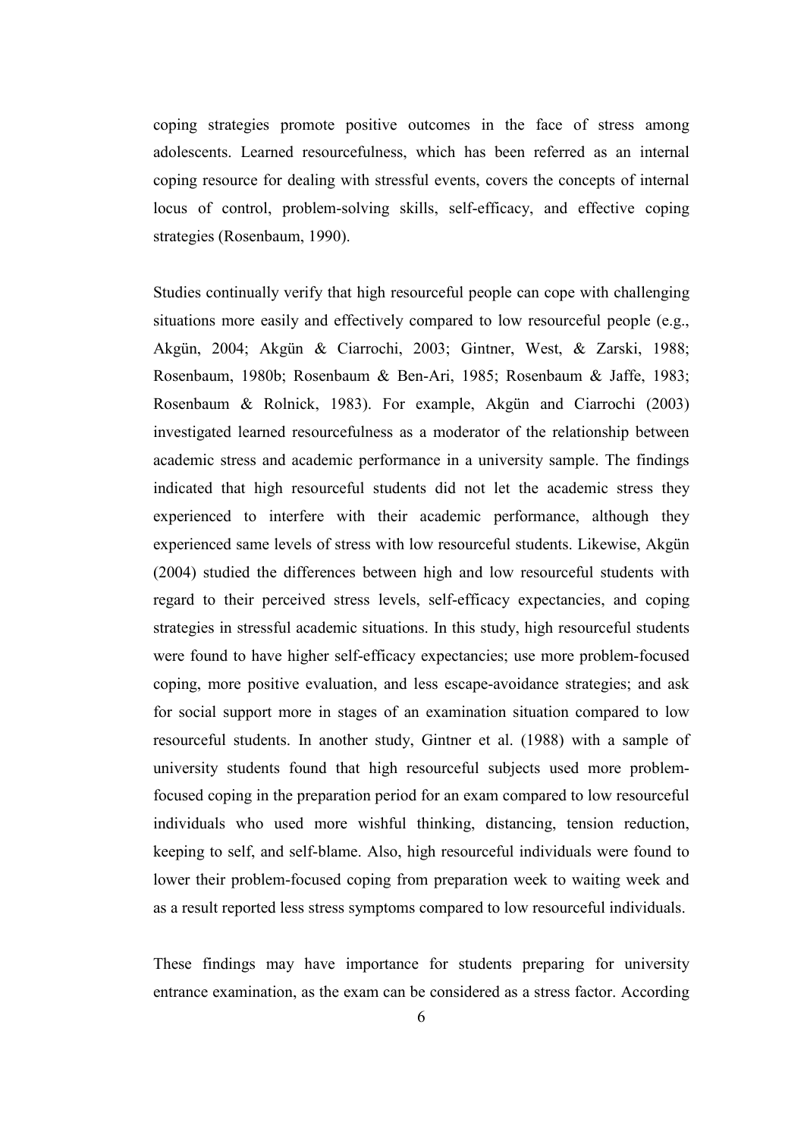coping strategies promote positive outcomes in the face of stress among adolescents. Learned resourcefulness, which has been referred as an internal coping resource for dealing with stressful events, covers the concepts of internal locus of control, problem-solving skills, self-efficacy, and effective coping strategies (Rosenbaum, 1990).

Studies continually verify that high resourceful people can cope with challenging situations more easily and effectively compared to low resourceful people (e.g., Akgün, 2004; Akgün & Ciarrochi, 2003; Gintner, West, & Zarski, 1988; Rosenbaum, 1980b; Rosenbaum & Ben-Ari, 1985; Rosenbaum & Jaffe, 1983; Rosenbaum & Rolnick, 1983). For example, Akgün and Ciarrochi (2003) investigated learned resourcefulness as a moderator of the relationship between academic stress and academic performance in a university sample. The findings indicated that high resourceful students did not let the academic stress they experienced to interfere with their academic performance, although they experienced same levels of stress with low resourceful students. Likewise, Akgün (2004) studied the differences between high and low resourceful students with regard to their perceived stress levels, self-efficacy expectancies, and coping strategies in stressful academic situations. In this study, high resourceful students were found to have higher self-efficacy expectancies; use more problem-focused coping, more positive evaluation, and less escape-avoidance strategies; and ask for social support more in stages of an examination situation compared to low resourceful students. In another study, Gintner et al. (1988) with a sample of university students found that high resourceful subjects used more problemfocused coping in the preparation period for an exam compared to low resourceful individuals who used more wishful thinking, distancing, tension reduction, keeping to self, and self-blame. Also, high resourceful individuals were found to lower their problem-focused coping from preparation week to waiting week and as a result reported less stress symptoms compared to low resourceful individuals.

These findings may have importance for students preparing for university entrance examination, as the exam can be considered as a stress factor. According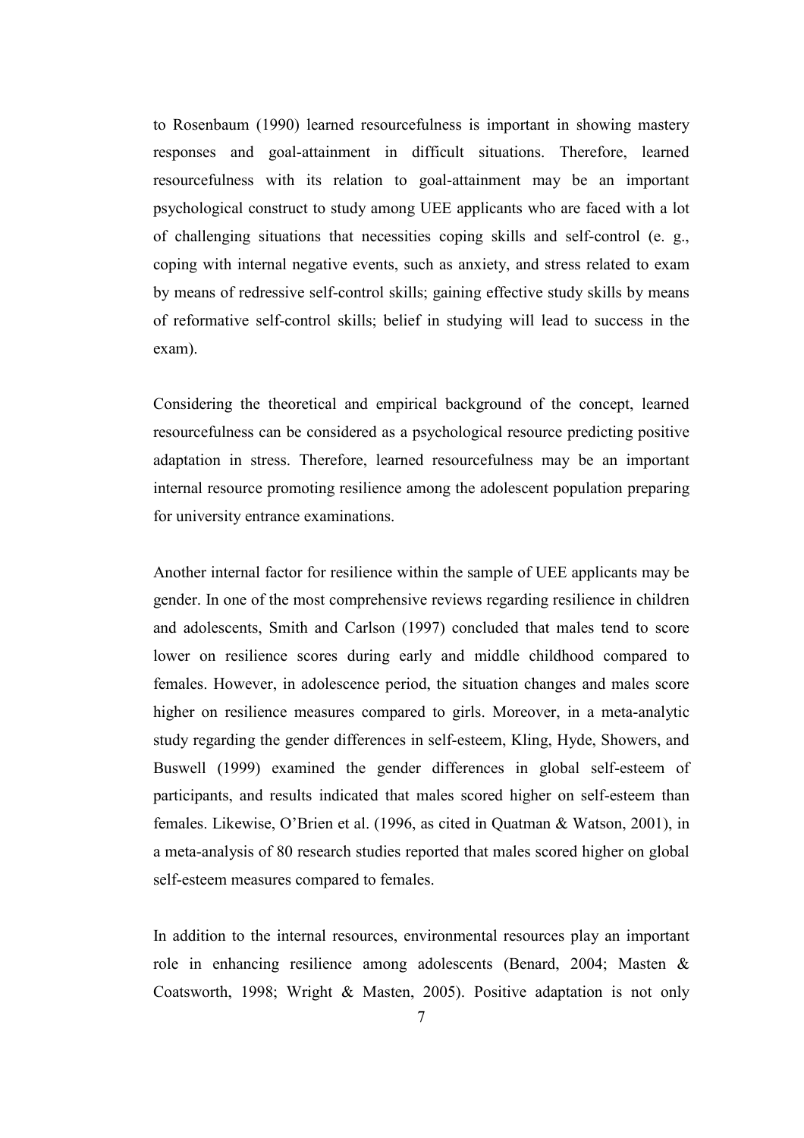to Rosenbaum (1990) learned resourcefulness is important in showing mastery responses and goal-attainment in difficult situations. Therefore, learned resourcefulness with its relation to goal-attainment may be an important psychological construct to study among UEE applicants who are faced with a lot of challenging situations that necessities coping skills and self-control (e. g., coping with internal negative events, such as anxiety, and stress related to exam by means of redressive self-control skills; gaining effective study skills by means of reformative self-control skills; belief in studying will lead to success in the exam).

Considering the theoretical and empirical background of the concept, learned resourcefulness can be considered as a psychological resource predicting positive adaptation in stress. Therefore, learned resourcefulness may be an important internal resource promoting resilience among the adolescent population preparing for university entrance examinations.

Another internal factor for resilience within the sample of UEE applicants may be gender. In one of the most comprehensive reviews regarding resilience in children and adolescents, Smith and Carlson (1997) concluded that males tend to score lower on resilience scores during early and middle childhood compared to females. However, in adolescence period, the situation changes and males score higher on resilience measures compared to girls. Moreover, in a meta-analytic study regarding the gender differences in self-esteem, Kling, Hyde, Showers, and Buswell (1999) examined the gender differences in global self-esteem of participants, and results indicated that males scored higher on self-esteem than females. Likewise, O'Brien et al. (1996, as cited in Quatman & Watson, 2001), in a meta-analysis of 80 research studies reported that males scored higher on global self-esteem measures compared to females.

In addition to the internal resources, environmental resources play an important role in enhancing resilience among adolescents (Benard, 2004; Masten & Coatsworth, 1998; Wright & Masten, 2005). Positive adaptation is not only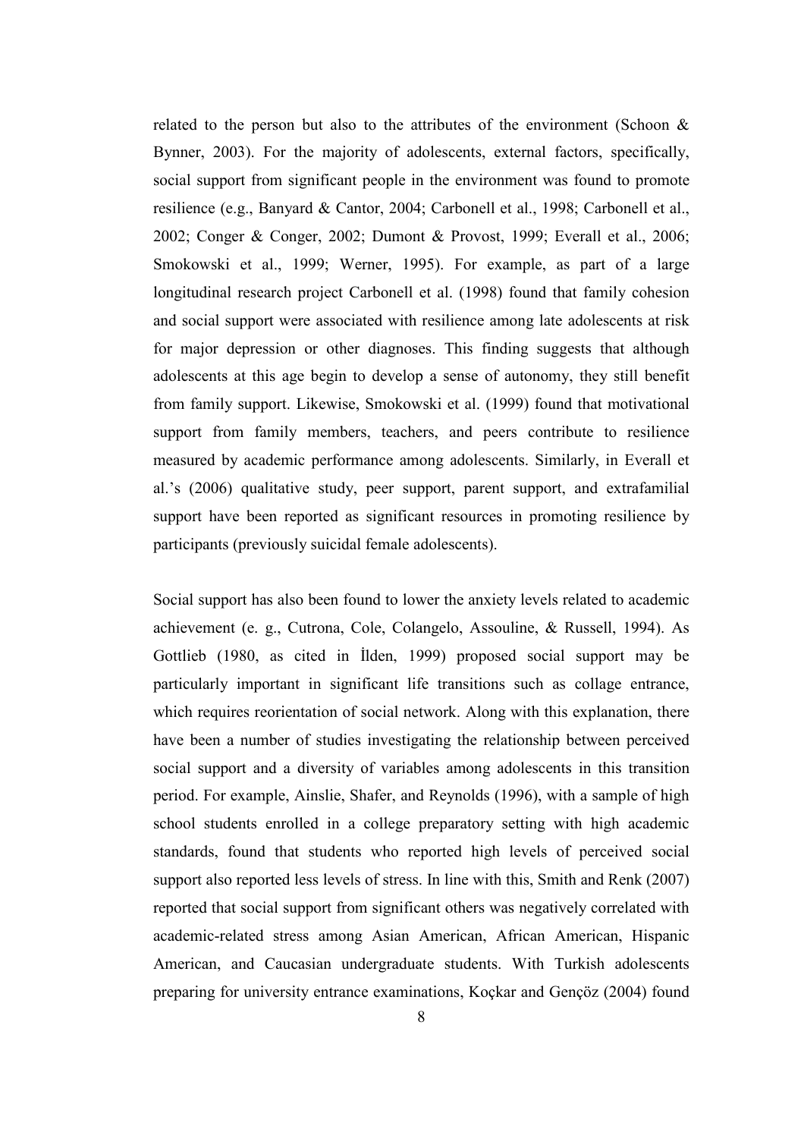related to the person but also to the attributes of the environment (Schoon  $\&$ Bynner, 2003). For the majority of adolescents, external factors, specifically, social support from significant people in the environment was found to promote resilience (e.g., Banyard & Cantor, 2004; Carbonell et al., 1998; Carbonell et al., 2002; Conger & Conger, 2002; Dumont & Provost, 1999; Everall et al., 2006; Smokowski et al., 1999; Werner, 1995). For example, as part of a large longitudinal research project Carbonell et al. (1998) found that family cohesion and social support were associated with resilience among late adolescents at risk for major depression or other diagnoses. This finding suggests that although adolescents at this age begin to develop a sense of autonomy, they still benefit from family support. Likewise, Smokowski et al. (1999) found that motivational support from family members, teachers, and peers contribute to resilience measured by academic performance among adolescents. Similarly, in Everall et al.'s (2006) qualitative study, peer support, parent support, and extrafamilial support have been reported as significant resources in promoting resilience by participants (previously suicidal female adolescents).

Social support has also been found to lower the anxiety levels related to academic achievement (e. g., Cutrona, Cole, Colangelo, Assouline, & Russell, 1994). As Gottlieb (1980, as cited in İlden, 1999) proposed social support may be particularly important in significant life transitions such as collage entrance, which requires reorientation of social network. Along with this explanation, there have been a number of studies investigating the relationship between perceived social support and a diversity of variables among adolescents in this transition period. For example, Ainslie, Shafer, and Reynolds (1996), with a sample of high school students enrolled in a college preparatory setting with high academic standards, found that students who reported high levels of perceived social support also reported less levels of stress. In line with this, Smith and Renk (2007) reported that social support from significant others was negatively correlated with academic-related stress among Asian American, African American, Hispanic American, and Caucasian undergraduate students. With Turkish adolescents preparing for university entrance examinations, Koçkar and Gençöz (2004) found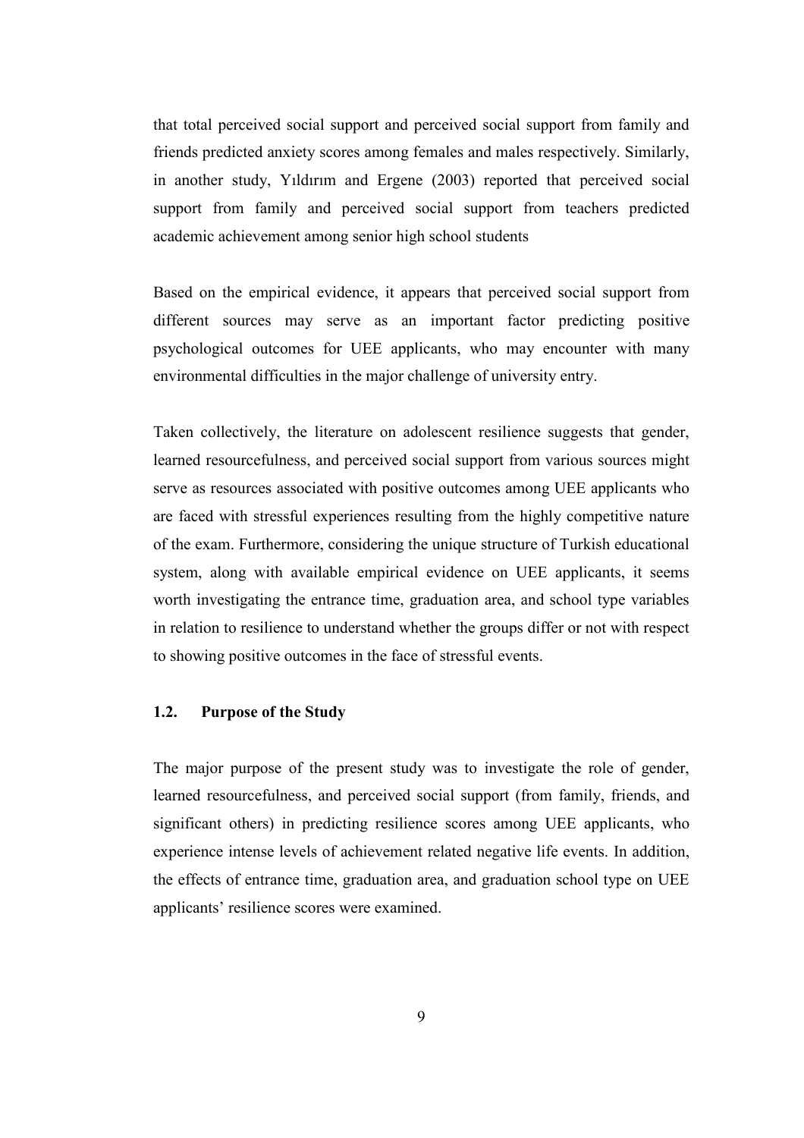that total perceived social support and perceived social support from family and friends predicted anxiety scores among females and males respectively. Similarly, in another study, Yıldırım and Ergene (2003) reported that perceived social support from family and perceived social support from teachers predicted academic achievement among senior high school students

Based on the empirical evidence, it appears that perceived social support from different sources may serve as an important factor predicting positive psychological outcomes for UEE applicants, who may encounter with many environmental difficulties in the major challenge of university entry.

Taken collectively, the literature on adolescent resilience suggests that gender, learned resourcefulness, and perceived social support from various sources might serve as resources associated with positive outcomes among UEE applicants who are faced with stressful experiences resulting from the highly competitive nature of the exam. Furthermore, considering the unique structure of Turkish educational system, along with available empirical evidence on UEE applicants, it seems worth investigating the entrance time, graduation area, and school type variables in relation to resilience to understand whether the groups differ or not with respect to showing positive outcomes in the face of stressful events.

# 1.2. Purpose of the Study

The major purpose of the present study was to investigate the role of gender, learned resourcefulness, and perceived social support (from family, friends, and significant others) in predicting resilience scores among UEE applicants, who experience intense levels of achievement related negative life events. In addition, the effects of entrance time, graduation area, and graduation school type on UEE applicants' resilience scores were examined.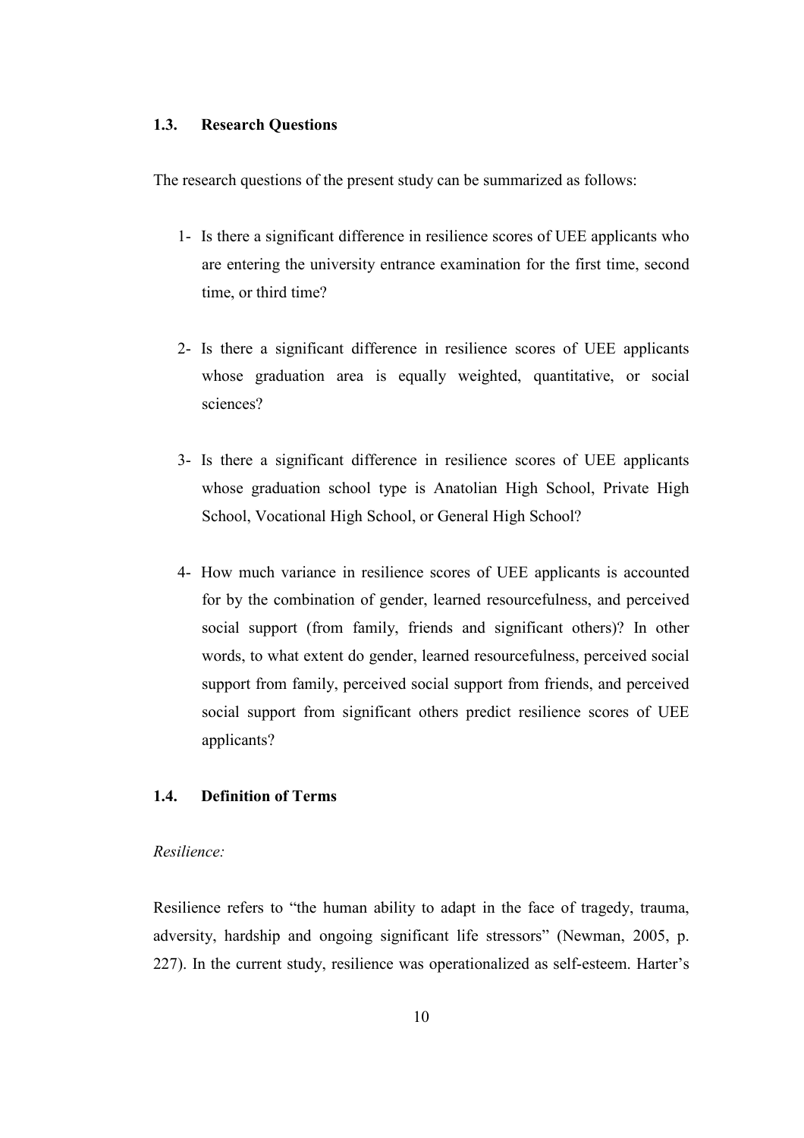#### 1.3. Research Questions

The research questions of the present study can be summarized as follows:

- 1- Is there a significant difference in resilience scores of UEE applicants who are entering the university entrance examination for the first time, second time, or third time?
- 2- Is there a significant difference in resilience scores of UEE applicants whose graduation area is equally weighted, quantitative, or social sciences?
- 3- Is there a significant difference in resilience scores of UEE applicants whose graduation school type is Anatolian High School, Private High School, Vocational High School, or General High School?
- 4- How much variance in resilience scores of UEE applicants is accounted for by the combination of gender, learned resourcefulness, and perceived social support (from family, friends and significant others)? In other words, to what extent do gender, learned resourcefulness, perceived social support from family, perceived social support from friends, and perceived social support from significant others predict resilience scores of UEE applicants?

# 1.4. Definition of Terms

## Resilience:

Resilience refers to "the human ability to adapt in the face of tragedy, trauma, adversity, hardship and ongoing significant life stressors" (Newman, 2005, p. 227). In the current study, resilience was operationalized as self-esteem. Harter's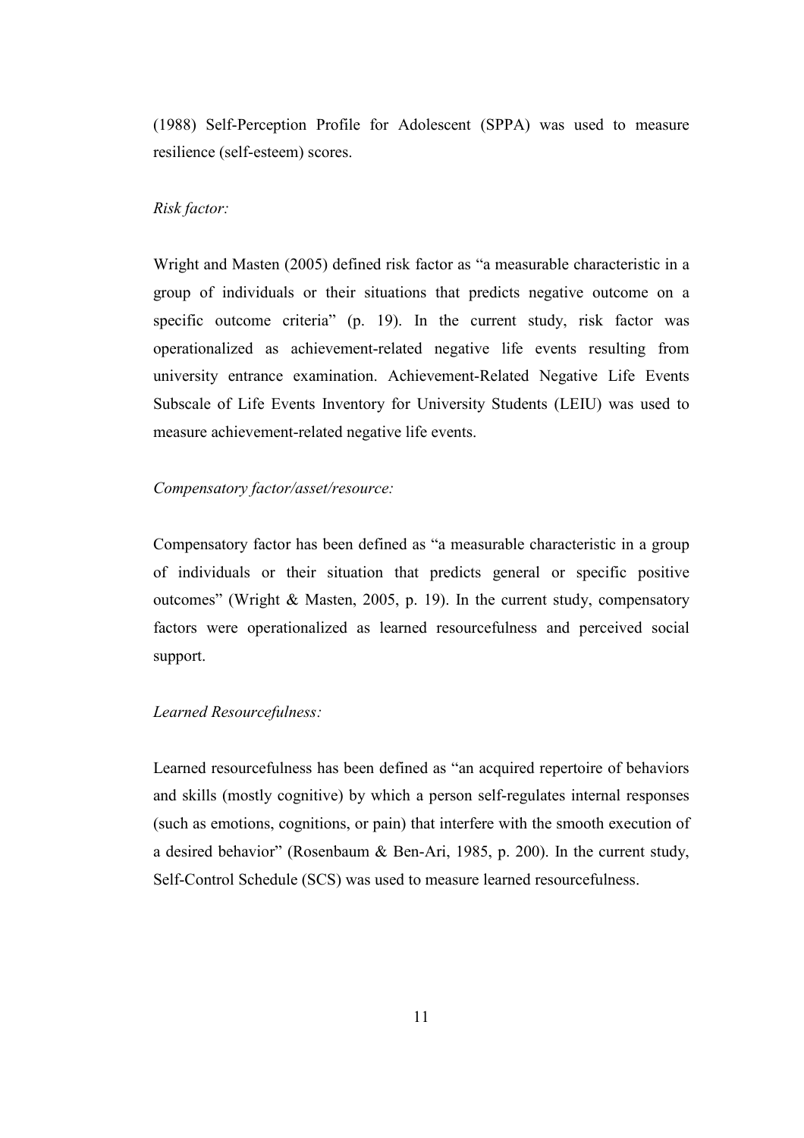(1988) Self-Perception Profile for Adolescent (SPPA) was used to measure resilience (self-esteem) scores.

#### Risk factor:

Wright and Masten (2005) defined risk factor as "a measurable characteristic in a group of individuals or their situations that predicts negative outcome on a specific outcome criteria" (p. 19). In the current study, risk factor was operationalized as achievement-related negative life events resulting from university entrance examination. Achievement-Related Negative Life Events Subscale of Life Events Inventory for University Students (LEIU) was used to measure achievement-related negative life events.

#### Compensatory factor/asset/resource:

Compensatory factor has been defined as "a measurable characteristic in a group of individuals or their situation that predicts general or specific positive outcomes" (Wright & Masten, 2005, p. 19). In the current study, compensatory factors were operationalized as learned resourcefulness and perceived social support.

#### Learned Resourcefulness:

Learned resourcefulness has been defined as "an acquired repertoire of behaviors and skills (mostly cognitive) by which a person self-regulates internal responses (such as emotions, cognitions, or pain) that interfere with the smooth execution of a desired behavior" (Rosenbaum & Ben-Ari, 1985, p. 200). In the current study, Self-Control Schedule (SCS) was used to measure learned resourcefulness.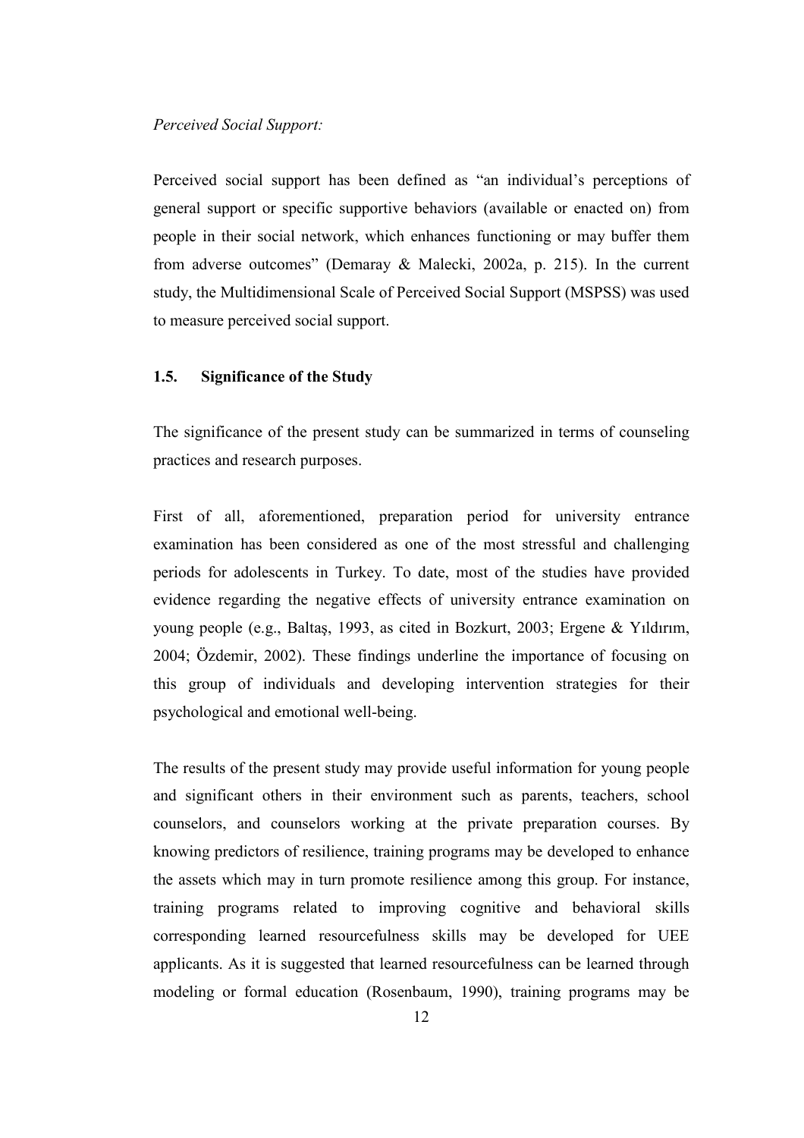#### Perceived Social Support:

Perceived social support has been defined as "an individual's perceptions of general support or specific supportive behaviors (available or enacted on) from people in their social network, which enhances functioning or may buffer them from adverse outcomes" (Demaray & Malecki, 2002a, p. 215). In the current study, the Multidimensional Scale of Perceived Social Support (MSPSS) was used to measure perceived social support.

## 1.5. Significance of the Study

The significance of the present study can be summarized in terms of counseling practices and research purposes.

First of all, aforementioned, preparation period for university entrance examination has been considered as one of the most stressful and challenging periods for adolescents in Turkey. To date, most of the studies have provided evidence regarding the negative effects of university entrance examination on young people (e.g., Baltaş, 1993, as cited in Bozkurt, 2003; Ergene & Yıldırım, 2004; Özdemir, 2002). These findings underline the importance of focusing on this group of individuals and developing intervention strategies for their psychological and emotional well-being.

The results of the present study may provide useful information for young people and significant others in their environment such as parents, teachers, school counselors, and counselors working at the private preparation courses. By knowing predictors of resilience, training programs may be developed to enhance the assets which may in turn promote resilience among this group. For instance, training programs related to improving cognitive and behavioral skills corresponding learned resourcefulness skills may be developed for UEE applicants. As it is suggested that learned resourcefulness can be learned through modeling or formal education (Rosenbaum, 1990), training programs may be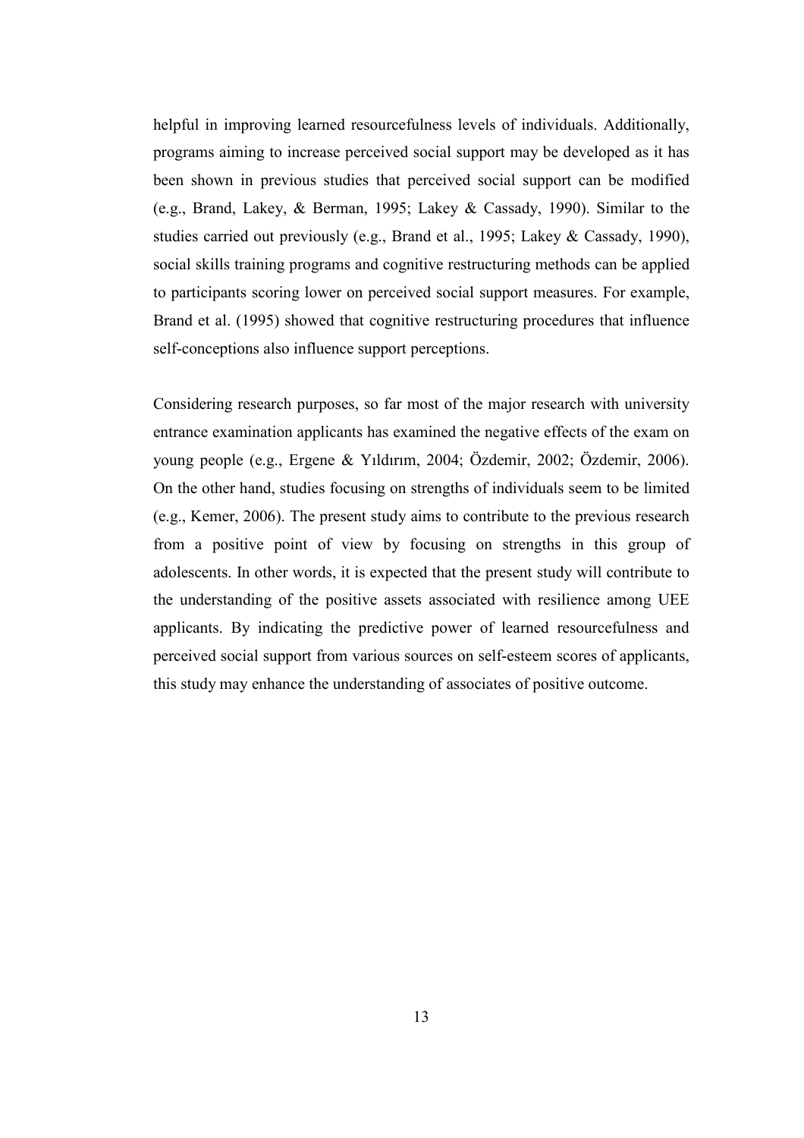helpful in improving learned resourcefulness levels of individuals. Additionally, programs aiming to increase perceived social support may be developed as it has been shown in previous studies that perceived social support can be modified (e.g., Brand, Lakey, & Berman, 1995; Lakey & Cassady, 1990). Similar to the studies carried out previously (e.g., Brand et al., 1995; Lakey & Cassady, 1990), social skills training programs and cognitive restructuring methods can be applied to participants scoring lower on perceived social support measures. For example, Brand et al. (1995) showed that cognitive restructuring procedures that influence self-conceptions also influence support perceptions.

Considering research purposes, so far most of the major research with university entrance examination applicants has examined the negative effects of the exam on young people (e.g., Ergene & Yıldırım, 2004; Özdemir, 2002; Özdemir, 2006). On the other hand, studies focusing on strengths of individuals seem to be limited (e.g., Kemer, 2006). The present study aims to contribute to the previous research from a positive point of view by focusing on strengths in this group of adolescents. In other words, it is expected that the present study will contribute to the understanding of the positive assets associated with resilience among UEE applicants. By indicating the predictive power of learned resourcefulness and perceived social support from various sources on self-esteem scores of applicants, this study may enhance the understanding of associates of positive outcome.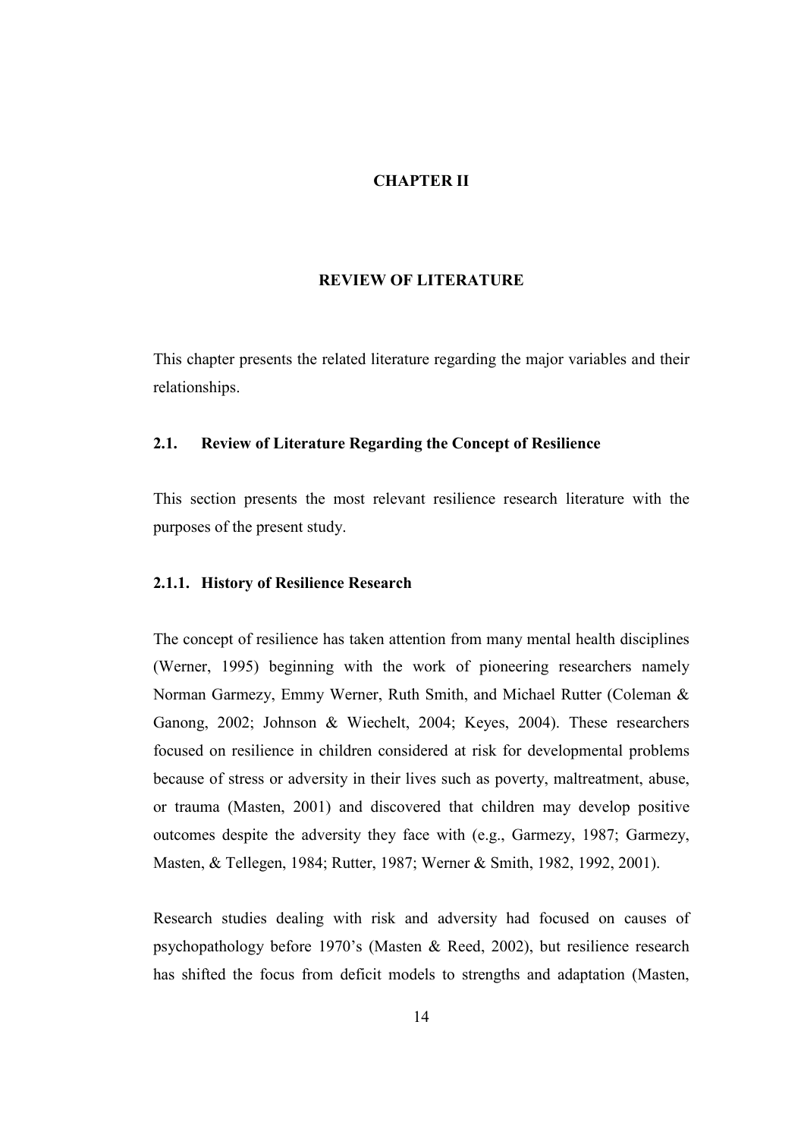### CHAPTER II

#### REVIEW OF LITERATURE

This chapter presents the related literature regarding the major variables and their relationships.

# 2.1. Review of Literature Regarding the Concept of Resilience

This section presents the most relevant resilience research literature with the purposes of the present study.

### 2.1.1. History of Resilience Research

The concept of resilience has taken attention from many mental health disciplines (Werner, 1995) beginning with the work of pioneering researchers namely Norman Garmezy, Emmy Werner, Ruth Smith, and Michael Rutter (Coleman & Ganong, 2002; Johnson & Wiechelt, 2004; Keyes, 2004). These researchers focused on resilience in children considered at risk for developmental problems because of stress or adversity in their lives such as poverty, maltreatment, abuse, or trauma (Masten, 2001) and discovered that children may develop positive outcomes despite the adversity they face with (e.g., Garmezy, 1987; Garmezy, Masten, & Tellegen, 1984; Rutter, 1987; Werner & Smith, 1982, 1992, 2001).

Research studies dealing with risk and adversity had focused on causes of psychopathology before 1970's (Masten & Reed, 2002), but resilience research has shifted the focus from deficit models to strengths and adaptation (Masten,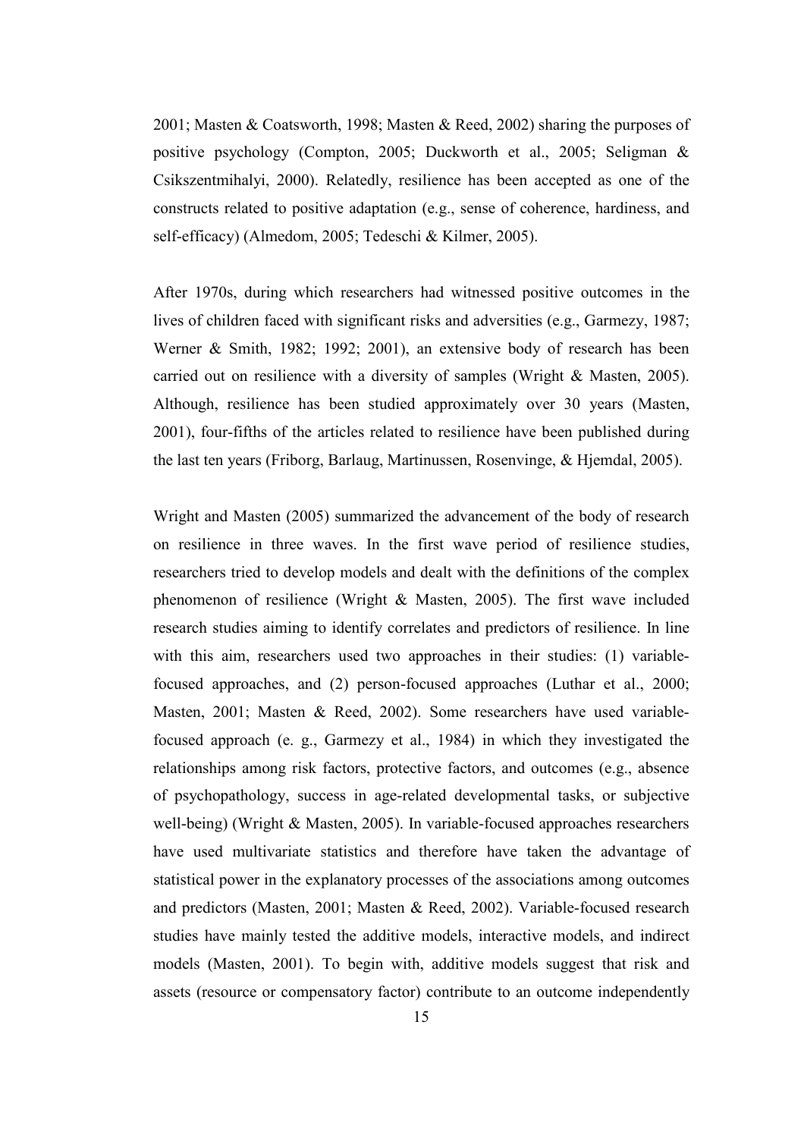2001; Masten & Coatsworth, 1998; Masten & Reed, 2002) sharing the purposes of positive psychology (Compton, 2005; Duckworth et al., 2005; Seligman & Csikszentmihalyi, 2000). Relatedly, resilience has been accepted as one of the constructs related to positive adaptation (e.g., sense of coherence, hardiness, and self-efficacy) (Almedom, 2005; Tedeschi & Kilmer, 2005).

After 1970s, during which researchers had witnessed positive outcomes in the lives of children faced with significant risks and adversities (e.g., Garmezy, 1987; Werner & Smith, 1982; 1992; 2001), an extensive body of research has been carried out on resilience with a diversity of samples (Wright & Masten, 2005). Although, resilience has been studied approximately over 30 years (Masten, 2001), four-fifths of the articles related to resilience have been published during the last ten years (Friborg, Barlaug, Martinussen, Rosenvinge, & Hjemdal, 2005).

Wright and Masten (2005) summarized the advancement of the body of research on resilience in three waves. In the first wave period of resilience studies, researchers tried to develop models and dealt with the definitions of the complex phenomenon of resilience (Wright & Masten, 2005). The first wave included research studies aiming to identify correlates and predictors of resilience. In line with this aim, researchers used two approaches in their studies: (1) variablefocused approaches, and (2) person-focused approaches (Luthar et al., 2000; Masten, 2001; Masten & Reed, 2002). Some researchers have used variablefocused approach (e. g., Garmezy et al., 1984) in which they investigated the relationships among risk factors, protective factors, and outcomes (e.g., absence of psychopathology, success in age-related developmental tasks, or subjective well-being) (Wright & Masten, 2005). In variable-focused approaches researchers have used multivariate statistics and therefore have taken the advantage of statistical power in the explanatory processes of the associations among outcomes and predictors (Masten, 2001; Masten & Reed, 2002). Variable-focused research studies have mainly tested the additive models, interactive models, and indirect models (Masten, 2001). To begin with, additive models suggest that risk and assets (resource or compensatory factor) contribute to an outcome independently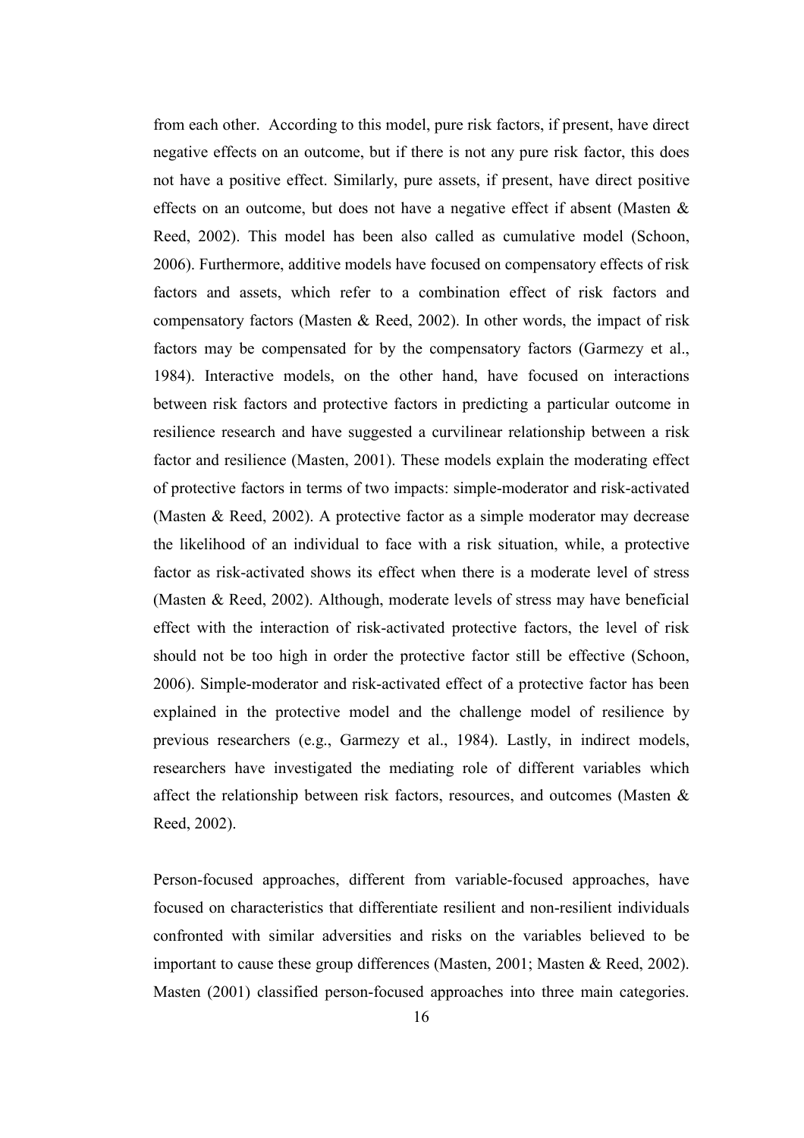from each other. According to this model, pure risk factors, if present, have direct negative effects on an outcome, but if there is not any pure risk factor, this does not have a positive effect. Similarly, pure assets, if present, have direct positive effects on an outcome, but does not have a negative effect if absent (Masten  $\&$ Reed, 2002). This model has been also called as cumulative model (Schoon, 2006). Furthermore, additive models have focused on compensatory effects of risk factors and assets, which refer to a combination effect of risk factors and compensatory factors (Masten  $\&$  Reed, 2002). In other words, the impact of risk factors may be compensated for by the compensatory factors (Garmezy et al., 1984). Interactive models, on the other hand, have focused on interactions between risk factors and protective factors in predicting a particular outcome in resilience research and have suggested a curvilinear relationship between a risk factor and resilience (Masten, 2001). These models explain the moderating effect of protective factors in terms of two impacts: simple-moderator and risk-activated (Masten & Reed, 2002). A protective factor as a simple moderator may decrease the likelihood of an individual to face with a risk situation, while, a protective factor as risk-activated shows its effect when there is a moderate level of stress (Masten & Reed, 2002). Although, moderate levels of stress may have beneficial effect with the interaction of risk-activated protective factors, the level of risk should not be too high in order the protective factor still be effective (Schoon, 2006). Simple-moderator and risk-activated effect of a protective factor has been explained in the protective model and the challenge model of resilience by previous researchers (e.g., Garmezy et al., 1984). Lastly, in indirect models, researchers have investigated the mediating role of different variables which affect the relationship between risk factors, resources, and outcomes (Masten & Reed, 2002).

Person-focused approaches, different from variable-focused approaches, have focused on characteristics that differentiate resilient and non-resilient individuals confronted with similar adversities and risks on the variables believed to be important to cause these group differences (Masten, 2001; Masten & Reed, 2002). Masten (2001) classified person-focused approaches into three main categories.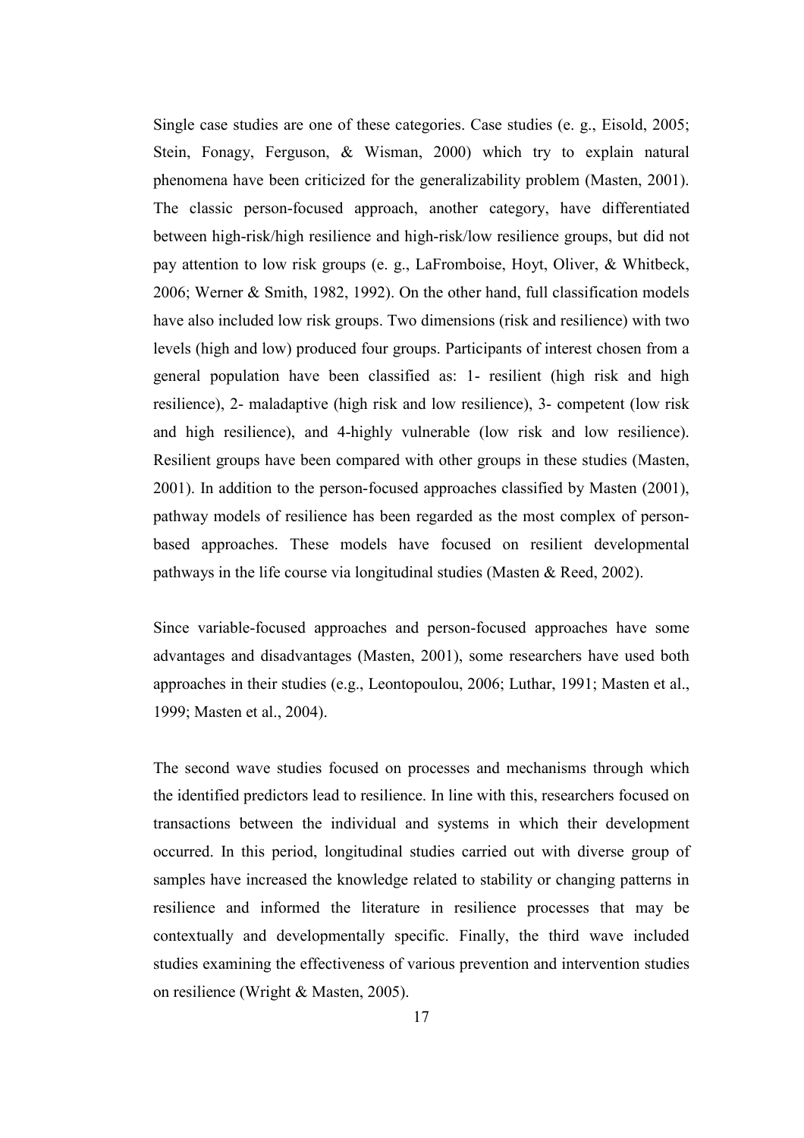Single case studies are one of these categories. Case studies (e. g., Eisold, 2005; Stein, Fonagy, Ferguson, & Wisman, 2000) which try to explain natural phenomena have been criticized for the generalizability problem (Masten, 2001). The classic person-focused approach, another category, have differentiated between high-risk/high resilience and high-risk/low resilience groups, but did not pay attention to low risk groups (e. g., LaFromboise, Hoyt, Oliver, & Whitbeck, 2006; Werner & Smith, 1982, 1992). On the other hand, full classification models have also included low risk groups. Two dimensions (risk and resilience) with two levels (high and low) produced four groups. Participants of interest chosen from a general population have been classified as: 1- resilient (high risk and high resilience), 2- maladaptive (high risk and low resilience), 3- competent (low risk and high resilience), and 4-highly vulnerable (low risk and low resilience). Resilient groups have been compared with other groups in these studies (Masten, 2001). In addition to the person-focused approaches classified by Masten (2001), pathway models of resilience has been regarded as the most complex of personbased approaches. These models have focused on resilient developmental pathways in the life course via longitudinal studies (Masten & Reed, 2002).

Since variable-focused approaches and person-focused approaches have some advantages and disadvantages (Masten, 2001), some researchers have used both approaches in their studies (e.g., Leontopoulou, 2006; Luthar, 1991; Masten et al., 1999; Masten et al., 2004).

The second wave studies focused on processes and mechanisms through which the identified predictors lead to resilience. In line with this, researchers focused on transactions between the individual and systems in which their development occurred. In this period, longitudinal studies carried out with diverse group of samples have increased the knowledge related to stability or changing patterns in resilience and informed the literature in resilience processes that may be contextually and developmentally specific. Finally, the third wave included studies examining the effectiveness of various prevention and intervention studies on resilience (Wright & Masten, 2005).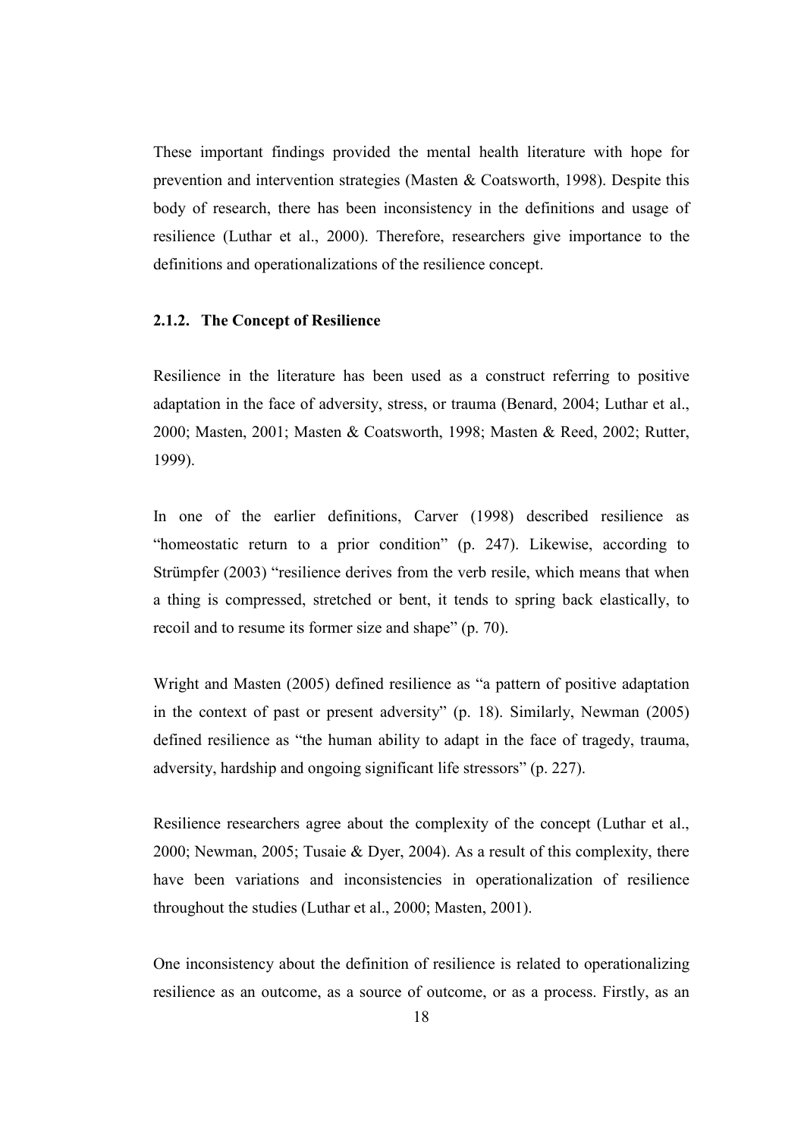These important findings provided the mental health literature with hope for prevention and intervention strategies (Masten & Coatsworth, 1998). Despite this body of research, there has been inconsistency in the definitions and usage of resilience (Luthar et al., 2000). Therefore, researchers give importance to the definitions and operationalizations of the resilience concept.

## 2.1.2. The Concept of Resilience

Resilience in the literature has been used as a construct referring to positive adaptation in the face of adversity, stress, or trauma (Benard, 2004; Luthar et al., 2000; Masten, 2001; Masten & Coatsworth, 1998; Masten & Reed, 2002; Rutter, 1999).

In one of the earlier definitions, Carver (1998) described resilience as "homeostatic return to a prior condition" (p. 247). Likewise, according to Strümpfer (2003) "resilience derives from the verb resile, which means that when a thing is compressed, stretched or bent, it tends to spring back elastically, to recoil and to resume its former size and shape" (p. 70).

Wright and Masten (2005) defined resilience as "a pattern of positive adaptation in the context of past or present adversity" (p. 18). Similarly, Newman (2005) defined resilience as "the human ability to adapt in the face of tragedy, trauma, adversity, hardship and ongoing significant life stressors" (p. 227).

Resilience researchers agree about the complexity of the concept (Luthar et al., 2000; Newman, 2005; Tusaie & Dyer, 2004). As a result of this complexity, there have been variations and inconsistencies in operationalization of resilience throughout the studies (Luthar et al., 2000; Masten, 2001).

One inconsistency about the definition of resilience is related to operationalizing resilience as an outcome, as a source of outcome, or as a process. Firstly, as an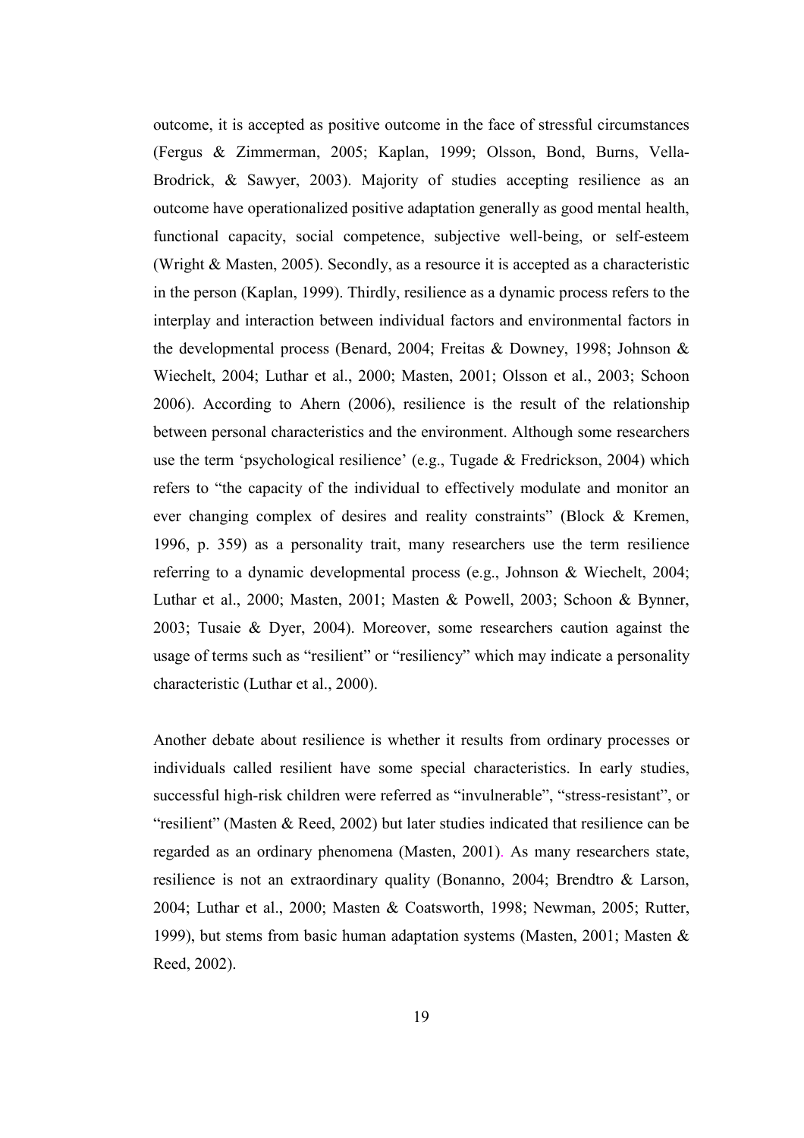outcome, it is accepted as positive outcome in the face of stressful circumstances (Fergus & Zimmerman, 2005; Kaplan, 1999; Olsson, Bond, Burns, Vella-Brodrick, & Sawyer, 2003). Majority of studies accepting resilience as an outcome have operationalized positive adaptation generally as good mental health, functional capacity, social competence, subjective well-being, or self-esteem (Wright & Masten, 2005). Secondly, as a resource it is accepted as a characteristic in the person (Kaplan, 1999). Thirdly, resilience as a dynamic process refers to the interplay and interaction between individual factors and environmental factors in the developmental process (Benard, 2004; Freitas & Downey, 1998; Johnson & Wiechelt, 2004; Luthar et al., 2000; Masten, 2001; Olsson et al., 2003; Schoon 2006). According to Ahern (2006), resilience is the result of the relationship between personal characteristics and the environment. Although some researchers use the term 'psychological resilience' (e.g., Tugade & Fredrickson, 2004) which refers to "the capacity of the individual to effectively modulate and monitor an ever changing complex of desires and reality constraints" (Block & Kremen, 1996, p. 359) as a personality trait, many researchers use the term resilience referring to a dynamic developmental process (e.g., Johnson & Wiechelt, 2004; Luthar et al., 2000; Masten, 2001; Masten & Powell, 2003; Schoon & Bynner, 2003; Tusaie & Dyer, 2004). Moreover, some researchers caution against the usage of terms such as "resilient" or "resiliency" which may indicate a personality characteristic (Luthar et al., 2000).

Another debate about resilience is whether it results from ordinary processes or individuals called resilient have some special characteristics. In early studies, successful high-risk children were referred as "invulnerable", "stress-resistant", or "resilient" (Masten & Reed, 2002) but later studies indicated that resilience can be regarded as an ordinary phenomena (Masten, 2001). As many researchers state, resilience is not an extraordinary quality (Bonanno, 2004; Brendtro & Larson, 2004; Luthar et al., 2000; Masten & Coatsworth, 1998; Newman, 2005; Rutter, 1999), but stems from basic human adaptation systems (Masten, 2001; Masten & Reed, 2002).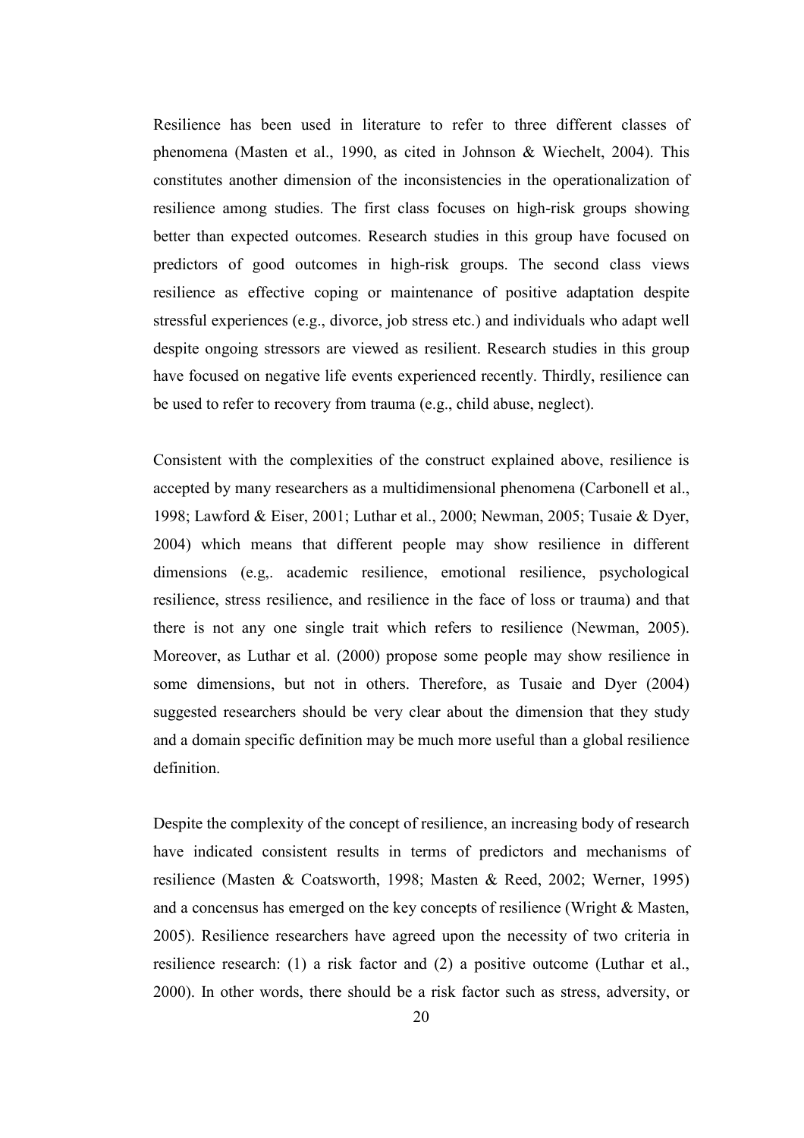Resilience has been used in literature to refer to three different classes of phenomena (Masten et al., 1990, as cited in Johnson & Wiechelt, 2004). This constitutes another dimension of the inconsistencies in the operationalization of resilience among studies. The first class focuses on high-risk groups showing better than expected outcomes. Research studies in this group have focused on predictors of good outcomes in high-risk groups. The second class views resilience as effective coping or maintenance of positive adaptation despite stressful experiences (e.g., divorce, job stress etc.) and individuals who adapt well despite ongoing stressors are viewed as resilient. Research studies in this group have focused on negative life events experienced recently. Thirdly, resilience can be used to refer to recovery from trauma (e.g., child abuse, neglect).

Consistent with the complexities of the construct explained above, resilience is accepted by many researchers as a multidimensional phenomena (Carbonell et al., 1998; Lawford & Eiser, 2001; Luthar et al., 2000; Newman, 2005; Tusaie & Dyer, 2004) which means that different people may show resilience in different dimensions (e.g,. academic resilience, emotional resilience, psychological resilience, stress resilience, and resilience in the face of loss or trauma) and that there is not any one single trait which refers to resilience (Newman, 2005). Moreover, as Luthar et al. (2000) propose some people may show resilience in some dimensions, but not in others. Therefore, as Tusaie and Dyer (2004) suggested researchers should be very clear about the dimension that they study and a domain specific definition may be much more useful than a global resilience definition.

Despite the complexity of the concept of resilience, an increasing body of research have indicated consistent results in terms of predictors and mechanisms of resilience (Masten & Coatsworth, 1998; Masten & Reed, 2002; Werner, 1995) and a concensus has emerged on the key concepts of resilience (Wright & Masten, 2005). Resilience researchers have agreed upon the necessity of two criteria in resilience research: (1) a risk factor and (2) a positive outcome (Luthar et al., 2000). In other words, there should be a risk factor such as stress, adversity, or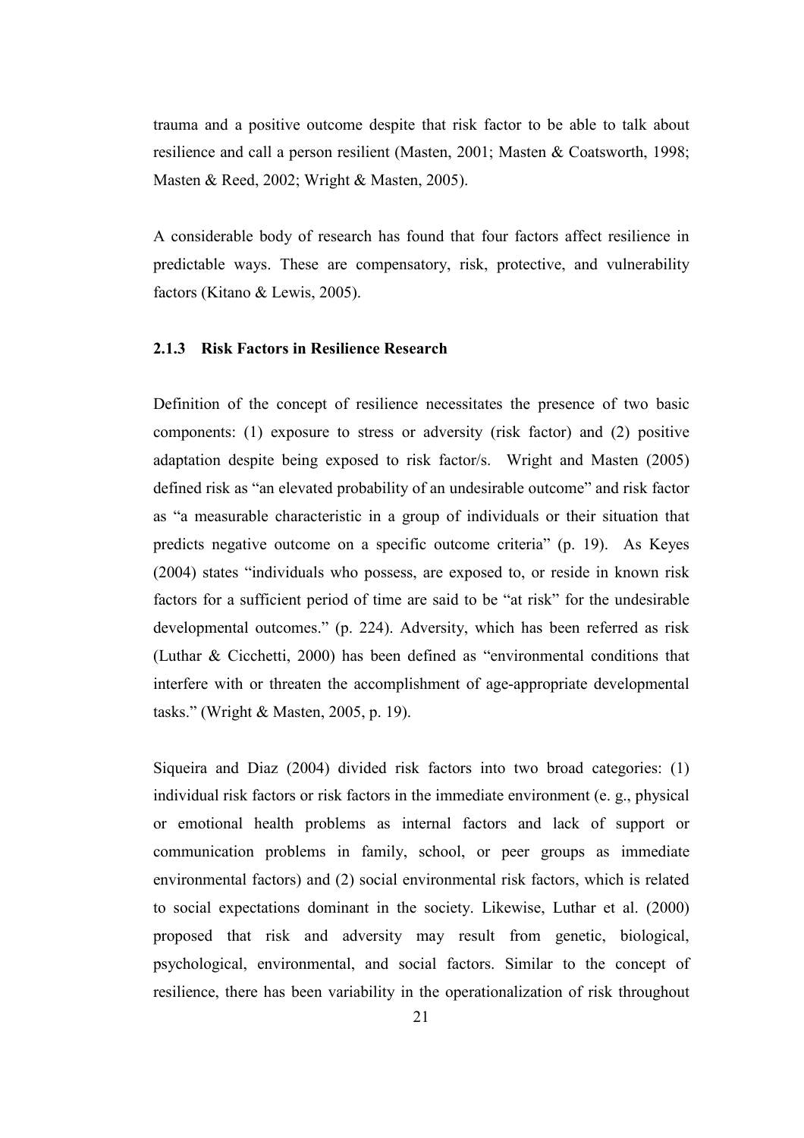trauma and a positive outcome despite that risk factor to be able to talk about resilience and call a person resilient (Masten, 2001; Masten & Coatsworth, 1998; Masten & Reed, 2002; Wright & Masten, 2005).

A considerable body of research has found that four factors affect resilience in predictable ways. These are compensatory, risk, protective, and vulnerability factors (Kitano & Lewis, 2005).

## 2.1.3 Risk Factors in Resilience Research

Definition of the concept of resilience necessitates the presence of two basic components: (1) exposure to stress or adversity (risk factor) and (2) positive adaptation despite being exposed to risk factor/s. Wright and Masten (2005) defined risk as "an elevated probability of an undesirable outcome" and risk factor as "a measurable characteristic in a group of individuals or their situation that predicts negative outcome on a specific outcome criteria" (p. 19). As Keyes (2004) states "individuals who possess, are exposed to, or reside in known risk factors for a sufficient period of time are said to be "at risk" for the undesirable developmental outcomes." (p. 224). Adversity, which has been referred as risk (Luthar & Cicchetti, 2000) has been defined as "environmental conditions that interfere with or threaten the accomplishment of age-appropriate developmental tasks." (Wright & Masten, 2005, p. 19).

Siqueira and Diaz (2004) divided risk factors into two broad categories: (1) individual risk factors or risk factors in the immediate environment (e. g., physical or emotional health problems as internal factors and lack of support or communication problems in family, school, or peer groups as immediate environmental factors) and (2) social environmental risk factors, which is related to social expectations dominant in the society. Likewise, Luthar et al. (2000) proposed that risk and adversity may result from genetic, biological, psychological, environmental, and social factors. Similar to the concept of resilience, there has been variability in the operationalization of risk throughout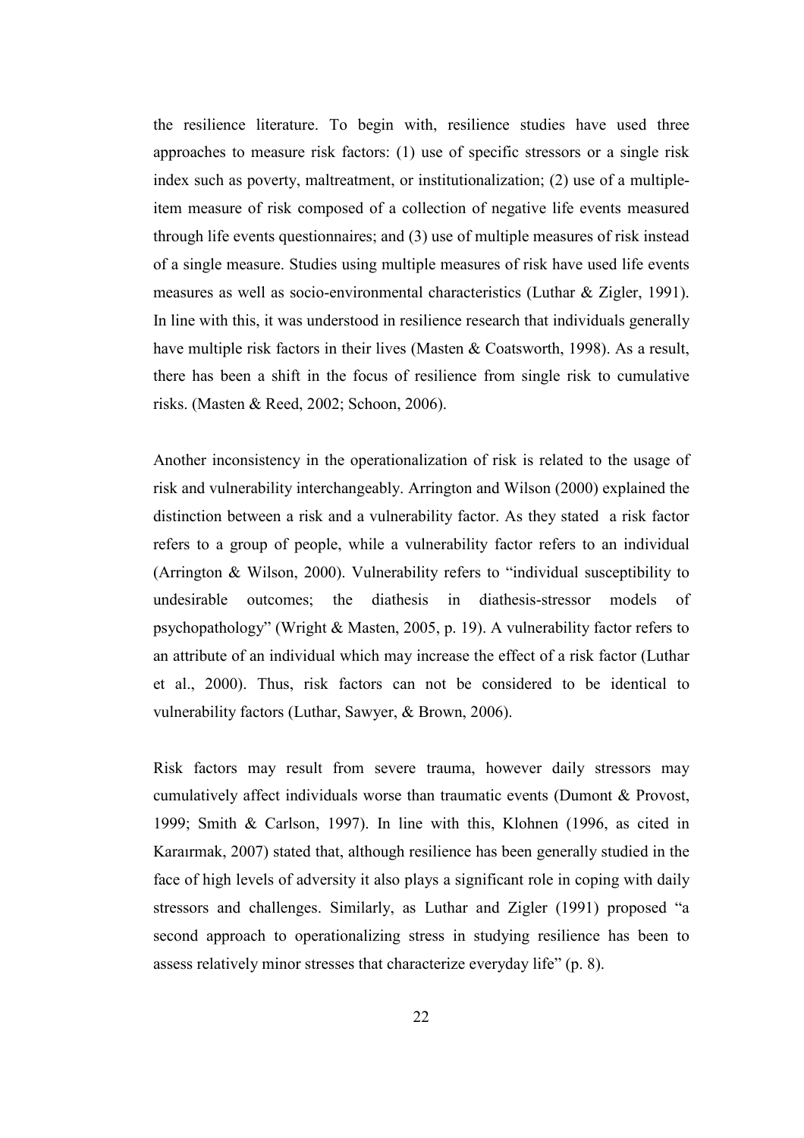the resilience literature. To begin with, resilience studies have used three approaches to measure risk factors: (1) use of specific stressors or a single risk index such as poverty, maltreatment, or institutionalization; (2) use of a multipleitem measure of risk composed of a collection of negative life events measured through life events questionnaires; and (3) use of multiple measures of risk instead of a single measure. Studies using multiple measures of risk have used life events measures as well as socio-environmental characteristics (Luthar & Zigler, 1991). In line with this, it was understood in resilience research that individuals generally have multiple risk factors in their lives (Masten & Coatsworth, 1998). As a result, there has been a shift in the focus of resilience from single risk to cumulative risks. (Masten & Reed, 2002; Schoon, 2006).

Another inconsistency in the operationalization of risk is related to the usage of risk and vulnerability interchangeably. Arrington and Wilson (2000) explained the distinction between a risk and a vulnerability factor. As they stated a risk factor refers to a group of people, while a vulnerability factor refers to an individual (Arrington & Wilson, 2000). Vulnerability refers to "individual susceptibility to undesirable outcomes; the diathesis in diathesis-stressor models of psychopathology" (Wright & Masten, 2005, p. 19). A vulnerability factor refers to an attribute of an individual which may increase the effect of a risk factor (Luthar et al., 2000). Thus, risk factors can not be considered to be identical to vulnerability factors (Luthar, Sawyer, & Brown, 2006).

Risk factors may result from severe trauma, however daily stressors may cumulatively affect individuals worse than traumatic events (Dumont & Provost, 1999; Smith & Carlson, 1997). In line with this, Klohnen (1996, as cited in Karaırmak, 2007) stated that, although resilience has been generally studied in the face of high levels of adversity it also plays a significant role in coping with daily stressors and challenges. Similarly, as Luthar and Zigler (1991) proposed "a second approach to operationalizing stress in studying resilience has been to assess relatively minor stresses that characterize everyday life" (p. 8).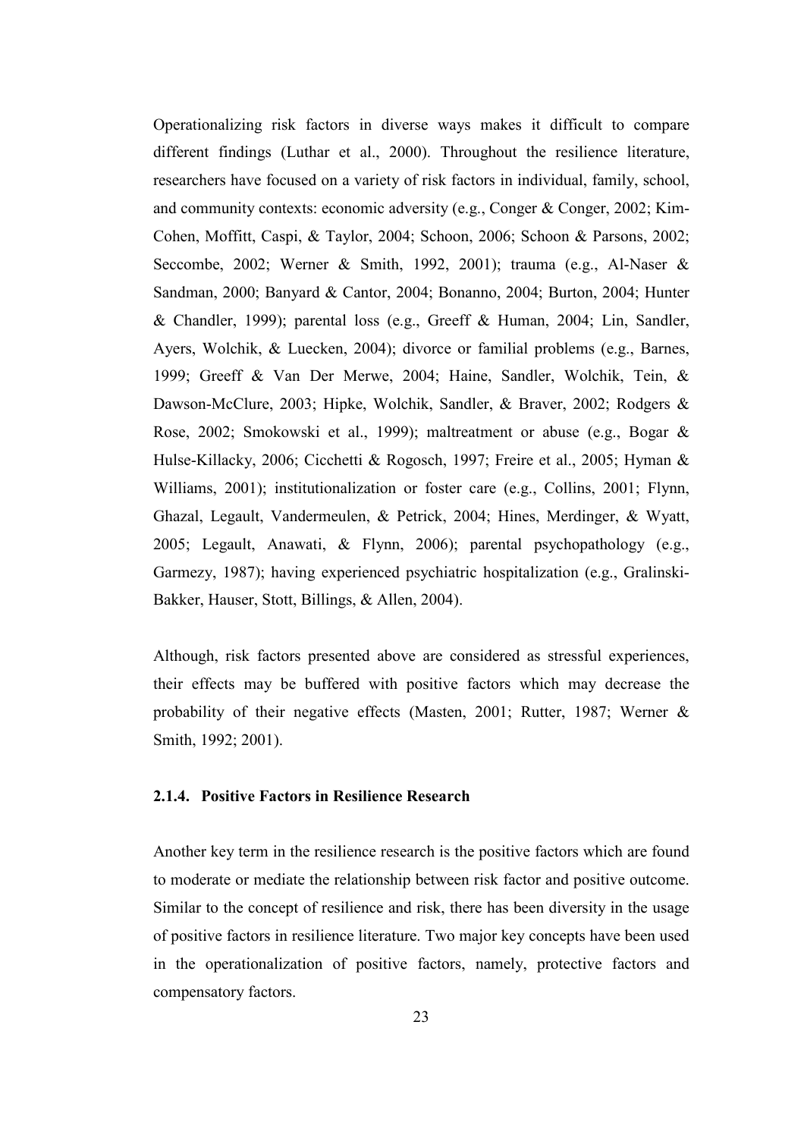Operationalizing risk factors in diverse ways makes it difficult to compare different findings (Luthar et al., 2000). Throughout the resilience literature, researchers have focused on a variety of risk factors in individual, family, school, and community contexts: economic adversity (e.g., Conger & Conger, 2002; Kim-Cohen, Moffitt, Caspi, & Taylor, 2004; Schoon, 2006; Schoon & Parsons, 2002; Seccombe, 2002; Werner & Smith, 1992, 2001); trauma (e.g., Al-Naser & Sandman, 2000; Banyard & Cantor, 2004; Bonanno, 2004; Burton, 2004; Hunter & Chandler, 1999); parental loss (e.g., Greeff & Human, 2004; Lin, Sandler, Ayers, Wolchik, & Luecken, 2004); divorce or familial problems (e.g., Barnes, 1999; Greeff & Van Der Merwe, 2004; Haine, Sandler, Wolchik, Tein, & Dawson-McClure, 2003; Hipke, Wolchik, Sandler, & Braver, 2002; Rodgers & Rose, 2002; Smokowski et al., 1999); maltreatment or abuse (e.g., Bogar & Hulse-Killacky, 2006; Cicchetti & Rogosch, 1997; Freire et al., 2005; Hyman & Williams, 2001); institutionalization or foster care (e.g., Collins, 2001; Flynn, Ghazal, Legault, Vandermeulen, & Petrick, 2004; Hines, Merdinger, & Wyatt, 2005; Legault, Anawati, & Flynn, 2006); parental psychopathology (e.g., Garmezy, 1987); having experienced psychiatric hospitalization (e.g., Gralinski-Bakker, Hauser, Stott, Billings, & Allen, 2004).

Although, risk factors presented above are considered as stressful experiences, their effects may be buffered with positive factors which may decrease the probability of their negative effects (Masten, 2001; Rutter, 1987; Werner & Smith, 1992; 2001).

#### 2.1.4. Positive Factors in Resilience Research

Another key term in the resilience research is the positive factors which are found to moderate or mediate the relationship between risk factor and positive outcome. Similar to the concept of resilience and risk, there has been diversity in the usage of positive factors in resilience literature. Two major key concepts have been used in the operationalization of positive factors, namely, protective factors and compensatory factors.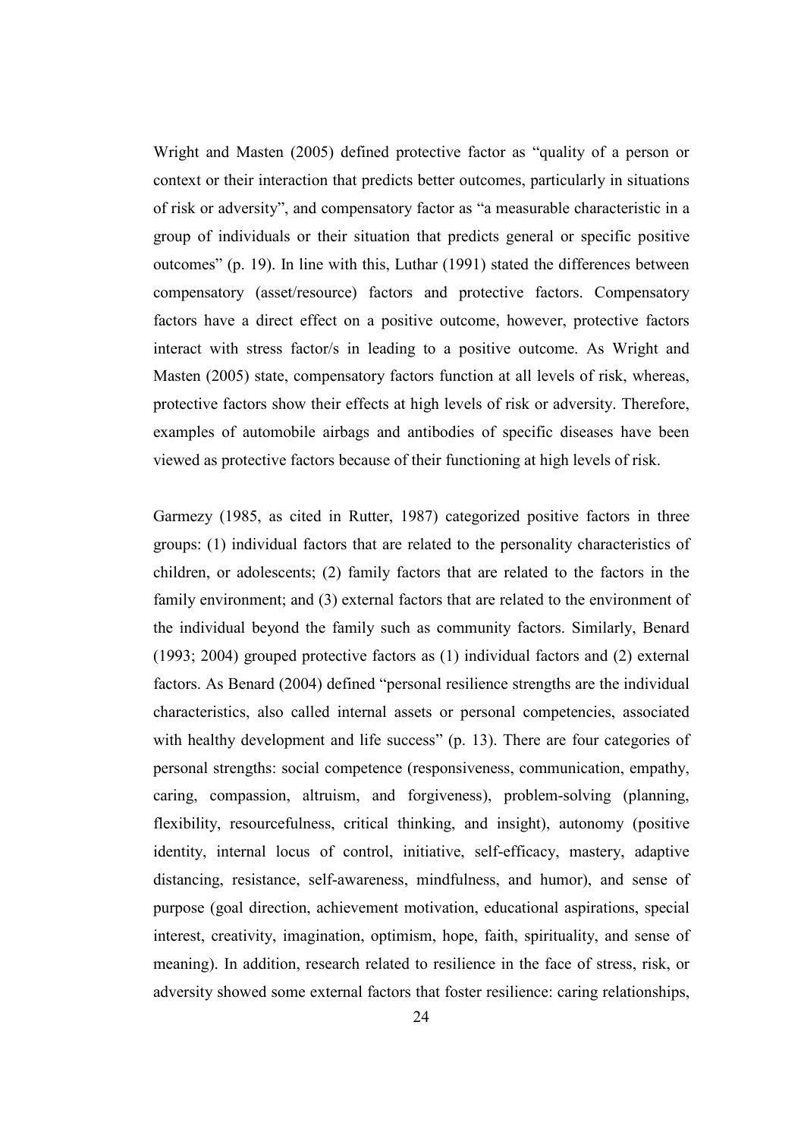Wright and Masten (2005) defined protective factor as "quality of a person or context or their interaction that predicts better outcomes, particularly in situations of risk or adversity", and compensatory factor as "a measurable characteristic in a group of individuals or their situation that predicts general or specific positive outcomes" (p. 19). In line with this, Luthar (1991) stated the differences between compensatory (asset/resource) factors and protective factors. Compensatory factors have a direct effect on a positive outcome, however, protective factors interact with stress factor/s in leading to a positive outcome. As Wright and Masten (2005) state, compensatory factors function at all levels of risk, whereas, protective factors show their effects at high levels of risk or adversity. Therefore, examples of automobile airbags and antibodies of specific diseases have been viewed as protective factors because of their functioning at high levels of risk.

Garmezy (1985, as cited in Rutter, 1987) categorized positive factors in three groups: (1) individual factors that are related to the personality characteristics of children, or adolescents; (2) family factors that are related to the factors in the family environment; and (3) external factors that are related to the environment of the individual beyond the family such as community factors. Similarly, Benard (1993; 2004) grouped protective factors as (1) individual factors and (2) external factors. As Benard (2004) defined "personal resilience strengths are the individual characteristics, also called internal assets or personal competencies, associated with healthy development and life success" (p. 13). There are four categories of personal strengths: social competence (responsiveness, communication, empathy, caring, compassion, altruism, and forgiveness), problem-solving (planning, flexibility, resourcefulness, critical thinking, and insight), autonomy (positive identity, internal locus of control, initiative, self-efficacy, mastery, adaptive distancing, resistance, self-awareness, mindfulness, and humor), and sense of purpose (goal direction, achievement motivation, educational aspirations, special interest, creativity, imagination, optimism, hope, faith, spirituality, and sense of meaning). In addition, research related to resilience in the face of stress, risk, or adversity showed some external factors that foster resilience: caring relationships,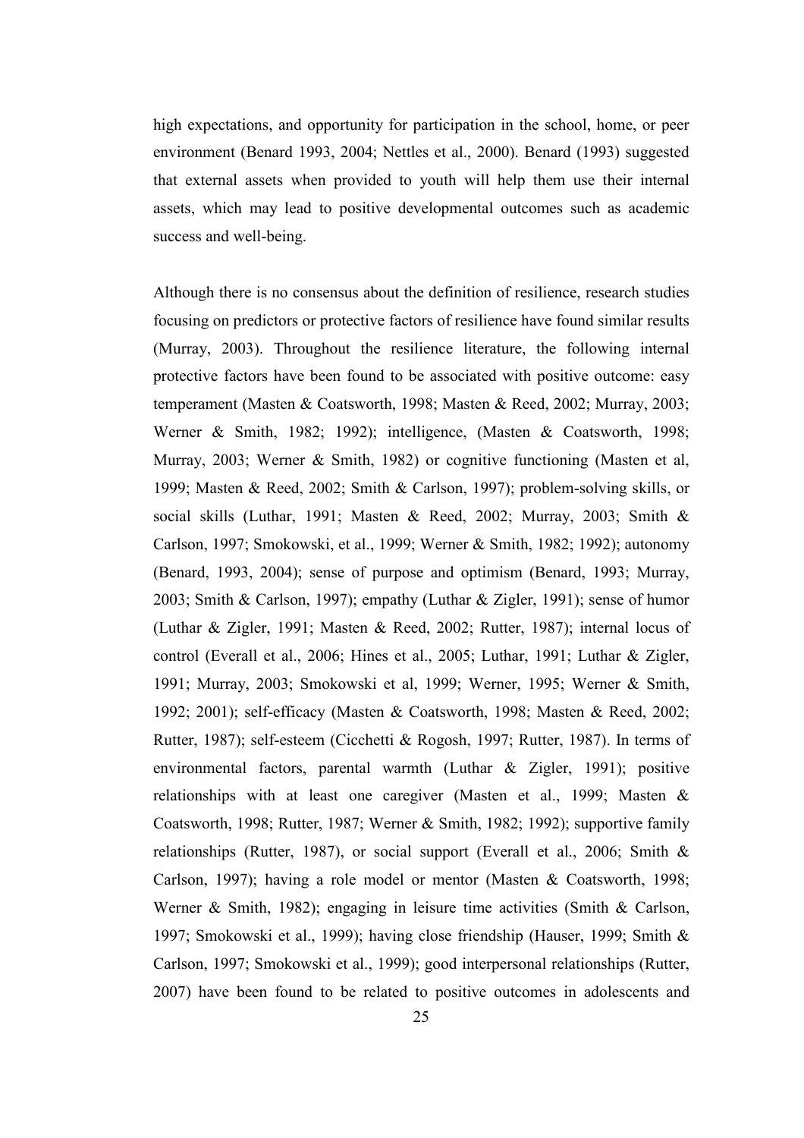high expectations, and opportunity for participation in the school, home, or peer environment (Benard 1993, 2004; Nettles et al., 2000). Benard (1993) suggested that external assets when provided to youth will help them use their internal assets, which may lead to positive developmental outcomes such as academic success and well-being.

Although there is no consensus about the definition of resilience, research studies focusing on predictors or protective factors of resilience have found similar results (Murray, 2003). Throughout the resilience literature, the following internal protective factors have been found to be associated with positive outcome: easy temperament (Masten & Coatsworth, 1998; Masten & Reed, 2002; Murray, 2003; Werner & Smith, 1982; 1992); intelligence, (Masten & Coatsworth, 1998; Murray, 2003; Werner & Smith, 1982) or cognitive functioning (Masten et al, 1999; Masten & Reed, 2002; Smith & Carlson, 1997); problem-solving skills, or social skills (Luthar, 1991; Masten & Reed, 2002; Murray, 2003; Smith & Carlson, 1997; Smokowski, et al., 1999; Werner & Smith, 1982; 1992); autonomy (Benard, 1993, 2004); sense of purpose and optimism (Benard, 1993; Murray, 2003; Smith & Carlson, 1997); empathy (Luthar & Zigler, 1991); sense of humor (Luthar & Zigler, 1991; Masten & Reed, 2002; Rutter, 1987); internal locus of control (Everall et al., 2006; Hines et al., 2005; Luthar, 1991; Luthar & Zigler, 1991; Murray, 2003; Smokowski et al, 1999; Werner, 1995; Werner & Smith, 1992; 2001); self-efficacy (Masten & Coatsworth, 1998; Masten & Reed, 2002; Rutter, 1987); self-esteem (Cicchetti & Rogosh, 1997; Rutter, 1987). In terms of environmental factors, parental warmth (Luthar & Zigler, 1991); positive relationships with at least one caregiver (Masten et al., 1999; Masten & Coatsworth, 1998; Rutter, 1987; Werner & Smith, 1982; 1992); supportive family relationships (Rutter, 1987), or social support (Everall et al., 2006; Smith & Carlson, 1997); having a role model or mentor (Masten & Coatsworth, 1998; Werner & Smith, 1982); engaging in leisure time activities (Smith & Carlson, 1997; Smokowski et al., 1999); having close friendship (Hauser, 1999; Smith & Carlson, 1997; Smokowski et al., 1999); good interpersonal relationships (Rutter, 2007) have been found to be related to positive outcomes in adolescents and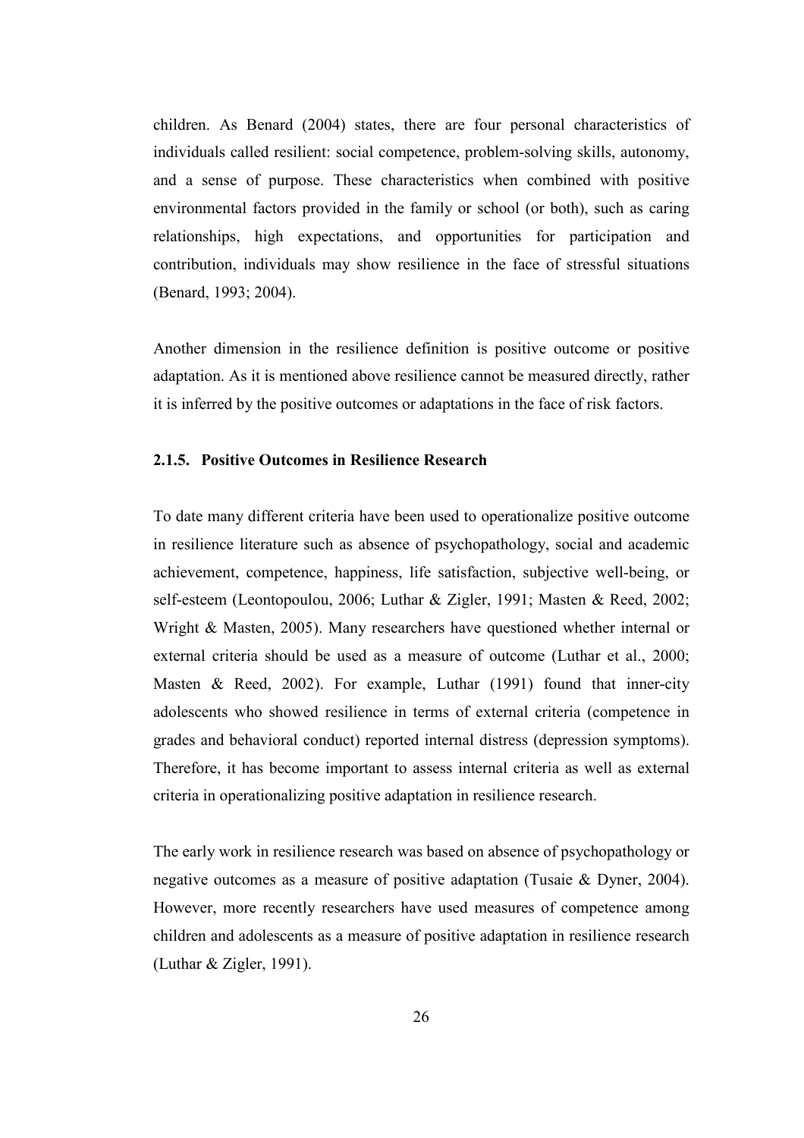children. As Benard (2004) states, there are four personal characteristics of individuals called resilient: social competence, problem-solving skills, autonomy, and a sense of purpose. These characteristics when combined with positive environmental factors provided in the family or school (or both), such as caring relationships, high expectations, and opportunities for participation and contribution, individuals may show resilience in the face of stressful situations (Benard, 1993; 2004).

Another dimension in the resilience definition is positive outcome or positive adaptation. As it is mentioned above resilience cannot be measured directly, rather it is inferred by the positive outcomes or adaptations in the face of risk factors.

# 2.1.5. Positive Outcomes in Resilience Research

To date many different criteria have been used to operationalize positive outcome in resilience literature such as absence of psychopathology, social and academic achievement, competence, happiness, life satisfaction, subjective well-being, or self-esteem (Leontopoulou, 2006; Luthar & Zigler, 1991; Masten & Reed, 2002; Wright & Masten, 2005). Many researchers have questioned whether internal or external criteria should be used as a measure of outcome (Luthar et al., 2000; Masten & Reed, 2002). For example, Luthar (1991) found that inner-city adolescents who showed resilience in terms of external criteria (competence in grades and behavioral conduct) reported internal distress (depression symptoms). Therefore, it has become important to assess internal criteria as well as external criteria in operationalizing positive adaptation in resilience research.

The early work in resilience research was based on absence of psychopathology or negative outcomes as a measure of positive adaptation (Tusaie & Dyner, 2004). However, more recently researchers have used measures of competence among children and adolescents as a measure of positive adaptation in resilience research (Luthar & Zigler, 1991).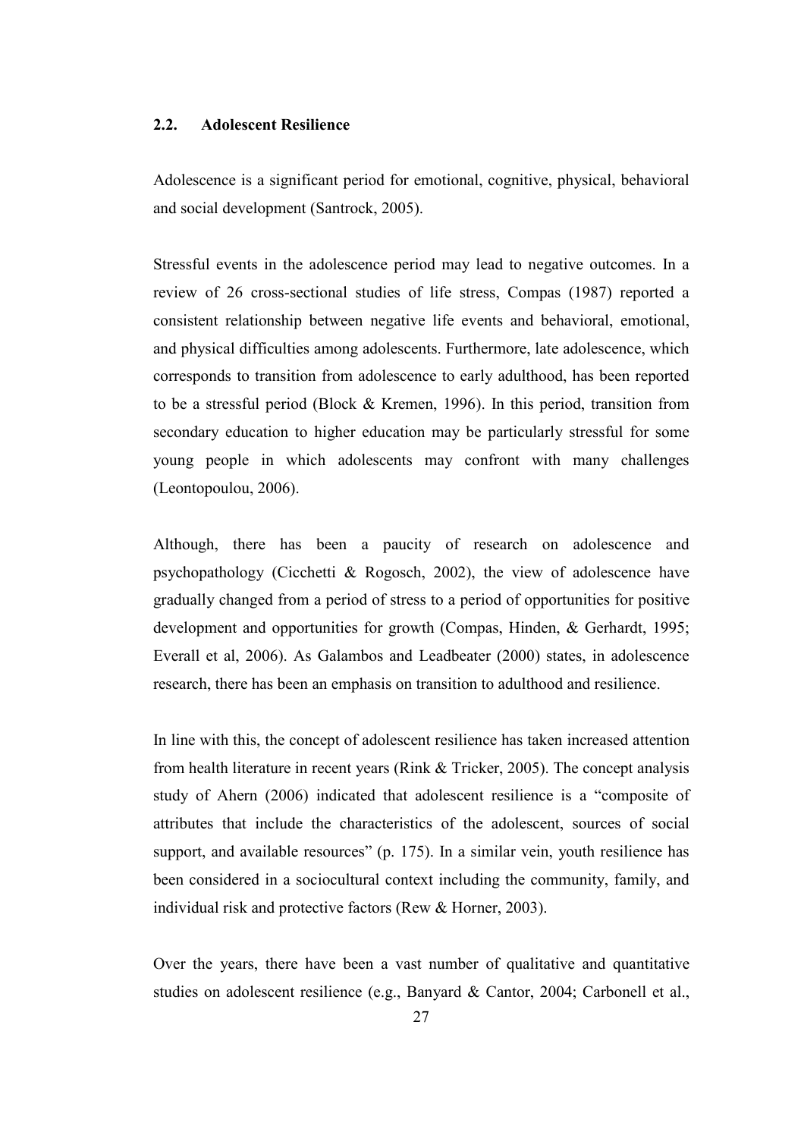#### 2.2. Adolescent Resilience

Adolescence is a significant period for emotional, cognitive, physical, behavioral and social development (Santrock, 2005).

Stressful events in the adolescence period may lead to negative outcomes. In a review of 26 cross-sectional studies of life stress, Compas (1987) reported a consistent relationship between negative life events and behavioral, emotional, and physical difficulties among adolescents. Furthermore, late adolescence, which corresponds to transition from adolescence to early adulthood, has been reported to be a stressful period (Block & Kremen, 1996). In this period, transition from secondary education to higher education may be particularly stressful for some young people in which adolescents may confront with many challenges (Leontopoulou, 2006).

Although, there has been a paucity of research on adolescence and psychopathology (Cicchetti & Rogosch, 2002), the view of adolescence have gradually changed from a period of stress to a period of opportunities for positive development and opportunities for growth (Compas, Hinden, & Gerhardt, 1995; Everall et al, 2006). As Galambos and Leadbeater (2000) states, in adolescence research, there has been an emphasis on transition to adulthood and resilience.

In line with this, the concept of adolescent resilience has taken increased attention from health literature in recent years (Rink & Tricker, 2005). The concept analysis study of Ahern (2006) indicated that adolescent resilience is a "composite of attributes that include the characteristics of the adolescent, sources of social support, and available resources" (p. 175). In a similar vein, youth resilience has been considered in a sociocultural context including the community, family, and individual risk and protective factors (Rew & Horner, 2003).

Over the years, there have been a vast number of qualitative and quantitative studies on adolescent resilience (e.g., Banyard & Cantor, 2004; Carbonell et al.,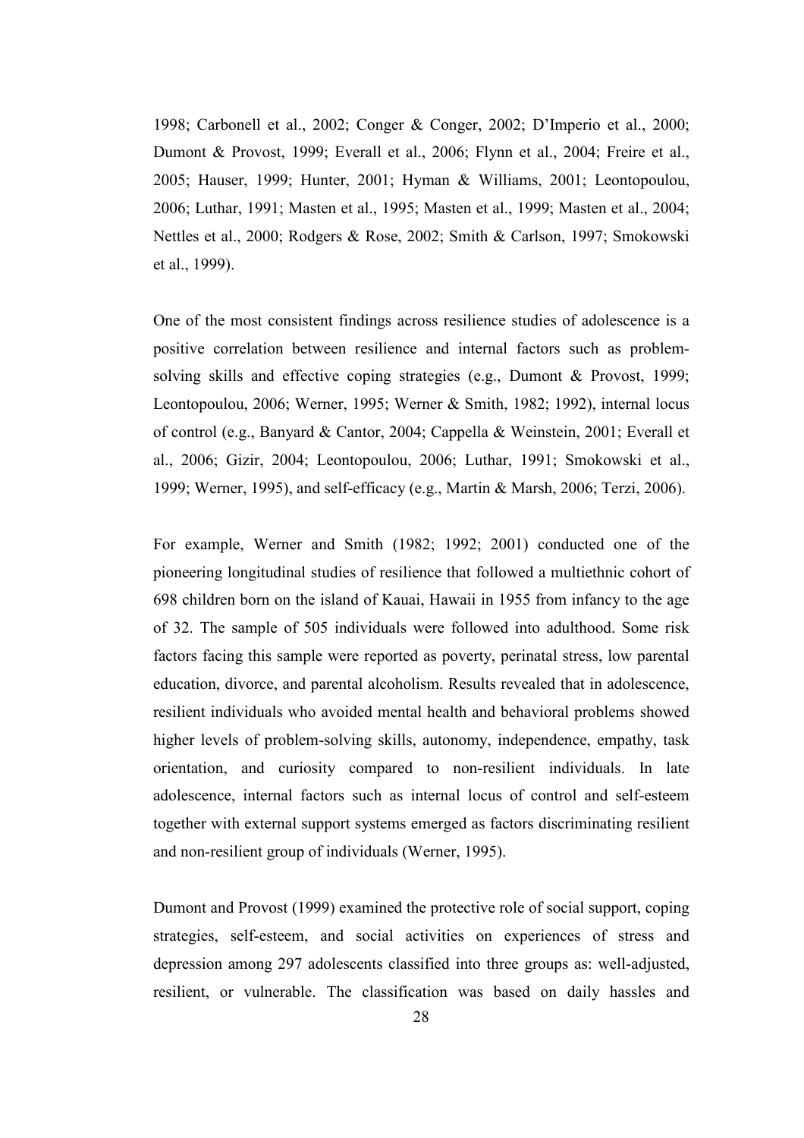1998; Carbonell et al., 2002; Conger & Conger, 2002; D'Imperio et al., 2000; Dumont & Provost, 1999; Everall et al., 2006; Flynn et al., 2004; Freire et al., 2005; Hauser, 1999; Hunter, 2001; Hyman & Williams, 2001; Leontopoulou, 2006; Luthar, 1991; Masten et al., 1995; Masten et al., 1999; Masten et al., 2004; Nettles et al., 2000; Rodgers & Rose, 2002; Smith & Carlson, 1997; Smokowski et al., 1999).

One of the most consistent findings across resilience studies of adolescence is a positive correlation between resilience and internal factors such as problemsolving skills and effective coping strategies (e.g., Dumont & Provost, 1999; Leontopoulou, 2006; Werner, 1995; Werner & Smith, 1982; 1992), internal locus of control (e.g., Banyard & Cantor, 2004; Cappella & Weinstein, 2001; Everall et al., 2006; Gizir, 2004; Leontopoulou, 2006; Luthar, 1991; Smokowski et al., 1999; Werner, 1995), and self-efficacy (e.g., Martin & Marsh, 2006; Terzi, 2006).

For example, Werner and Smith (1982; 1992; 2001) conducted one of the pioneering longitudinal studies of resilience that followed a multiethnic cohort of 698 children born on the island of Kauai, Hawaii in 1955 from infancy to the age of 32. The sample of 505 individuals were followed into adulthood. Some risk factors facing this sample were reported as poverty, perinatal stress, low parental education, divorce, and parental alcoholism. Results revealed that in adolescence, resilient individuals who avoided mental health and behavioral problems showed higher levels of problem-solving skills, autonomy, independence, empathy, task orientation, and curiosity compared to non-resilient individuals. In late adolescence, internal factors such as internal locus of control and self-esteem together with external support systems emerged as factors discriminating resilient and non-resilient group of individuals (Werner, 1995).

Dumont and Provost (1999) examined the protective role of social support, coping strategies, self-esteem, and social activities on experiences of stress and depression among 297 adolescents classified into three groups as: well-adjusted, resilient, or vulnerable. The classification was based on daily hassles and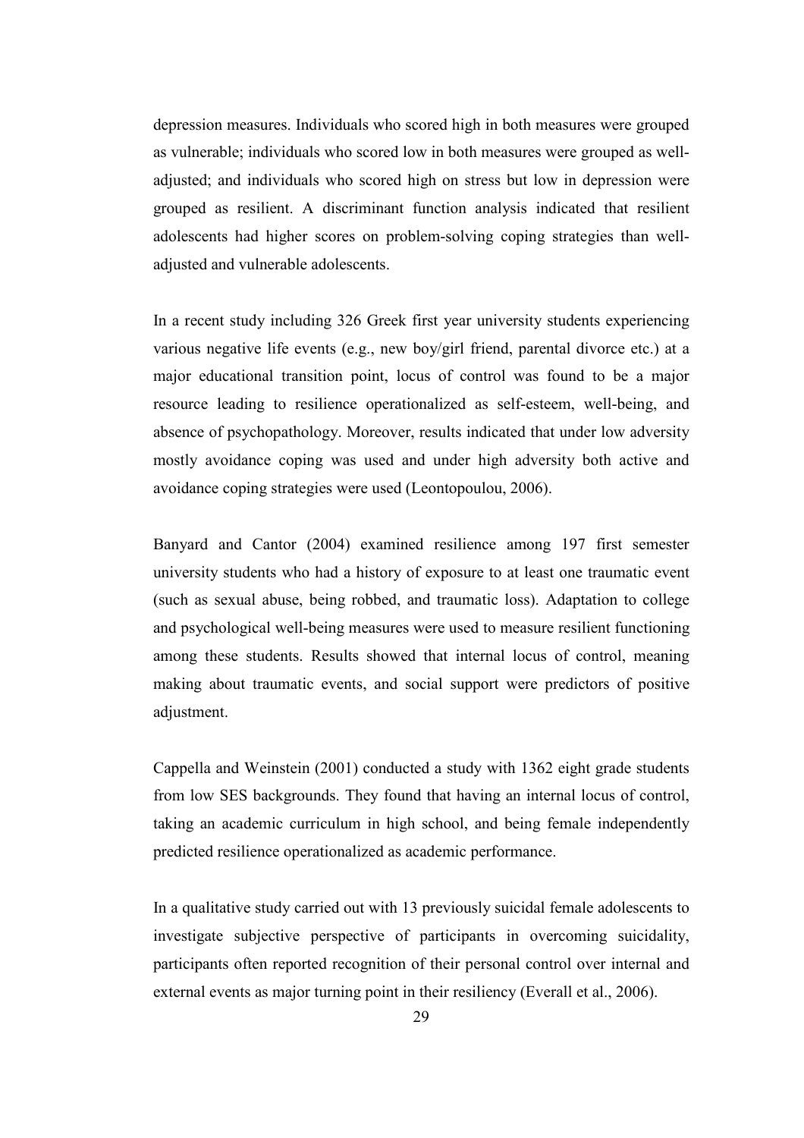depression measures. Individuals who scored high in both measures were grouped as vulnerable; individuals who scored low in both measures were grouped as welladjusted; and individuals who scored high on stress but low in depression were grouped as resilient. A discriminant function analysis indicated that resilient adolescents had higher scores on problem-solving coping strategies than welladjusted and vulnerable adolescents.

In a recent study including 326 Greek first year university students experiencing various negative life events (e.g., new boy/girl friend, parental divorce etc.) at a major educational transition point, locus of control was found to be a major resource leading to resilience operationalized as self-esteem, well-being, and absence of psychopathology. Moreover, results indicated that under low adversity mostly avoidance coping was used and under high adversity both active and avoidance coping strategies were used (Leontopoulou, 2006).

Banyard and Cantor (2004) examined resilience among 197 first semester university students who had a history of exposure to at least one traumatic event (such as sexual abuse, being robbed, and traumatic loss). Adaptation to college and psychological well-being measures were used to measure resilient functioning among these students. Results showed that internal locus of control, meaning making about traumatic events, and social support were predictors of positive adjustment.

Cappella and Weinstein (2001) conducted a study with 1362 eight grade students from low SES backgrounds. They found that having an internal locus of control, taking an academic curriculum in high school, and being female independently predicted resilience operationalized as academic performance.

In a qualitative study carried out with 13 previously suicidal female adolescents to investigate subjective perspective of participants in overcoming suicidality, participants often reported recognition of their personal control over internal and external events as major turning point in their resiliency (Everall et al., 2006).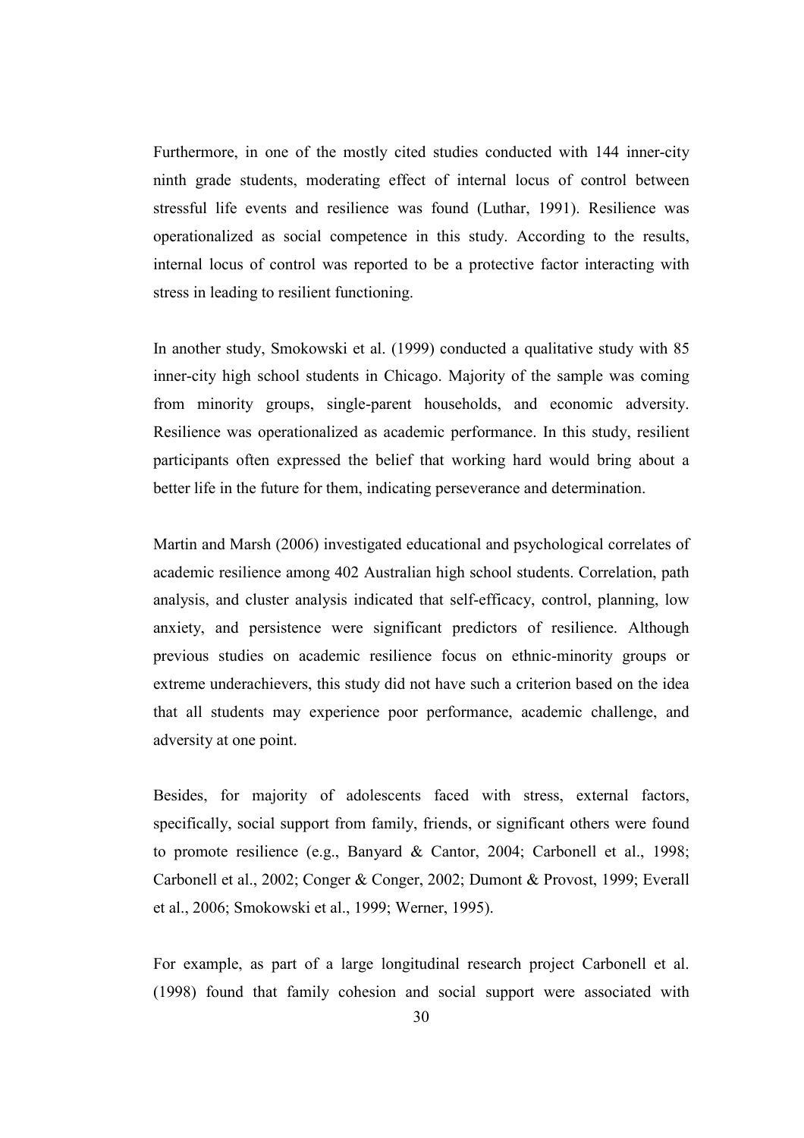Furthermore, in one of the mostly cited studies conducted with 144 inner-city ninth grade students, moderating effect of internal locus of control between stressful life events and resilience was found (Luthar, 1991). Resilience was operationalized as social competence in this study. According to the results, internal locus of control was reported to be a protective factor interacting with stress in leading to resilient functioning.

In another study, Smokowski et al. (1999) conducted a qualitative study with 85 inner-city high school students in Chicago. Majority of the sample was coming from minority groups, single-parent households, and economic adversity. Resilience was operationalized as academic performance. In this study, resilient participants often expressed the belief that working hard would bring about a better life in the future for them, indicating perseverance and determination.

Martin and Marsh (2006) investigated educational and psychological correlates of academic resilience among 402 Australian high school students. Correlation, path analysis, and cluster analysis indicated that self-efficacy, control, planning, low anxiety, and persistence were significant predictors of resilience. Although previous studies on academic resilience focus on ethnic-minority groups or extreme underachievers, this study did not have such a criterion based on the idea that all students may experience poor performance, academic challenge, and adversity at one point.

Besides, for majority of adolescents faced with stress, external factors, specifically, social support from family, friends, or significant others were found to promote resilience (e.g., Banyard & Cantor, 2004; Carbonell et al., 1998; Carbonell et al., 2002; Conger & Conger, 2002; Dumont & Provost, 1999; Everall et al., 2006; Smokowski et al., 1999; Werner, 1995).

For example, as part of a large longitudinal research project Carbonell et al. (1998) found that family cohesion and social support were associated with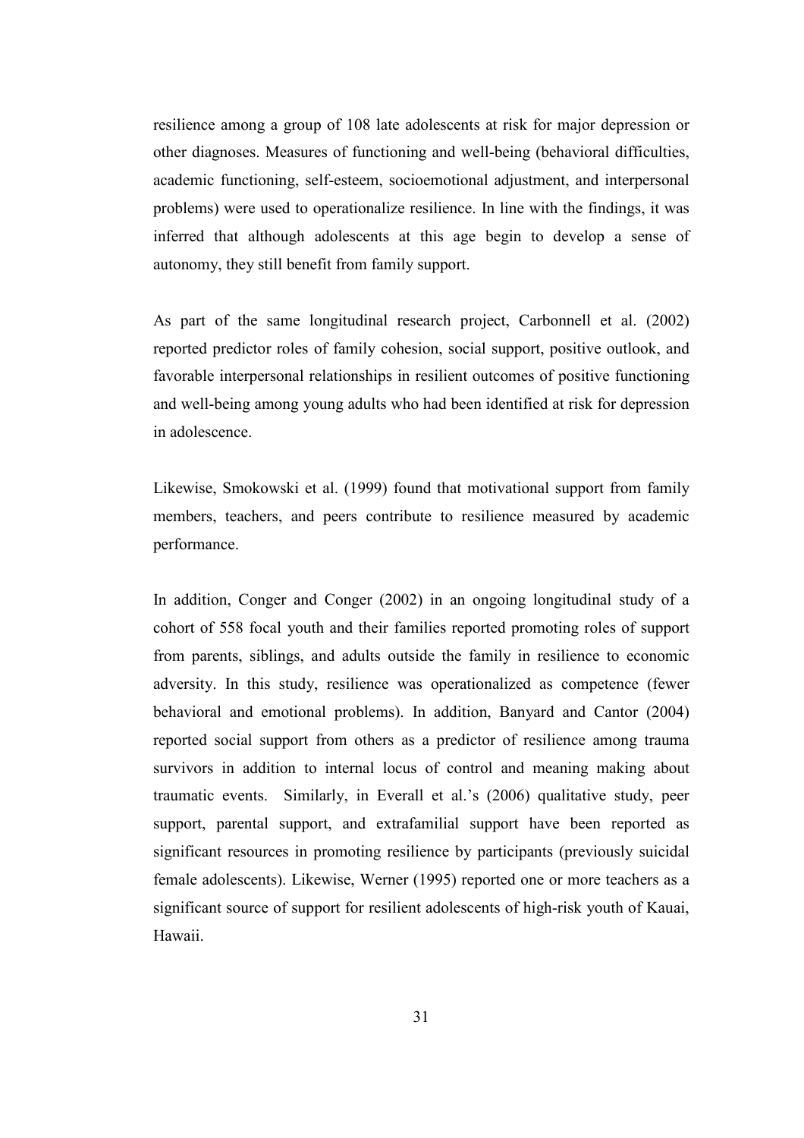resilience among a group of 108 late adolescents at risk for major depression or other diagnoses. Measures of functioning and well-being (behavioral difficulties, academic functioning, self-esteem, socioemotional adjustment, and interpersonal problems) were used to operationalize resilience. In line with the findings, it was inferred that although adolescents at this age begin to develop a sense of autonomy, they still benefit from family support.

As part of the same longitudinal research project, Carbonnell et al. (2002) reported predictor roles of family cohesion, social support, positive outlook, and favorable interpersonal relationships in resilient outcomes of positive functioning and well-being among young adults who had been identified at risk for depression in adolescence.

Likewise, Smokowski et al. (1999) found that motivational support from family members, teachers, and peers contribute to resilience measured by academic performance.

In addition, Conger and Conger (2002) in an ongoing longitudinal study of a cohort of 558 focal youth and their families reported promoting roles of support from parents, siblings, and adults outside the family in resilience to economic adversity. In this study, resilience was operationalized as competence (fewer behavioral and emotional problems). In addition, Banyard and Cantor (2004) reported social support from others as a predictor of resilience among trauma survivors in addition to internal locus of control and meaning making about traumatic events. Similarly, in Everall et al.'s (2006) qualitative study, peer support, parental support, and extrafamilial support have been reported as significant resources in promoting resilience by participants (previously suicidal female adolescents). Likewise, Werner (1995) reported one or more teachers as a significant source of support for resilient adolescents of high-risk youth of Kauai, Hawaii.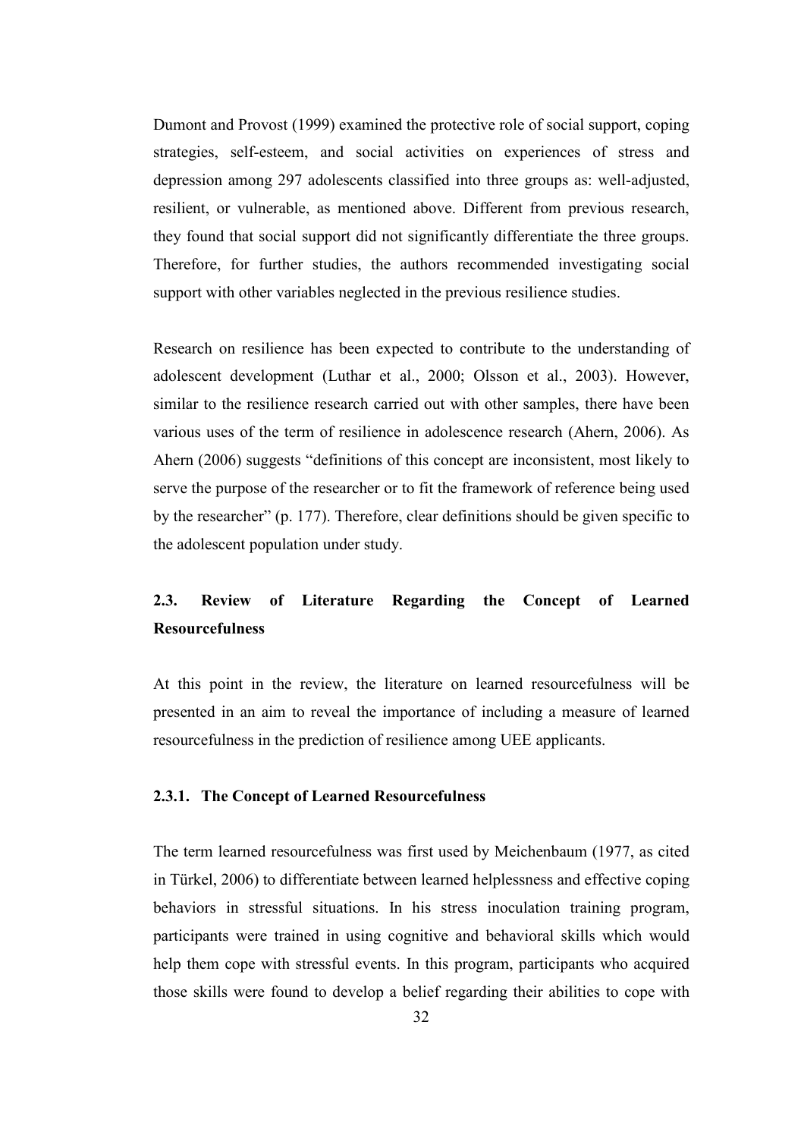Dumont and Provost (1999) examined the protective role of social support, coping strategies, self-esteem, and social activities on experiences of stress and depression among 297 adolescents classified into three groups as: well-adjusted, resilient, or vulnerable, as mentioned above. Different from previous research, they found that social support did not significantly differentiate the three groups. Therefore, for further studies, the authors recommended investigating social support with other variables neglected in the previous resilience studies.

Research on resilience has been expected to contribute to the understanding of adolescent development (Luthar et al., 2000; Olsson et al., 2003). However, similar to the resilience research carried out with other samples, there have been various uses of the term of resilience in adolescence research (Ahern, 2006). As Ahern (2006) suggests "definitions of this concept are inconsistent, most likely to serve the purpose of the researcher or to fit the framework of reference being used by the researcher" (p. 177). Therefore, clear definitions should be given specific to the adolescent population under study.

# 2.3. Review of Literature Regarding the Concept of Learned Resourcefulness

At this point in the review, the literature on learned resourcefulness will be presented in an aim to reveal the importance of including a measure of learned resourcefulness in the prediction of resilience among UEE applicants.

#### 2.3.1. The Concept of Learned Resourcefulness

The term learned resourcefulness was first used by Meichenbaum (1977, as cited in Türkel, 2006) to differentiate between learned helplessness and effective coping behaviors in stressful situations. In his stress inoculation training program, participants were trained in using cognitive and behavioral skills which would help them cope with stressful events. In this program, participants who acquired those skills were found to develop a belief regarding their abilities to cope with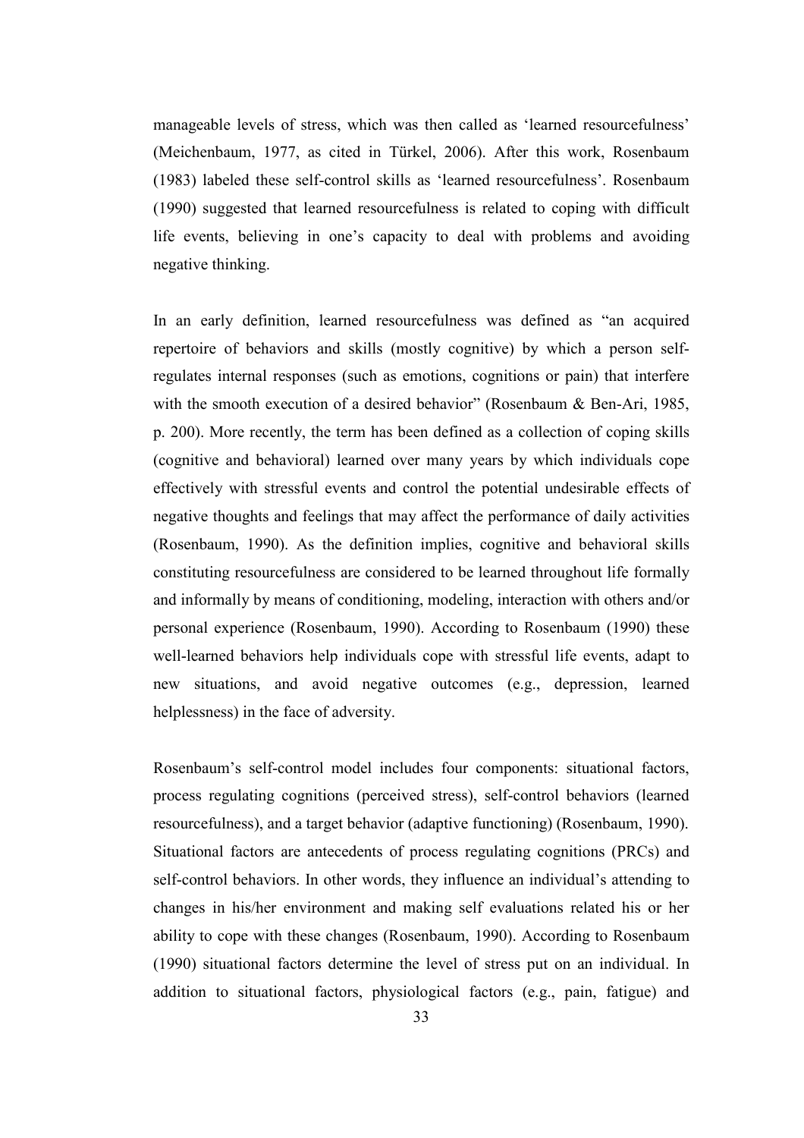manageable levels of stress, which was then called as 'learned resourcefulness' (Meichenbaum, 1977, as cited in Türkel, 2006). After this work, Rosenbaum (1983) labeled these self-control skills as 'learned resourcefulness'. Rosenbaum (1990) suggested that learned resourcefulness is related to coping with difficult life events, believing in one's capacity to deal with problems and avoiding negative thinking.

In an early definition, learned resourcefulness was defined as "an acquired repertoire of behaviors and skills (mostly cognitive) by which a person selfregulates internal responses (such as emotions, cognitions or pain) that interfere with the smooth execution of a desired behavior" (Rosenbaum & Ben-Ari, 1985, p. 200). More recently, the term has been defined as a collection of coping skills (cognitive and behavioral) learned over many years by which individuals cope effectively with stressful events and control the potential undesirable effects of negative thoughts and feelings that may affect the performance of daily activities (Rosenbaum, 1990). As the definition implies, cognitive and behavioral skills constituting resourcefulness are considered to be learned throughout life formally and informally by means of conditioning, modeling, interaction with others and/or personal experience (Rosenbaum, 1990). According to Rosenbaum (1990) these well-learned behaviors help individuals cope with stressful life events, adapt to new situations, and avoid negative outcomes (e.g., depression, learned helplessness) in the face of adversity.

Rosenbaum's self-control model includes four components: situational factors, process regulating cognitions (perceived stress), self-control behaviors (learned resourcefulness), and a target behavior (adaptive functioning) (Rosenbaum, 1990). Situational factors are antecedents of process regulating cognitions (PRCs) and self-control behaviors. In other words, they influence an individual's attending to changes in his/her environment and making self evaluations related his or her ability to cope with these changes (Rosenbaum, 1990). According to Rosenbaum (1990) situational factors determine the level of stress put on an individual. In addition to situational factors, physiological factors (e.g., pain, fatigue) and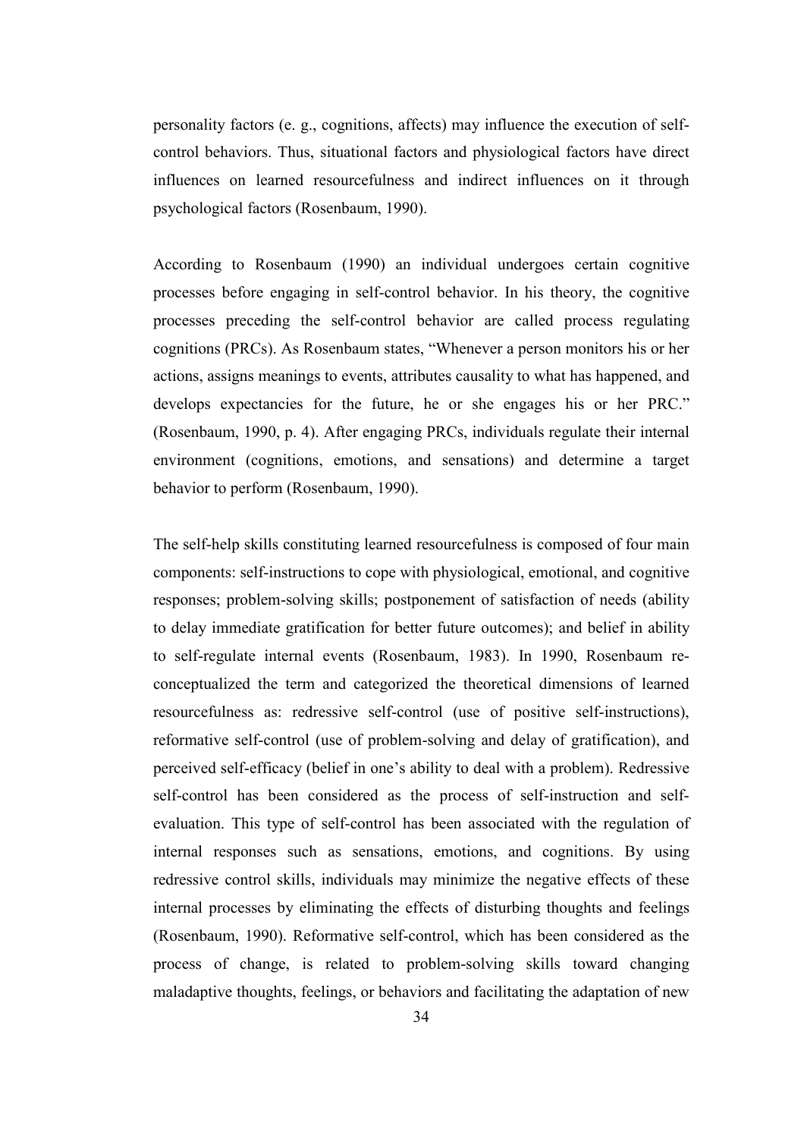personality factors (e. g., cognitions, affects) may influence the execution of selfcontrol behaviors. Thus, situational factors and physiological factors have direct influences on learned resourcefulness and indirect influences on it through psychological factors (Rosenbaum, 1990).

According to Rosenbaum (1990) an individual undergoes certain cognitive processes before engaging in self-control behavior. In his theory, the cognitive processes preceding the self-control behavior are called process regulating cognitions (PRCs). As Rosenbaum states, "Whenever a person monitors his or her actions, assigns meanings to events, attributes causality to what has happened, and develops expectancies for the future, he or she engages his or her PRC." (Rosenbaum, 1990, p. 4). After engaging PRCs, individuals regulate their internal environment (cognitions, emotions, and sensations) and determine a target behavior to perform (Rosenbaum, 1990).

The self-help skills constituting learned resourcefulness is composed of four main components: self-instructions to cope with physiological, emotional, and cognitive responses; problem-solving skills; postponement of satisfaction of needs (ability to delay immediate gratification for better future outcomes); and belief in ability to self-regulate internal events (Rosenbaum, 1983). In 1990, Rosenbaum reconceptualized the term and categorized the theoretical dimensions of learned resourcefulness as: redressive self-control (use of positive self-instructions), reformative self-control (use of problem-solving and delay of gratification), and perceived self-efficacy (belief in one's ability to deal with a problem). Redressive self-control has been considered as the process of self-instruction and selfevaluation. This type of self-control has been associated with the regulation of internal responses such as sensations, emotions, and cognitions. By using redressive control skills, individuals may minimize the negative effects of these internal processes by eliminating the effects of disturbing thoughts and feelings (Rosenbaum, 1990). Reformative self-control, which has been considered as the process of change, is related to problem-solving skills toward changing maladaptive thoughts, feelings, or behaviors and facilitating the adaptation of new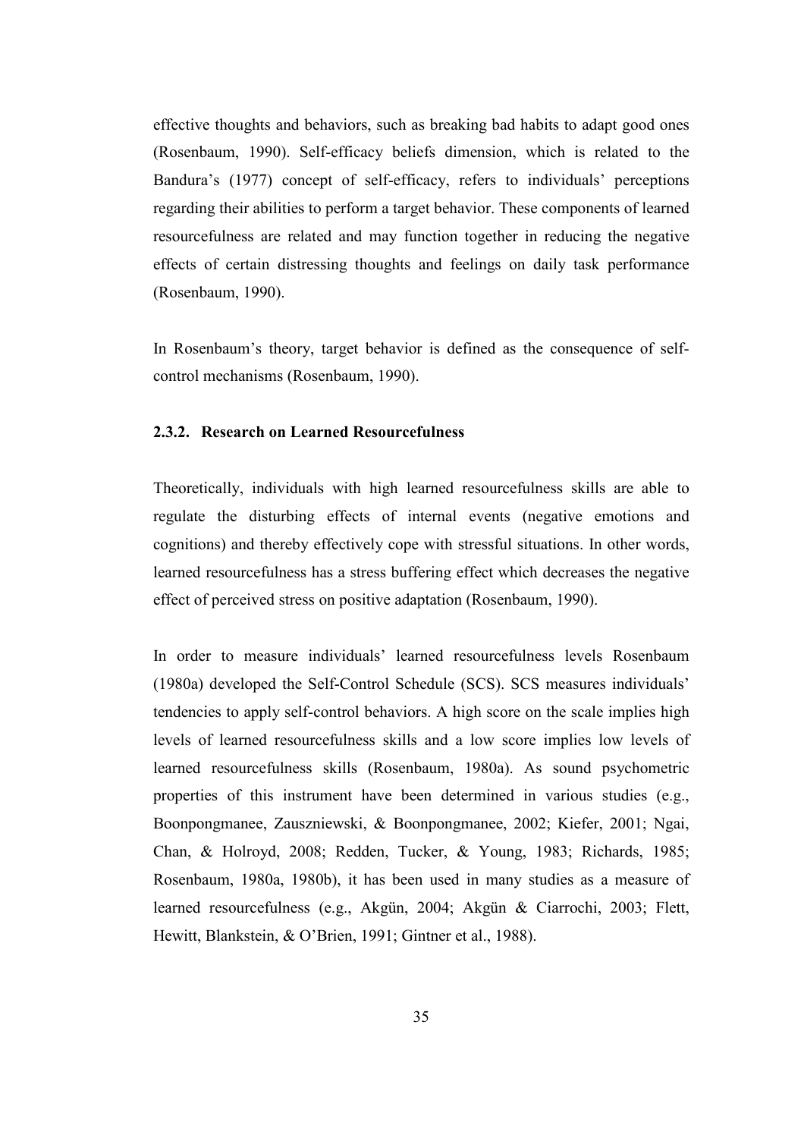effective thoughts and behaviors, such as breaking bad habits to adapt good ones (Rosenbaum, 1990). Self-efficacy beliefs dimension, which is related to the Bandura's (1977) concept of self-efficacy, refers to individuals' perceptions regarding their abilities to perform a target behavior. These components of learned resourcefulness are related and may function together in reducing the negative effects of certain distressing thoughts and feelings on daily task performance (Rosenbaum, 1990).

In Rosenbaum's theory, target behavior is defined as the consequence of selfcontrol mechanisms (Rosenbaum, 1990).

#### 2.3.2. Research on Learned Resourcefulness

Theoretically, individuals with high learned resourcefulness skills are able to regulate the disturbing effects of internal events (negative emotions and cognitions) and thereby effectively cope with stressful situations. In other words, learned resourcefulness has a stress buffering effect which decreases the negative effect of perceived stress on positive adaptation (Rosenbaum, 1990).

In order to measure individuals' learned resourcefulness levels Rosenbaum (1980a) developed the Self-Control Schedule (SCS). SCS measures individuals' tendencies to apply self-control behaviors. A high score on the scale implies high levels of learned resourcefulness skills and a low score implies low levels of learned resourcefulness skills (Rosenbaum, 1980a). As sound psychometric properties of this instrument have been determined in various studies (e.g., Boonpongmanee, Zauszniewski, & Boonpongmanee, 2002; Kiefer, 2001; Ngai, Chan, & Holroyd, 2008; Redden, Tucker, & Young, 1983; Richards, 1985; Rosenbaum, 1980a, 1980b), it has been used in many studies as a measure of learned resourcefulness (e.g., Akgün, 2004; Akgün & Ciarrochi, 2003; Flett, Hewitt, Blankstein, & O'Brien, 1991; Gintner et al., 1988).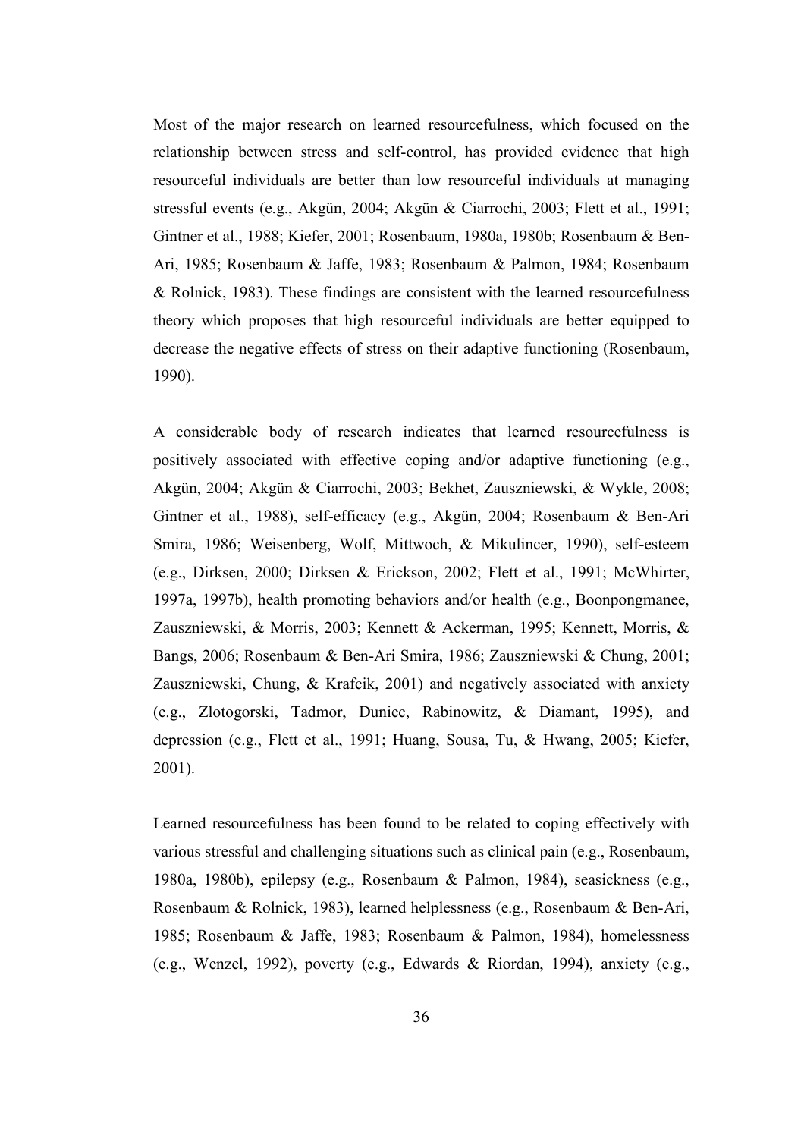Most of the major research on learned resourcefulness, which focused on the relationship between stress and self-control, has provided evidence that high resourceful individuals are better than low resourceful individuals at managing stressful events (e.g., Akgün, 2004; Akgün & Ciarrochi, 2003; Flett et al., 1991; Gintner et al., 1988; Kiefer, 2001; Rosenbaum, 1980a, 1980b; Rosenbaum & Ben-Ari, 1985; Rosenbaum & Jaffe, 1983; Rosenbaum & Palmon, 1984; Rosenbaum & Rolnick, 1983). These findings are consistent with the learned resourcefulness theory which proposes that high resourceful individuals are better equipped to decrease the negative effects of stress on their adaptive functioning (Rosenbaum, 1990).

A considerable body of research indicates that learned resourcefulness is positively associated with effective coping and/or adaptive functioning (e.g., Akgün, 2004; Akgün & Ciarrochi, 2003; Bekhet, Zauszniewski, & Wykle, 2008; Gintner et al., 1988), self-efficacy (e.g., Akgün, 2004; Rosenbaum & Ben-Ari Smira, 1986; Weisenberg, Wolf, Mittwoch, & Mikulincer, 1990), self-esteem (e.g., Dirksen, 2000; Dirksen & Erickson, 2002; Flett et al., 1991; McWhirter, 1997a, 1997b), health promoting behaviors and/or health (e.g., Boonpongmanee, Zauszniewski, & Morris, 2003; Kennett & Ackerman, 1995; Kennett, Morris, & Bangs, 2006; Rosenbaum & Ben-Ari Smira, 1986; Zauszniewski & Chung, 2001; Zauszniewski, Chung, & Krafcik, 2001) and negatively associated with anxiety (e.g., Zlotogorski, Tadmor, Duniec, Rabinowitz, & Diamant, 1995), and depression (e.g., Flett et al., 1991; Huang, Sousa, Tu, & Hwang, 2005; Kiefer, 2001).

Learned resourcefulness has been found to be related to coping effectively with various stressful and challenging situations such as clinical pain (e.g., Rosenbaum, 1980a, 1980b), epilepsy (e.g., Rosenbaum & Palmon, 1984), seasickness (e.g., Rosenbaum & Rolnick, 1983), learned helplessness (e.g., Rosenbaum & Ben-Ari, 1985; Rosenbaum & Jaffe, 1983; Rosenbaum & Palmon, 1984), homelessness (e.g., Wenzel, 1992), poverty (e.g., Edwards & Riordan, 1994), anxiety (e.g.,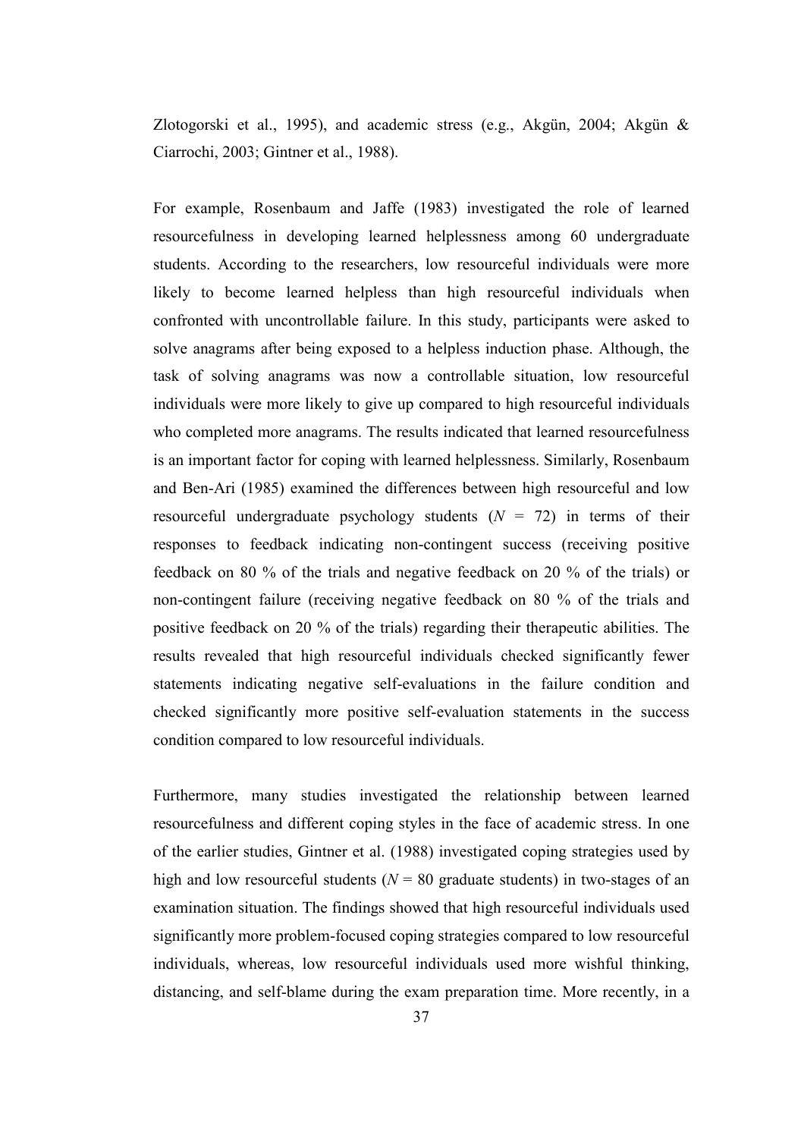Zlotogorski et al., 1995), and academic stress (e.g., Akgün, 2004; Akgün & Ciarrochi, 2003; Gintner et al., 1988).

For example, Rosenbaum and Jaffe (1983) investigated the role of learned resourcefulness in developing learned helplessness among 60 undergraduate students. According to the researchers, low resourceful individuals were more likely to become learned helpless than high resourceful individuals when confronted with uncontrollable failure. In this study, participants were asked to solve anagrams after being exposed to a helpless induction phase. Although, the task of solving anagrams was now a controllable situation, low resourceful individuals were more likely to give up compared to high resourceful individuals who completed more anagrams. The results indicated that learned resourcefulness is an important factor for coping with learned helplessness. Similarly, Rosenbaum and Ben-Ari (1985) examined the differences between high resourceful and low resourceful undergraduate psychology students  $(N = 72)$  in terms of their responses to feedback indicating non-contingent success (receiving positive feedback on 80 % of the trials and negative feedback on 20 % of the trials) or non-contingent failure (receiving negative feedback on 80 % of the trials and positive feedback on 20 % of the trials) regarding their therapeutic abilities. The results revealed that high resourceful individuals checked significantly fewer statements indicating negative self-evaluations in the failure condition and checked significantly more positive self-evaluation statements in the success condition compared to low resourceful individuals.

Furthermore, many studies investigated the relationship between learned resourcefulness and different coping styles in the face of academic stress. In one of the earlier studies, Gintner et al. (1988) investigated coping strategies used by high and low resourceful students ( $N = 80$  graduate students) in two-stages of an examination situation. The findings showed that high resourceful individuals used significantly more problem-focused coping strategies compared to low resourceful individuals, whereas, low resourceful individuals used more wishful thinking, distancing, and self-blame during the exam preparation time. More recently, in a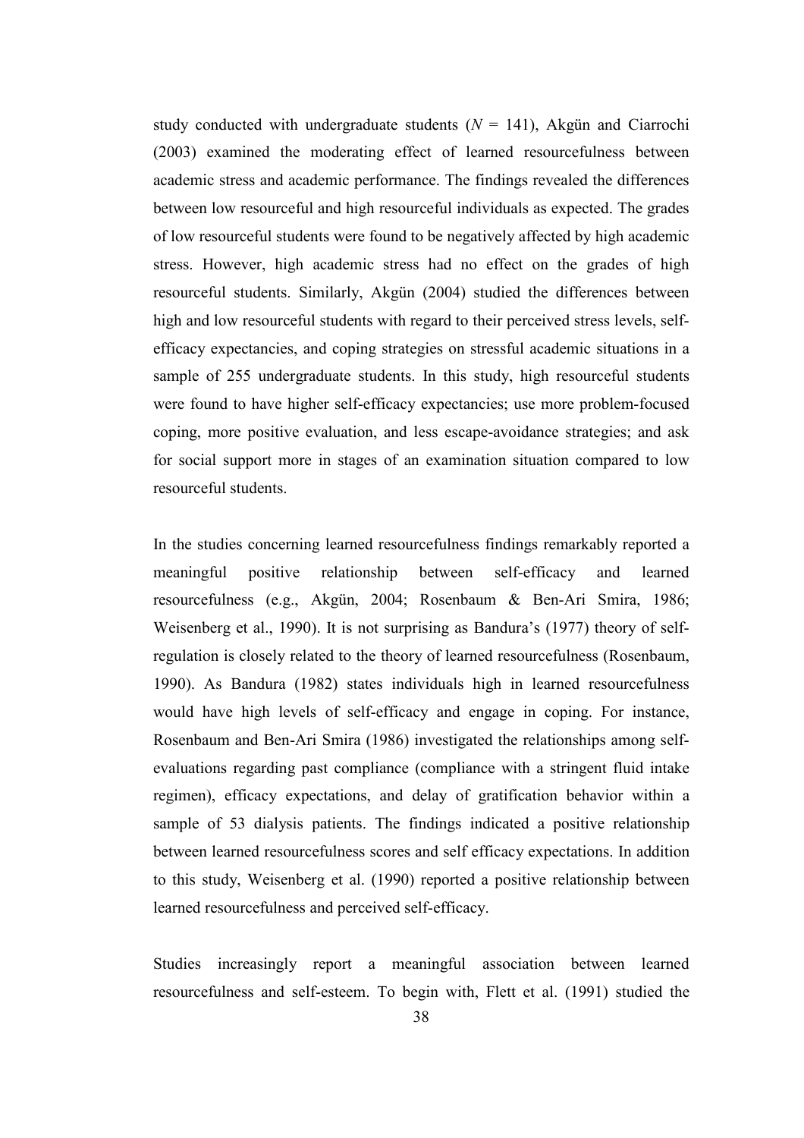study conducted with undergraduate students  $(N = 141)$ , Akgün and Ciarrochi (2003) examined the moderating effect of learned resourcefulness between academic stress and academic performance. The findings revealed the differences between low resourceful and high resourceful individuals as expected. The grades of low resourceful students were found to be negatively affected by high academic stress. However, high academic stress had no effect on the grades of high resourceful students. Similarly, Akgün (2004) studied the differences between high and low resourceful students with regard to their perceived stress levels, selfefficacy expectancies, and coping strategies on stressful academic situations in a sample of 255 undergraduate students. In this study, high resourceful students were found to have higher self-efficacy expectancies; use more problem-focused coping, more positive evaluation, and less escape-avoidance strategies; and ask for social support more in stages of an examination situation compared to low resourceful students.

In the studies concerning learned resourcefulness findings remarkably reported a meaningful positive relationship between self-efficacy and learned resourcefulness (e.g., Akgün, 2004; Rosenbaum & Ben-Ari Smira, 1986; Weisenberg et al., 1990). It is not surprising as Bandura's (1977) theory of selfregulation is closely related to the theory of learned resourcefulness (Rosenbaum, 1990). As Bandura (1982) states individuals high in learned resourcefulness would have high levels of self-efficacy and engage in coping. For instance, Rosenbaum and Ben-Ari Smira (1986) investigated the relationships among selfevaluations regarding past compliance (compliance with a stringent fluid intake regimen), efficacy expectations, and delay of gratification behavior within a sample of 53 dialysis patients. The findings indicated a positive relationship between learned resourcefulness scores and self efficacy expectations. In addition to this study, Weisenberg et al. (1990) reported a positive relationship between learned resourcefulness and perceived self-efficacy.

Studies increasingly report a meaningful association between learned resourcefulness and self-esteem. To begin with, Flett et al. (1991) studied the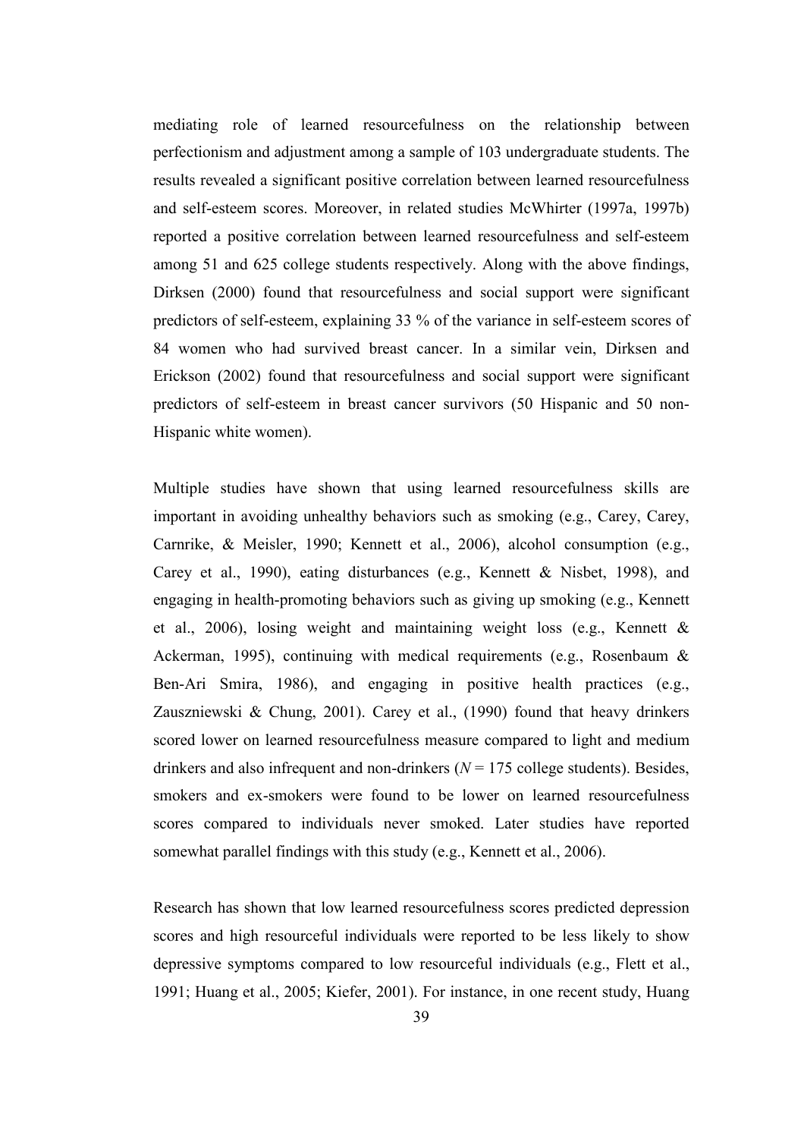mediating role of learned resourcefulness on the relationship between perfectionism and adjustment among a sample of 103 undergraduate students. The results revealed a significant positive correlation between learned resourcefulness and self-esteem scores. Moreover, in related studies McWhirter (1997a, 1997b) reported a positive correlation between learned resourcefulness and self-esteem among 51 and 625 college students respectively. Along with the above findings, Dirksen (2000) found that resourcefulness and social support were significant predictors of self-esteem, explaining 33 % of the variance in self-esteem scores of 84 women who had survived breast cancer. In a similar vein, Dirksen and Erickson (2002) found that resourcefulness and social support were significant predictors of self-esteem in breast cancer survivors (50 Hispanic and 50 non-Hispanic white women).

Multiple studies have shown that using learned resourcefulness skills are important in avoiding unhealthy behaviors such as smoking (e.g., Carey, Carey, Carnrike, & Meisler, 1990; Kennett et al., 2006), alcohol consumption (e.g., Carey et al., 1990), eating disturbances (e.g., Kennett & Nisbet, 1998), and engaging in health-promoting behaviors such as giving up smoking (e.g., Kennett et al., 2006), losing weight and maintaining weight loss (e.g., Kennett & Ackerman, 1995), continuing with medical requirements (e.g., Rosenbaum & Ben-Ari Smira, 1986), and engaging in positive health practices (e.g., Zauszniewski & Chung, 2001). Carey et al., (1990) found that heavy drinkers scored lower on learned resourcefulness measure compared to light and medium drinkers and also infrequent and non-drinkers ( $N = 175$  college students). Besides, smokers and ex-smokers were found to be lower on learned resourcefulness scores compared to individuals never smoked. Later studies have reported somewhat parallel findings with this study (e.g., Kennett et al., 2006).

Research has shown that low learned resourcefulness scores predicted depression scores and high resourceful individuals were reported to be less likely to show depressive symptoms compared to low resourceful individuals (e.g., Flett et al., 1991; Huang et al., 2005; Kiefer, 2001). For instance, in one recent study, Huang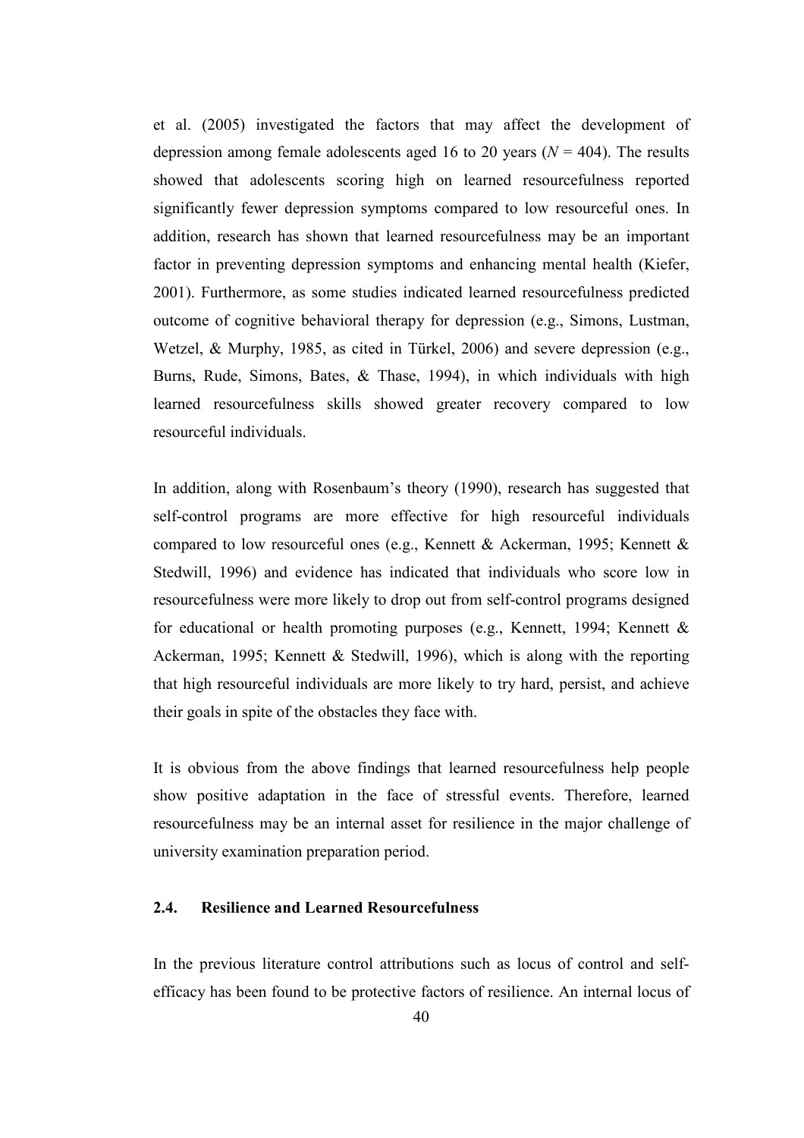et al. (2005) investigated the factors that may affect the development of depression among female adolescents aged 16 to 20 years ( $N = 404$ ). The results showed that adolescents scoring high on learned resourcefulness reported significantly fewer depression symptoms compared to low resourceful ones. In addition, research has shown that learned resourcefulness may be an important factor in preventing depression symptoms and enhancing mental health (Kiefer, 2001). Furthermore, as some studies indicated learned resourcefulness predicted outcome of cognitive behavioral therapy for depression (e.g., Simons, Lustman, Wetzel, & Murphy, 1985, as cited in Türkel, 2006) and severe depression (e.g., Burns, Rude, Simons, Bates, & Thase, 1994), in which individuals with high learned resourcefulness skills showed greater recovery compared to low resourceful individuals.

In addition, along with Rosenbaum's theory (1990), research has suggested that self-control programs are more effective for high resourceful individuals compared to low resourceful ones (e.g., Kennett & Ackerman, 1995; Kennett & Stedwill, 1996) and evidence has indicated that individuals who score low in resourcefulness were more likely to drop out from self-control programs designed for educational or health promoting purposes (e.g., Kennett, 1994; Kennett  $\&$ Ackerman, 1995; Kennett & Stedwill, 1996), which is along with the reporting that high resourceful individuals are more likely to try hard, persist, and achieve their goals in spite of the obstacles they face with.

It is obvious from the above findings that learned resourcefulness help people show positive adaptation in the face of stressful events. Therefore, learned resourcefulness may be an internal asset for resilience in the major challenge of university examination preparation period.

## 2.4. Resilience and Learned Resourcefulness

In the previous literature control attributions such as locus of control and selfefficacy has been found to be protective factors of resilience. An internal locus of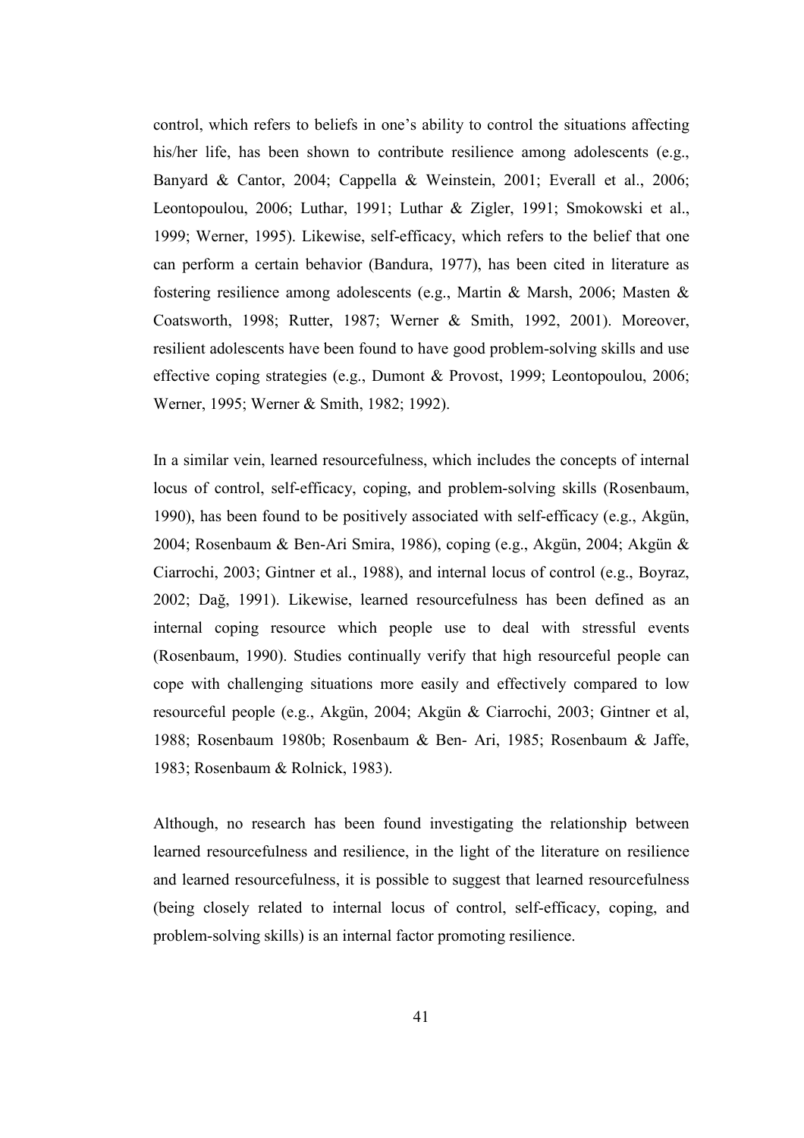control, which refers to beliefs in one's ability to control the situations affecting his/her life, has been shown to contribute resilience among adolescents (e.g., Banyard & Cantor, 2004; Cappella & Weinstein, 2001; Everall et al., 2006; Leontopoulou, 2006; Luthar, 1991; Luthar & Zigler, 1991; Smokowski et al., 1999; Werner, 1995). Likewise, self-efficacy, which refers to the belief that one can perform a certain behavior (Bandura, 1977), has been cited in literature as fostering resilience among adolescents (e.g., Martin & Marsh, 2006; Masten & Coatsworth, 1998; Rutter, 1987; Werner & Smith, 1992, 2001). Moreover, resilient adolescents have been found to have good problem-solving skills and use effective coping strategies (e.g., Dumont & Provost, 1999; Leontopoulou, 2006; Werner, 1995; Werner & Smith, 1982; 1992).

In a similar vein, learned resourcefulness, which includes the concepts of internal locus of control, self-efficacy, coping, and problem-solving skills (Rosenbaum, 1990), has been found to be positively associated with self-efficacy (e.g., Akgün, 2004; Rosenbaum & Ben-Ari Smira, 1986), coping (e.g., Akgün, 2004; Akgün & Ciarrochi, 2003; Gintner et al., 1988), and internal locus of control (e.g., Boyraz, 2002; Dağ, 1991). Likewise, learned resourcefulness has been defined as an internal coping resource which people use to deal with stressful events (Rosenbaum, 1990). Studies continually verify that high resourceful people can cope with challenging situations more easily and effectively compared to low resourceful people (e.g., Akgün, 2004; Akgün & Ciarrochi, 2003; Gintner et al, 1988; Rosenbaum 1980b; Rosenbaum & Ben- Ari, 1985; Rosenbaum & Jaffe, 1983; Rosenbaum & Rolnick, 1983).

Although, no research has been found investigating the relationship between learned resourcefulness and resilience, in the light of the literature on resilience and learned resourcefulness, it is possible to suggest that learned resourcefulness (being closely related to internal locus of control, self-efficacy, coping, and problem-solving skills) is an internal factor promoting resilience.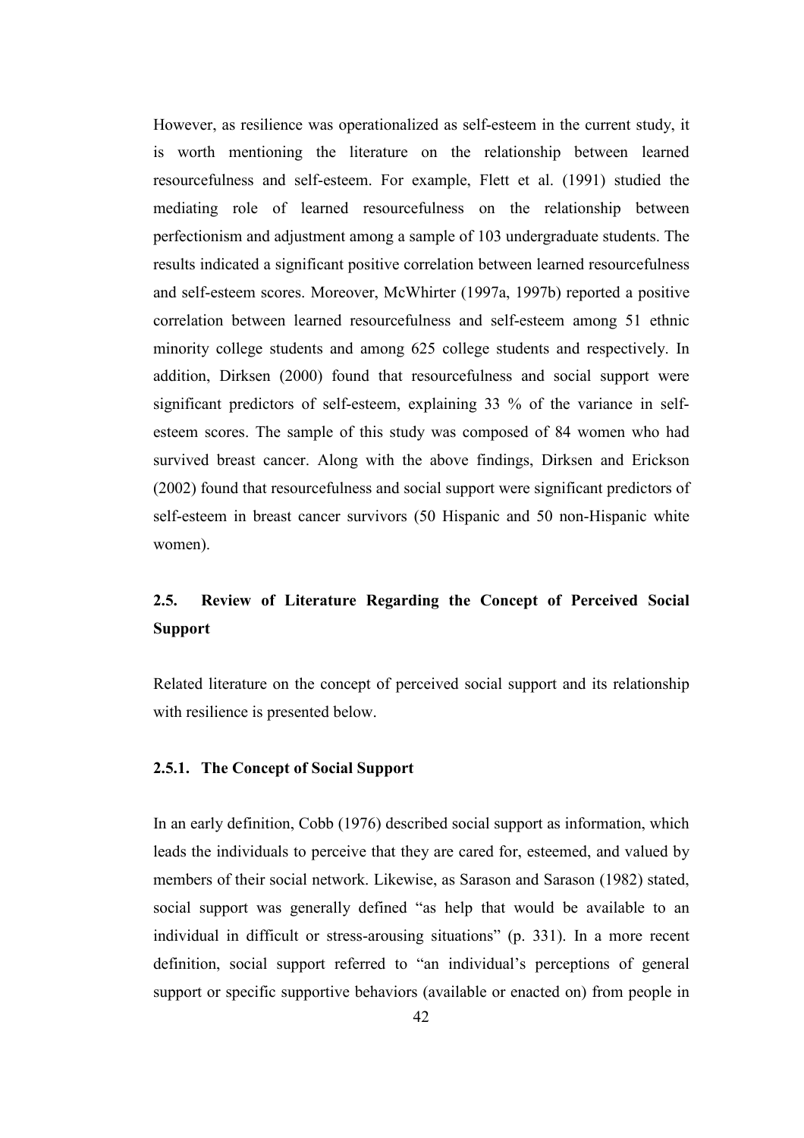However, as resilience was operationalized as self-esteem in the current study, it is worth mentioning the literature on the relationship between learned resourcefulness and self-esteem. For example, Flett et al. (1991) studied the mediating role of learned resourcefulness on the relationship between perfectionism and adjustment among a sample of 103 undergraduate students. The results indicated a significant positive correlation between learned resourcefulness and self-esteem scores. Moreover, McWhirter (1997a, 1997b) reported a positive correlation between learned resourcefulness and self-esteem among 51 ethnic minority college students and among 625 college students and respectively. In addition, Dirksen (2000) found that resourcefulness and social support were significant predictors of self-esteem, explaining 33 % of the variance in selfesteem scores. The sample of this study was composed of 84 women who had survived breast cancer. Along with the above findings, Dirksen and Erickson (2002) found that resourcefulness and social support were significant predictors of self-esteem in breast cancer survivors (50 Hispanic and 50 non-Hispanic white women).

# 2.5. Review of Literature Regarding the Concept of Perceived Social Support

Related literature on the concept of perceived social support and its relationship with resilience is presented below.

# 2.5.1. The Concept of Social Support

In an early definition, Cobb (1976) described social support as information, which leads the individuals to perceive that they are cared for, esteemed, and valued by members of their social network. Likewise, as Sarason and Sarason (1982) stated, social support was generally defined "as help that would be available to an individual in difficult or stress-arousing situations" (p. 331). In a more recent definition, social support referred to "an individual's perceptions of general support or specific supportive behaviors (available or enacted on) from people in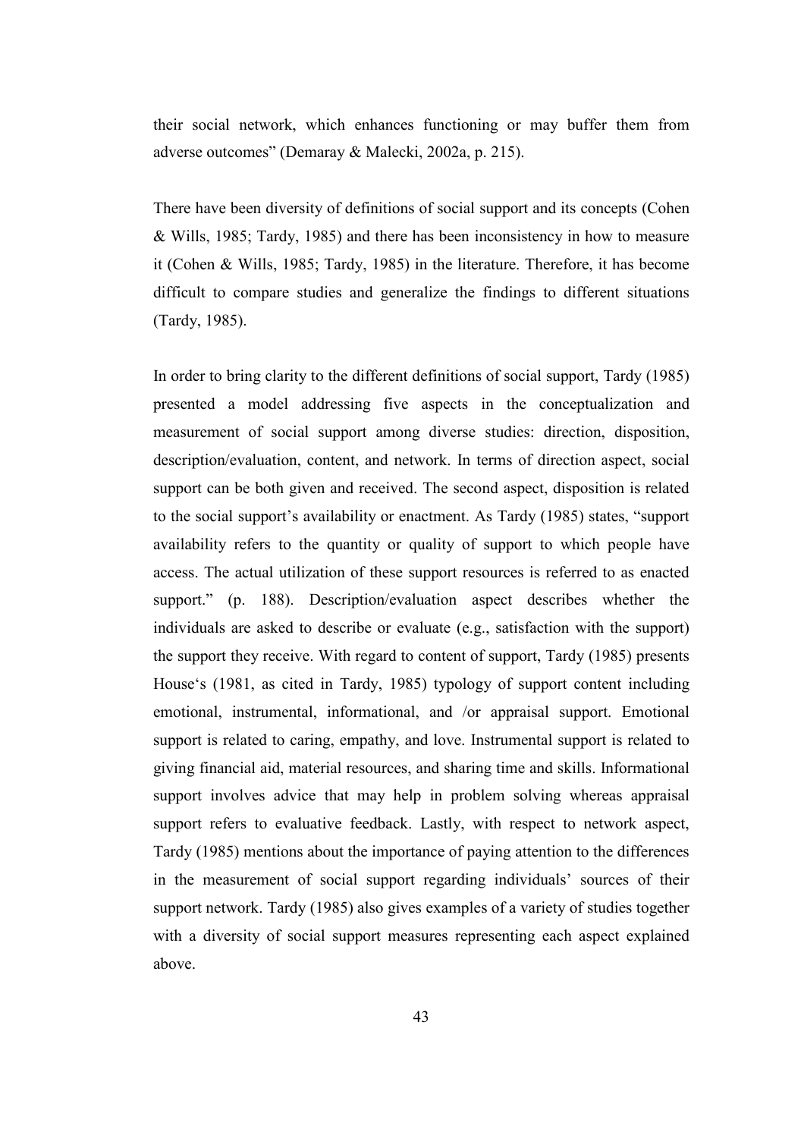their social network, which enhances functioning or may buffer them from adverse outcomes" (Demaray & Malecki, 2002a, p. 215).

There have been diversity of definitions of social support and its concepts (Cohen & Wills, 1985; Tardy, 1985) and there has been inconsistency in how to measure it (Cohen & Wills, 1985; Tardy, 1985) in the literature. Therefore, it has become difficult to compare studies and generalize the findings to different situations (Tardy, 1985).

In order to bring clarity to the different definitions of social support, Tardy (1985) presented a model addressing five aspects in the conceptualization and measurement of social support among diverse studies: direction, disposition, description/evaluation, content, and network. In terms of direction aspect, social support can be both given and received. The second aspect, disposition is related to the social support's availability or enactment. As Tardy (1985) states, "support availability refers to the quantity or quality of support to which people have access. The actual utilization of these support resources is referred to as enacted support." (p. 188). Description/evaluation aspect describes whether the individuals are asked to describe or evaluate (e.g., satisfaction with the support) the support they receive. With regard to content of support, Tardy (1985) presents House's (1981, as cited in Tardy, 1985) typology of support content including emotional, instrumental, informational, and /or appraisal support. Emotional support is related to caring, empathy, and love. Instrumental support is related to giving financial aid, material resources, and sharing time and skills. Informational support involves advice that may help in problem solving whereas appraisal support refers to evaluative feedback. Lastly, with respect to network aspect, Tardy (1985) mentions about the importance of paying attention to the differences in the measurement of social support regarding individuals' sources of their support network. Tardy (1985) also gives examples of a variety of studies together with a diversity of social support measures representing each aspect explained above.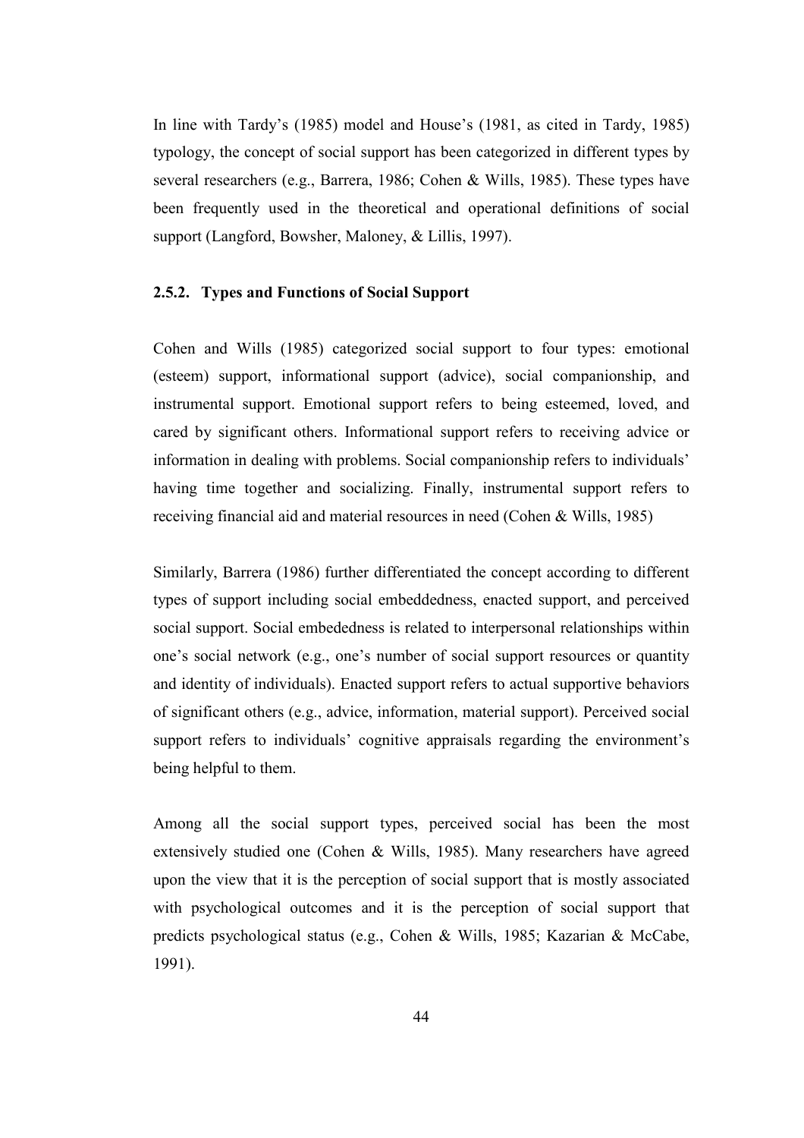In line with Tardy's (1985) model and House's (1981, as cited in Tardy, 1985) typology, the concept of social support has been categorized in different types by several researchers (e.g., Barrera, 1986; Cohen & Wills, 1985). These types have been frequently used in the theoretical and operational definitions of social support (Langford, Bowsher, Maloney, & Lillis, 1997).

#### 2.5.2. Types and Functions of Social Support

Cohen and Wills (1985) categorized social support to four types: emotional (esteem) support, informational support (advice), social companionship, and instrumental support. Emotional support refers to being esteemed, loved, and cared by significant others. Informational support refers to receiving advice or information in dealing with problems. Social companionship refers to individuals' having time together and socializing. Finally, instrumental support refers to receiving financial aid and material resources in need (Cohen & Wills, 1985)

Similarly, Barrera (1986) further differentiated the concept according to different types of support including social embeddedness, enacted support, and perceived social support. Social embededness is related to interpersonal relationships within one's social network (e.g., one's number of social support resources or quantity and identity of individuals). Enacted support refers to actual supportive behaviors of significant others (e.g., advice, information, material support). Perceived social support refers to individuals' cognitive appraisals regarding the environment's being helpful to them.

Among all the social support types, perceived social has been the most extensively studied one (Cohen & Wills, 1985). Many researchers have agreed upon the view that it is the perception of social support that is mostly associated with psychological outcomes and it is the perception of social support that predicts psychological status (e.g., Cohen & Wills, 1985; Kazarian & McCabe, 1991).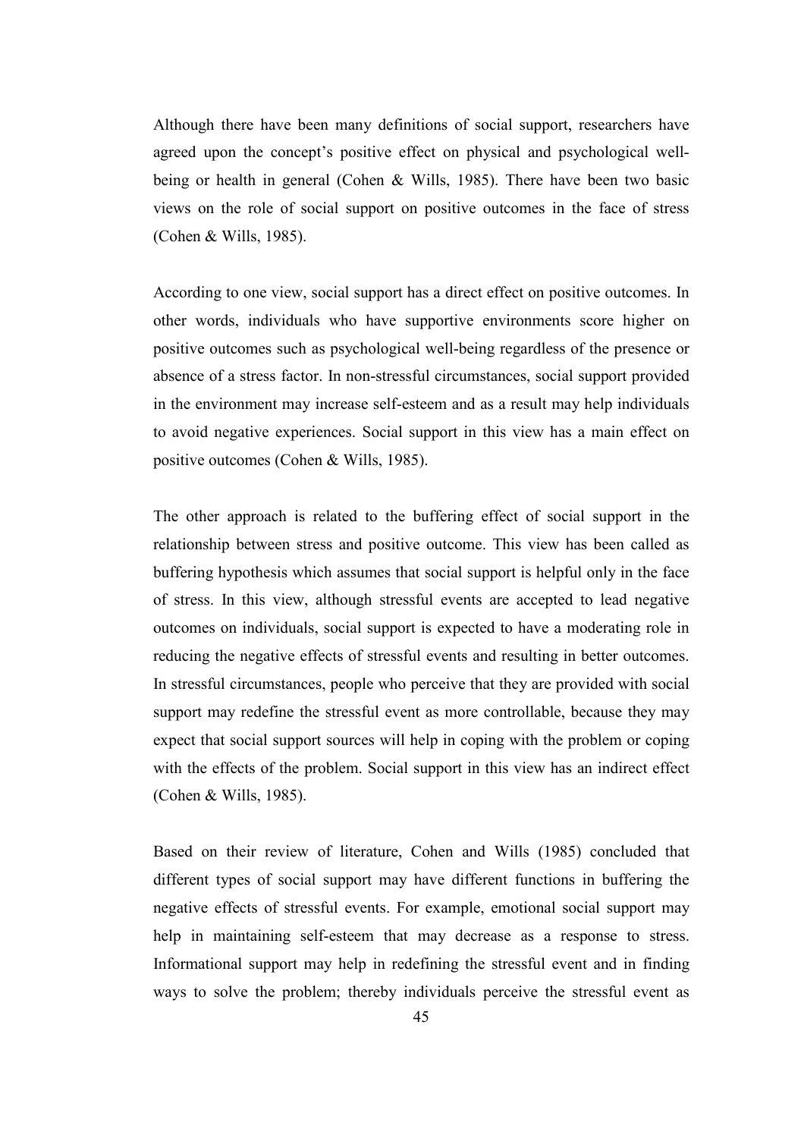Although there have been many definitions of social support, researchers have agreed upon the concept's positive effect on physical and psychological wellbeing or health in general (Cohen & Wills, 1985). There have been two basic views on the role of social support on positive outcomes in the face of stress (Cohen & Wills, 1985).

According to one view, social support has a direct effect on positive outcomes. In other words, individuals who have supportive environments score higher on positive outcomes such as psychological well-being regardless of the presence or absence of a stress factor. In non-stressful circumstances, social support provided in the environment may increase self-esteem and as a result may help individuals to avoid negative experiences. Social support in this view has a main effect on positive outcomes (Cohen & Wills, 1985).

The other approach is related to the buffering effect of social support in the relationship between stress and positive outcome. This view has been called as buffering hypothesis which assumes that social support is helpful only in the face of stress. In this view, although stressful events are accepted to lead negative outcomes on individuals, social support is expected to have a moderating role in reducing the negative effects of stressful events and resulting in better outcomes. In stressful circumstances, people who perceive that they are provided with social support may redefine the stressful event as more controllable, because they may expect that social support sources will help in coping with the problem or coping with the effects of the problem. Social support in this view has an indirect effect (Cohen & Wills, 1985).

Based on their review of literature, Cohen and Wills (1985) concluded that different types of social support may have different functions in buffering the negative effects of stressful events. For example, emotional social support may help in maintaining self-esteem that may decrease as a response to stress. Informational support may help in redefining the stressful event and in finding ways to solve the problem; thereby individuals perceive the stressful event as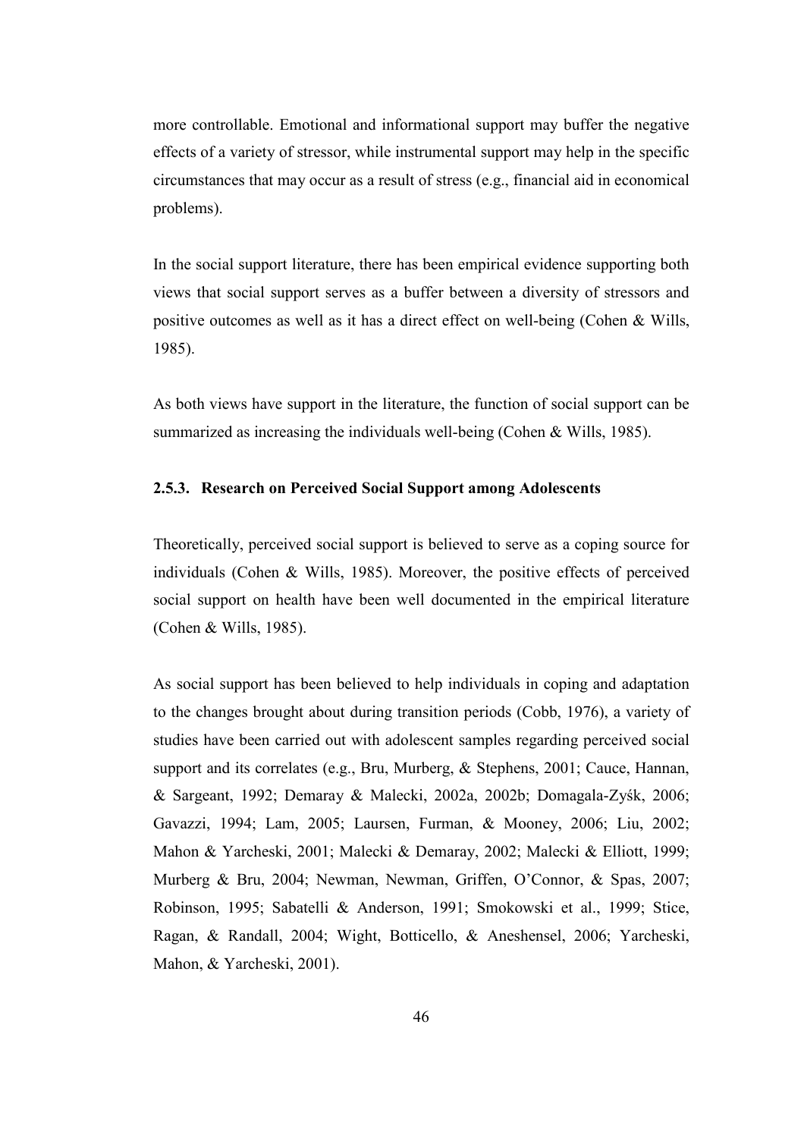more controllable. Emotional and informational support may buffer the negative effects of a variety of stressor, while instrumental support may help in the specific circumstances that may occur as a result of stress (e.g., financial aid in economical problems).

In the social support literature, there has been empirical evidence supporting both views that social support serves as a buffer between a diversity of stressors and positive outcomes as well as it has a direct effect on well-being (Cohen & Wills, 1985).

As both views have support in the literature, the function of social support can be summarized as increasing the individuals well-being (Cohen & Wills, 1985).

#### 2.5.3. Research on Perceived Social Support among Adolescents

Theoretically, perceived social support is believed to serve as a coping source for individuals (Cohen & Wills, 1985). Moreover, the positive effects of perceived social support on health have been well documented in the empirical literature (Cohen & Wills, 1985).

As social support has been believed to help individuals in coping and adaptation to the changes brought about during transition periods (Cobb, 1976), a variety of studies have been carried out with adolescent samples regarding perceived social support and its correlates (e.g., Bru, Murberg, & Stephens, 2001; Cauce, Hannan, & Sargeant, 1992; Demaray & Malecki, 2002a, 2002b; Domagala-Zyśk, 2006; Gavazzi, 1994; Lam, 2005; Laursen, Furman, & Mooney, 2006; Liu, 2002; Mahon & Yarcheski, 2001; Malecki & Demaray, 2002; Malecki & Elliott, 1999; Murberg & Bru, 2004; Newman, Newman, Griffen, O'Connor, & Spas, 2007; Robinson, 1995; Sabatelli & Anderson, 1991; Smokowski et al., 1999; Stice, Ragan, & Randall, 2004; Wight, Botticello, & Aneshensel, 2006; Yarcheski, Mahon, & Yarcheski, 2001).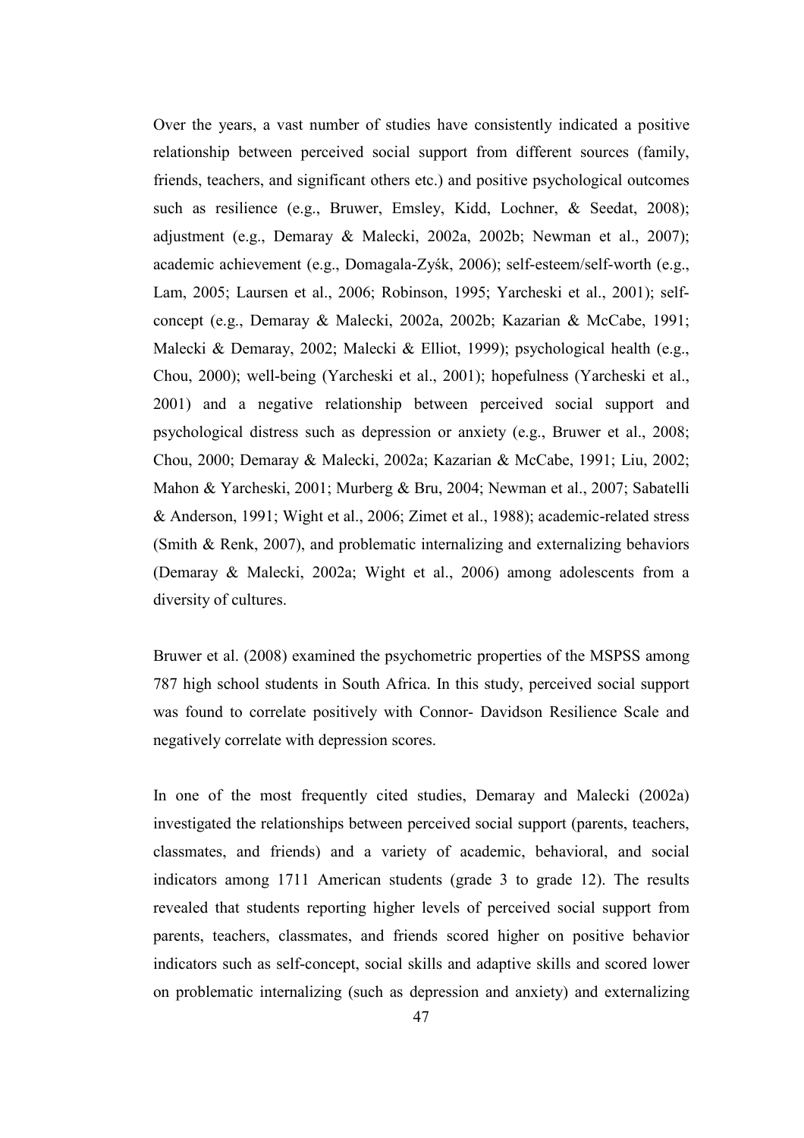Over the years, a vast number of studies have consistently indicated a positive relationship between perceived social support from different sources (family, friends, teachers, and significant others etc.) and positive psychological outcomes such as resilience (e.g., Bruwer, Emsley, Kidd, Lochner, & Seedat, 2008); adjustment (e.g., Demaray & Malecki, 2002a, 2002b; Newman et al., 2007); academic achievement (e.g., Domagala-Zyśk, 2006); self-esteem/self-worth (e.g., Lam, 2005; Laursen et al., 2006; Robinson, 1995; Yarcheski et al., 2001); selfconcept (e.g., Demaray & Malecki, 2002a, 2002b; Kazarian & McCabe, 1991; Malecki & Demaray, 2002; Malecki & Elliot, 1999); psychological health (e.g., Chou, 2000); well-being (Yarcheski et al., 2001); hopefulness (Yarcheski et al., 2001) and a negative relationship between perceived social support and psychological distress such as depression or anxiety (e.g., Bruwer et al., 2008; Chou, 2000; Demaray & Malecki, 2002a; Kazarian & McCabe, 1991; Liu, 2002; Mahon & Yarcheski, 2001; Murberg & Bru, 2004; Newman et al., 2007; Sabatelli & Anderson, 1991; Wight et al., 2006; Zimet et al., 1988); academic-related stress (Smith & Renk, 2007), and problematic internalizing and externalizing behaviors (Demaray & Malecki, 2002a; Wight et al., 2006) among adolescents from a diversity of cultures.

Bruwer et al. (2008) examined the psychometric properties of the MSPSS among 787 high school students in South Africa. In this study, perceived social support was found to correlate positively with Connor- Davidson Resilience Scale and negatively correlate with depression scores.

In one of the most frequently cited studies, Demaray and Malecki (2002a) investigated the relationships between perceived social support (parents, teachers, classmates, and friends) and a variety of academic, behavioral, and social indicators among 1711 American students (grade 3 to grade 12). The results revealed that students reporting higher levels of perceived social support from parents, teachers, classmates, and friends scored higher on positive behavior indicators such as self-concept, social skills and adaptive skills and scored lower on problematic internalizing (such as depression and anxiety) and externalizing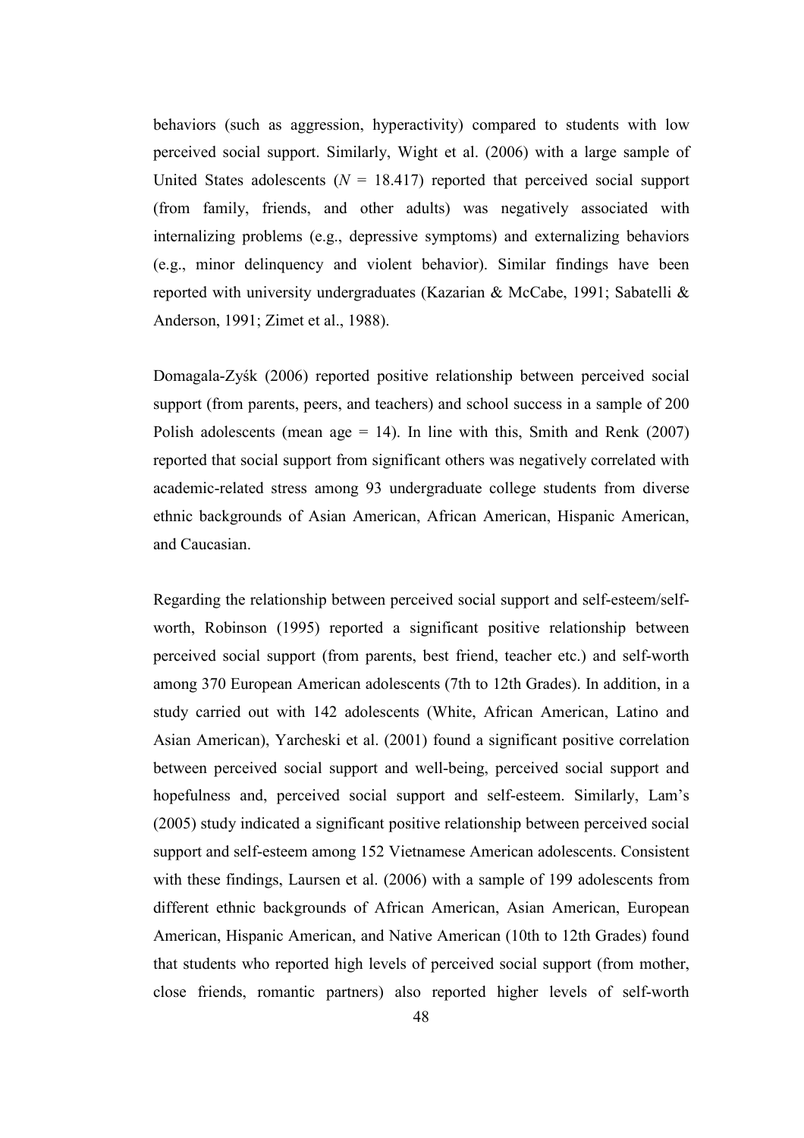behaviors (such as aggression, hyperactivity) compared to students with low perceived social support. Similarly, Wight et al. (2006) with a large sample of United States adolescents ( $N = 18.417$ ) reported that perceived social support (from family, friends, and other adults) was negatively associated with internalizing problems (e.g., depressive symptoms) and externalizing behaviors (e.g., minor delinquency and violent behavior). Similar findings have been reported with university undergraduates (Kazarian & McCabe, 1991; Sabatelli & Anderson, 1991; Zimet et al., 1988).

Domagala-Zyśk (2006) reported positive relationship between perceived social support (from parents, peers, and teachers) and school success in a sample of 200 Polish adolescents (mean age  $= 14$ ). In line with this, Smith and Renk (2007) reported that social support from significant others was negatively correlated with academic-related stress among 93 undergraduate college students from diverse ethnic backgrounds of Asian American, African American, Hispanic American, and Caucasian.

Regarding the relationship between perceived social support and self-esteem/selfworth, Robinson (1995) reported a significant positive relationship between perceived social support (from parents, best friend, teacher etc.) and self-worth among 370 European American adolescents (7th to 12th Grades). In addition, in a study carried out with 142 adolescents (White, African American, Latino and Asian American), Yarcheski et al. (2001) found a significant positive correlation between perceived social support and well-being, perceived social support and hopefulness and, perceived social support and self-esteem. Similarly, Lam's (2005) study indicated a significant positive relationship between perceived social support and self-esteem among 152 Vietnamese American adolescents. Consistent with these findings, Laursen et al. (2006) with a sample of 199 adolescents from different ethnic backgrounds of African American, Asian American, European American, Hispanic American, and Native American (10th to 12th Grades) found that students who reported high levels of perceived social support (from mother, close friends, romantic partners) also reported higher levels of self-worth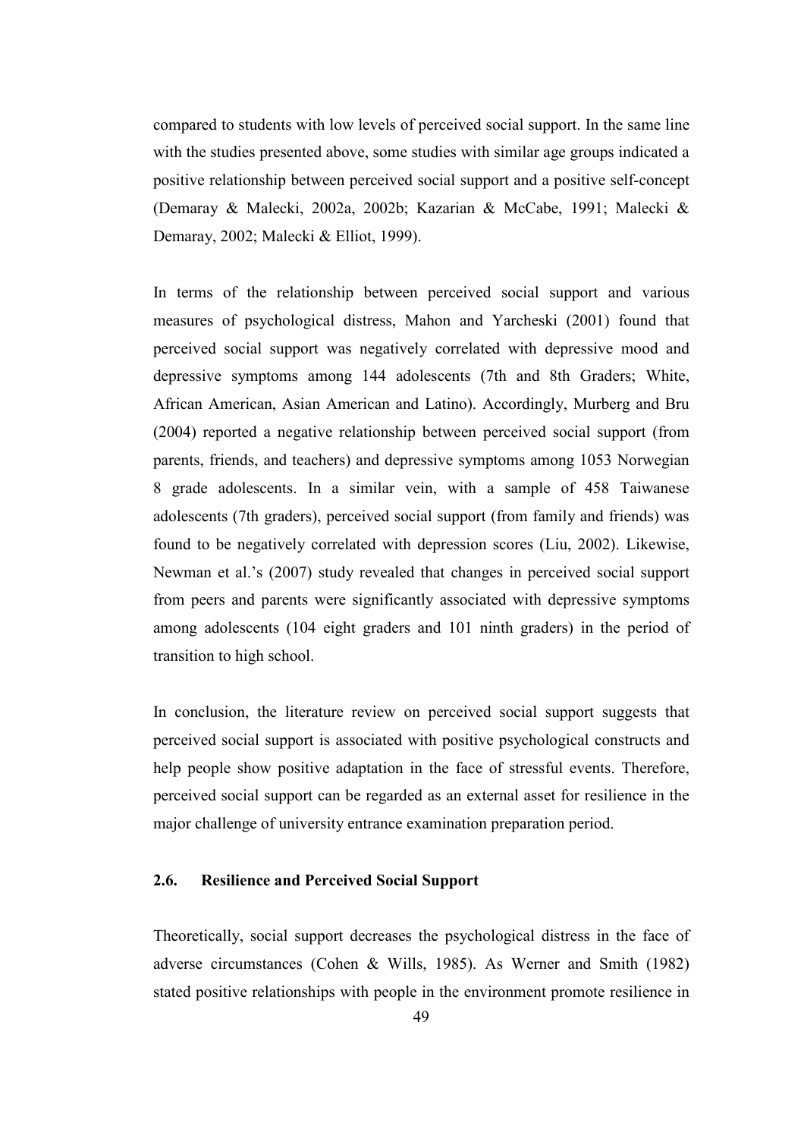compared to students with low levels of perceived social support. In the same line with the studies presented above, some studies with similar age groups indicated a positive relationship between perceived social support and a positive self-concept (Demaray & Malecki, 2002a, 2002b; Kazarian & McCabe, 1991; Malecki & Demaray, 2002; Malecki & Elliot, 1999).

In terms of the relationship between perceived social support and various measures of psychological distress, Mahon and Yarcheski (2001) found that perceived social support was negatively correlated with depressive mood and depressive symptoms among 144 adolescents (7th and 8th Graders; White, African American, Asian American and Latino). Accordingly, Murberg and Bru (2004) reported a negative relationship between perceived social support (from parents, friends, and teachers) and depressive symptoms among 1053 Norwegian 8 grade adolescents. In a similar vein, with a sample of 458 Taiwanese adolescents (7th graders), perceived social support (from family and friends) was found to be negatively correlated with depression scores (Liu, 2002). Likewise, Newman et al.'s (2007) study revealed that changes in perceived social support from peers and parents were significantly associated with depressive symptoms among adolescents (104 eight graders and 101 ninth graders) in the period of transition to high school.

In conclusion, the literature review on perceived social support suggests that perceived social support is associated with positive psychological constructs and help people show positive adaptation in the face of stressful events. Therefore, perceived social support can be regarded as an external asset for resilience in the major challenge of university entrance examination preparation period.

# 2.6. Resilience and Perceived Social Support

Theoretically, social support decreases the psychological distress in the face of adverse circumstances (Cohen & Wills, 1985). As Werner and Smith (1982) stated positive relationships with people in the environment promote resilience in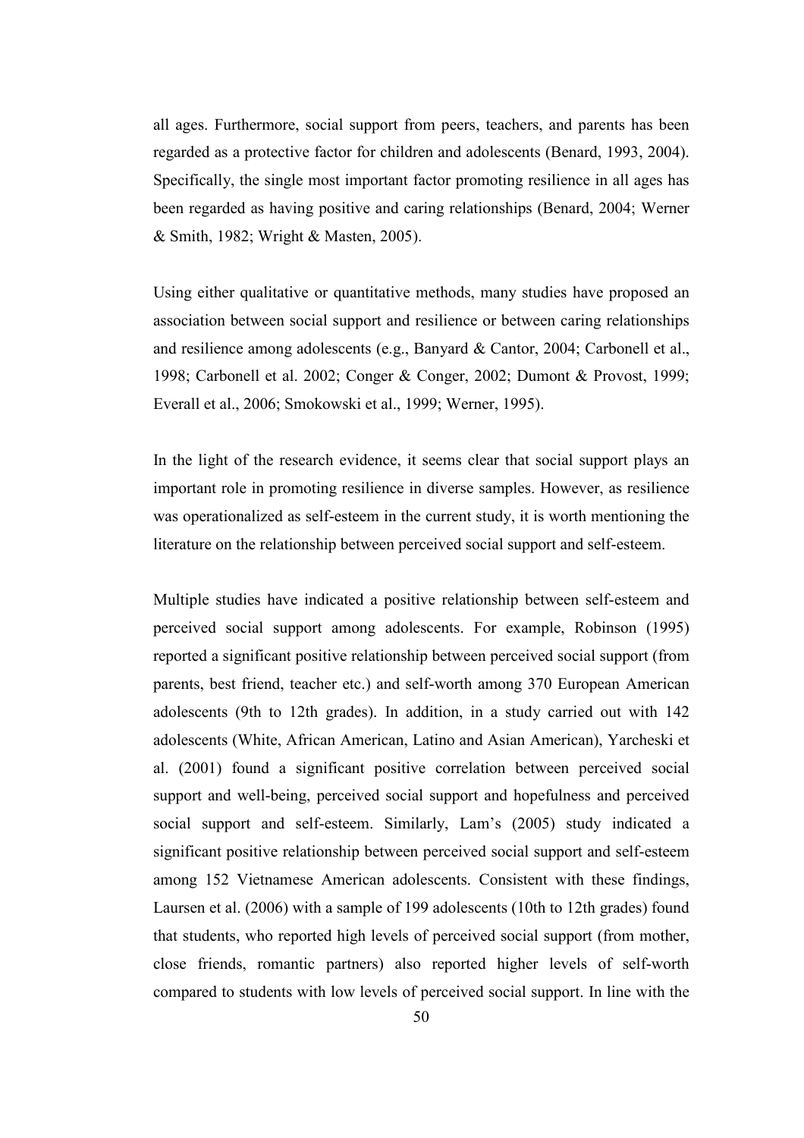all ages. Furthermore, social support from peers, teachers, and parents has been regarded as a protective factor for children and adolescents (Benard, 1993, 2004). Specifically, the single most important factor promoting resilience in all ages has been regarded as having positive and caring relationships (Benard, 2004; Werner & Smith, 1982; Wright & Masten, 2005).

Using either qualitative or quantitative methods, many studies have proposed an association between social support and resilience or between caring relationships and resilience among adolescents (e.g., Banyard & Cantor, 2004; Carbonell et al., 1998; Carbonell et al. 2002; Conger & Conger, 2002; Dumont & Provost, 1999; Everall et al., 2006; Smokowski et al., 1999; Werner, 1995).

In the light of the research evidence, it seems clear that social support plays an important role in promoting resilience in diverse samples. However, as resilience was operationalized as self-esteem in the current study, it is worth mentioning the literature on the relationship between perceived social support and self-esteem.

Multiple studies have indicated a positive relationship between self-esteem and perceived social support among adolescents. For example, Robinson (1995) reported a significant positive relationship between perceived social support (from parents, best friend, teacher etc.) and self-worth among 370 European American adolescents (9th to 12th grades). In addition, in a study carried out with 142 adolescents (White, African American, Latino and Asian American), Yarcheski et al. (2001) found a significant positive correlation between perceived social support and well-being, perceived social support and hopefulness and perceived social support and self-esteem. Similarly, Lam's (2005) study indicated a significant positive relationship between perceived social support and self-esteem among 152 Vietnamese American adolescents. Consistent with these findings, Laursen et al. (2006) with a sample of 199 adolescents (10th to 12th grades) found that students, who reported high levels of perceived social support (from mother, close friends, romantic partners) also reported higher levels of self-worth compared to students with low levels of perceived social support. In line with the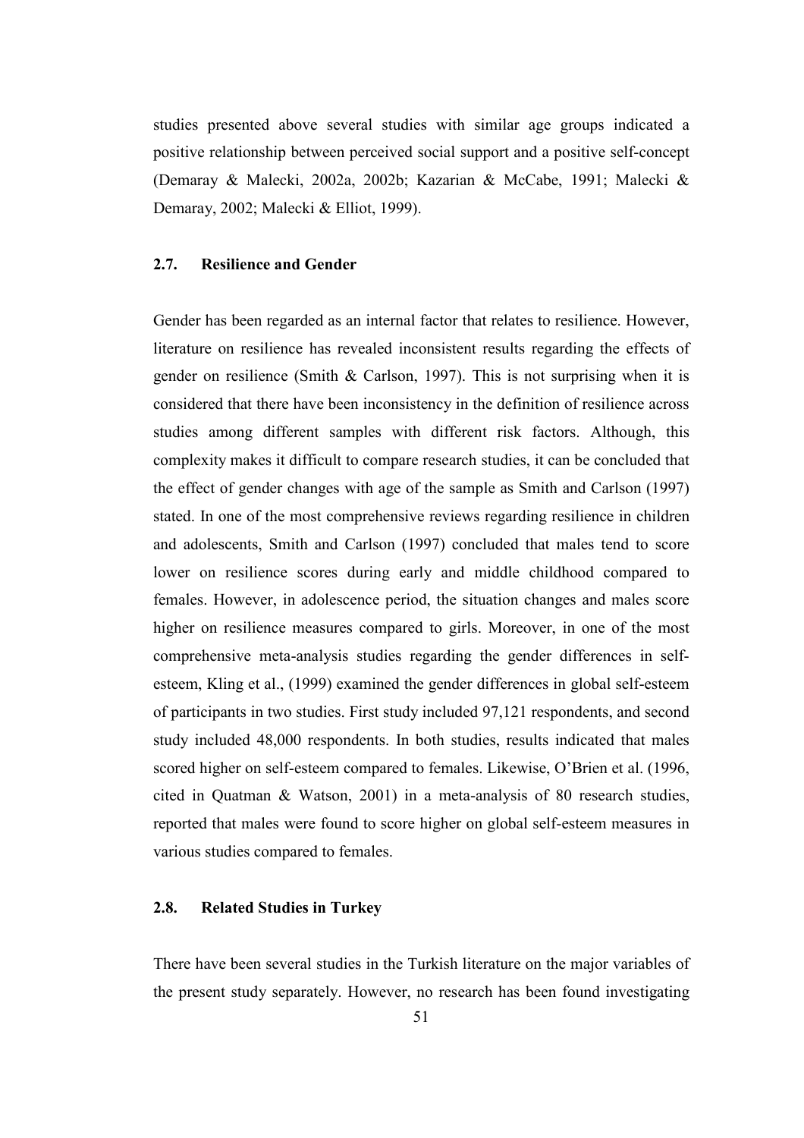studies presented above several studies with similar age groups indicated a positive relationship between perceived social support and a positive self-concept (Demaray & Malecki, 2002a, 2002b; Kazarian & McCabe, 1991; Malecki & Demaray, 2002; Malecki & Elliot, 1999).

## 2.7. Resilience and Gender

Gender has been regarded as an internal factor that relates to resilience. However, literature on resilience has revealed inconsistent results regarding the effects of gender on resilience (Smith & Carlson, 1997). This is not surprising when it is considered that there have been inconsistency in the definition of resilience across studies among different samples with different risk factors. Although, this complexity makes it difficult to compare research studies, it can be concluded that the effect of gender changes with age of the sample as Smith and Carlson (1997) stated. In one of the most comprehensive reviews regarding resilience in children and adolescents, Smith and Carlson (1997) concluded that males tend to score lower on resilience scores during early and middle childhood compared to females. However, in adolescence period, the situation changes and males score higher on resilience measures compared to girls. Moreover, in one of the most comprehensive meta-analysis studies regarding the gender differences in selfesteem, Kling et al., (1999) examined the gender differences in global self-esteem of participants in two studies. First study included 97,121 respondents, and second study included 48,000 respondents. In both studies, results indicated that males scored higher on self-esteem compared to females. Likewise, O'Brien et al. (1996, cited in Quatman & Watson, 2001) in a meta-analysis of 80 research studies, reported that males were found to score higher on global self-esteem measures in various studies compared to females.

## 2.8. Related Studies in Turkey

There have been several studies in the Turkish literature on the major variables of the present study separately. However, no research has been found investigating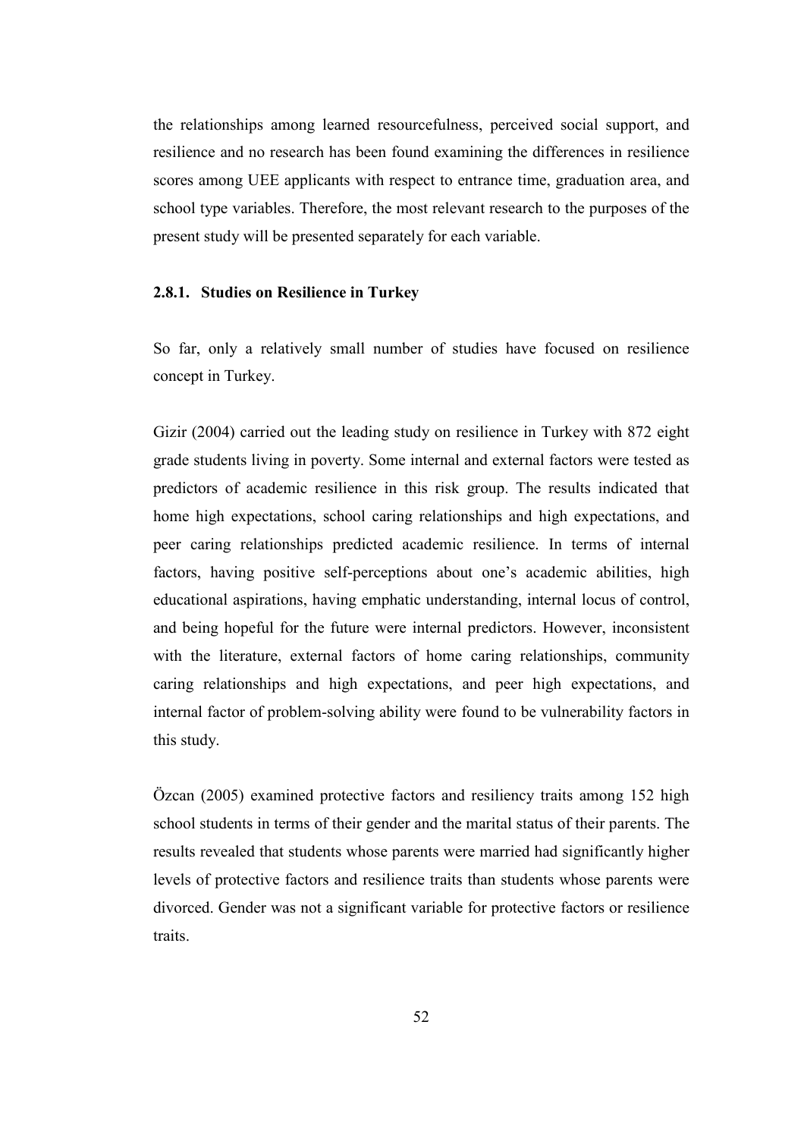the relationships among learned resourcefulness, perceived social support, and resilience and no research has been found examining the differences in resilience scores among UEE applicants with respect to entrance time, graduation area, and school type variables. Therefore, the most relevant research to the purposes of the present study will be presented separately for each variable.

#### 2.8.1. Studies on Resilience in Turkey

So far, only a relatively small number of studies have focused on resilience concept in Turkey.

Gizir (2004) carried out the leading study on resilience in Turkey with 872 eight grade students living in poverty. Some internal and external factors were tested as predictors of academic resilience in this risk group. The results indicated that home high expectations, school caring relationships and high expectations, and peer caring relationships predicted academic resilience. In terms of internal factors, having positive self-perceptions about one's academic abilities, high educational aspirations, having emphatic understanding, internal locus of control, and being hopeful for the future were internal predictors. However, inconsistent with the literature, external factors of home caring relationships, community caring relationships and high expectations, and peer high expectations, and internal factor of problem-solving ability were found to be vulnerability factors in this study.

Özcan (2005) examined protective factors and resiliency traits among 152 high school students in terms of their gender and the marital status of their parents. The results revealed that students whose parents were married had significantly higher levels of protective factors and resilience traits than students whose parents were divorced. Gender was not a significant variable for protective factors or resilience traits.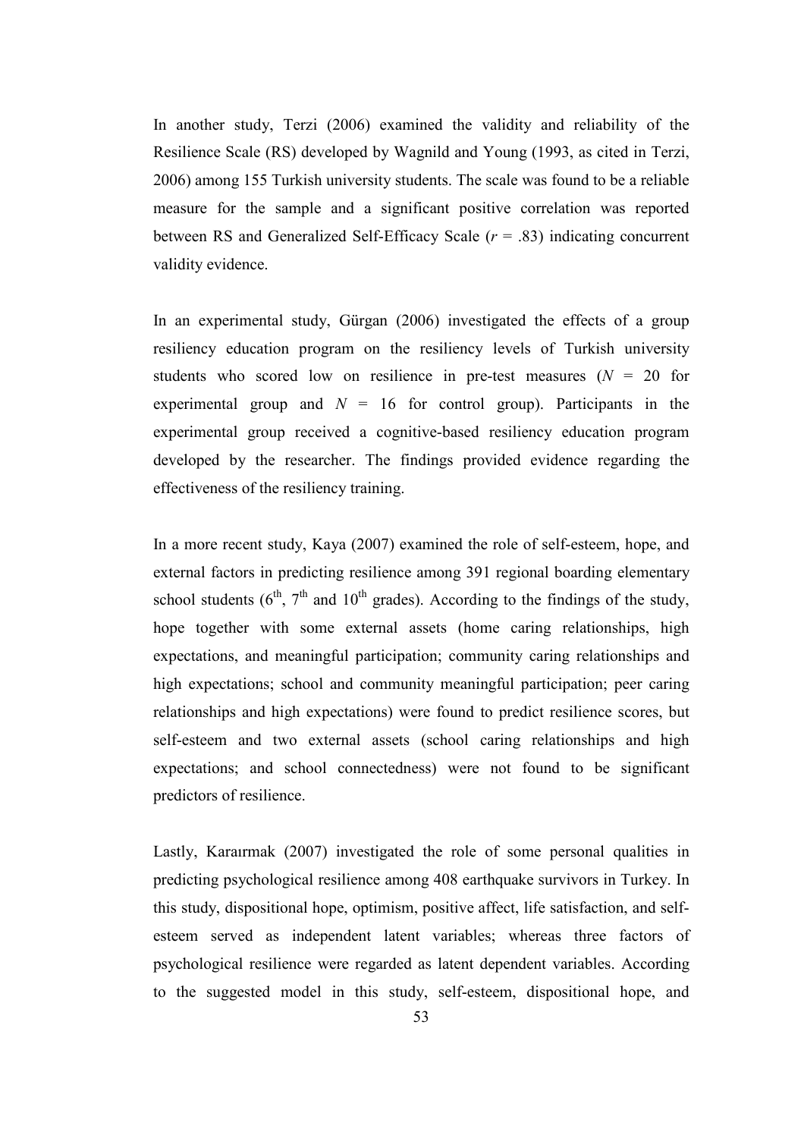In another study, Terzi (2006) examined the validity and reliability of the Resilience Scale (RS) developed by Wagnild and Young (1993, as cited in Terzi, 2006) among 155 Turkish university students. The scale was found to be a reliable measure for the sample and a significant positive correlation was reported between RS and Generalized Self-Efficacy Scale  $(r = .83)$  indicating concurrent validity evidence.

In an experimental study, Gürgan (2006) investigated the effects of a group resiliency education program on the resiliency levels of Turkish university students who scored low on resilience in pre-test measures  $(N = 20)$  for experimental group and  $N = 16$  for control group). Participants in the experimental group received a cognitive-based resiliency education program developed by the researcher. The findings provided evidence regarding the effectiveness of the resiliency training.

In a more recent study, Kaya (2007) examined the role of self-esteem, hope, and external factors in predicting resilience among 391 regional boarding elementary school students  $(6^{th}, 7^{th}$  and  $10^{th}$  grades). According to the findings of the study, hope together with some external assets (home caring relationships, high expectations, and meaningful participation; community caring relationships and high expectations; school and community meaningful participation; peer caring relationships and high expectations) were found to predict resilience scores, but self-esteem and two external assets (school caring relationships and high expectations; and school connectedness) were not found to be significant predictors of resilience.

Lastly, Karaırmak (2007) investigated the role of some personal qualities in predicting psychological resilience among 408 earthquake survivors in Turkey. In this study, dispositional hope, optimism, positive affect, life satisfaction, and selfesteem served as independent latent variables; whereas three factors of psychological resilience were regarded as latent dependent variables. According to the suggested model in this study, self-esteem, dispositional hope, and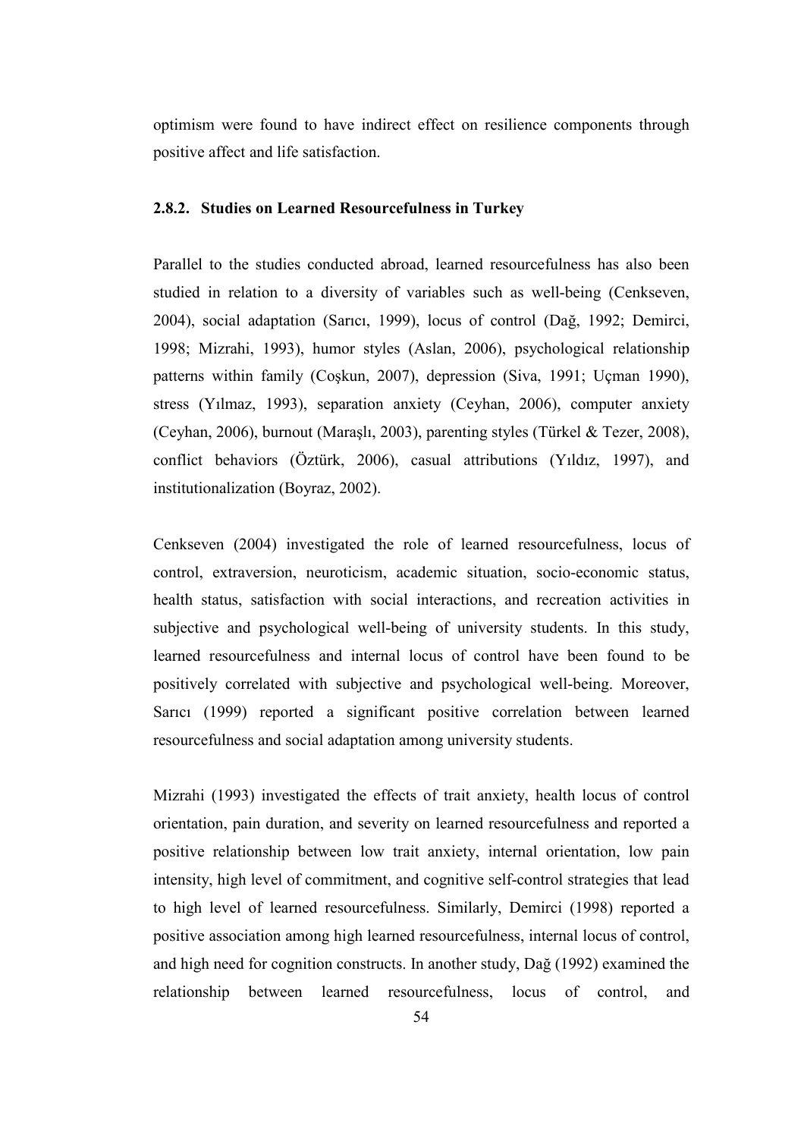optimism were found to have indirect effect on resilience components through positive affect and life satisfaction.

#### 2.8.2. Studies on Learned Resourcefulness in Turkey

Parallel to the studies conducted abroad, learned resourcefulness has also been studied in relation to a diversity of variables such as well-being (Cenkseven, 2004), social adaptation (Sarıcı, 1999), locus of control (Dağ, 1992; Demirci, 1998; Mizrahi, 1993), humor styles (Aslan, 2006), psychological relationship patterns within family (Coşkun, 2007), depression (Siva, 1991; Uçman 1990), stress (Yılmaz, 1993), separation anxiety (Ceyhan, 2006), computer anxiety (Ceyhan, 2006), burnout (Maraşlı, 2003), parenting styles (Türkel & Tezer, 2008), conflict behaviors (Öztürk, 2006), casual attributions (Yıldız, 1997), and institutionalization (Boyraz, 2002).

Cenkseven (2004) investigated the role of learned resourcefulness, locus of control, extraversion, neuroticism, academic situation, socio-economic status, health status, satisfaction with social interactions, and recreation activities in subjective and psychological well-being of university students. In this study, learned resourcefulness and internal locus of control have been found to be positively correlated with subjective and psychological well-being. Moreover, Sarıcı (1999) reported a significant positive correlation between learned resourcefulness and social adaptation among university students.

Mizrahi (1993) investigated the effects of trait anxiety, health locus of control orientation, pain duration, and severity on learned resourcefulness and reported a positive relationship between low trait anxiety, internal orientation, low pain intensity, high level of commitment, and cognitive self-control strategies that lead to high level of learned resourcefulness. Similarly, Demirci (1998) reported a positive association among high learned resourcefulness, internal locus of control, and high need for cognition constructs. In another study, Dağ (1992) examined the relationship between learned resourcefulness, locus of control, and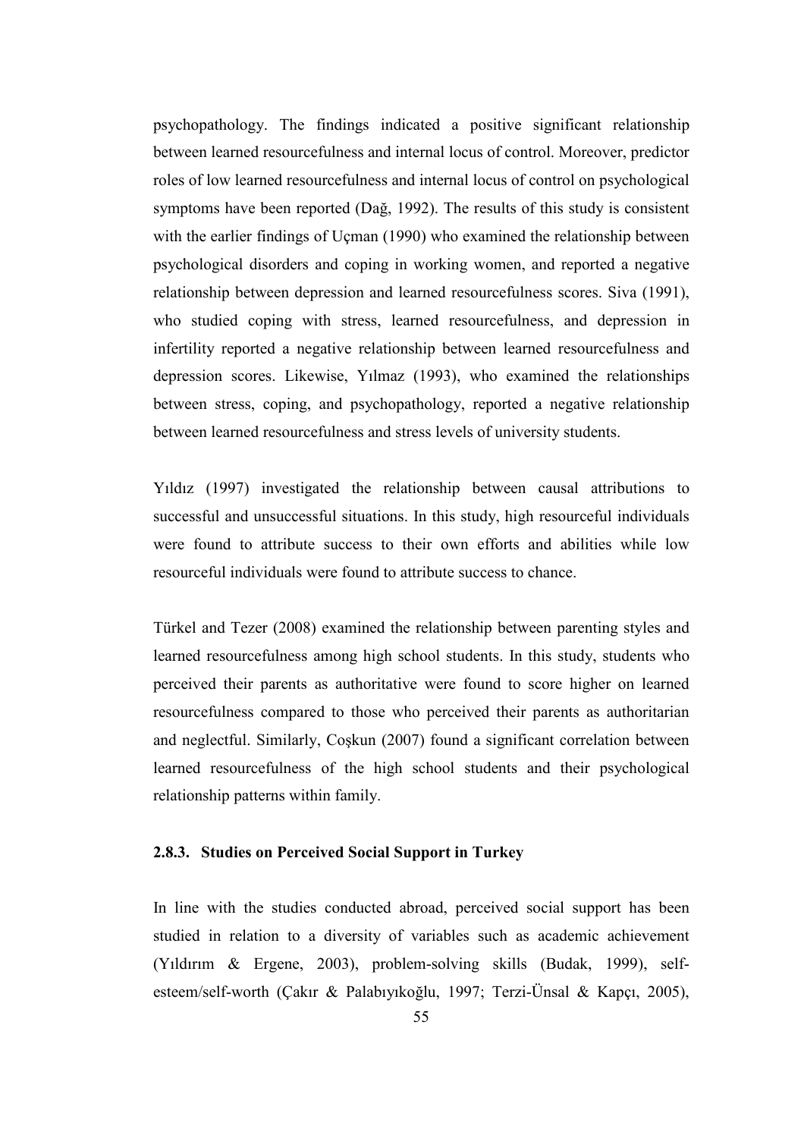psychopathology. The findings indicated a positive significant relationship between learned resourcefulness and internal locus of control. Moreover, predictor roles of low learned resourcefulness and internal locus of control on psychological symptoms have been reported (Dağ, 1992). The results of this study is consistent with the earlier findings of Uçman (1990) who examined the relationship between psychological disorders and coping in working women, and reported a negative relationship between depression and learned resourcefulness scores. Siva (1991), who studied coping with stress, learned resourcefulness, and depression in infertility reported a negative relationship between learned resourcefulness and depression scores. Likewise, Yılmaz (1993), who examined the relationships between stress, coping, and psychopathology, reported a negative relationship between learned resourcefulness and stress levels of university students.

Yıldız (1997) investigated the relationship between causal attributions to successful and unsuccessful situations. In this study, high resourceful individuals were found to attribute success to their own efforts and abilities while low resourceful individuals were found to attribute success to chance.

Türkel and Tezer (2008) examined the relationship between parenting styles and learned resourcefulness among high school students. In this study, students who perceived their parents as authoritative were found to score higher on learned resourcefulness compared to those who perceived their parents as authoritarian and neglectful. Similarly, Coşkun (2007) found a significant correlation between learned resourcefulness of the high school students and their psychological relationship patterns within family.

# 2.8.3. Studies on Perceived Social Support in Turkey

In line with the studies conducted abroad, perceived social support has been studied in relation to a diversity of variables such as academic achievement (Yıldırım & Ergene, 2003), problem-solving skills (Budak, 1999), selfesteem/self-worth (Çakır & Palabıyıkoğlu, 1997; Terzi-Ünsal & Kapçı, 2005),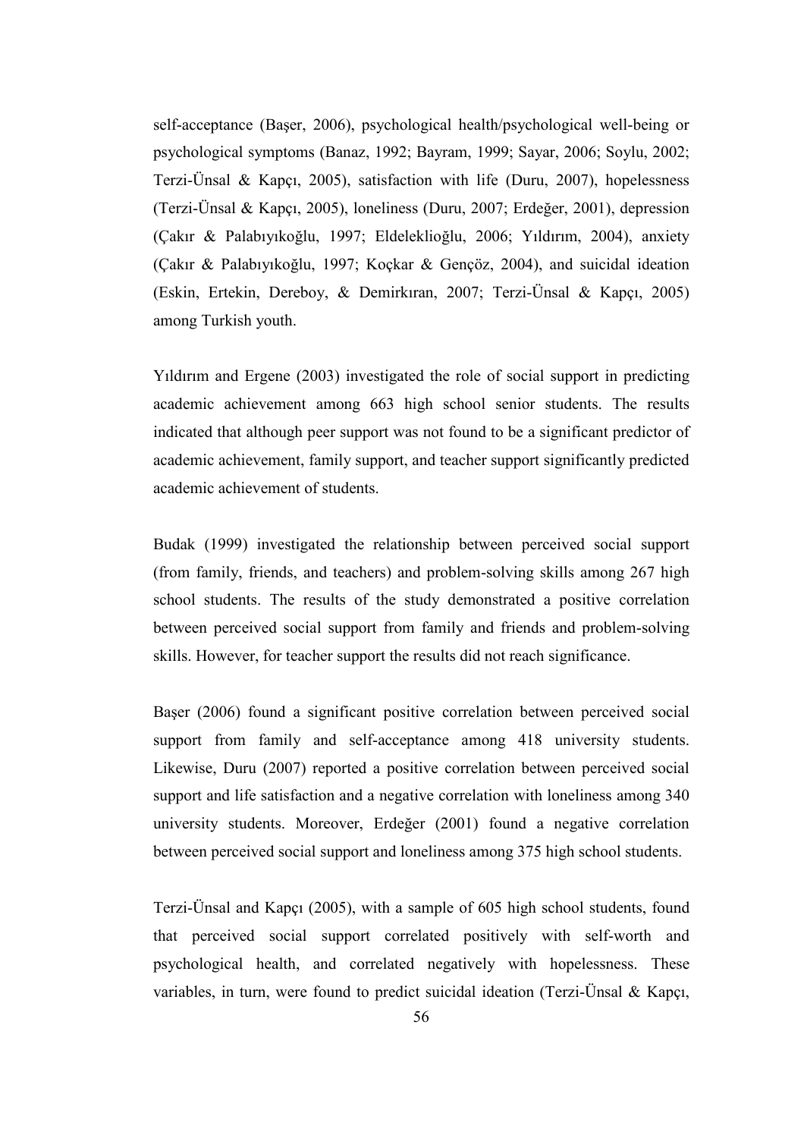self-acceptance (Başer, 2006), psychological health/psychological well-being or psychological symptoms (Banaz, 1992; Bayram, 1999; Sayar, 2006; Soylu, 2002; Terzi-Ünsal & Kapçı, 2005), satisfaction with life (Duru, 2007), hopelessness (Terzi-Ünsal & Kapçı, 2005), loneliness (Duru, 2007; Erdeğer, 2001), depression (Çakır & Palabıyıkoğlu, 1997; Eldeleklioğlu, 2006; Yıldırım, 2004), anxiety (Çakır & Palabıyıkoğlu, 1997; Koçkar & Gençöz, 2004), and suicidal ideation (Eskin, Ertekin, Dereboy, & Demirkıran, 2007; Terzi-Ünsal & Kapçı, 2005) among Turkish youth.

Yıldırım and Ergene (2003) investigated the role of social support in predicting academic achievement among 663 high school senior students. The results indicated that although peer support was not found to be a significant predictor of academic achievement, family support, and teacher support significantly predicted academic achievement of students.

Budak (1999) investigated the relationship between perceived social support (from family, friends, and teachers) and problem-solving skills among 267 high school students. The results of the study demonstrated a positive correlation between perceived social support from family and friends and problem-solving skills. However, for teacher support the results did not reach significance.

Başer (2006) found a significant positive correlation between perceived social support from family and self-acceptance among 418 university students. Likewise, Duru (2007) reported a positive correlation between perceived social support and life satisfaction and a negative correlation with loneliness among 340 university students. Moreover, Erdeğer (2001) found a negative correlation between perceived social support and loneliness among 375 high school students.

Terzi-Ünsal and Kapçı (2005), with a sample of 605 high school students, found that perceived social support correlated positively with self-worth and psychological health, and correlated negatively with hopelessness. These variables, in turn, were found to predict suicidal ideation (Terzi-Ünsal & Kapçı,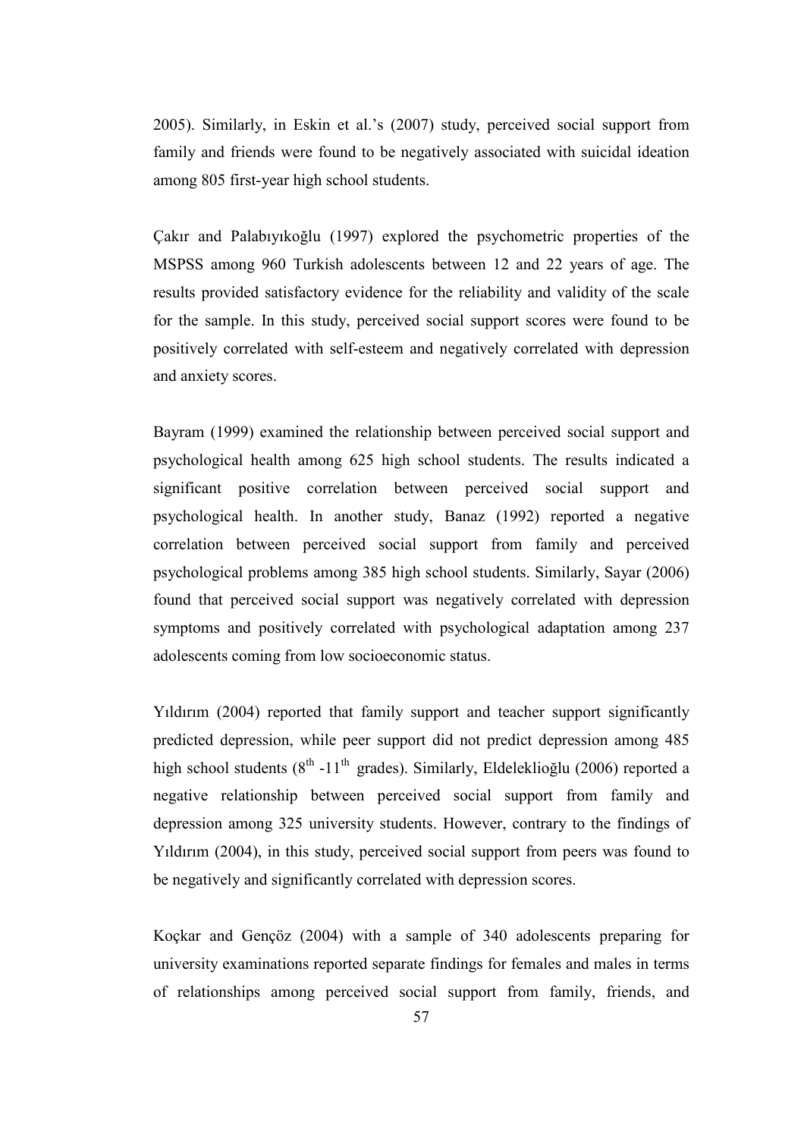2005). Similarly, in Eskin et al.'s (2007) study, perceived social support from family and friends were found to be negatively associated with suicidal ideation among 805 first-year high school students.

Çakır and Palabıyıkoğlu (1997) explored the psychometric properties of the MSPSS among 960 Turkish adolescents between 12 and 22 years of age. The results provided satisfactory evidence for the reliability and validity of the scale for the sample. In this study, perceived social support scores were found to be positively correlated with self-esteem and negatively correlated with depression and anxiety scores.

Bayram (1999) examined the relationship between perceived social support and psychological health among 625 high school students. The results indicated a significant positive correlation between perceived social support and psychological health. In another study, Banaz (1992) reported a negative correlation between perceived social support from family and perceived psychological problems among 385 high school students. Similarly, Sayar (2006) found that perceived social support was negatively correlated with depression symptoms and positively correlated with psychological adaptation among 237 adolescents coming from low socioeconomic status.

Yıldırım (2004) reported that family support and teacher support significantly predicted depression, while peer support did not predict depression among 485 high school students ( $8<sup>th</sup> -11<sup>th</sup>$  grades). Similarly, Eldeleklioğlu (2006) reported a negative relationship between perceived social support from family and depression among 325 university students. However, contrary to the findings of Yıldırım (2004), in this study, perceived social support from peers was found to be negatively and significantly correlated with depression scores.

Koçkar and Gençöz (2004) with a sample of 340 adolescents preparing for university examinations reported separate findings for females and males in terms of relationships among perceived social support from family, friends, and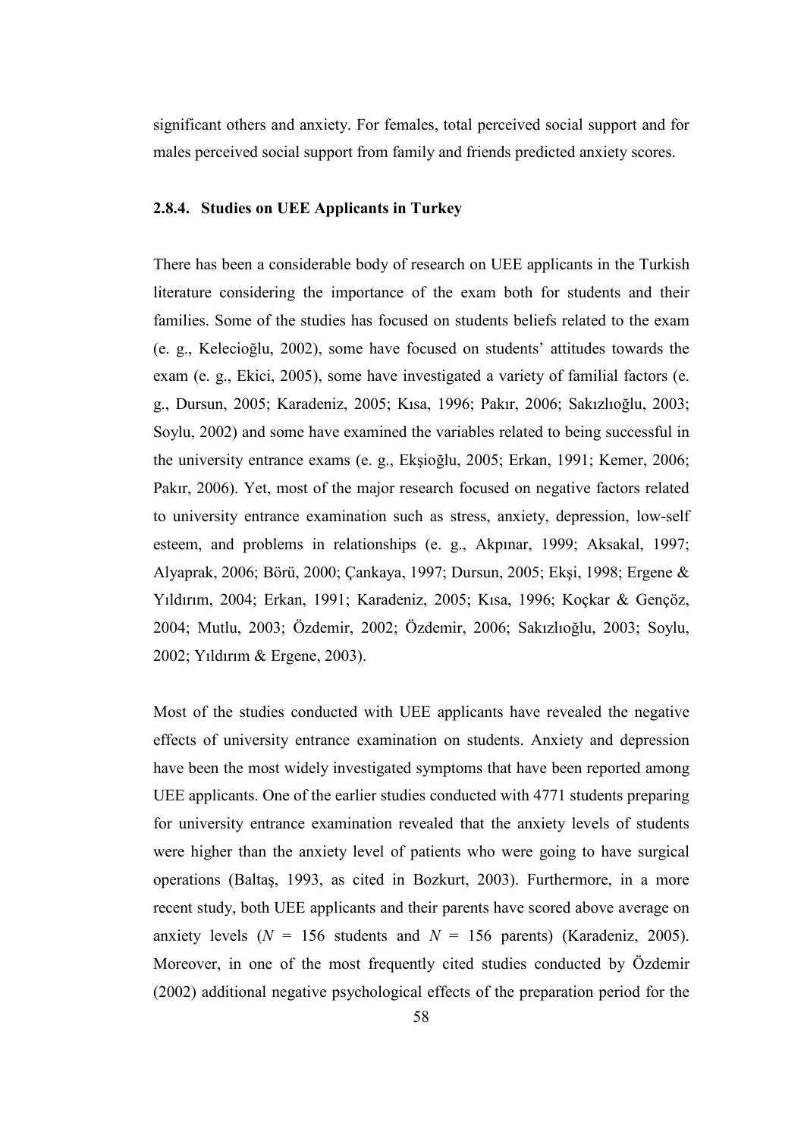significant others and anxiety. For females, total perceived social support and for males perceived social support from family and friends predicted anxiety scores.

### 2.8.4. Studies on UEE Applicants in Turkey

There has been a considerable body of research on UEE applicants in the Turkish literature considering the importance of the exam both for students and their families. Some of the studies has focused on students beliefs related to the exam (e. g., Kelecioğlu, 2002), some have focused on students' attitudes towards the exam (e. g., Ekici, 2005), some have investigated a variety of familial factors (e. g., Dursun, 2005; Karadeniz, 2005; Kısa, 1996; Pakır, 2006; Sakızlıoğlu, 2003; Soylu, 2002) and some have examined the variables related to being successful in the university entrance exams (e. g., Ekşioğlu, 2005; Erkan, 1991; Kemer, 2006; Pakır, 2006). Yet, most of the major research focused on negative factors related to university entrance examination such as stress, anxiety, depression, low-self esteem, and problems in relationships (e. g., Akpınar, 1999; Aksakal, 1997; Alyaprak, 2006; Börü, 2000; Çankaya, 1997; Dursun, 2005; Ekşi, 1998; Ergene & Yıldırım, 2004; Erkan, 1991; Karadeniz, 2005; Kısa, 1996; Koçkar & Gençöz, 2004; Mutlu, 2003; Özdemir, 2002; Özdemir, 2006; Sakızlıoğlu, 2003; Soylu, 2002; Yıldırım & Ergene, 2003).

Most of the studies conducted with UEE applicants have revealed the negative effects of university entrance examination on students. Anxiety and depression have been the most widely investigated symptoms that have been reported among UEE applicants. One of the earlier studies conducted with 4771 students preparing for university entrance examination revealed that the anxiety levels of students were higher than the anxiety level of patients who were going to have surgical operations (Baltaş, 1993, as cited in Bozkurt, 2003). Furthermore, in a more recent study, both UEE applicants and their parents have scored above average on anxiety levels ( $N = 156$  students and  $N = 156$  parents) (Karadeniz, 2005). Moreover, in one of the most frequently cited studies conducted by Özdemir (2002) additional negative psychological effects of the preparation period for the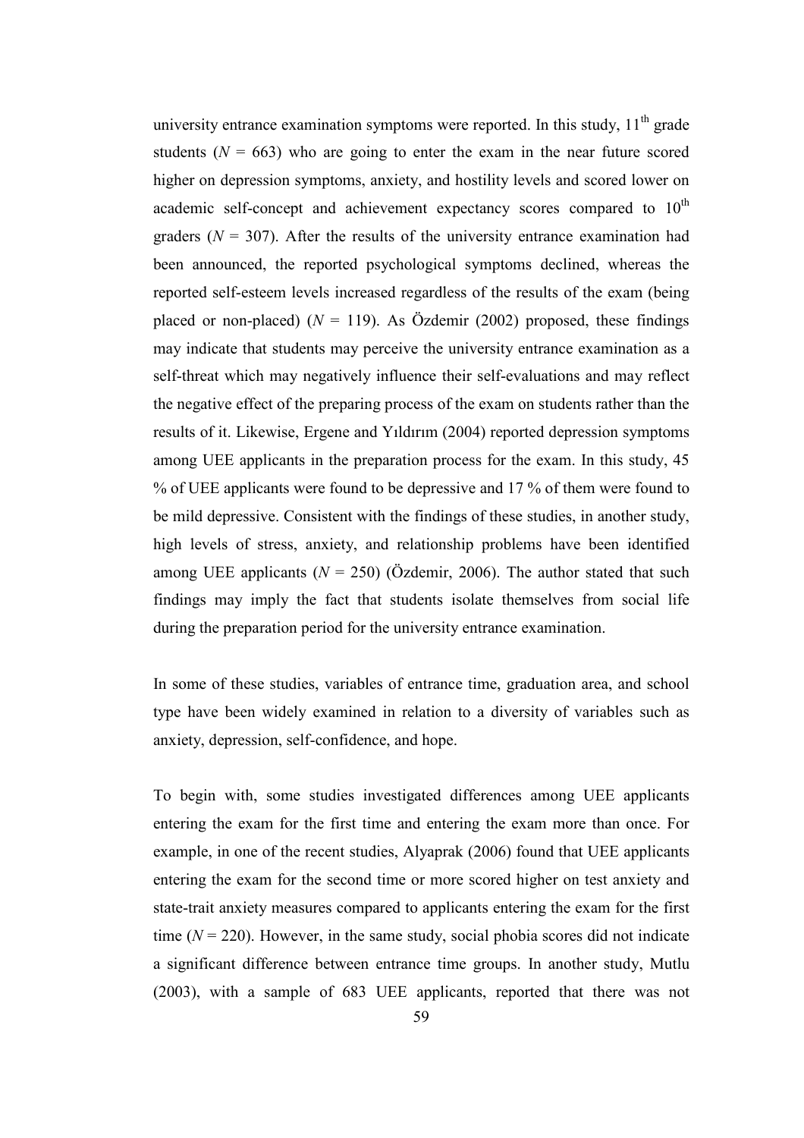university entrance examination symptoms were reported. In this study,  $11<sup>th</sup>$  grade students ( $N = 663$ ) who are going to enter the exam in the near future scored higher on depression symptoms, anxiety, and hostility levels and scored lower on academic self-concept and achievement expectancy scores compared to  $10<sup>th</sup>$ graders ( $N = 307$ ). After the results of the university entrance examination had been announced, the reported psychological symptoms declined, whereas the reported self-esteem levels increased regardless of the results of the exam (being placed or non-placed) ( $N = 119$ ). As Özdemir (2002) proposed, these findings may indicate that students may perceive the university entrance examination as a self-threat which may negatively influence their self-evaluations and may reflect the negative effect of the preparing process of the exam on students rather than the results of it. Likewise, Ergene and Yıldırım (2004) reported depression symptoms among UEE applicants in the preparation process for the exam. In this study, 45 % of UEE applicants were found to be depressive and 17 % of them were found to be mild depressive. Consistent with the findings of these studies, in another study, high levels of stress, anxiety, and relationship problems have been identified among UEE applicants ( $N = 250$ ) (Özdemir, 2006). The author stated that such findings may imply the fact that students isolate themselves from social life during the preparation period for the university entrance examination.

In some of these studies, variables of entrance time, graduation area, and school type have been widely examined in relation to a diversity of variables such as anxiety, depression, self-confidence, and hope.

To begin with, some studies investigated differences among UEE applicants entering the exam for the first time and entering the exam more than once. For example, in one of the recent studies, Alyaprak (2006) found that UEE applicants entering the exam for the second time or more scored higher on test anxiety and state-trait anxiety measures compared to applicants entering the exam for the first time  $(N = 220)$ . However, in the same study, social phobia scores did not indicate a significant difference between entrance time groups. In another study, Mutlu (2003), with a sample of 683 UEE applicants, reported that there was not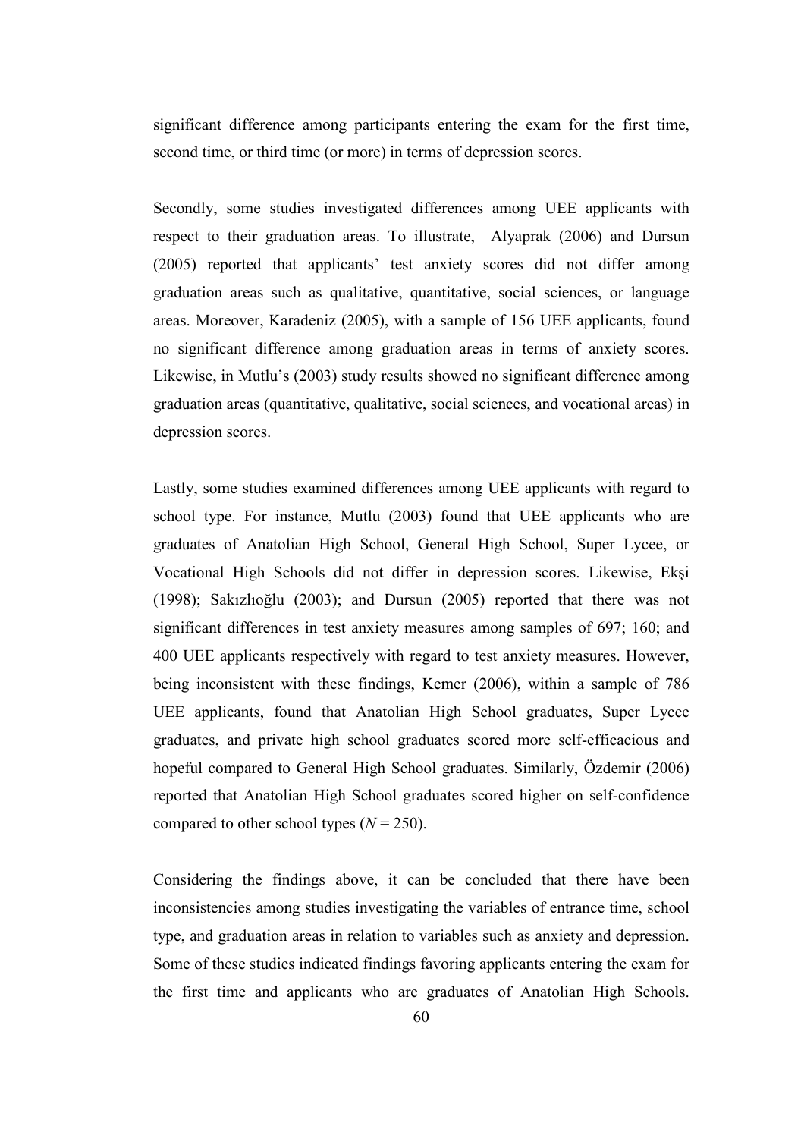significant difference among participants entering the exam for the first time, second time, or third time (or more) in terms of depression scores.

Secondly, some studies investigated differences among UEE applicants with respect to their graduation areas. To illustrate, Alyaprak (2006) and Dursun (2005) reported that applicants' test anxiety scores did not differ among graduation areas such as qualitative, quantitative, social sciences, or language areas. Moreover, Karadeniz (2005), with a sample of 156 UEE applicants, found no significant difference among graduation areas in terms of anxiety scores. Likewise, in Mutlu's (2003) study results showed no significant difference among graduation areas (quantitative, qualitative, social sciences, and vocational areas) in depression scores.

Lastly, some studies examined differences among UEE applicants with regard to school type. For instance, Mutlu (2003) found that UEE applicants who are graduates of Anatolian High School, General High School, Super Lycee, or Vocational High Schools did not differ in depression scores. Likewise, Ekşi (1998); Sakızlıoğlu (2003); and Dursun (2005) reported that there was not significant differences in test anxiety measures among samples of 697; 160; and 400 UEE applicants respectively with regard to test anxiety measures. However, being inconsistent with these findings, Kemer (2006), within a sample of 786 UEE applicants, found that Anatolian High School graduates, Super Lycee graduates, and private high school graduates scored more self-efficacious and hopeful compared to General High School graduates. Similarly, Özdemir (2006) reported that Anatolian High School graduates scored higher on self-confidence compared to other school types  $(N = 250)$ .

Considering the findings above, it can be concluded that there have been inconsistencies among studies investigating the variables of entrance time, school type, and graduation areas in relation to variables such as anxiety and depression. Some of these studies indicated findings favoring applicants entering the exam for the first time and applicants who are graduates of Anatolian High Schools.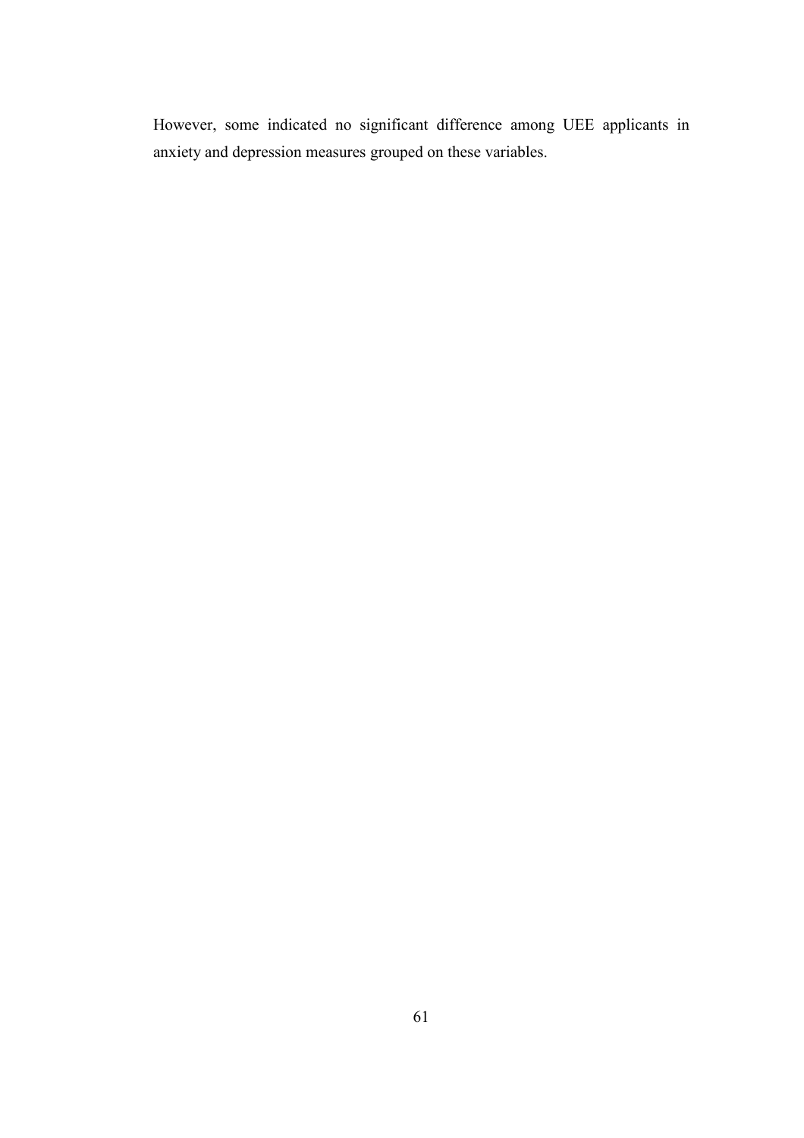However, some indicated no significant difference among UEE applicants in anxiety and depression measures grouped on these variables.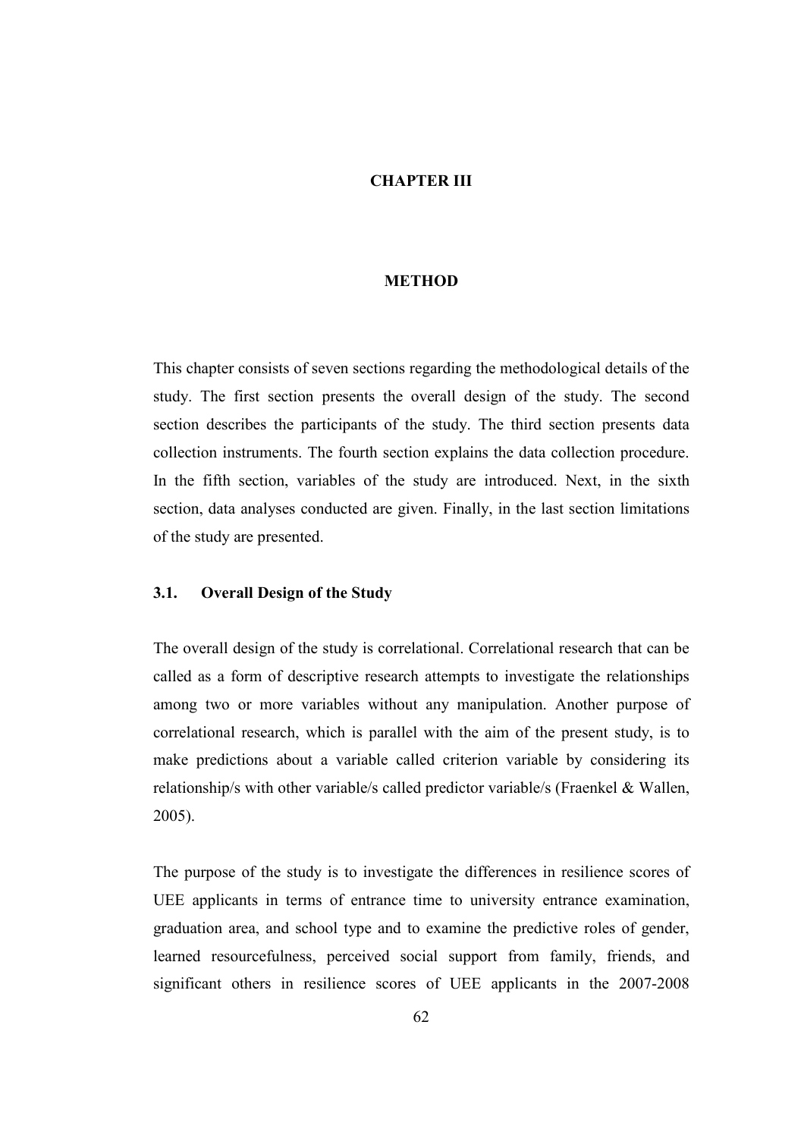### CHAPTER III

### **METHOD**

This chapter consists of seven sections regarding the methodological details of the study. The first section presents the overall design of the study. The second section describes the participants of the study. The third section presents data collection instruments. The fourth section explains the data collection procedure. In the fifth section, variables of the study are introduced. Next, in the sixth section, data analyses conducted are given. Finally, in the last section limitations of the study are presented.

### 3.1. Overall Design of the Study

The overall design of the study is correlational. Correlational research that can be called as a form of descriptive research attempts to investigate the relationships among two or more variables without any manipulation. Another purpose of correlational research, which is parallel with the aim of the present study, is to make predictions about a variable called criterion variable by considering its relationship/s with other variable/s called predictor variable/s (Fraenkel & Wallen, 2005).

The purpose of the study is to investigate the differences in resilience scores of UEE applicants in terms of entrance time to university entrance examination, graduation area, and school type and to examine the predictive roles of gender, learned resourcefulness, perceived social support from family, friends, and significant others in resilience scores of UEE applicants in the 2007-2008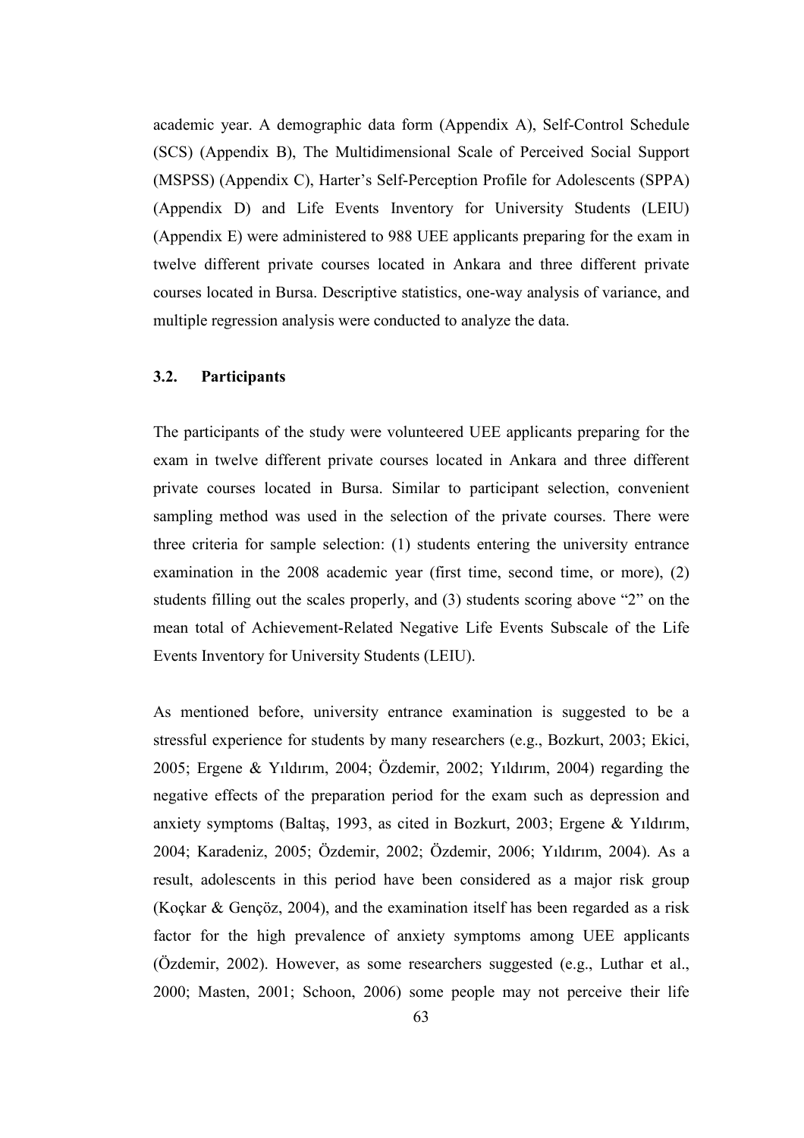academic year. A demographic data form (Appendix A), Self-Control Schedule (SCS) (Appendix B), The Multidimensional Scale of Perceived Social Support (MSPSS) (Appendix C), Harter's Self-Perception Profile for Adolescents (SPPA) (Appendix D) and Life Events Inventory for University Students (LEIU) (Appendix E) were administered to 988 UEE applicants preparing for the exam in twelve different private courses located in Ankara and three different private courses located in Bursa. Descriptive statistics, one-way analysis of variance, and multiple regression analysis were conducted to analyze the data.

## 3.2. Participants

The participants of the study were volunteered UEE applicants preparing for the exam in twelve different private courses located in Ankara and three different private courses located in Bursa. Similar to participant selection, convenient sampling method was used in the selection of the private courses. There were three criteria for sample selection: (1) students entering the university entrance examination in the 2008 academic year (first time, second time, or more), (2) students filling out the scales properly, and (3) students scoring above "2" on the mean total of Achievement-Related Negative Life Events Subscale of the Life Events Inventory for University Students (LEIU).

As mentioned before, university entrance examination is suggested to be a stressful experience for students by many researchers (e.g., Bozkurt, 2003; Ekici, 2005; Ergene & Yıldırım, 2004; Özdemir, 2002; Yıldırım, 2004) regarding the negative effects of the preparation period for the exam such as depression and anxiety symptoms (Baltaş, 1993, as cited in Bozkurt, 2003; Ergene & Yıldırım, 2004; Karadeniz, 2005; Özdemir, 2002; Özdemir, 2006; Yıldırım, 2004). As a result, adolescents in this period have been considered as a major risk group (Koçkar & Gençöz, 2004), and the examination itself has been regarded as a risk factor for the high prevalence of anxiety symptoms among UEE applicants (Özdemir, 2002). However, as some researchers suggested (e.g., Luthar et al., 2000; Masten, 2001; Schoon, 2006) some people may not perceive their life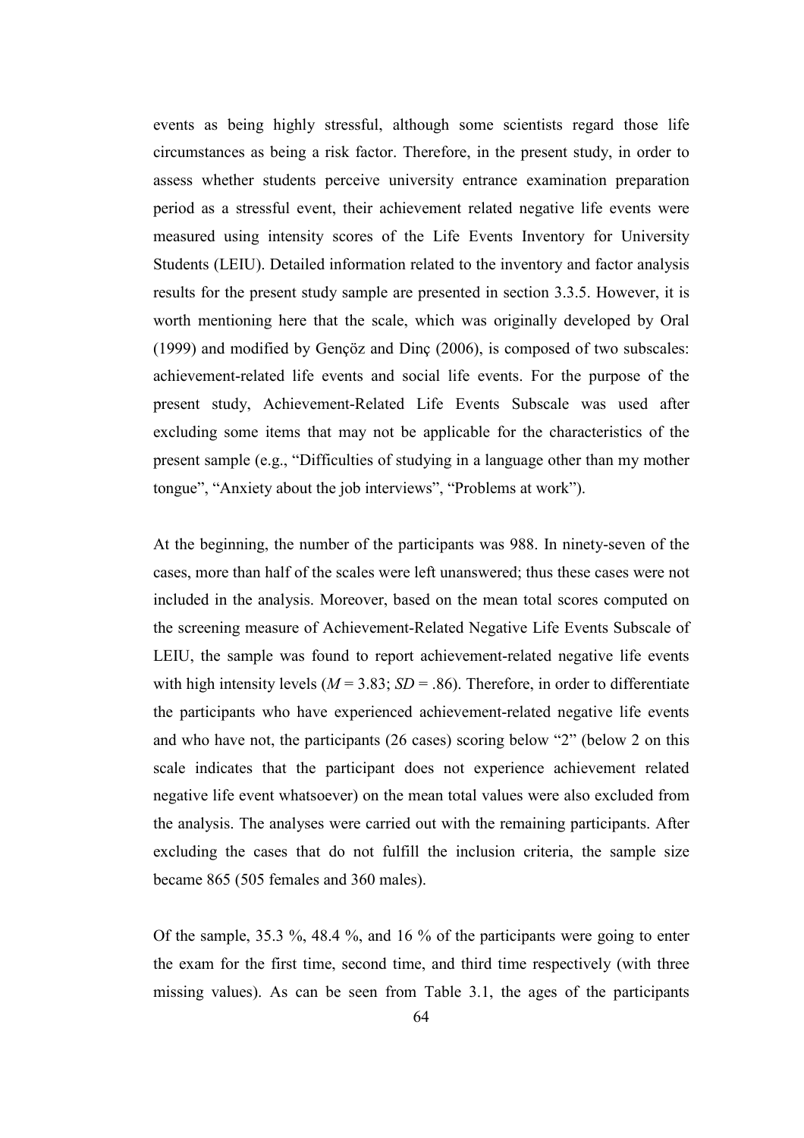events as being highly stressful, although some scientists regard those life circumstances as being a risk factor. Therefore, in the present study, in order to assess whether students perceive university entrance examination preparation period as a stressful event, their achievement related negative life events were measured using intensity scores of the Life Events Inventory for University Students (LEIU). Detailed information related to the inventory and factor analysis results for the present study sample are presented in section 3.3.5. However, it is worth mentioning here that the scale, which was originally developed by Oral (1999) and modified by Gençöz and Dinç (2006), is composed of two subscales: achievement-related life events and social life events. For the purpose of the present study, Achievement-Related Life Events Subscale was used after excluding some items that may not be applicable for the characteristics of the present sample (e.g., "Difficulties of studying in a language other than my mother tongue", "Anxiety about the job interviews", "Problems at work").

At the beginning, the number of the participants was 988. In ninety-seven of the cases, more than half of the scales were left unanswered; thus these cases were not included in the analysis. Moreover, based on the mean total scores computed on the screening measure of Achievement-Related Negative Life Events Subscale of LEIU, the sample was found to report achievement-related negative life events with high intensity levels ( $M = 3.83$ ;  $SD = .86$ ). Therefore, in order to differentiate the participants who have experienced achievement-related negative life events and who have not, the participants (26 cases) scoring below "2" (below 2 on this scale indicates that the participant does not experience achievement related negative life event whatsoever) on the mean total values were also excluded from the analysis. The analyses were carried out with the remaining participants. After excluding the cases that do not fulfill the inclusion criteria, the sample size became 865 (505 females and 360 males).

Of the sample, 35.3 %, 48.4 %, and 16 % of the participants were going to enter the exam for the first time, second time, and third time respectively (with three missing values). As can be seen from Table 3.1, the ages of the participants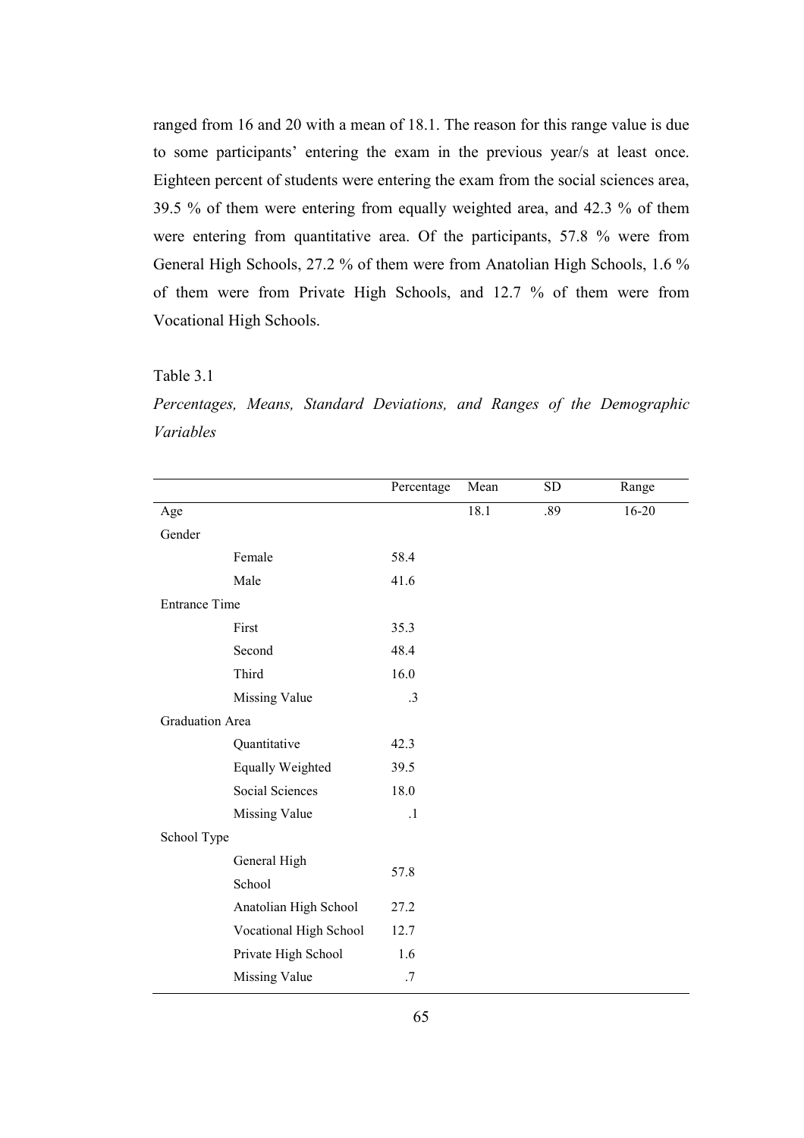ranged from 16 and 20 with a mean of 18.1. The reason for this range value is due to some participants' entering the exam in the previous year/s at least once. Eighteen percent of students were entering the exam from the social sciences area, 39.5 % of them were entering from equally weighted area, and 42.3 % of them were entering from quantitative area. Of the participants, 57.8 % were from General High Schools, 27.2 % of them were from Anatolian High Schools, 1.6 % of them were from Private High Schools, and 12.7 % of them were from Vocational High Schools.

#### Table 3.1

Percentages, Means, Standard Deviations, and Ranges of the Demographic Variables

|                        |                         | Percentage | Mean | <b>SD</b> | Range     |
|------------------------|-------------------------|------------|------|-----------|-----------|
| Age                    |                         |            | 18.1 | .89       | $16 - 20$ |
| Gender                 |                         |            |      |           |           |
|                        | Female                  | 58.4       |      |           |           |
|                        | Male                    | 41.6       |      |           |           |
| <b>Entrance Time</b>   |                         |            |      |           |           |
|                        | First                   | 35.3       |      |           |           |
|                        | Second                  | 48.4       |      |           |           |
|                        | Third                   | 16.0       |      |           |           |
|                        | <b>Missing Value</b>    | $\cdot$ 3  |      |           |           |
| <b>Graduation Area</b> |                         |            |      |           |           |
|                        | Quantitative            | 42.3       |      |           |           |
|                        | <b>Equally Weighted</b> | 39.5       |      |           |           |
|                        | Social Sciences         | 18.0       |      |           |           |
|                        | <b>Missing Value</b>    | $\cdot$    |      |           |           |
| School Type            |                         |            |      |           |           |
|                        | General High            | 57.8       |      |           |           |
|                        | School                  |            |      |           |           |
|                        | Anatolian High School   | 27.2       |      |           |           |
|                        | Vocational High School  | 12.7       |      |           |           |
|                        | Private High School     | 1.6        |      |           |           |
|                        | <b>Missing Value</b>    | .7         |      |           |           |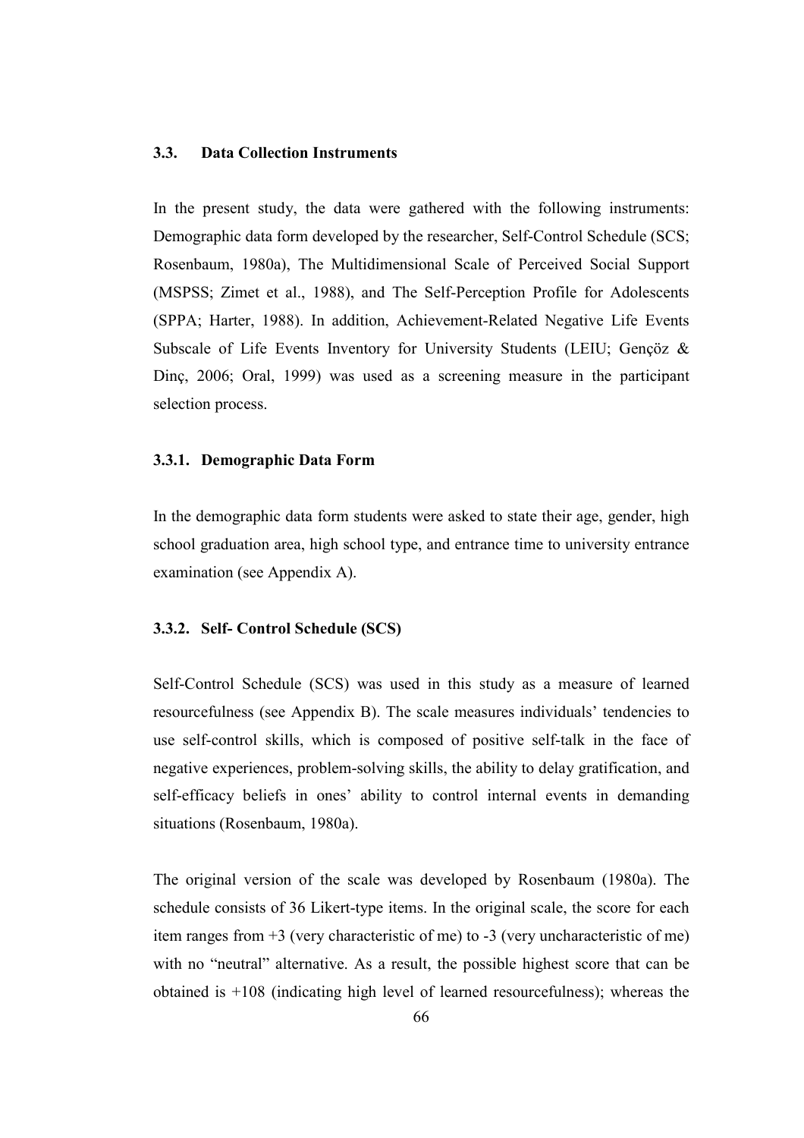### 3.3. Data Collection Instruments

In the present study, the data were gathered with the following instruments: Demographic data form developed by the researcher, Self-Control Schedule (SCS; Rosenbaum, 1980a), The Multidimensional Scale of Perceived Social Support (MSPSS; Zimet et al., 1988), and The Self-Perception Profile for Adolescents (SPPA; Harter, 1988). In addition, Achievement-Related Negative Life Events Subscale of Life Events Inventory for University Students (LEIU; Gençöz & Dinç, 2006; Oral, 1999) was used as a screening measure in the participant selection process.

### 3.3.1. Demographic Data Form

In the demographic data form students were asked to state their age, gender, high school graduation area, high school type, and entrance time to university entrance examination (see Appendix A).

### 3.3.2. Self- Control Schedule (SCS)

Self-Control Schedule (SCS) was used in this study as a measure of learned resourcefulness (see Appendix B). The scale measures individuals' tendencies to use self-control skills, which is composed of positive self-talk in the face of negative experiences, problem-solving skills, the ability to delay gratification, and self-efficacy beliefs in ones' ability to control internal events in demanding situations (Rosenbaum, 1980a).

The original version of the scale was developed by Rosenbaum (1980a). The schedule consists of 36 Likert-type items. In the original scale, the score for each item ranges from +3 (very characteristic of me) to -3 (very uncharacteristic of me) with no "neutral" alternative. As a result, the possible highest score that can be obtained is +108 (indicating high level of learned resourcefulness); whereas the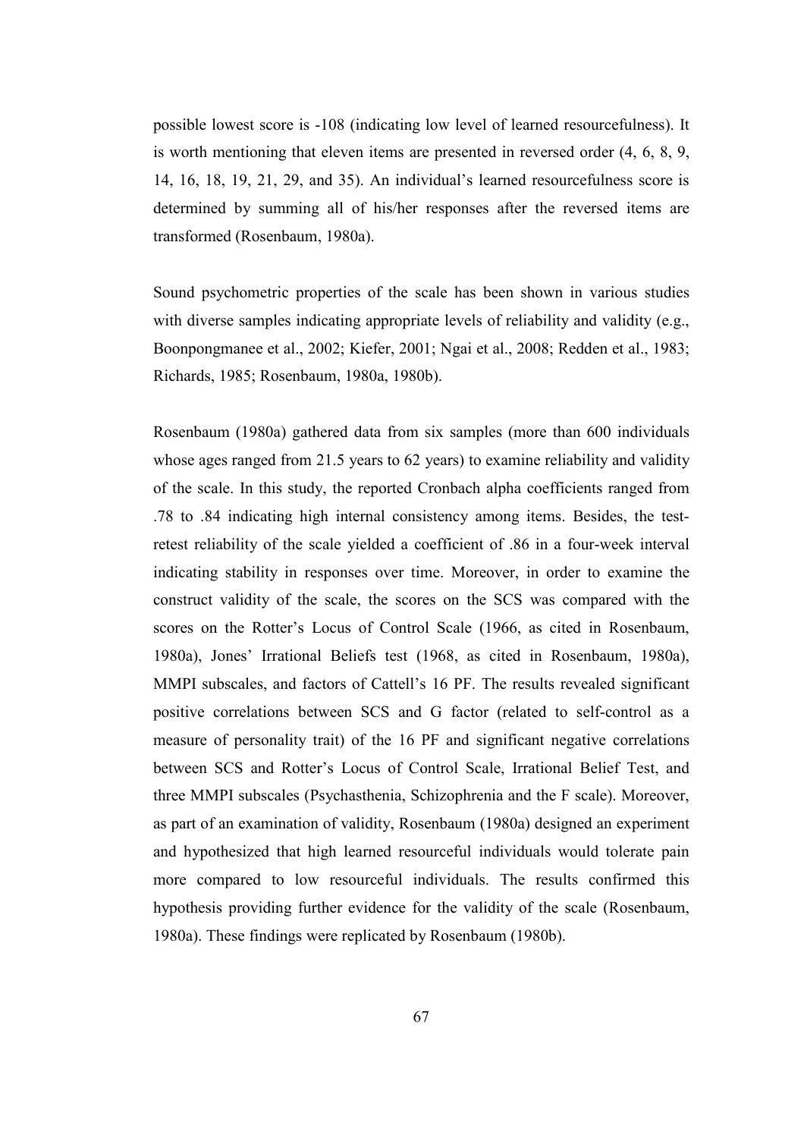possible lowest score is -108 (indicating low level of learned resourcefulness). It is worth mentioning that eleven items are presented in reversed order (4, 6, 8, 9, 14, 16, 18, 19, 21, 29, and 35). An individual's learned resourcefulness score is determined by summing all of his/her responses after the reversed items are transformed (Rosenbaum, 1980a).

Sound psychometric properties of the scale has been shown in various studies with diverse samples indicating appropriate levels of reliability and validity (e.g., Boonpongmanee et al., 2002; Kiefer, 2001; Ngai et al., 2008; Redden et al., 1983; Richards, 1985; Rosenbaum, 1980a, 1980b).

Rosenbaum (1980a) gathered data from six samples (more than 600 individuals whose ages ranged from 21.5 years to 62 years) to examine reliability and validity of the scale. In this study, the reported Cronbach alpha coefficients ranged from .78 to .84 indicating high internal consistency among items. Besides, the testretest reliability of the scale yielded a coefficient of .86 in a four-week interval indicating stability in responses over time. Moreover, in order to examine the construct validity of the scale, the scores on the SCS was compared with the scores on the Rotter's Locus of Control Scale (1966, as cited in Rosenbaum, 1980a), Jones' Irrational Beliefs test (1968, as cited in Rosenbaum, 1980a), MMPI subscales, and factors of Cattell's 16 PF. The results revealed significant positive correlations between SCS and G factor (related to self-control as a measure of personality trait) of the 16 PF and significant negative correlations between SCS and Rotter's Locus of Control Scale, Irrational Belief Test, and three MMPI subscales (Psychasthenia, Schizophrenia and the F scale). Moreover, as part of an examination of validity, Rosenbaum (1980a) designed an experiment and hypothesized that high learned resourceful individuals would tolerate pain more compared to low resourceful individuals. The results confirmed this hypothesis providing further evidence for the validity of the scale (Rosenbaum, 1980a). These findings were replicated by Rosenbaum (1980b).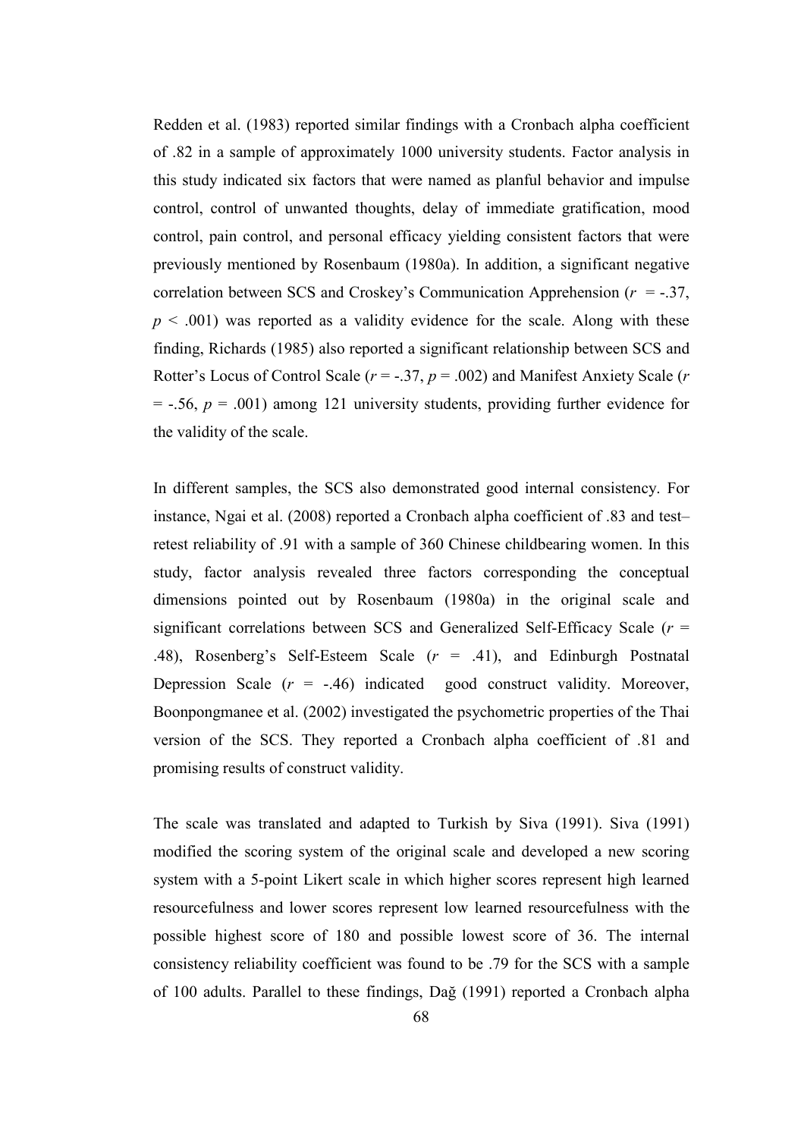Redden et al. (1983) reported similar findings with a Cronbach alpha coefficient of .82 in a sample of approximately 1000 university students. Factor analysis in this study indicated six factors that were named as planful behavior and impulse control, control of unwanted thoughts, delay of immediate gratification, mood control, pain control, and personal efficacy yielding consistent factors that were previously mentioned by Rosenbaum (1980a). In addition, a significant negative correlation between SCS and Croskey's Communication Apprehension  $(r = -.37, )$  $p \leq 0.001$ ) was reported as a validity evidence for the scale. Along with these finding, Richards (1985) also reported a significant relationship between SCS and Rotter's Locus of Control Scale ( $r = -0.37$ ,  $p = 0.002$ ) and Manifest Anxiety Scale ( $r = 0.02$ )  $=$  -.56,  $p = .001$ ) among 121 university students, providing further evidence for the validity of the scale.

In different samples, the SCS also demonstrated good internal consistency. For instance, Ngai et al. (2008) reported a Cronbach alpha coefficient of .83 and test– retest reliability of .91 with a sample of 360 Chinese childbearing women. In this study, factor analysis revealed three factors corresponding the conceptual dimensions pointed out by Rosenbaum (1980a) in the original scale and significant correlations between SCS and Generalized Self-Efficacy Scale ( $r =$ .48), Rosenberg's Self-Esteem Scale (r = .41), and Edinburgh Postnatal Depression Scale  $(r = -.46)$  indicated good construct validity. Moreover, Boonpongmanee et al. (2002) investigated the psychometric properties of the Thai version of the SCS. They reported a Cronbach alpha coefficient of .81 and promising results of construct validity.

The scale was translated and adapted to Turkish by Siva (1991). Siva (1991) modified the scoring system of the original scale and developed a new scoring system with a 5-point Likert scale in which higher scores represent high learned resourcefulness and lower scores represent low learned resourcefulness with the possible highest score of 180 and possible lowest score of 36. The internal consistency reliability coefficient was found to be .79 for the SCS with a sample of 100 adults. Parallel to these findings, Dağ (1991) reported a Cronbach alpha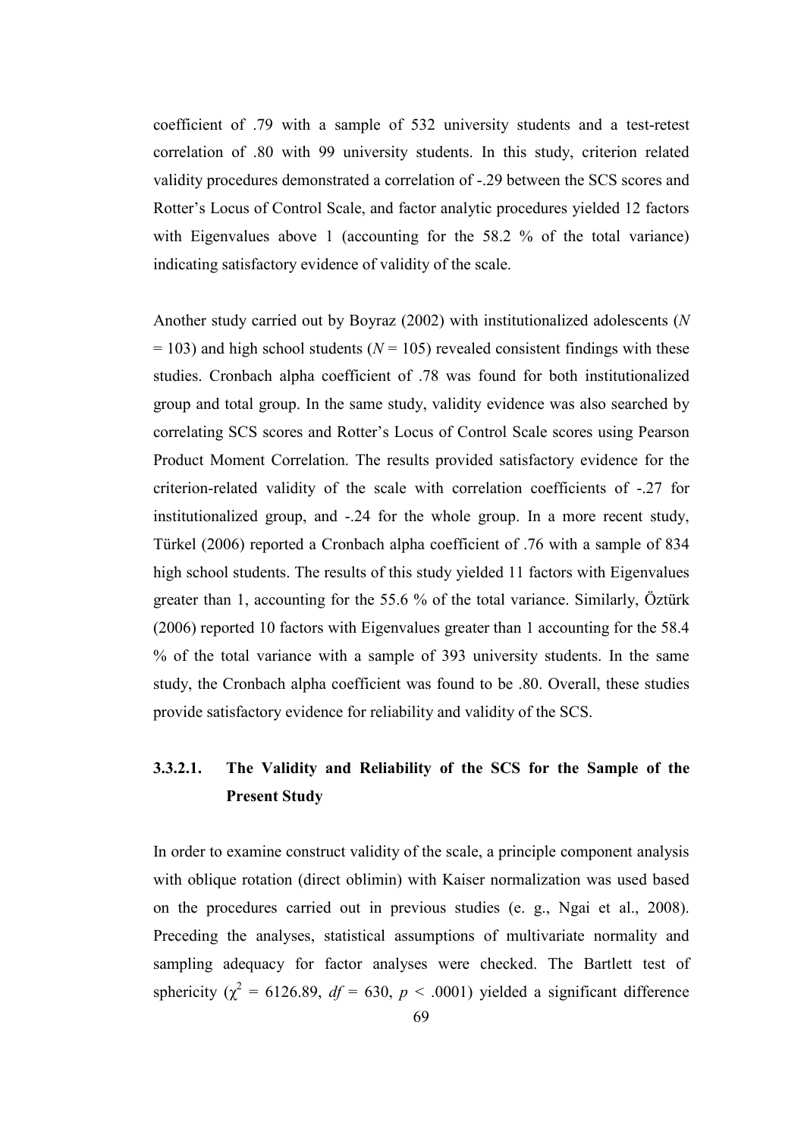coefficient of .79 with a sample of 532 university students and a test-retest correlation of .80 with 99 university students. In this study, criterion related validity procedures demonstrated a correlation of -.29 between the SCS scores and Rotter's Locus of Control Scale, and factor analytic procedures yielded 12 factors with Eigenvalues above 1 (accounting for the 58.2 % of the total variance) indicating satisfactory evidence of validity of the scale.

Another study carried out by Boyraz (2002) with institutionalized adolescents (N  $= 103$ ) and high school students ( $N = 105$ ) revealed consistent findings with these studies. Cronbach alpha coefficient of .78 was found for both institutionalized group and total group. In the same study, validity evidence was also searched by correlating SCS scores and Rotter's Locus of Control Scale scores using Pearson Product Moment Correlation. The results provided satisfactory evidence for the criterion-related validity of the scale with correlation coefficients of -.27 for institutionalized group, and -.24 for the whole group. In a more recent study, Türkel (2006) reported a Cronbach alpha coefficient of .76 with a sample of 834 high school students. The results of this study yielded 11 factors with Eigenvalues greater than 1, accounting for the 55.6 % of the total variance. Similarly, Öztürk (2006) reported 10 factors with Eigenvalues greater than 1 accounting for the 58.4 % of the total variance with a sample of 393 university students. In the same study, the Cronbach alpha coefficient was found to be .80. Overall, these studies provide satisfactory evidence for reliability and validity of the SCS.

# 3.3.2.1. The Validity and Reliability of the SCS for the Sample of the Present Study

In order to examine construct validity of the scale, a principle component analysis with oblique rotation (direct oblimin) with Kaiser normalization was used based on the procedures carried out in previous studies (e. g., Ngai et al., 2008). Preceding the analyses, statistical assumptions of multivariate normality and sampling adequacy for factor analyses were checked. The Bartlett test of sphericity ( $\chi^2$  = 6126.89,  $df$  = 630,  $p$  < .0001) yielded a significant difference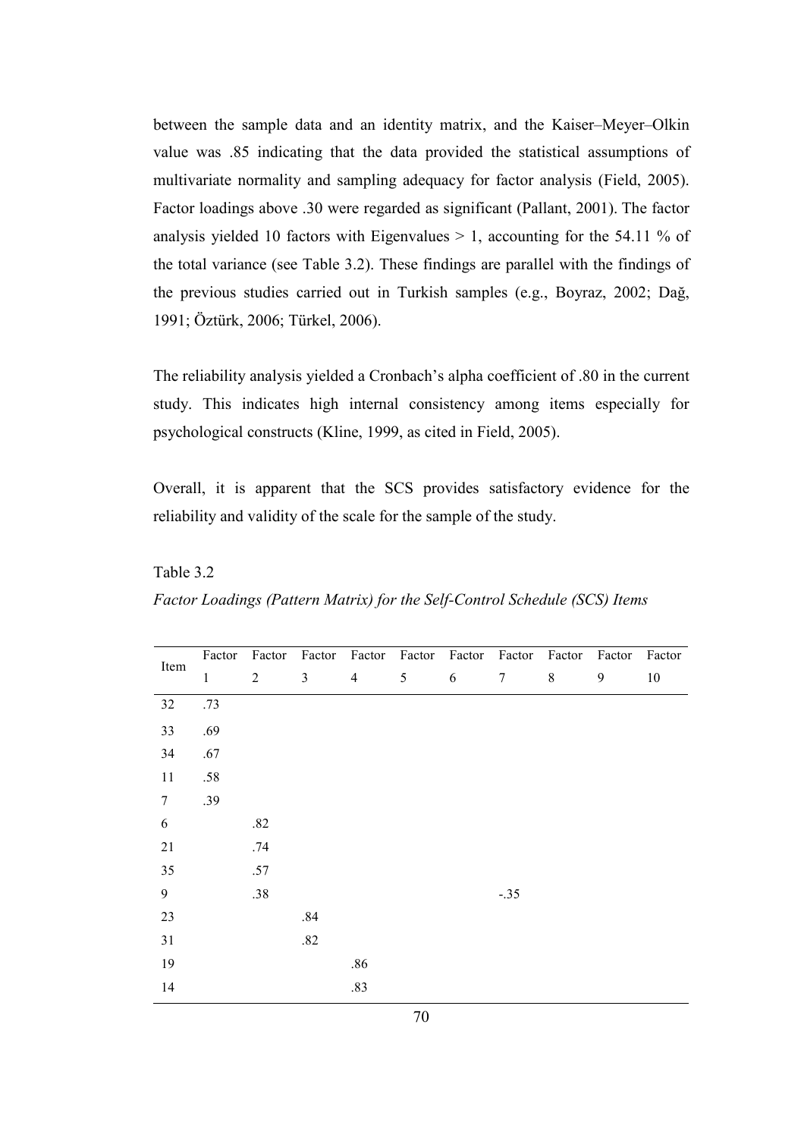between the sample data and an identity matrix, and the Kaiser–Meyer–Olkin value was .85 indicating that the data provided the statistical assumptions of multivariate normality and sampling adequacy for factor analysis (Field, 2005). Factor loadings above .30 were regarded as significant (Pallant, 2001). The factor analysis yielded 10 factors with Eigenvalues  $> 1$ , accounting for the 54.11 % of the total variance (see Table 3.2). These findings are parallel with the findings of the previous studies carried out in Turkish samples (e.g., Boyraz, 2002; Dağ, 1991; Öztürk, 2006; Türkel, 2006).

The reliability analysis yielded a Cronbach's alpha coefficient of .80 in the current study. This indicates high internal consistency among items especially for psychological constructs (Kline, 1999, as cited in Field, 2005).

Overall, it is apparent that the SCS provides satisfactory evidence for the reliability and validity of the scale for the sample of the study.

Table 3.2 Factor Loadings (Pattern Matrix) for the Self-Control Schedule (SCS) Items

|                  | Factor       | Factor         | Factor         | Factor         | Factor | Factor | Factor | Factor  | Factor           | Factor |
|------------------|--------------|----------------|----------------|----------------|--------|--------|--------|---------|------------------|--------|
| Item             | $\mathbf{1}$ | $\overline{2}$ | $\mathfrak{Z}$ | $\overline{4}$ | 5      | 6      | $\tau$ | $\,8\,$ | $\boldsymbol{9}$ | 10     |
| $32\,$           | .73          |                |                |                |        |        |        |         |                  |        |
| 33               | .69          |                |                |                |        |        |        |         |                  |        |
| 34               | .67          |                |                |                |        |        |        |         |                  |        |
| 11               | .58          |                |                |                |        |        |        |         |                  |        |
| $\boldsymbol{7}$ | .39          |                |                |                |        |        |        |         |                  |        |
| $\sqrt{6}$       |              | $.82\,$        |                |                |        |        |        |         |                  |        |
| $21\,$           |              | .74            |                |                |        |        |        |         |                  |        |
| 35               |              | .57            |                |                |        |        |        |         |                  |        |
| 9                |              | .38            |                |                |        |        | $-.35$ |         |                  |        |
| 23               |              |                | $.84$          |                |        |        |        |         |                  |        |
| 31               |              |                | $.82\,$        |                |        |        |        |         |                  |        |
| 19               |              |                |                | .86            |        |        |        |         |                  |        |
| 14               |              |                |                | .83            |        |        |        |         |                  |        |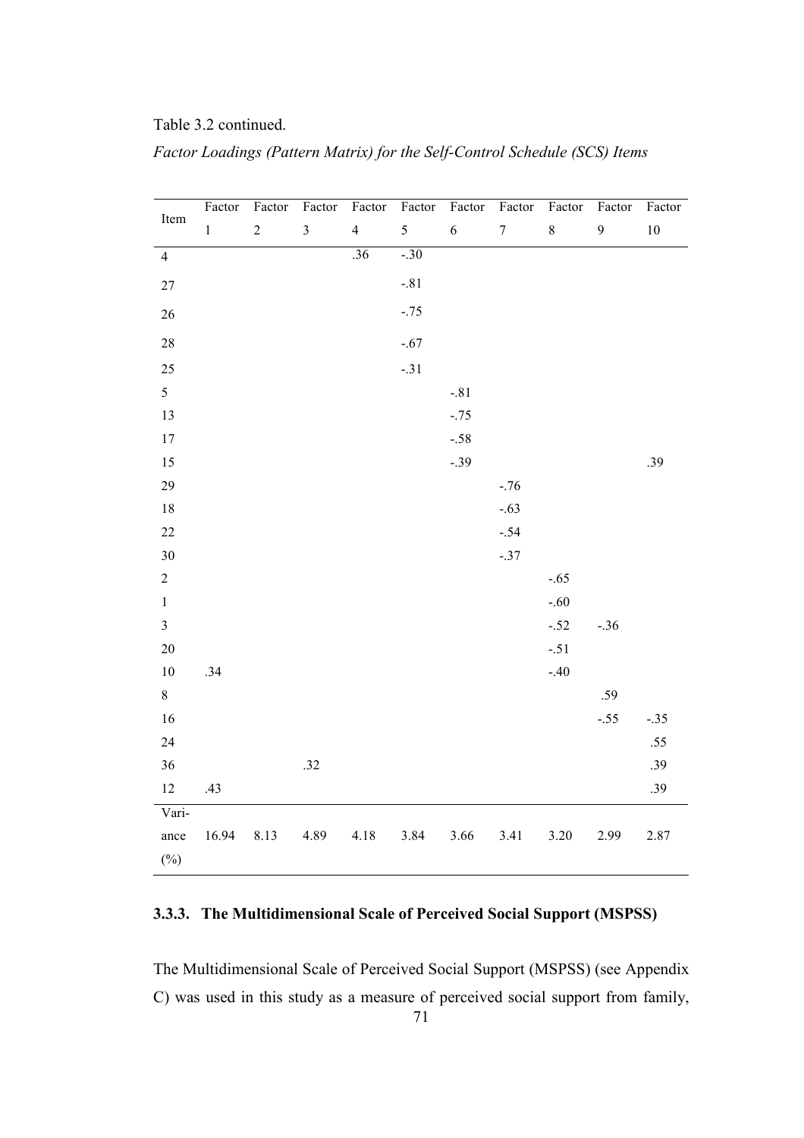|  | Table 3.2 continued. |
|--|----------------------|
|  |                      |

| Item           | Factor       | Factor           | Factor         | Factor         | Factor | Factor     | Factor         | Factor  | Factor           | Factor |
|----------------|--------------|------------------|----------------|----------------|--------|------------|----------------|---------|------------------|--------|
|                | $\mathbf{1}$ | $\boldsymbol{2}$ | $\mathfrak{Z}$ | $\overline{4}$ | 5      | $\sqrt{6}$ | $\overline{7}$ | $\,8\,$ | $\boldsymbol{9}$ | $10\,$ |
| $\overline{4}$ |              |                  |                | .36            | $-.30$ |            |                |         |                  |        |
| $27\,$         |              |                  |                |                | $-.81$ |            |                |         |                  |        |
| $26\,$         |              |                  |                |                | $-.75$ |            |                |         |                  |        |
| 28             |              |                  |                |                | $-.67$ |            |                |         |                  |        |
| 25             |              |                  |                |                | $-.31$ |            |                |         |                  |        |
| 5              |              |                  |                |                |        | $-.81$     |                |         |                  |        |
| 13             |              |                  |                |                |        | $-.75$     |                |         |                  |        |
| $17\,$         |              |                  |                |                |        | $-.58$     |                |         |                  |        |
| 15             |              |                  |                |                |        | $-.39$     |                |         |                  | .39    |
| 29             |              |                  |                |                |        |            | $-.76$         |         |                  |        |
| $18\,$         |              |                  |                |                |        |            | $-.63$         |         |                  |        |
| $22\,$         |              |                  |                |                |        |            | $-.54$         |         |                  |        |
| $30\,$         |              |                  |                |                |        |            | $-.37$         |         |                  |        |
| $\overline{2}$ |              |                  |                |                |        |            |                | $-.65$  |                  |        |
| $\,1$          |              |                  |                |                |        |            |                | $-.60$  |                  |        |
| $\overline{3}$ |              |                  |                |                |        |            |                | $-.52$  | $-.36$           |        |
| $20\,$         |              |                  |                |                |        |            |                | $-.51$  |                  |        |
| $10\,$         | .34          |                  |                |                |        |            |                | $-.40$  |                  |        |
| $8\,$          |              |                  |                |                |        |            |                |         | .59              |        |
| 16             |              |                  |                |                |        |            |                |         | $-.55$           | $-.35$ |
| 24             |              |                  |                |                |        |            |                |         |                  | $.55$  |
| $36\,$         |              |                  | .32            |                |        |            |                |         |                  | .39    |
| $12\,$         | .43          |                  |                |                |        |            |                |         |                  | .39    |
| Vari-          |              |                  |                |                |        |            |                |         |                  |        |
| ance           | 16.94        | 8.13             | 4.89           | 4.18           | 3.84   | 3.66       | 3.41           | 3.20    | 2.99             | 2.87   |
| $(\%)$         |              |                  |                |                |        |            |                |         |                  |        |

Factor Loadings (Pattern Matrix) for the Self-Control Schedule (SCS) Items

# 3.3.3. The Multidimensional Scale of Perceived Social Support (MSPSS)

The Multidimensional Scale of Perceived Social Support (MSPSS) (see Appendix C) was used in this study as a measure of perceived social support from family,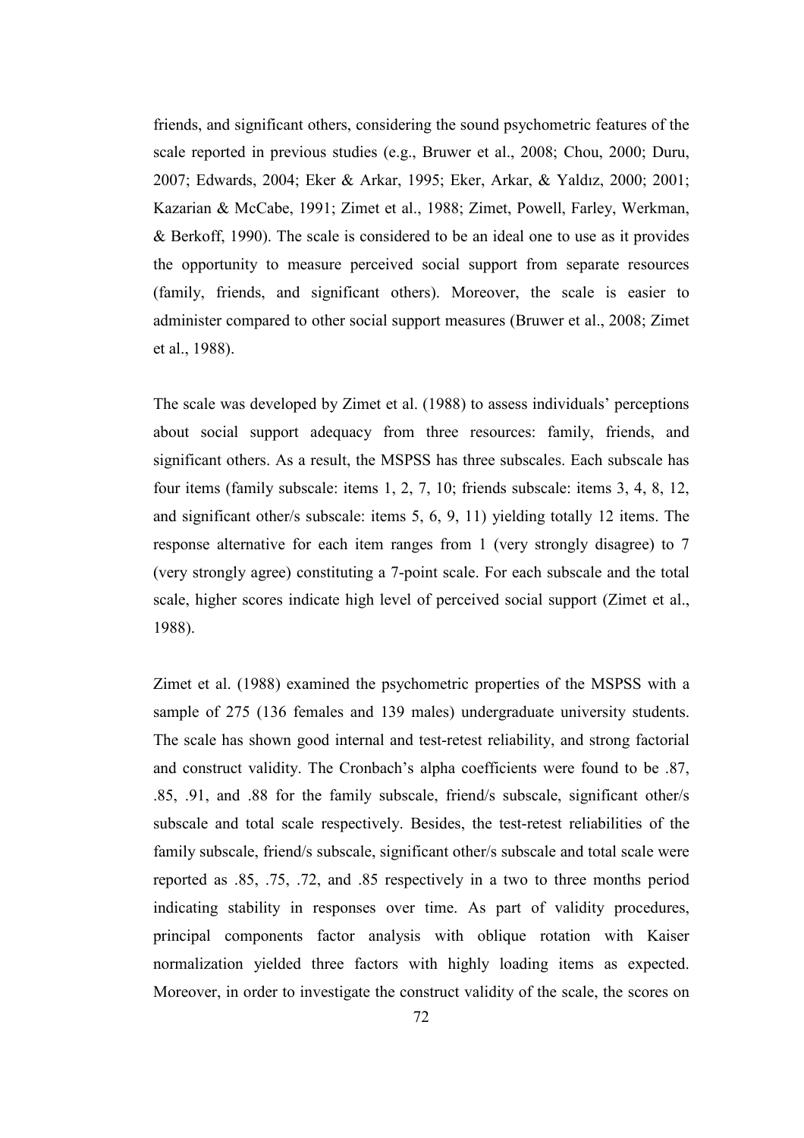friends, and significant others, considering the sound psychometric features of the scale reported in previous studies (e.g., Bruwer et al., 2008; Chou, 2000; Duru, 2007; Edwards, 2004; Eker & Arkar, 1995; Eker, Arkar, & Yaldız, 2000; 2001; Kazarian & McCabe, 1991; Zimet et al., 1988; Zimet, Powell, Farley, Werkman, & Berkoff, 1990). The scale is considered to be an ideal one to use as it provides the opportunity to measure perceived social support from separate resources (family, friends, and significant others). Moreover, the scale is easier to administer compared to other social support measures (Bruwer et al., 2008; Zimet et al., 1988).

The scale was developed by Zimet et al. (1988) to assess individuals' perceptions about social support adequacy from three resources: family, friends, and significant others. As a result, the MSPSS has three subscales. Each subscale has four items (family subscale: items 1, 2, 7, 10; friends subscale: items 3, 4, 8, 12, and significant other/s subscale: items 5, 6, 9, 11) yielding totally 12 items. The response alternative for each item ranges from 1 (very strongly disagree) to 7 (very strongly agree) constituting a 7-point scale. For each subscale and the total scale, higher scores indicate high level of perceived social support (Zimet et al., 1988).

Zimet et al. (1988) examined the psychometric properties of the MSPSS with a sample of 275 (136 females and 139 males) undergraduate university students. The scale has shown good internal and test-retest reliability, and strong factorial and construct validity. The Cronbach's alpha coefficients were found to be .87, .85, .91, and .88 for the family subscale, friend/s subscale, significant other/s subscale and total scale respectively. Besides, the test-retest reliabilities of the family subscale, friend/s subscale, significant other/s subscale and total scale were reported as .85, .75, .72, and .85 respectively in a two to three months period indicating stability in responses over time. As part of validity procedures, principal components factor analysis with oblique rotation with Kaiser normalization yielded three factors with highly loading items as expected. Moreover, in order to investigate the construct validity of the scale, the scores on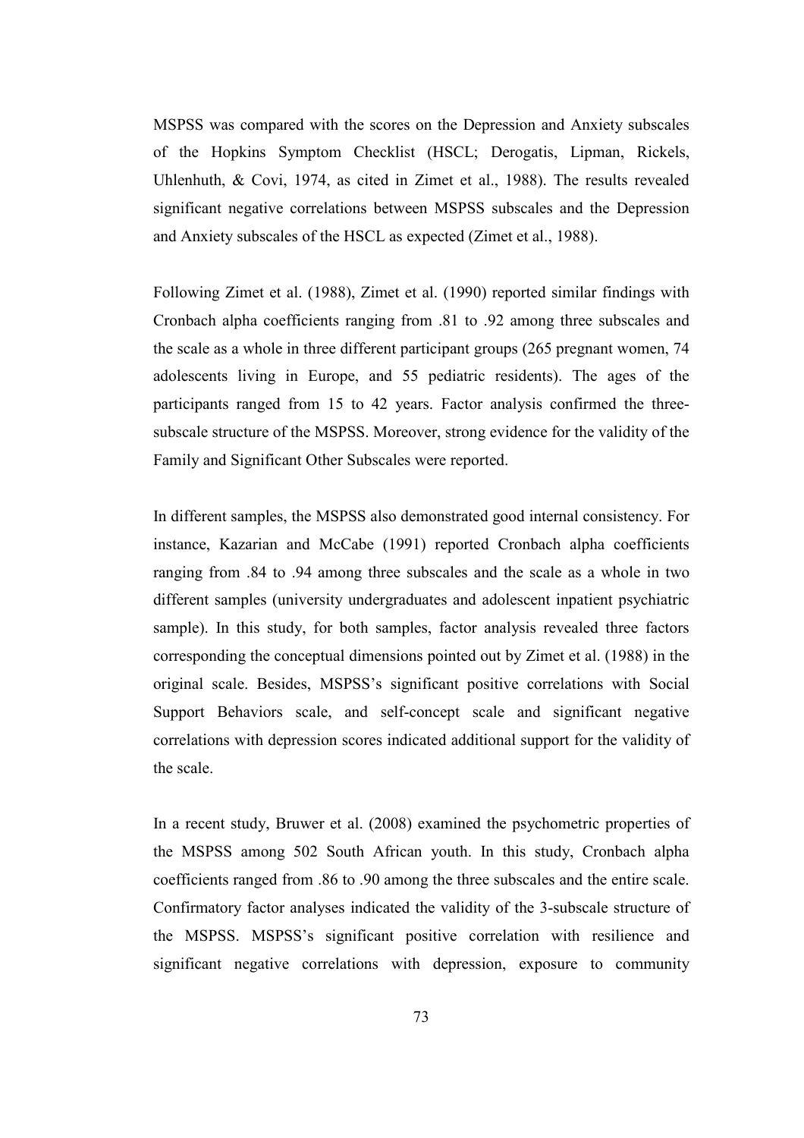MSPSS was compared with the scores on the Depression and Anxiety subscales of the Hopkins Symptom Checklist (HSCL; Derogatis, Lipman, Rickels, Uhlenhuth, & Covi, 1974, as cited in Zimet et al., 1988). The results revealed significant negative correlations between MSPSS subscales and the Depression and Anxiety subscales of the HSCL as expected (Zimet et al., 1988).

Following Zimet et al. (1988), Zimet et al. (1990) reported similar findings with Cronbach alpha coefficients ranging from .81 to .92 among three subscales and the scale as a whole in three different participant groups (265 pregnant women, 74 adolescents living in Europe, and 55 pediatric residents). The ages of the participants ranged from 15 to 42 years. Factor analysis confirmed the threesubscale structure of the MSPSS. Moreover, strong evidence for the validity of the Family and Significant Other Subscales were reported.

In different samples, the MSPSS also demonstrated good internal consistency. For instance, Kazarian and McCabe (1991) reported Cronbach alpha coefficients ranging from .84 to .94 among three subscales and the scale as a whole in two different samples (university undergraduates and adolescent inpatient psychiatric sample). In this study, for both samples, factor analysis revealed three factors corresponding the conceptual dimensions pointed out by Zimet et al. (1988) in the original scale. Besides, MSPSS's significant positive correlations with Social Support Behaviors scale, and self-concept scale and significant negative correlations with depression scores indicated additional support for the validity of the scale.

In a recent study, Bruwer et al. (2008) examined the psychometric properties of the MSPSS among 502 South African youth. In this study, Cronbach alpha coefficients ranged from .86 to .90 among the three subscales and the entire scale. Confirmatory factor analyses indicated the validity of the 3-subscale structure of the MSPSS. MSPSS's significant positive correlation with resilience and significant negative correlations with depression, exposure to community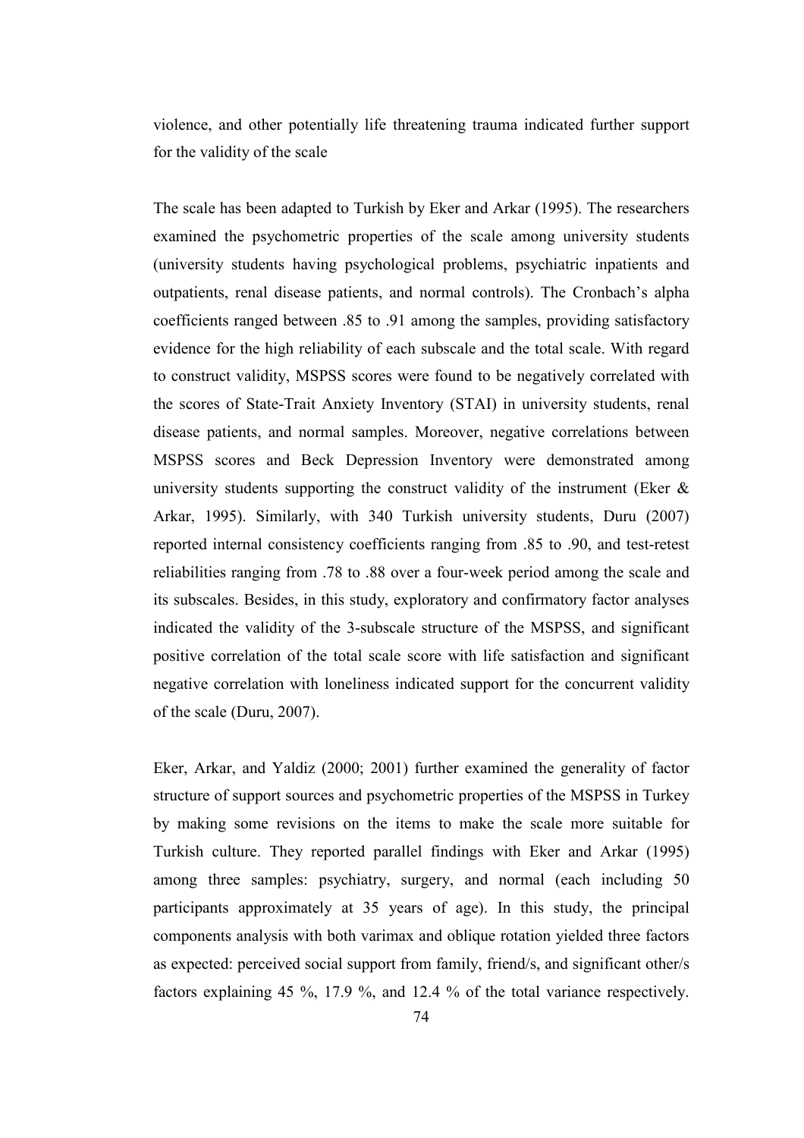violence, and other potentially life threatening trauma indicated further support for the validity of the scale

The scale has been adapted to Turkish by Eker and Arkar (1995). The researchers examined the psychometric properties of the scale among university students (university students having psychological problems, psychiatric inpatients and outpatients, renal disease patients, and normal controls). The Cronbach's alpha coefficients ranged between .85 to .91 among the samples, providing satisfactory evidence for the high reliability of each subscale and the total scale. With regard to construct validity, MSPSS scores were found to be negatively correlated with the scores of State-Trait Anxiety Inventory (STAI) in university students, renal disease patients, and normal samples. Moreover, negative correlations between MSPSS scores and Beck Depression Inventory were demonstrated among university students supporting the construct validity of the instrument (Eker  $\&$ Arkar, 1995). Similarly, with 340 Turkish university students, Duru (2007) reported internal consistency coefficients ranging from .85 to .90, and test-retest reliabilities ranging from .78 to .88 over a four-week period among the scale and its subscales. Besides, in this study, exploratory and confirmatory factor analyses indicated the validity of the 3-subscale structure of the MSPSS, and significant positive correlation of the total scale score with life satisfaction and significant negative correlation with loneliness indicated support for the concurrent validity of the scale (Duru, 2007).

Eker, Arkar, and Yaldiz (2000; 2001) further examined the generality of factor structure of support sources and psychometric properties of the MSPSS in Turkey by making some revisions on the items to make the scale more suitable for Turkish culture. They reported parallel findings with Eker and Arkar (1995) among three samples: psychiatry, surgery, and normal (each including 50 participants approximately at 35 years of age). In this study, the principal components analysis with both varimax and oblique rotation yielded three factors as expected: perceived social support from family, friend/s, and significant other/s factors explaining 45 %, 17.9 %, and 12.4 % of the total variance respectively.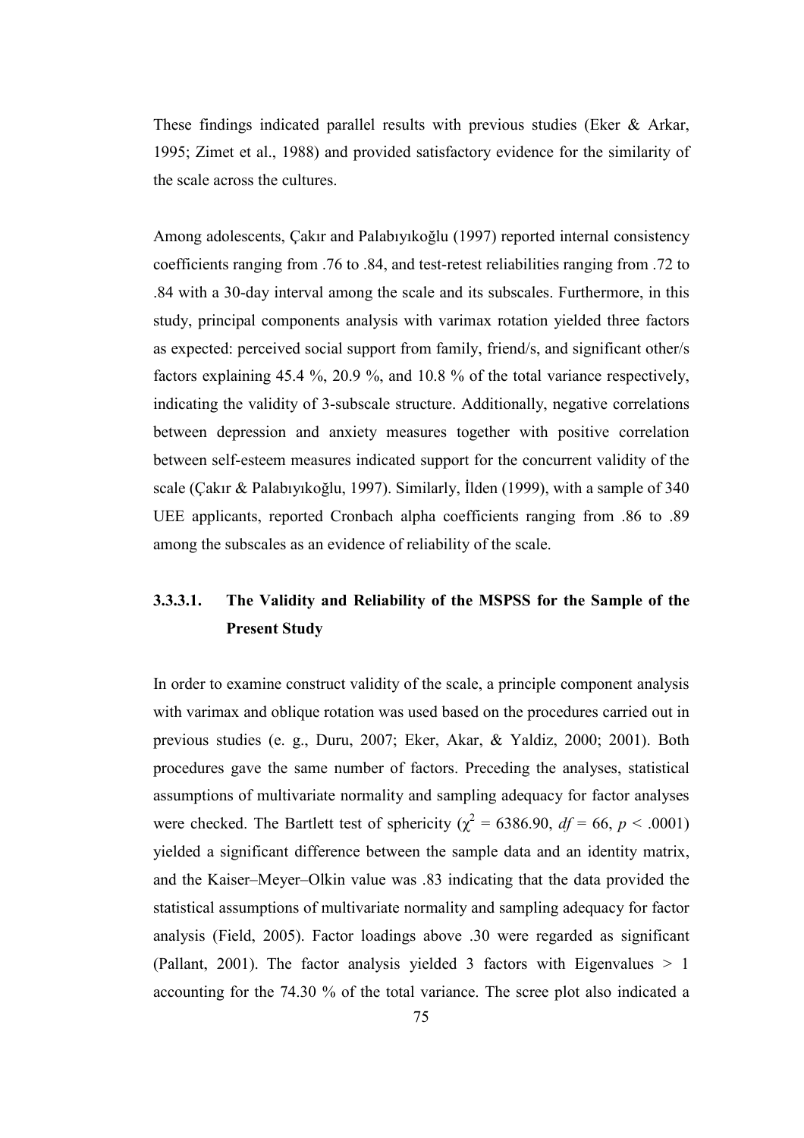These findings indicated parallel results with previous studies (Eker & Arkar, 1995; Zimet et al., 1988) and provided satisfactory evidence for the similarity of the scale across the cultures.

Among adolescents, Çakır and Palabıyıkoğlu (1997) reported internal consistency coefficients ranging from .76 to .84, and test-retest reliabilities ranging from .72 to .84 with a 30-day interval among the scale and its subscales. Furthermore, in this study, principal components analysis with varimax rotation yielded three factors as expected: perceived social support from family, friend/s, and significant other/s factors explaining 45.4 %, 20.9 %, and 10.8 % of the total variance respectively, indicating the validity of 3-subscale structure. Additionally, negative correlations between depression and anxiety measures together with positive correlation between self-esteem measures indicated support for the concurrent validity of the scale (Çakır & Palabıyıkoğlu, 1997). Similarly, İlden (1999), with a sample of 340 UEE applicants, reported Cronbach alpha coefficients ranging from .86 to .89 among the subscales as an evidence of reliability of the scale.

# 3.3.3.1. The Validity and Reliability of the MSPSS for the Sample of the Present Study

In order to examine construct validity of the scale, a principle component analysis with varimax and oblique rotation was used based on the procedures carried out in previous studies (e. g., Duru, 2007; Eker, Akar, & Yaldiz, 2000; 2001). Both procedures gave the same number of factors. Preceding the analyses, statistical assumptions of multivariate normality and sampling adequacy for factor analyses were checked. The Bartlett test of sphericity ( $\chi^2$  = 6386.90, df = 66, p < .0001) yielded a significant difference between the sample data and an identity matrix, and the Kaiser–Meyer–Olkin value was .83 indicating that the data provided the statistical assumptions of multivariate normality and sampling adequacy for factor analysis (Field, 2005). Factor loadings above .30 were regarded as significant (Pallant, 2001). The factor analysis yielded 3 factors with Eigenvalues  $> 1$ accounting for the 74.30 % of the total variance. The scree plot also indicated a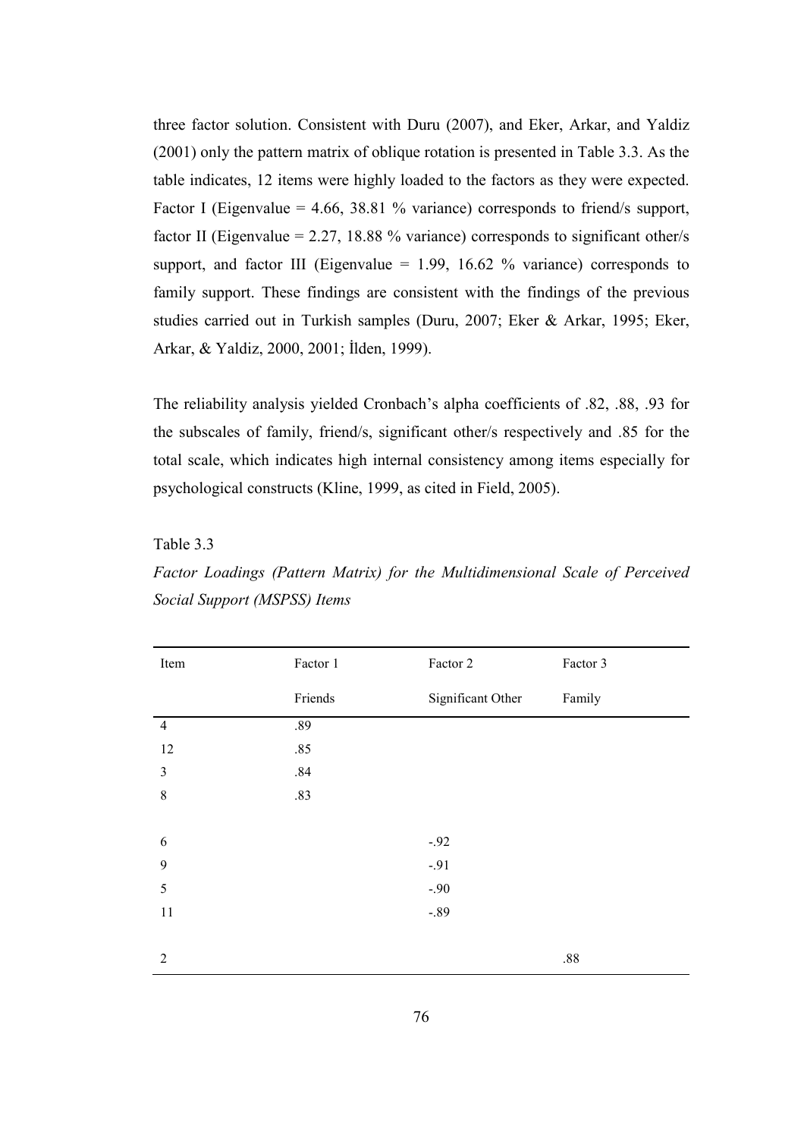three factor solution. Consistent with Duru (2007), and Eker, Arkar, and Yaldiz (2001) only the pattern matrix of oblique rotation is presented in Table 3.3. As the table indicates, 12 items were highly loaded to the factors as they were expected. Factor I (Eigenvalue = 4.66, 38.81 % variance) corresponds to friend/s support, factor II (Eigenvalue =  $2.27$ , 18.88 % variance) corresponds to significant other/s support, and factor III (Eigenvalue  $= 1.99, 16.62$  % variance) corresponds to family support. These findings are consistent with the findings of the previous studies carried out in Turkish samples (Duru, 2007; Eker & Arkar, 1995; Eker, Arkar, & Yaldiz, 2000, 2001; İlden, 1999).

The reliability analysis yielded Cronbach's alpha coefficients of .82, .88, .93 for the subscales of family, friend/s, significant other/s respectively and .85 for the total scale, which indicates high internal consistency among items especially for psychological constructs (Kline, 1999, as cited in Field, 2005).

## Table 3.3

Factor Loadings (Pattern Matrix) for the Multidimensional Scale of Perceived Social Support (MSPSS) Items

| Item           | Factor 1 | Factor 2          | Factor 3 |
|----------------|----------|-------------------|----------|
|                | Friends  | Significant Other | Family   |
| $\overline{4}$ | .89      |                   |          |
| 12             | .85      |                   |          |
| $\mathfrak{Z}$ | $.84\,$  |                   |          |
| $\,8\,$        | .83      |                   |          |
|                |          |                   |          |
| 6              |          | $-.92$            |          |
| 9              |          | $-.91$            |          |
| 5              |          | $-.90$            |          |
| $11\,$         |          | $-.89$            |          |
|                |          |                   |          |
| $\overline{2}$ |          |                   | $.88\,$  |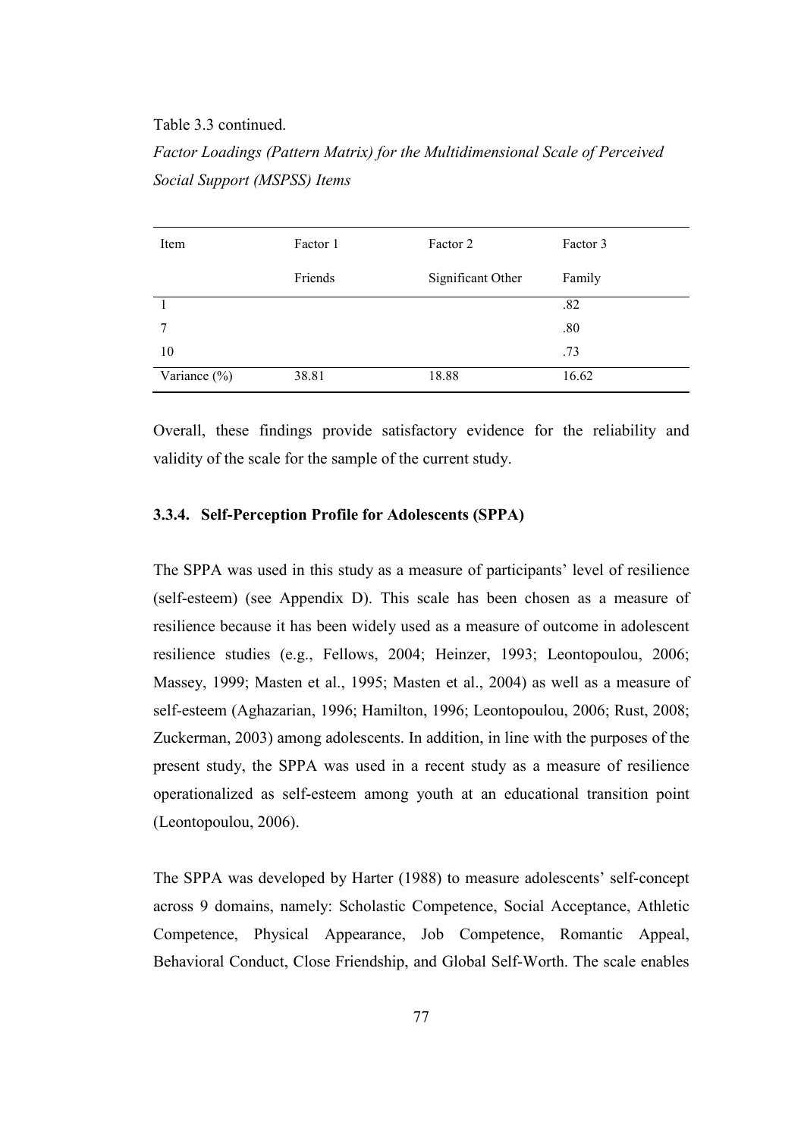#### Table 3.3 continued.

Factor Loadings (Pattern Matrix) for the Multidimensional Scale of Perceived Social Support (MSPSS) Items

| Item             | Factor 1 | Factor 2          | Factor 3 |
|------------------|----------|-------------------|----------|
|                  | Friends  | Significant Other | Family   |
|                  |          |                   | .82      |
| 7                |          |                   | .80      |
| 10               |          |                   | .73      |
| Variance $(\% )$ | 38.81    | 18.88             | 16.62    |

Overall, these findings provide satisfactory evidence for the reliability and validity of the scale for the sample of the current study.

### 3.3.4. Self-Perception Profile for Adolescents (SPPA)

The SPPA was used in this study as a measure of participants' level of resilience (self-esteem) (see Appendix D). This scale has been chosen as a measure of resilience because it has been widely used as a measure of outcome in adolescent resilience studies (e.g., Fellows, 2004; Heinzer, 1993; Leontopoulou, 2006; Massey, 1999; Masten et al., 1995; Masten et al., 2004) as well as a measure of self-esteem (Aghazarian, 1996; Hamilton, 1996; Leontopoulou, 2006; Rust, 2008; Zuckerman, 2003) among adolescents. In addition, in line with the purposes of the present study, the SPPA was used in a recent study as a measure of resilience operationalized as self-esteem among youth at an educational transition point (Leontopoulou, 2006).

The SPPA was developed by Harter (1988) to measure adolescents' self-concept across 9 domains, namely: Scholastic Competence, Social Acceptance, Athletic Competence, Physical Appearance, Job Competence, Romantic Appeal, Behavioral Conduct, Close Friendship, and Global Self-Worth. The scale enables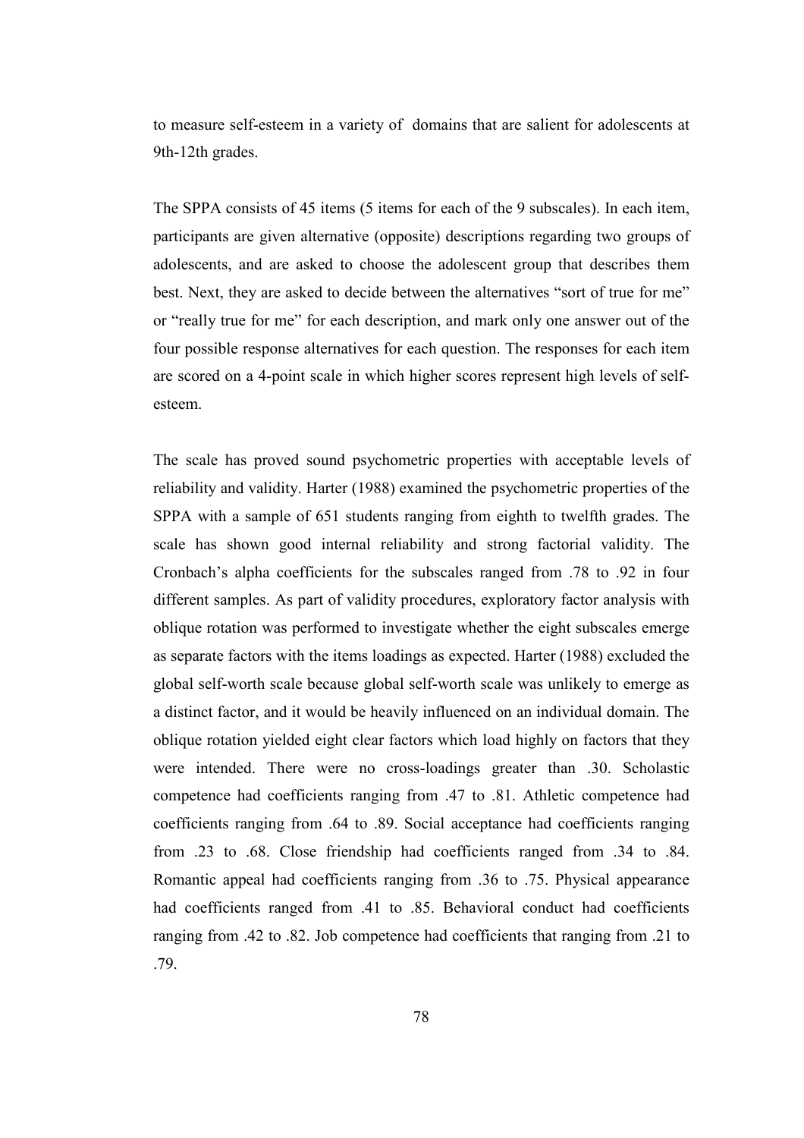to measure self-esteem in a variety of domains that are salient for adolescents at 9th-12th grades.

The SPPA consists of 45 items (5 items for each of the 9 subscales). In each item, participants are given alternative (opposite) descriptions regarding two groups of adolescents, and are asked to choose the adolescent group that describes them best. Next, they are asked to decide between the alternatives "sort of true for me" or "really true for me" for each description, and mark only one answer out of the four possible response alternatives for each question. The responses for each item are scored on a 4-point scale in which higher scores represent high levels of selfesteem.

The scale has proved sound psychometric properties with acceptable levels of reliability and validity. Harter (1988) examined the psychometric properties of the SPPA with a sample of 651 students ranging from eighth to twelfth grades. The scale has shown good internal reliability and strong factorial validity. The Cronbach's alpha coefficients for the subscales ranged from .78 to .92 in four different samples. As part of validity procedures, exploratory factor analysis with oblique rotation was performed to investigate whether the eight subscales emerge as separate factors with the items loadings as expected. Harter (1988) excluded the global self-worth scale because global self-worth scale was unlikely to emerge as a distinct factor, and it would be heavily influenced on an individual domain. The oblique rotation yielded eight clear factors which load highly on factors that they were intended. There were no cross-loadings greater than .30. Scholastic competence had coefficients ranging from .47 to .81. Athletic competence had coefficients ranging from .64 to .89. Social acceptance had coefficients ranging from .23 to .68. Close friendship had coefficients ranged from .34 to .84. Romantic appeal had coefficients ranging from .36 to .75. Physical appearance had coefficients ranged from .41 to .85. Behavioral conduct had coefficients ranging from .42 to .82. Job competence had coefficients that ranging from .21 to .79.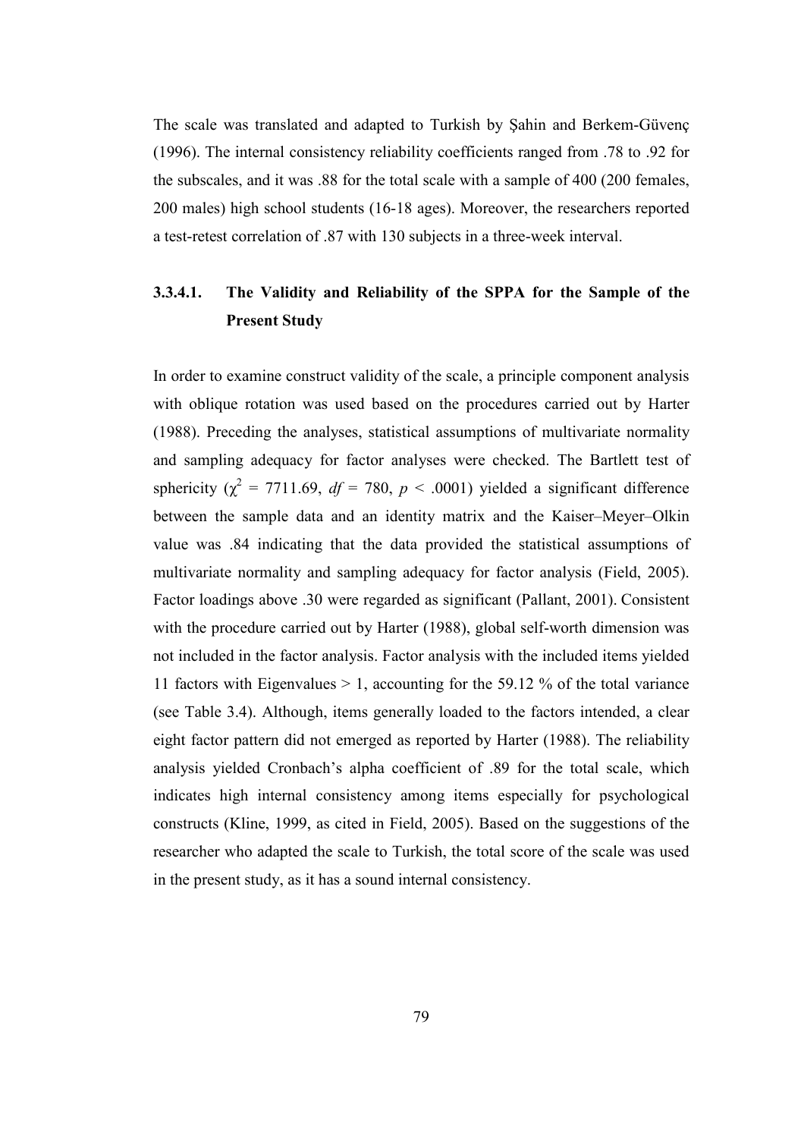The scale was translated and adapted to Turkish by Şahin and Berkem-Güvenç (1996). The internal consistency reliability coefficients ranged from .78 to .92 for the subscales, and it was .88 for the total scale with a sample of 400 (200 females, 200 males) high school students (16-18 ages). Moreover, the researchers reported a test-retest correlation of .87 with 130 subjects in a three-week interval.

# 3.3.4.1. The Validity and Reliability of the SPPA for the Sample of the Present Study

In order to examine construct validity of the scale, a principle component analysis with oblique rotation was used based on the procedures carried out by Harter (1988). Preceding the analyses, statistical assumptions of multivariate normality and sampling adequacy for factor analyses were checked. The Bartlett test of sphericity ( $\chi^2$  = 7711.69, df = 780, p < .0001) yielded a significant difference between the sample data and an identity matrix and the Kaiser–Meyer–Olkin value was .84 indicating that the data provided the statistical assumptions of multivariate normality and sampling adequacy for factor analysis (Field, 2005). Factor loadings above .30 were regarded as significant (Pallant, 2001). Consistent with the procedure carried out by Harter (1988), global self-worth dimension was not included in the factor analysis. Factor analysis with the included items yielded 11 factors with Eigenvalues > 1, accounting for the 59.12 % of the total variance (see Table 3.4). Although, items generally loaded to the factors intended, a clear eight factor pattern did not emerged as reported by Harter (1988). The reliability analysis yielded Cronbach's alpha coefficient of .89 for the total scale, which indicates high internal consistency among items especially for psychological constructs (Kline, 1999, as cited in Field, 2005). Based on the suggestions of the researcher who adapted the scale to Turkish, the total score of the scale was used in the present study, as it has a sound internal consistency.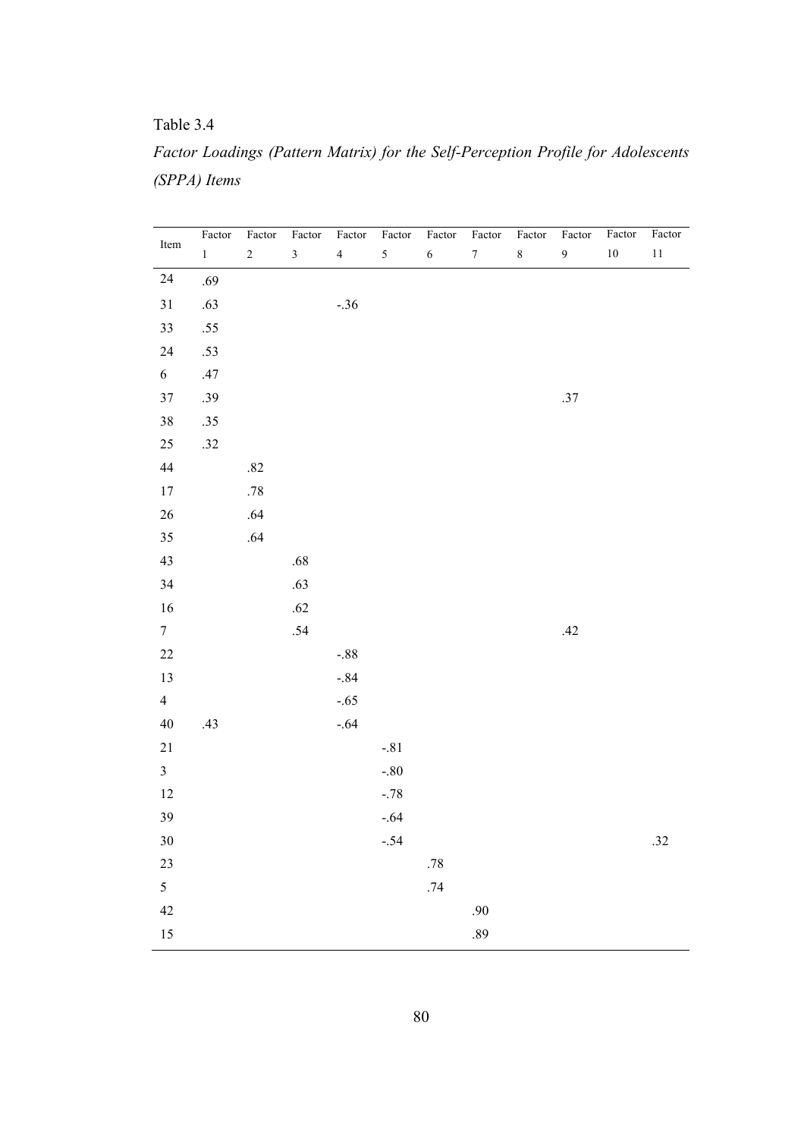Table 3.4

|              |  |  |  | Factor Loadings (Pattern Matrix) for the Self-Perception Profile for Adolescents |
|--------------|--|--|--|----------------------------------------------------------------------------------|
| (SPPA) Items |  |  |  |                                                                                  |

| Item            | Factor       | $\mbox{Factor}$  | $\mbox{Factor}$         | Factor         | Factor | $\mbox{Factor}$ | $\mbox{Factor}$  | $\mbox{Factor}$ | $\mbox{Factor}$  | $\mbox{Factor}$ | Factor |
|-----------------|--------------|------------------|-------------------------|----------------|--------|-----------------|------------------|-----------------|------------------|-----------------|--------|
|                 | $\mathbf{1}$ | $\boldsymbol{2}$ | $\overline{\mathbf{3}}$ | $\overline{4}$ | 5      | $\sqrt{6}$      | $\boldsymbol{7}$ | $8\,$           | $\boldsymbol{9}$ | $10\,$          | $11\,$ |
| $24\,$          | .69          |                  |                         |                |        |                 |                  |                 |                  |                 |        |
| $31\,$          | $.63\,$      |                  |                         | $-.36$         |        |                 |                  |                 |                  |                 |        |
| 33              | .55          |                  |                         |                |        |                 |                  |                 |                  |                 |        |
| $24\,$          | $.53\,$      |                  |                         |                |        |                 |                  |                 |                  |                 |        |
| 6               | .47          |                  |                         |                |        |                 |                  |                 |                  |                 |        |
| $37\,$          | .39          |                  |                         |                |        |                 |                  |                 | $.37\,$          |                 |        |
| $38\,$          | .35          |                  |                         |                |        |                 |                  |                 |                  |                 |        |
| $25\,$          | $.32$        |                  |                         |                |        |                 |                  |                 |                  |                 |        |
| 44              |              | $.82\,$          |                         |                |        |                 |                  |                 |                  |                 |        |
| $17\,$          |              | $.78\,$          |                         |                |        |                 |                  |                 |                  |                 |        |
| $26\,$          |              | $.64$            |                         |                |        |                 |                  |                 |                  |                 |        |
| 35              |              | .64              |                         |                |        |                 |                  |                 |                  |                 |        |
| 43              |              |                  | $.68\,$                 |                |        |                 |                  |                 |                  |                 |        |
| 34              |              |                  | $.63$                   |                |        |                 |                  |                 |                  |                 |        |
| 16              |              |                  | .62                     |                |        |                 |                  |                 |                  |                 |        |
| $7\overline{ }$ |              |                  | .54                     |                |        |                 |                  |                 | .42              |                 |        |
| $22\,$          |              |                  |                         | $-.88$         |        |                 |                  |                 |                  |                 |        |
| 13              |              |                  |                         | $-.84$         |        |                 |                  |                 |                  |                 |        |
| $\overline{4}$  |              |                  |                         | $-.65$         |        |                 |                  |                 |                  |                 |        |
| $40\,$          | .43          |                  |                         | $-.64$         |        |                 |                  |                 |                  |                 |        |
| $21\,$          |              |                  |                         |                | $-.81$ |                 |                  |                 |                  |                 |        |
| $\mathfrak{Z}$  |              |                  |                         |                | $-.80$ |                 |                  |                 |                  |                 |        |
| 12              |              |                  |                         |                | $-.78$ |                 |                  |                 |                  |                 |        |
| 39              |              |                  |                         |                | $-.64$ |                 |                  |                 |                  |                 |        |
| $30\,$          |              |                  |                         |                | $-.54$ |                 |                  |                 |                  |                 | .32    |
| 23              |              |                  |                         |                |        | $.78\,$         |                  |                 |                  |                 |        |
| $\mathfrak{S}$  |              |                  |                         |                |        | .74             |                  |                 |                  |                 |        |
| $42\,$          |              |                  |                         |                |        |                 | .90              |                 |                  |                 |        |
| $15\,$          |              |                  |                         |                |        |                 | $.89$            |                 |                  |                 |        |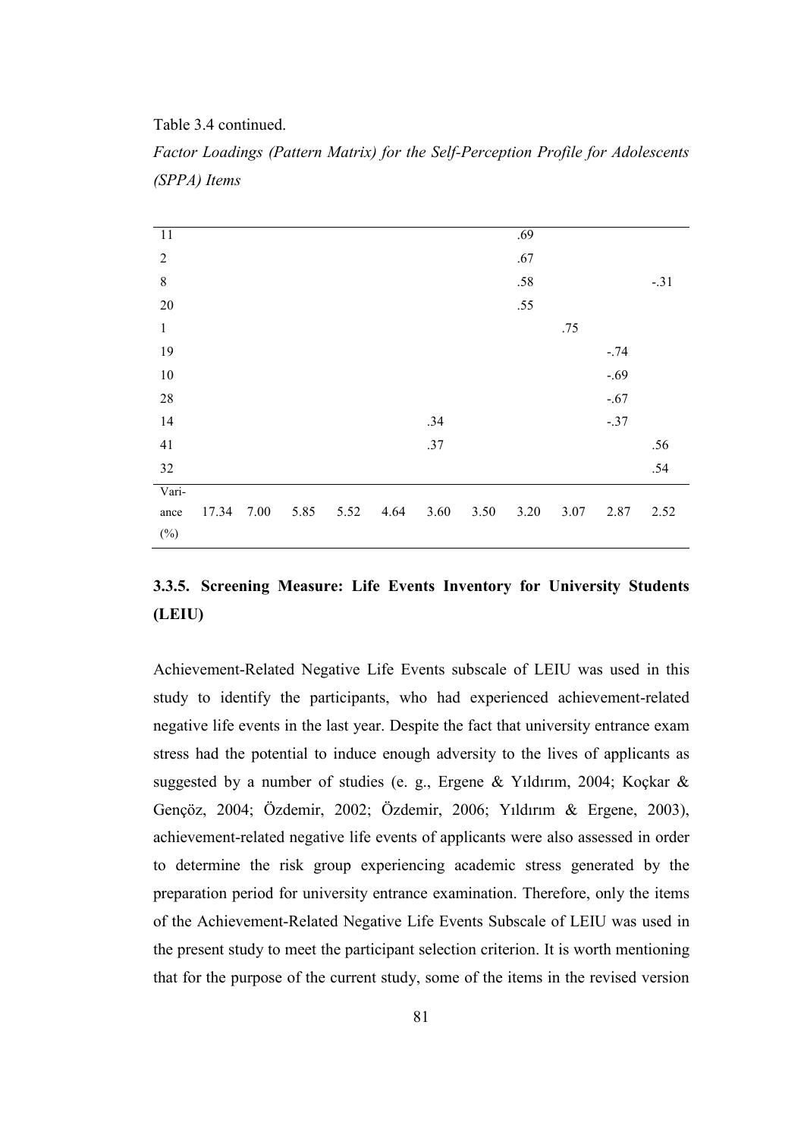Table 3.4 continued.

| 11             |       |      |      |      |      |      |      | .69  |      |        |        |
|----------------|-------|------|------|------|------|------|------|------|------|--------|--------|
| $\overline{2}$ |       |      |      |      |      |      |      | .67  |      |        |        |
| $\,$ $\,$      |       |      |      |      |      |      |      | .58  |      |        | $-.31$ |
| 20             |       |      |      |      |      |      |      | .55  |      |        |        |
| $\,1$          |       |      |      |      |      |      |      |      | .75  |        |        |
| 19             |       |      |      |      |      |      |      |      |      | $-.74$ |        |
| $10\,$         |       |      |      |      |      |      |      |      |      | $-.69$ |        |
| 28             |       |      |      |      |      |      |      |      |      | $-.67$ |        |
| 14             |       |      |      |      |      | .34  |      |      |      | $-.37$ |        |
| 41             |       |      |      |      |      | .37  |      |      |      |        | .56    |
| 32             |       |      |      |      |      |      |      |      |      |        | .54    |
| Vari-          |       |      |      |      |      |      |      |      |      |        |        |
| ance           | 17.34 | 7.00 | 5.85 | 5.52 | 4.64 | 3.60 | 3.50 | 3.20 | 3.07 | 2.87   | 2.52   |
| $(\%)$         |       |      |      |      |      |      |      |      |      |        |        |

Factor Loadings (Pattern Matrix) for the Self-Perception Profile for Adolescents (SPPA) Items

# 3.3.5. Screening Measure: Life Events Inventory for University Students (LEIU)

Achievement-Related Negative Life Events subscale of LEIU was used in this study to identify the participants, who had experienced achievement-related negative life events in the last year. Despite the fact that university entrance exam stress had the potential to induce enough adversity to the lives of applicants as suggested by a number of studies (e. g., Ergene & Yıldırım, 2004; Koçkar & Gençöz, 2004; Özdemir, 2002; Özdemir, 2006; Yıldırım & Ergene, 2003), achievement-related negative life events of applicants were also assessed in order to determine the risk group experiencing academic stress generated by the preparation period for university entrance examination. Therefore, only the items of the Achievement-Related Negative Life Events Subscale of LEIU was used in the present study to meet the participant selection criterion. It is worth mentioning that for the purpose of the current study, some of the items in the revised version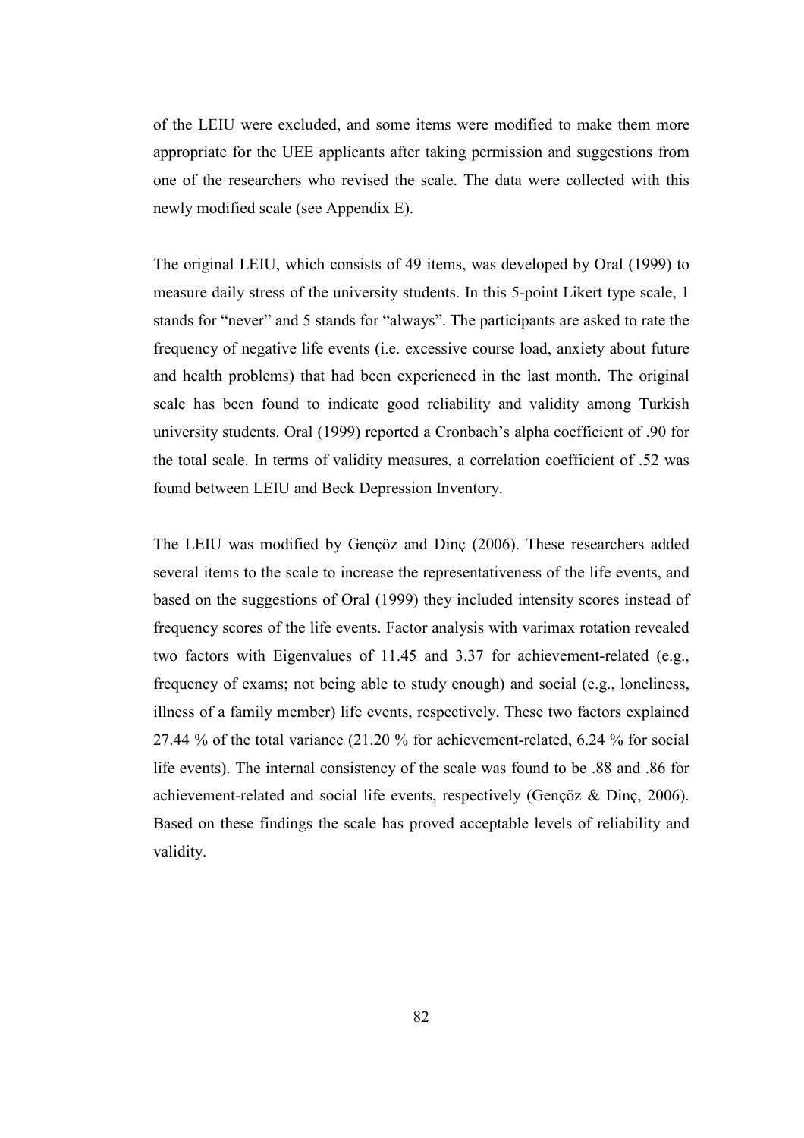of the LEIU were excluded, and some items were modified to make them more appropriate for the UEE applicants after taking permission and suggestions from one of the researchers who revised the scale. The data were collected with this newly modified scale (see Appendix E).

The original LEIU, which consists of 49 items, was developed by Oral (1999) to measure daily stress of the university students. In this 5-point Likert type scale, 1 stands for "never" and 5 stands for "always". The participants are asked to rate the frequency of negative life events (i.e. excessive course load, anxiety about future and health problems) that had been experienced in the last month. The original scale has been found to indicate good reliability and validity among Turkish university students. Oral (1999) reported a Cronbach's alpha coefficient of .90 for the total scale. In terms of validity measures, a correlation coefficient of .52 was found between LEIU and Beck Depression Inventory.

The LEIU was modified by Gençöz and Dinç (2006). These researchers added several items to the scale to increase the representativeness of the life events, and based on the suggestions of Oral (1999) they included intensity scores instead of frequency scores of the life events. Factor analysis with varimax rotation revealed two factors with Eigenvalues of 11.45 and 3.37 for achievement-related (e.g., frequency of exams; not being able to study enough) and social (e.g., loneliness, illness of a family member) life events, respectively. These two factors explained 27.44 % of the total variance (21.20 % for achievement-related, 6.24 % for social life events). The internal consistency of the scale was found to be .88 and .86 for achievement-related and social life events, respectively (Gençöz & Dinç, 2006). Based on these findings the scale has proved acceptable levels of reliability and validity.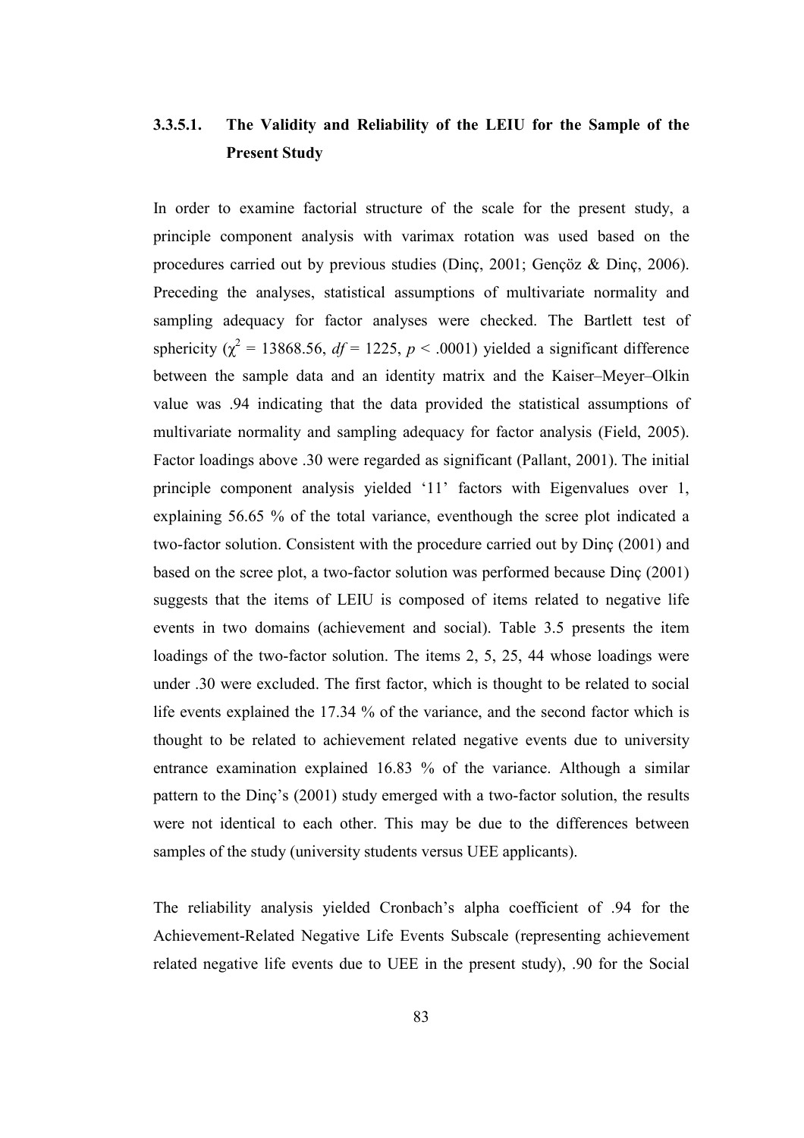# 3.3.5.1. The Validity and Reliability of the LEIU for the Sample of the Present Study

In order to examine factorial structure of the scale for the present study, a principle component analysis with varimax rotation was used based on the procedures carried out by previous studies (Dinç, 2001; Gençöz & Dinç, 2006). Preceding the analyses, statistical assumptions of multivariate normality and sampling adequacy for factor analyses were checked. The Bartlett test of sphericity ( $\chi^2$  = 13868.56, df = 1225, p < .0001) yielded a significant difference between the sample data and an identity matrix and the Kaiser–Meyer–Olkin value was .94 indicating that the data provided the statistical assumptions of multivariate normality and sampling adequacy for factor analysis (Field, 2005). Factor loadings above .30 were regarded as significant (Pallant, 2001). The initial principle component analysis yielded '11' factors with Eigenvalues over 1, explaining 56.65 % of the total variance, eventhough the scree plot indicated a two-factor solution. Consistent with the procedure carried out by Dinç (2001) and based on the scree plot, a two-factor solution was performed because Dinç (2001) suggests that the items of LEIU is composed of items related to negative life events in two domains (achievement and social). Table 3.5 presents the item loadings of the two-factor solution. The items 2, 5, 25, 44 whose loadings were under .30 were excluded. The first factor, which is thought to be related to social life events explained the 17.34 % of the variance, and the second factor which is thought to be related to achievement related negative events due to university entrance examination explained 16.83 % of the variance. Although a similar pattern to the Dinç's (2001) study emerged with a two-factor solution, the results were not identical to each other. This may be due to the differences between samples of the study (university students versus UEE applicants).

The reliability analysis yielded Cronbach's alpha coefficient of .94 for the Achievement-Related Negative Life Events Subscale (representing achievement related negative life events due to UEE in the present study), .90 for the Social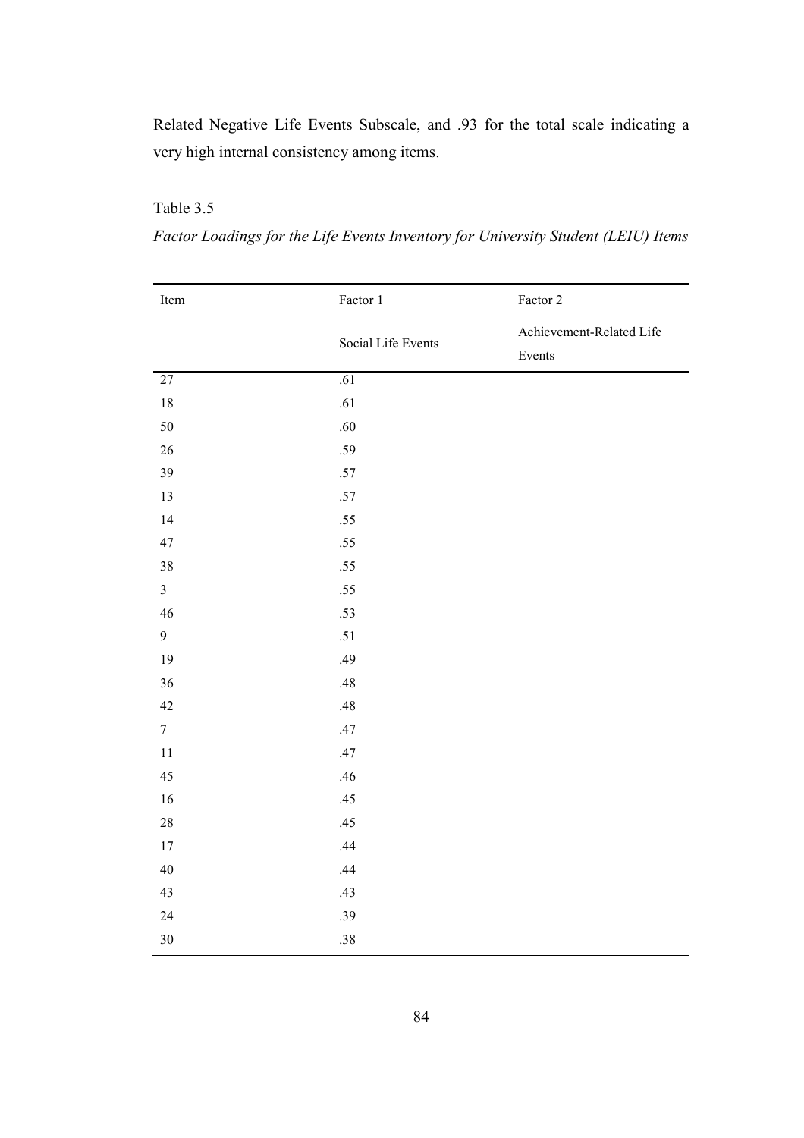Related Negative Life Events Subscale, and .93 for the total scale indicating a very high internal consistency among items.

# Table 3.5

Factor Loadings for the Life Events Inventory for University Student (LEIU) Items

| Item            | Factor 1           | Factor 2                           |
|-----------------|--------------------|------------------------------------|
|                 | Social Life Events | Achievement-Related Life<br>Events |
| 27              | .61                |                                    |
| $18\,$          | $.61\,$            |                                    |
| 50              | .60                |                                    |
| 26              | .59                |                                    |
| 39              | $.57\,$            |                                    |
| 13              | $.57\,$            |                                    |
| 14              | $.55$              |                                    |
| 47              | $.55$              |                                    |
| 38              | .55                |                                    |
| $\overline{3}$  | .55                |                                    |
| 46              | .53                |                                    |
| 9               | .51                |                                    |
| 19              | .49                |                                    |
| 36              | .48                |                                    |
| 42              | .48                |                                    |
| $7\phantom{.0}$ | .47                |                                    |
| $1\,1$          | $.47$              |                                    |
| 45              | .46                |                                    |
| 16              | .45                |                                    |
| 28              | .45                |                                    |
| $17\,$          | .44                |                                    |
| $40\,$          | .44                |                                    |
| 43              | .43                |                                    |
| 24              | .39                |                                    |
| 30              | .38                |                                    |
|                 |                    |                                    |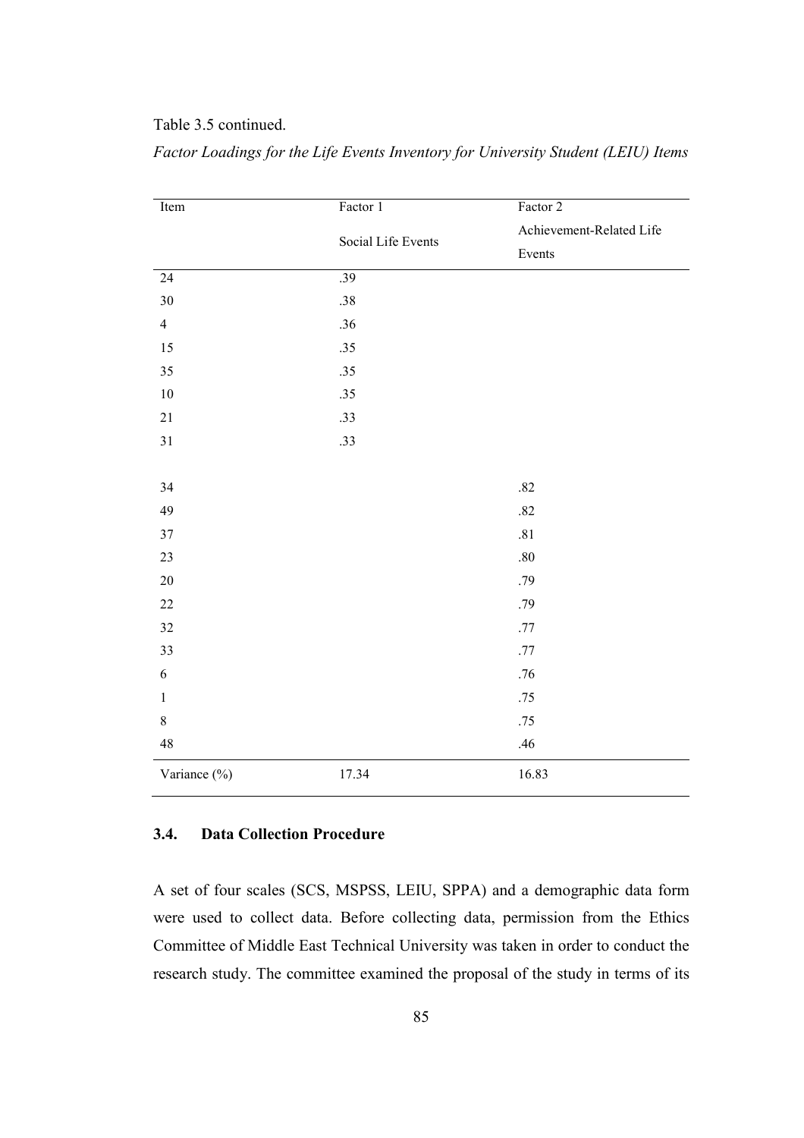## Table 3.5 continued.

| Item            | Factor 1           | Factor 2                 |
|-----------------|--------------------|--------------------------|
|                 | Social Life Events | Achievement-Related Life |
|                 |                    | Events                   |
| $\overline{24}$ | .39                |                          |
| 30              | .38                |                          |
| $\overline{4}$  | .36                |                          |
| 15              | .35                |                          |
| 35              | .35                |                          |
| $10\,$          | .35                |                          |
| $21\,$          | .33                |                          |
| 31              | .33                |                          |
|                 |                    |                          |
| 34              |                    | $.82\,$                  |
| 49              |                    | .82                      |
| 37              |                    | $.81\,$                  |
| 23              |                    | $.80\,$                  |
| $20\,$          |                    | .79                      |
| $22\,$          |                    | .79                      |
| 32              |                    | $.77\,$                  |
| 33              |                    | $.77\,$                  |
| 6               |                    | .76                      |
| $\mathbf{1}$    |                    | $.75$                    |
| $8\,$           |                    | .75                      |
| 48              |                    | .46                      |
| Variance (%)    | 17.34              | 16.83                    |

Factor Loadings for the Life Events Inventory for University Student (LEIU) Items

### 3.4. Data Collection Procedure

A set of four scales (SCS, MSPSS, LEIU, SPPA) and a demographic data form were used to collect data. Before collecting data, permission from the Ethics Committee of Middle East Technical University was taken in order to conduct the research study. The committee examined the proposal of the study in terms of its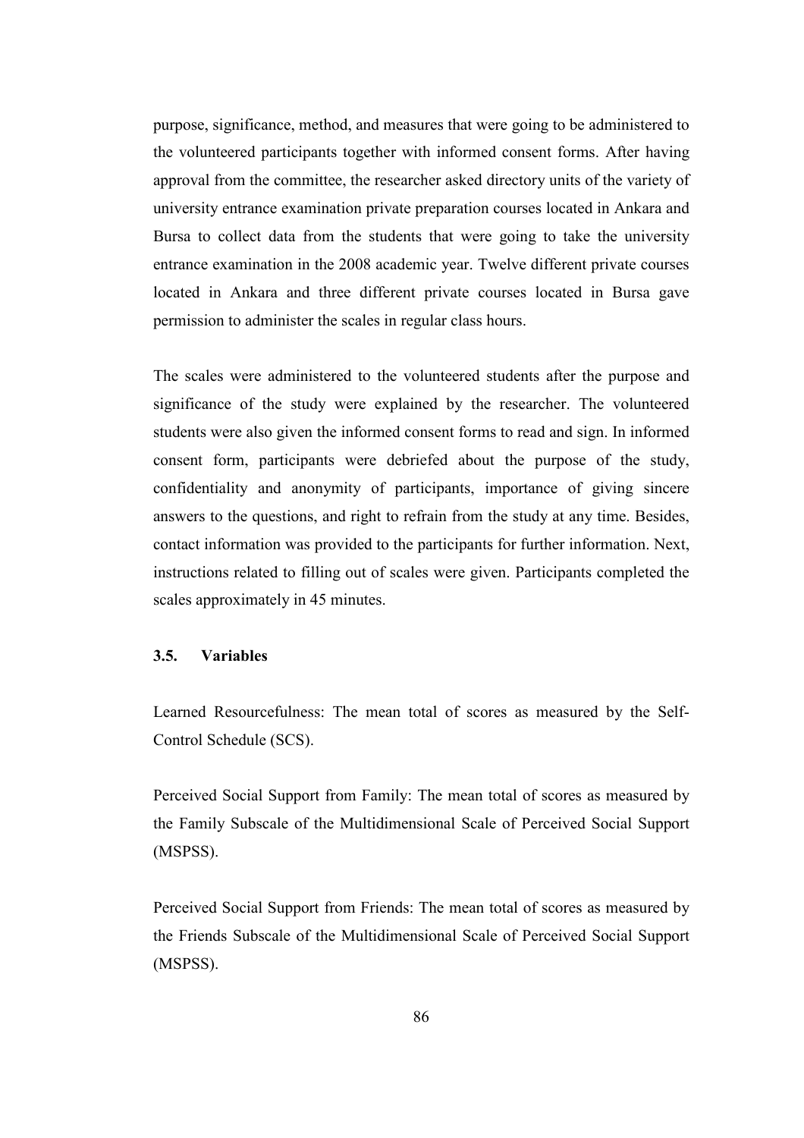purpose, significance, method, and measures that were going to be administered to the volunteered participants together with informed consent forms. After having approval from the committee, the researcher asked directory units of the variety of university entrance examination private preparation courses located in Ankara and Bursa to collect data from the students that were going to take the university entrance examination in the 2008 academic year. Twelve different private courses located in Ankara and three different private courses located in Bursa gave permission to administer the scales in regular class hours.

The scales were administered to the volunteered students after the purpose and significance of the study were explained by the researcher. The volunteered students were also given the informed consent forms to read and sign. In informed consent form, participants were debriefed about the purpose of the study, confidentiality and anonymity of participants, importance of giving sincere answers to the questions, and right to refrain from the study at any time. Besides, contact information was provided to the participants for further information. Next, instructions related to filling out of scales were given. Participants completed the scales approximately in 45 minutes.

### 3.5. Variables

Learned Resourcefulness: The mean total of scores as measured by the Self-Control Schedule (SCS).

Perceived Social Support from Family: The mean total of scores as measured by the Family Subscale of the Multidimensional Scale of Perceived Social Support (MSPSS).

Perceived Social Support from Friends: The mean total of scores as measured by the Friends Subscale of the Multidimensional Scale of Perceived Social Support (MSPSS).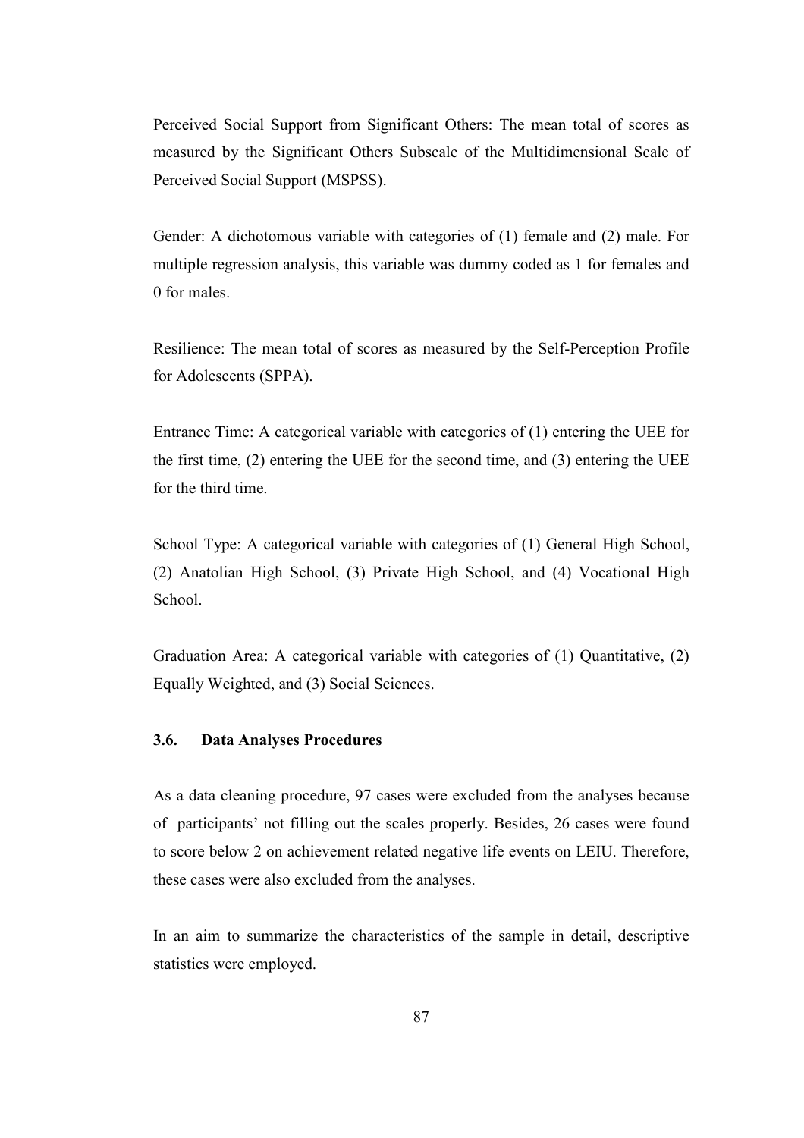Perceived Social Support from Significant Others: The mean total of scores as measured by the Significant Others Subscale of the Multidimensional Scale of Perceived Social Support (MSPSS).

Gender: A dichotomous variable with categories of (1) female and (2) male. For multiple regression analysis, this variable was dummy coded as 1 for females and 0 for males.

Resilience: The mean total of scores as measured by the Self-Perception Profile for Adolescents (SPPA).

Entrance Time: A categorical variable with categories of (1) entering the UEE for the first time, (2) entering the UEE for the second time, and (3) entering the UEE for the third time.

School Type: A categorical variable with categories of (1) General High School, (2) Anatolian High School, (3) Private High School, and (4) Vocational High School.

Graduation Area: A categorical variable with categories of (1) Quantitative, (2) Equally Weighted, and (3) Social Sciences.

### 3.6. Data Analyses Procedures

As a data cleaning procedure, 97 cases were excluded from the analyses because of participants' not filling out the scales properly. Besides, 26 cases were found to score below 2 on achievement related negative life events on LEIU. Therefore, these cases were also excluded from the analyses.

In an aim to summarize the characteristics of the sample in detail, descriptive statistics were employed.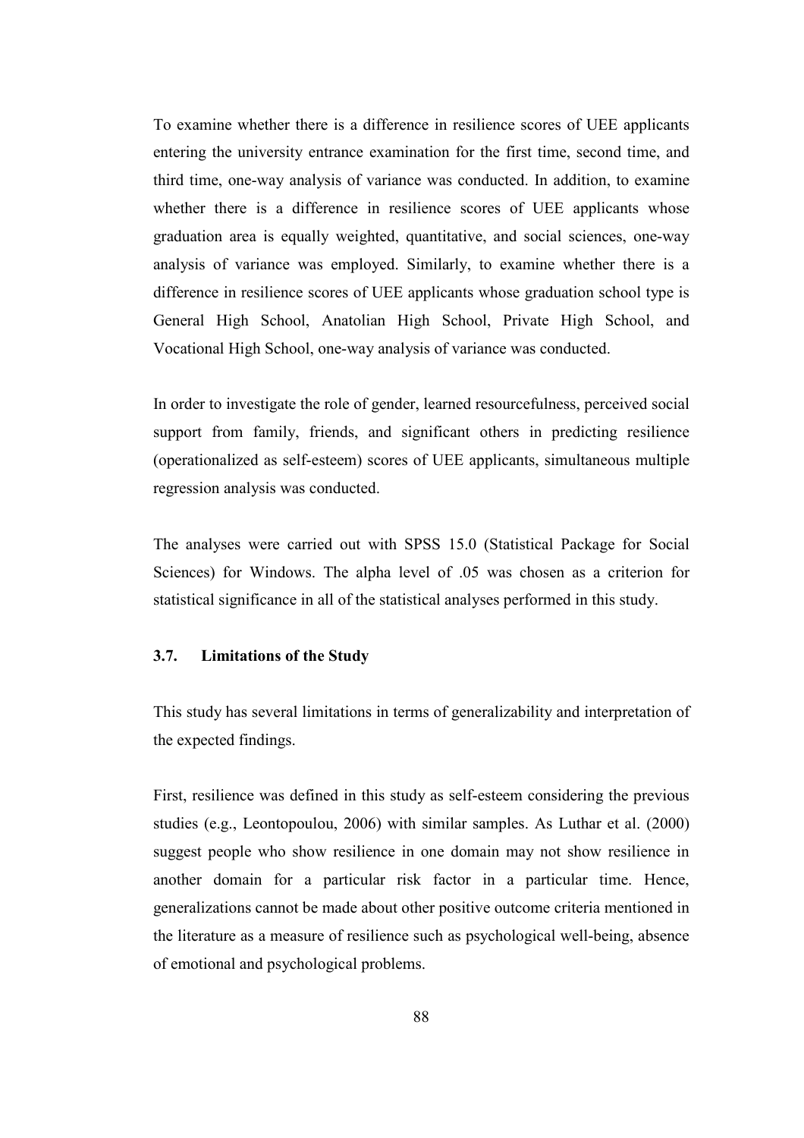To examine whether there is a difference in resilience scores of UEE applicants entering the university entrance examination for the first time, second time, and third time, one-way analysis of variance was conducted. In addition, to examine whether there is a difference in resilience scores of UEE applicants whose graduation area is equally weighted, quantitative, and social sciences, one-way analysis of variance was employed. Similarly, to examine whether there is a difference in resilience scores of UEE applicants whose graduation school type is General High School, Anatolian High School, Private High School, and Vocational High School, one-way analysis of variance was conducted.

In order to investigate the role of gender, learned resourcefulness, perceived social support from family, friends, and significant others in predicting resilience (operationalized as self-esteem) scores of UEE applicants, simultaneous multiple regression analysis was conducted.

The analyses were carried out with SPSS 15.0 (Statistical Package for Social Sciences) for Windows. The alpha level of .05 was chosen as a criterion for statistical significance in all of the statistical analyses performed in this study.

### 3.7. Limitations of the Study

This study has several limitations in terms of generalizability and interpretation of the expected findings.

First, resilience was defined in this study as self-esteem considering the previous studies (e.g., Leontopoulou, 2006) with similar samples. As Luthar et al. (2000) suggest people who show resilience in one domain may not show resilience in another domain for a particular risk factor in a particular time. Hence, generalizations cannot be made about other positive outcome criteria mentioned in the literature as a measure of resilience such as psychological well-being, absence of emotional and psychological problems.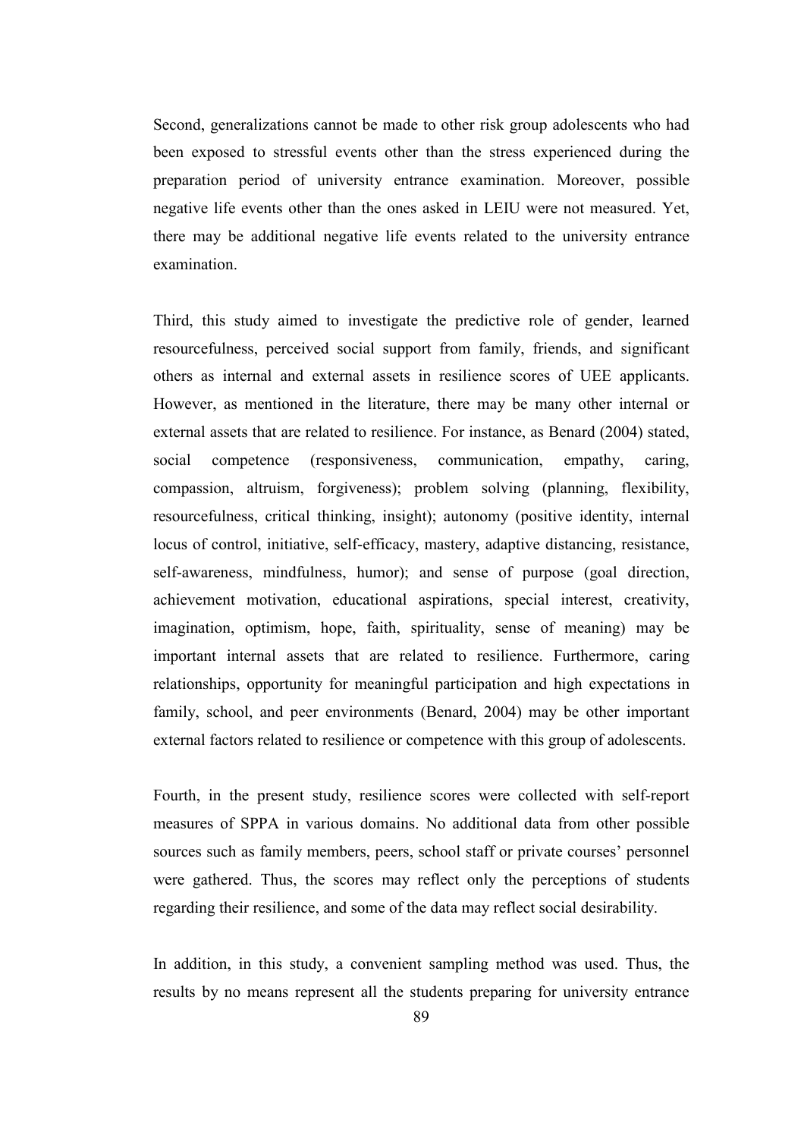Second, generalizations cannot be made to other risk group adolescents who had been exposed to stressful events other than the stress experienced during the preparation period of university entrance examination. Moreover, possible negative life events other than the ones asked in LEIU were not measured. Yet, there may be additional negative life events related to the university entrance examination.

Third, this study aimed to investigate the predictive role of gender, learned resourcefulness, perceived social support from family, friends, and significant others as internal and external assets in resilience scores of UEE applicants. However, as mentioned in the literature, there may be many other internal or external assets that are related to resilience. For instance, as Benard (2004) stated, social competence (responsiveness, communication, empathy, caring, compassion, altruism, forgiveness); problem solving (planning, flexibility, resourcefulness, critical thinking, insight); autonomy (positive identity, internal locus of control, initiative, self-efficacy, mastery, adaptive distancing, resistance, self-awareness, mindfulness, humor); and sense of purpose (goal direction, achievement motivation, educational aspirations, special interest, creativity, imagination, optimism, hope, faith, spirituality, sense of meaning) may be important internal assets that are related to resilience. Furthermore, caring relationships, opportunity for meaningful participation and high expectations in family, school, and peer environments (Benard, 2004) may be other important external factors related to resilience or competence with this group of adolescents.

Fourth, in the present study, resilience scores were collected with self-report measures of SPPA in various domains. No additional data from other possible sources such as family members, peers, school staff or private courses' personnel were gathered. Thus, the scores may reflect only the perceptions of students regarding their resilience, and some of the data may reflect social desirability.

In addition, in this study, a convenient sampling method was used. Thus, the results by no means represent all the students preparing for university entrance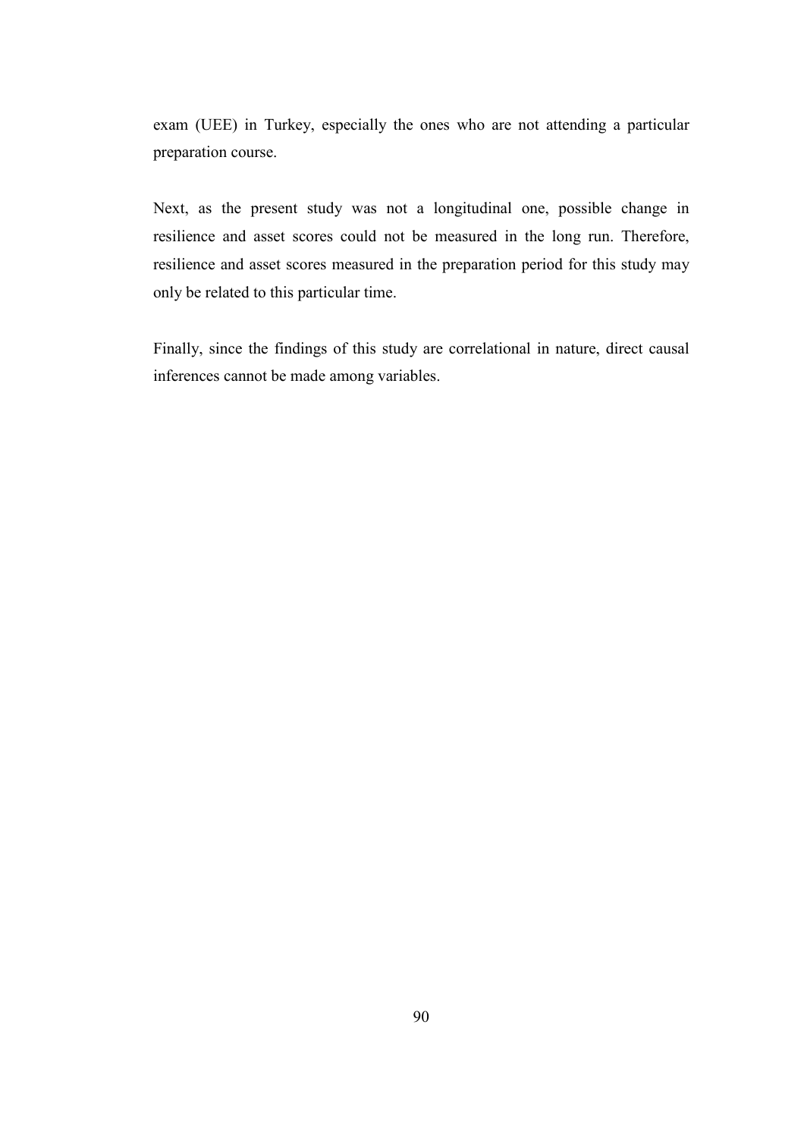exam (UEE) in Turkey, especially the ones who are not attending a particular preparation course.

Next, as the present study was not a longitudinal one, possible change in resilience and asset scores could not be measured in the long run. Therefore, resilience and asset scores measured in the preparation period for this study may only be related to this particular time.

Finally, since the findings of this study are correlational in nature, direct causal inferences cannot be made among variables.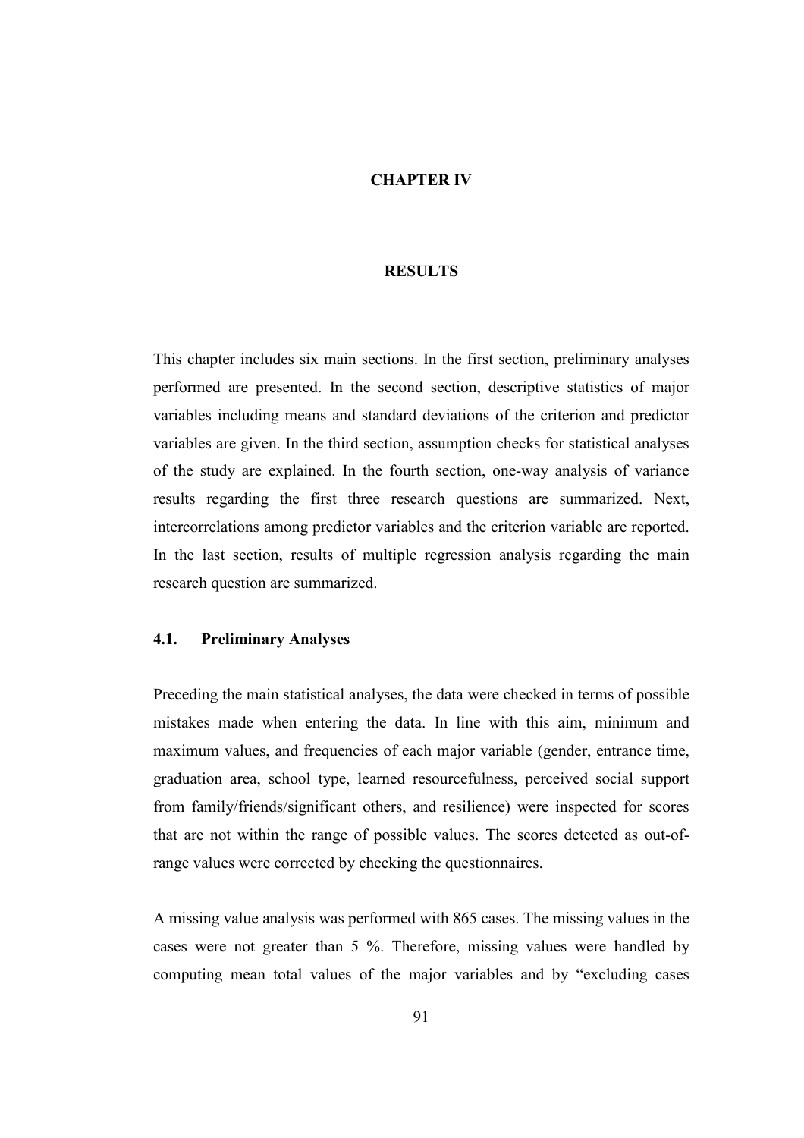#### CHAPTER IV

#### **RESULTS**

This chapter includes six main sections. In the first section, preliminary analyses performed are presented. In the second section, descriptive statistics of major variables including means and standard deviations of the criterion and predictor variables are given. In the third section, assumption checks for statistical analyses of the study are explained. In the fourth section, one-way analysis of variance results regarding the first three research questions are summarized. Next, intercorrelations among predictor variables and the criterion variable are reported. In the last section, results of multiple regression analysis regarding the main research question are summarized.

### 4.1. Preliminary Analyses

Preceding the main statistical analyses, the data were checked in terms of possible mistakes made when entering the data. In line with this aim, minimum and maximum values, and frequencies of each major variable (gender, entrance time, graduation area, school type, learned resourcefulness, perceived social support from family/friends/significant others, and resilience) were inspected for scores that are not within the range of possible values. The scores detected as out-ofrange values were corrected by checking the questionnaires.

A missing value analysis was performed with 865 cases. The missing values in the cases were not greater than 5 %. Therefore, missing values were handled by computing mean total values of the major variables and by "excluding cases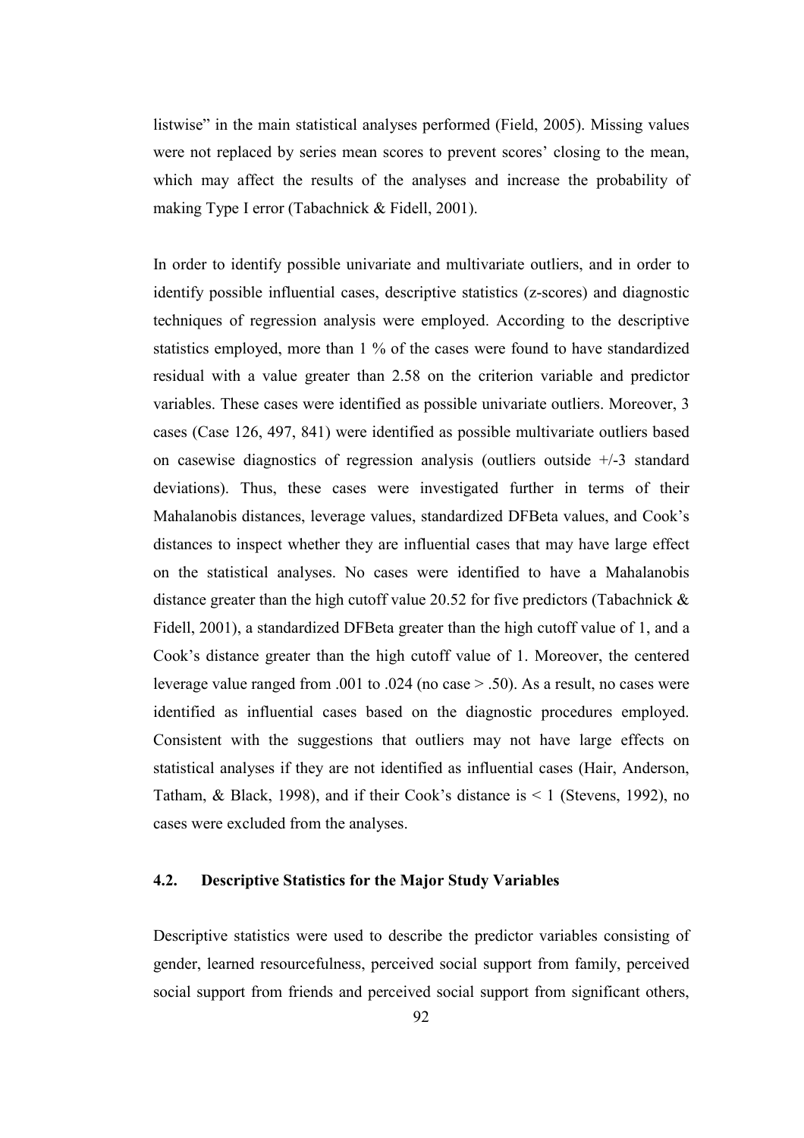listwise" in the main statistical analyses performed (Field, 2005). Missing values were not replaced by series mean scores to prevent scores' closing to the mean, which may affect the results of the analyses and increase the probability of making Type I error (Tabachnick & Fidell, 2001).

In order to identify possible univariate and multivariate outliers, and in order to identify possible influential cases, descriptive statistics (z-scores) and diagnostic techniques of regression analysis were employed. According to the descriptive statistics employed, more than 1 % of the cases were found to have standardized residual with a value greater than 2.58 on the criterion variable and predictor variables. These cases were identified as possible univariate outliers. Moreover, 3 cases (Case 126, 497, 841) were identified as possible multivariate outliers based on casewise diagnostics of regression analysis (outliers outside  $+/-3$  standard deviations). Thus, these cases were investigated further in terms of their Mahalanobis distances, leverage values, standardized DFBeta values, and Cook's distances to inspect whether they are influential cases that may have large effect on the statistical analyses. No cases were identified to have a Mahalanobis distance greater than the high cutoff value 20.52 for five predictors (Tabachnick & Fidell, 2001), a standardized DFBeta greater than the high cutoff value of 1, and a Cook's distance greater than the high cutoff value of 1. Moreover, the centered leverage value ranged from .001 to .024 (no case > .50). As a result, no cases were identified as influential cases based on the diagnostic procedures employed. Consistent with the suggestions that outliers may not have large effects on statistical analyses if they are not identified as influential cases (Hair, Anderson, Tatham, & Black, 1998), and if their Cook's distance is  $\leq 1$  (Stevens, 1992), no cases were excluded from the analyses.

# 4.2. Descriptive Statistics for the Major Study Variables

Descriptive statistics were used to describe the predictor variables consisting of gender, learned resourcefulness, perceived social support from family, perceived social support from friends and perceived social support from significant others,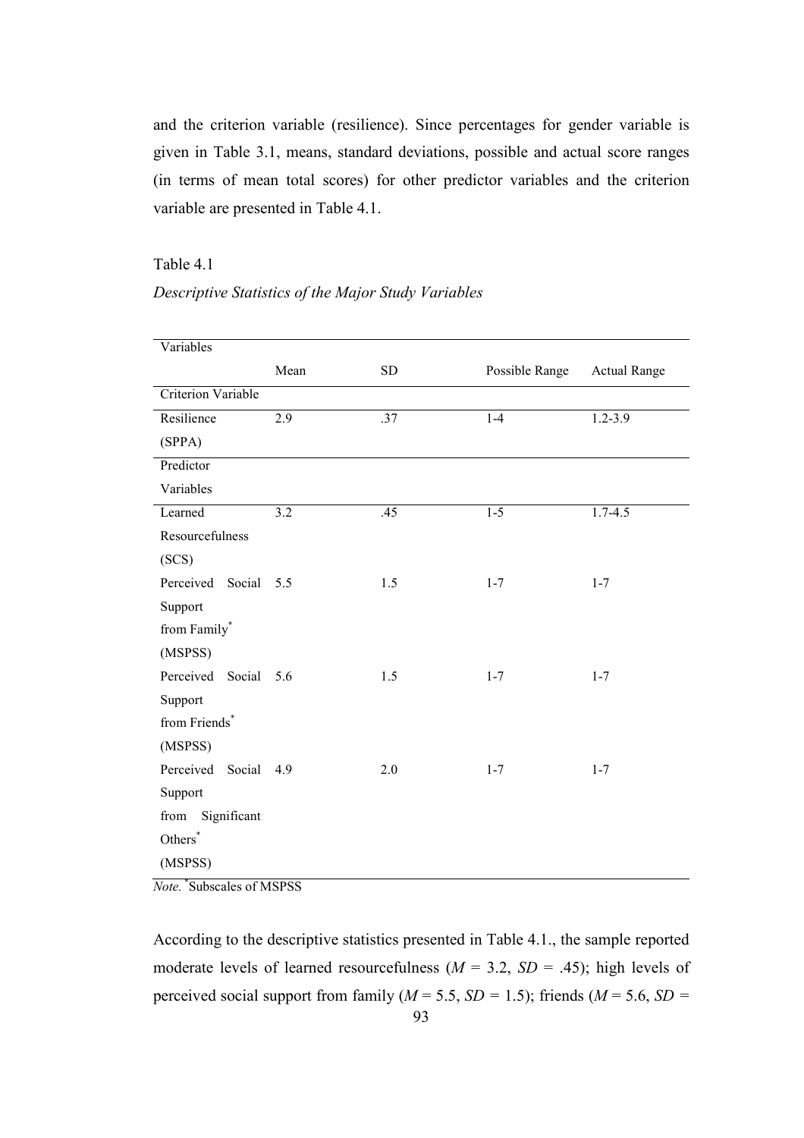and the criterion variable (resilience). Since percentages for gender variable is given in Table 3.1, means, standard deviations, possible and actual score ranges (in terms of mean total scores) for other predictor variables and the criterion variable are presented in Table 4.1.

### Table 4.1

| Descriptive Statistics of the Major Study Variables |  |  |  |
|-----------------------------------------------------|--|--|--|
|                                                     |  |  |  |

| Variables                 |      |     |                |                     |
|---------------------------|------|-----|----------------|---------------------|
|                           | Mean | SD  | Possible Range | <b>Actual Range</b> |
| <b>Criterion Variable</b> |      |     |                |                     |
| Resilience                | 2.9  | .37 | $1-4$          | $1.2 - 3.9$         |
| (SPPA)                    |      |     |                |                     |
| Predictor                 |      |     |                |                     |
| Variables                 |      |     |                |                     |
| Learned                   | 3.2  | .45 | $1-5$          | $1.7 - 4.5$         |
| Resourcefulness           |      |     |                |                     |
| (SCS)                     |      |     |                |                     |
| Perceived Social          | 5.5  | 1.5 | $1 - 7$        | $1 - 7$             |
| Support                   |      |     |                |                     |
| from Family*              |      |     |                |                     |
| (MSPSS)                   |      |     |                |                     |
| Perceived Social 5.6      |      | 1.5 | $1 - 7$        | $1 - 7$             |
| Support                   |      |     |                |                     |
| from Friends*             |      |     |                |                     |
| (MSPSS)                   |      |     |                |                     |
| Perceived Social          | 4.9  | 2.0 | $1 - 7$        | $1 - 7$             |
| Support                   |      |     |                |                     |
| Significant<br>from       |      |     |                |                     |
| Others <sup>*</sup>       |      |     |                |                     |
| (MSPSS)                   |      |     |                |                     |

Note. \*Subscales of MSPSS

 93 According to the descriptive statistics presented in Table 4.1., the sample reported moderate levels of learned resourcefulness  $(M = 3.2, SD = .45)$ ; high levels of perceived social support from family ( $M = 5.5$ ,  $SD = 1.5$ ); friends ( $M = 5.6$ ,  $SD = 1.5$ )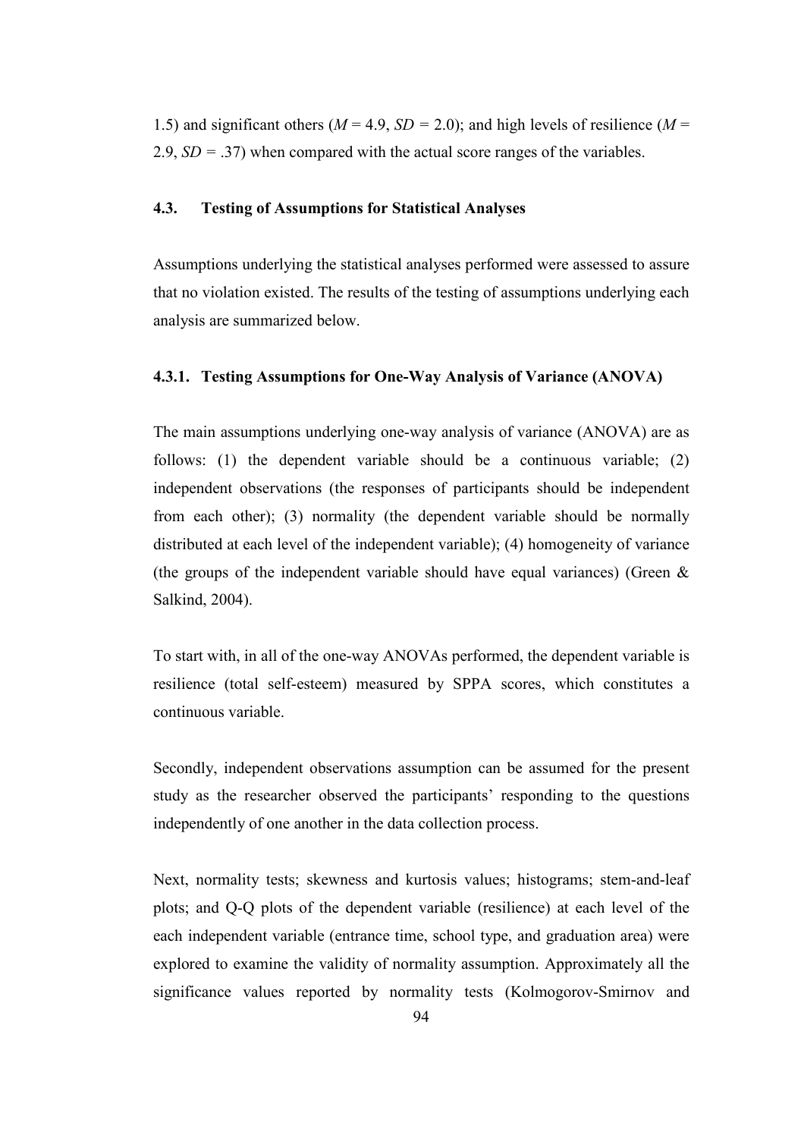1.5) and significant others ( $M = 4.9$ ,  $SD = 2.0$ ); and high levels of resilience ( $M =$ 2.9,  $SD = .37$ ) when compared with the actual score ranges of the variables.

### 4.3. Testing of Assumptions for Statistical Analyses

Assumptions underlying the statistical analyses performed were assessed to assure that no violation existed. The results of the testing of assumptions underlying each analysis are summarized below.

# 4.3.1. Testing Assumptions for One-Way Analysis of Variance (ANOVA)

The main assumptions underlying one-way analysis of variance (ANOVA) are as follows: (1) the dependent variable should be a continuous variable; (2) independent observations (the responses of participants should be independent from each other); (3) normality (the dependent variable should be normally distributed at each level of the independent variable); (4) homogeneity of variance (the groups of the independent variable should have equal variances) (Green  $\&$ Salkind, 2004).

To start with, in all of the one-way ANOVAs performed, the dependent variable is resilience (total self-esteem) measured by SPPA scores, which constitutes a continuous variable.

Secondly, independent observations assumption can be assumed for the present study as the researcher observed the participants' responding to the questions independently of one another in the data collection process.

Next, normality tests; skewness and kurtosis values; histograms; stem-and-leaf plots; and Q-Q plots of the dependent variable (resilience) at each level of the each independent variable (entrance time, school type, and graduation area) were explored to examine the validity of normality assumption. Approximately all the significance values reported by normality tests (Kolmogorov-Smirnov and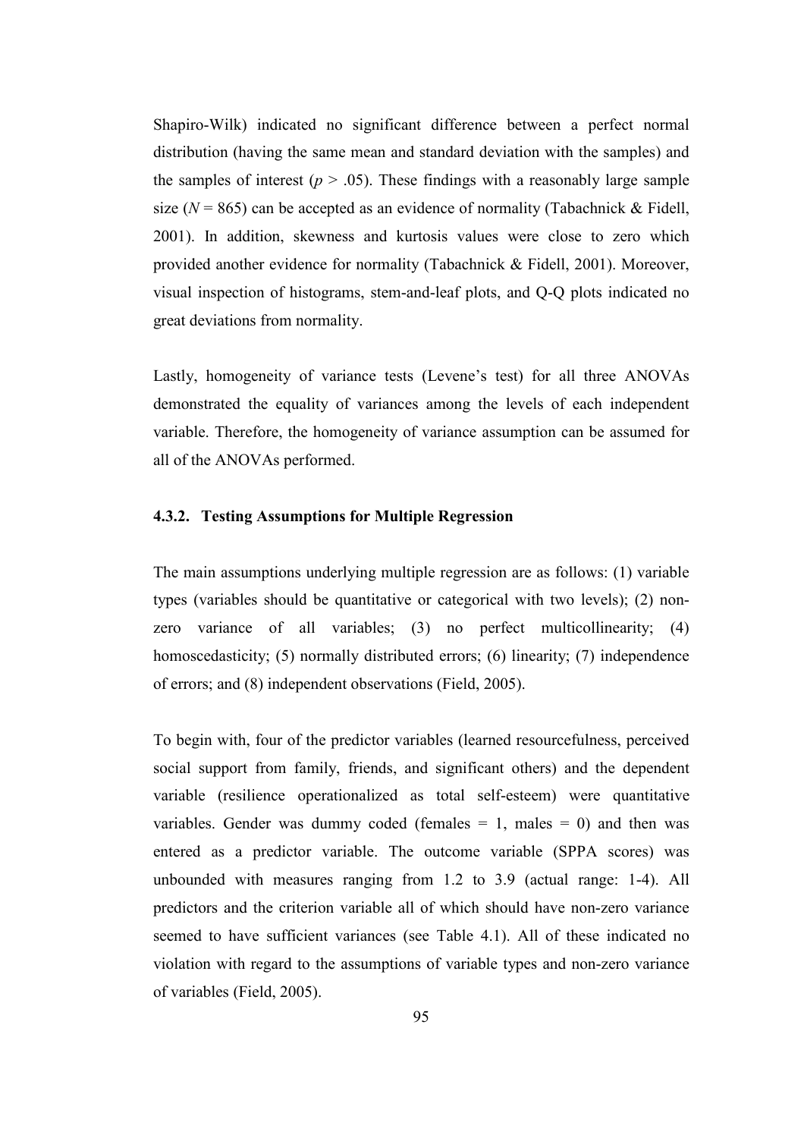Shapiro-Wilk) indicated no significant difference between a perfect normal distribution (having the same mean and standard deviation with the samples) and the samples of interest ( $p > .05$ ). These findings with a reasonably large sample size ( $N = 865$ ) can be accepted as an evidence of normality (Tabachnick & Fidell, 2001). In addition, skewness and kurtosis values were close to zero which provided another evidence for normality (Tabachnick & Fidell, 2001). Moreover, visual inspection of histograms, stem-and-leaf plots, and Q-Q plots indicated no great deviations from normality.

Lastly, homogeneity of variance tests (Levene's test) for all three ANOVAs demonstrated the equality of variances among the levels of each independent variable. Therefore, the homogeneity of variance assumption can be assumed for all of the ANOVAs performed.

### 4.3.2. Testing Assumptions for Multiple Regression

The main assumptions underlying multiple regression are as follows: (1) variable types (variables should be quantitative or categorical with two levels); (2) nonzero variance of all variables; (3) no perfect multicollinearity; (4) homoscedasticity; (5) normally distributed errors; (6) linearity; (7) independence of errors; and (8) independent observations (Field, 2005).

To begin with, four of the predictor variables (learned resourcefulness, perceived social support from family, friends, and significant others) and the dependent variable (resilience operationalized as total self-esteem) were quantitative variables. Gender was dummy coded (females  $= 1$ , males  $= 0$ ) and then was entered as a predictor variable. The outcome variable (SPPA scores) was unbounded with measures ranging from 1.2 to 3.9 (actual range: 1-4). All predictors and the criterion variable all of which should have non-zero variance seemed to have sufficient variances (see Table 4.1). All of these indicated no violation with regard to the assumptions of variable types and non-zero variance of variables (Field, 2005).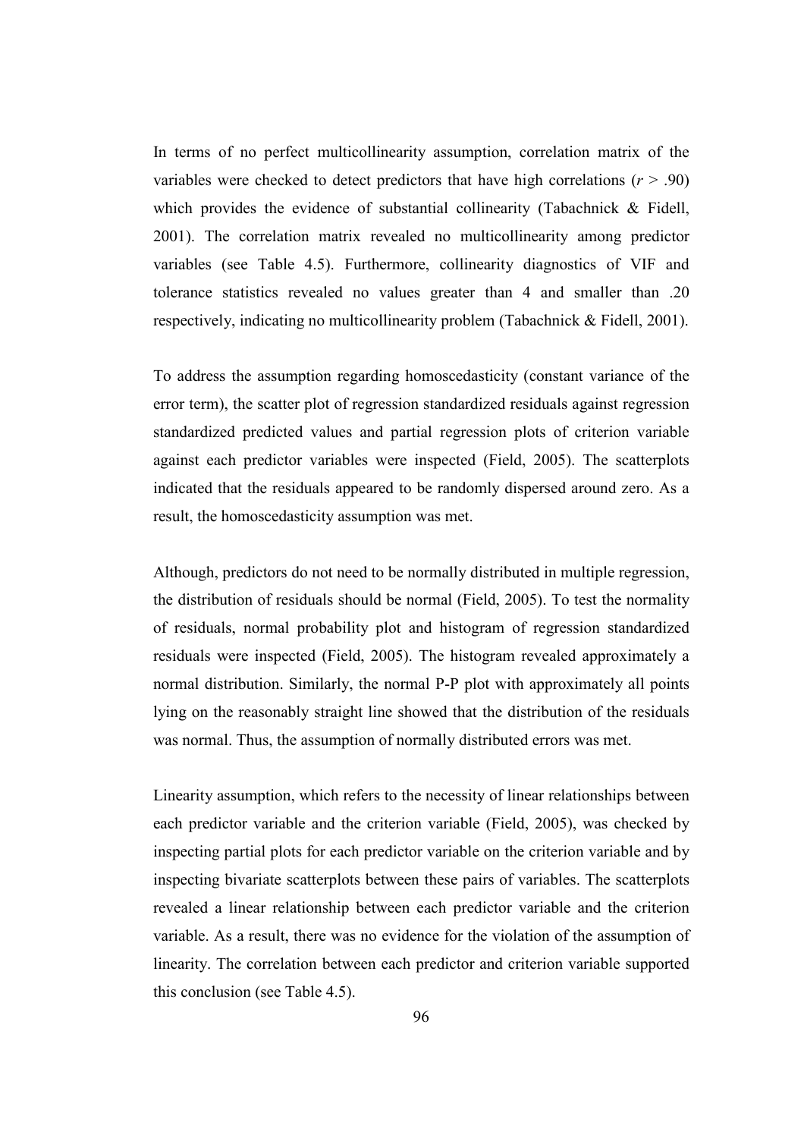In terms of no perfect multicollinearity assumption, correlation matrix of the variables were checked to detect predictors that have high correlations  $(r > .90)$ which provides the evidence of substantial collinearity (Tabachnick & Fidell, 2001). The correlation matrix revealed no multicollinearity among predictor variables (see Table 4.5). Furthermore, collinearity diagnostics of VIF and tolerance statistics revealed no values greater than 4 and smaller than .20 respectively, indicating no multicollinearity problem (Tabachnick & Fidell, 2001).

To address the assumption regarding homoscedasticity (constant variance of the error term), the scatter plot of regression standardized residuals against regression standardized predicted values and partial regression plots of criterion variable against each predictor variables were inspected (Field, 2005). The scatterplots indicated that the residuals appeared to be randomly dispersed around zero. As a result, the homoscedasticity assumption was met.

Although, predictors do not need to be normally distributed in multiple regression, the distribution of residuals should be normal (Field, 2005). To test the normality of residuals, normal probability plot and histogram of regression standardized residuals were inspected (Field, 2005). The histogram revealed approximately a normal distribution. Similarly, the normal P-P plot with approximately all points lying on the reasonably straight line showed that the distribution of the residuals was normal. Thus, the assumption of normally distributed errors was met.

Linearity assumption, which refers to the necessity of linear relationships between each predictor variable and the criterion variable (Field, 2005), was checked by inspecting partial plots for each predictor variable on the criterion variable and by inspecting bivariate scatterplots between these pairs of variables. The scatterplots revealed a linear relationship between each predictor variable and the criterion variable. As a result, there was no evidence for the violation of the assumption of linearity. The correlation between each predictor and criterion variable supported this conclusion (see Table 4.5).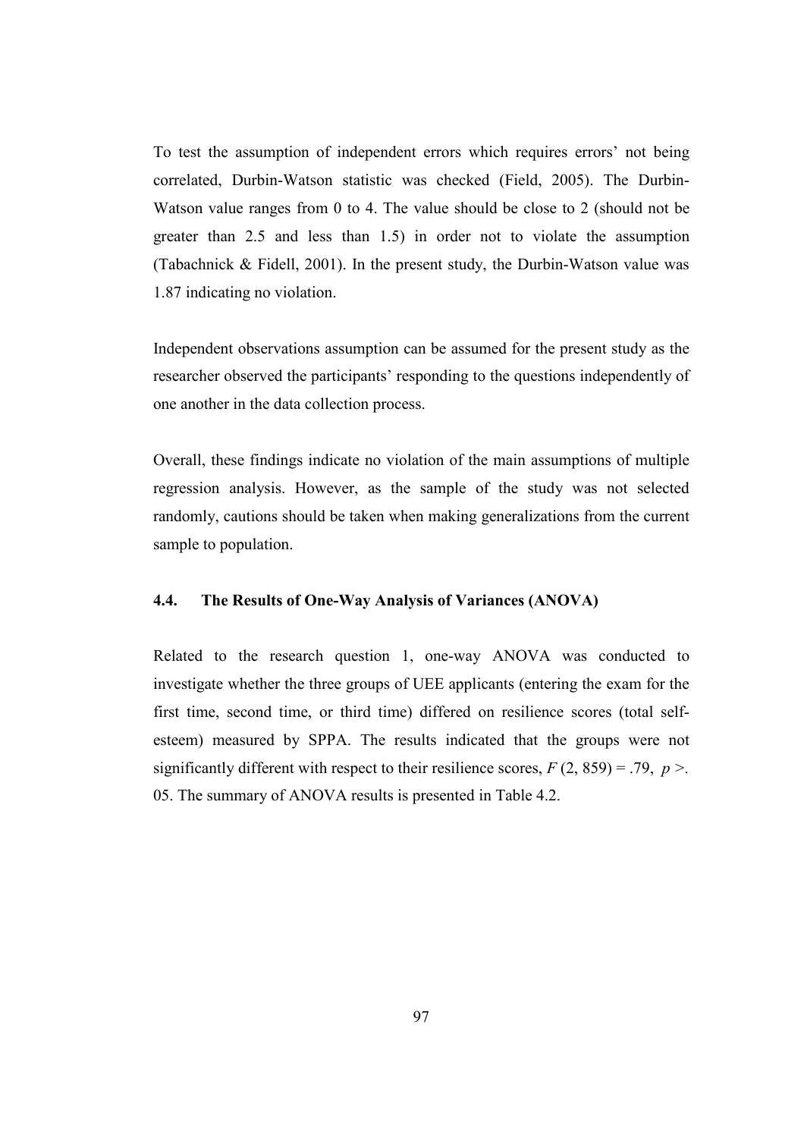To test the assumption of independent errors which requires errors' not being correlated, Durbin-Watson statistic was checked (Field, 2005). The Durbin-Watson value ranges from 0 to 4. The value should be close to 2 (should not be greater than 2.5 and less than 1.5) in order not to violate the assumption (Tabachnick & Fidell, 2001). In the present study, the Durbin-Watson value was 1.87 indicating no violation.

Independent observations assumption can be assumed for the present study as the researcher observed the participants' responding to the questions independently of one another in the data collection process.

Overall, these findings indicate no violation of the main assumptions of multiple regression analysis. However, as the sample of the study was not selected randomly, cautions should be taken when making generalizations from the current sample to population.

# 4.4. The Results of One-Way Analysis of Variances (ANOVA)

Related to the research question 1, one-way ANOVA was conducted to investigate whether the three groups of UEE applicants (entering the exam for the first time, second time, or third time) differed on resilience scores (total selfesteem) measured by SPPA. The results indicated that the groups were not significantly different with respect to their resilience scores,  $F(2, 859) = .79$ ,  $p >$ . 05. The summary of ANOVA results is presented in Table 4.2.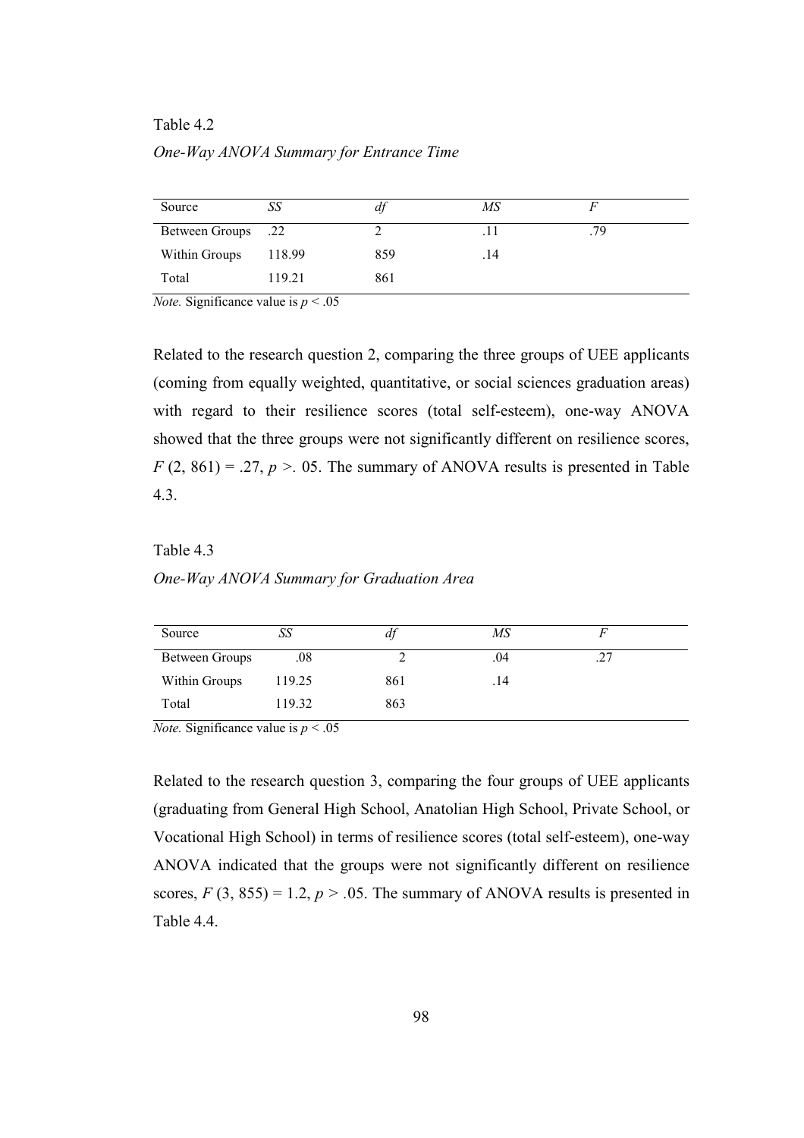### Table 4.2

One-Way ANOVA Summary for Entrance Time

| Source                    | SS     | aj  | MS  |     |
|---------------------------|--------|-----|-----|-----|
| <b>Between Groups</b> .22 |        |     |     | .79 |
| Within Groups             | 118.99 | 859 | .14 |     |
| Total                     | 119.21 | 861 |     |     |

*Note.* Significance value is  $p < .05$ 

Related to the research question 2, comparing the three groups of UEE applicants (coming from equally weighted, quantitative, or social sciences graduation areas) with regard to their resilience scores (total self-esteem), one-way ANOVA showed that the three groups were not significantly different on resilience scores,  $F(2, 861) = .27$ ,  $p > .05$ . The summary of ANOVA results is presented in Table 4.3.

### Table 4.3

One-Way ANOVA Summary for Graduation Area

| Source                | SΣ       | aj  | MS  |     |  |
|-----------------------|----------|-----|-----|-----|--|
| <b>Between Groups</b> | $_{.08}$ |     | .04 | ت . |  |
| Within Groups         | 119.25   | 861 | .14 |     |  |
| Total                 | 119.32   | 863 |     |     |  |

*Note.* Significance value is  $p < .05$ 

Related to the research question 3, comparing the four groups of UEE applicants (graduating from General High School, Anatolian High School, Private School, or Vocational High School) in terms of resilience scores (total self-esteem), one-way ANOVA indicated that the groups were not significantly different on resilience scores,  $F(3, 855) = 1.2$ ,  $p > .05$ . The summary of ANOVA results is presented in Table 4.4.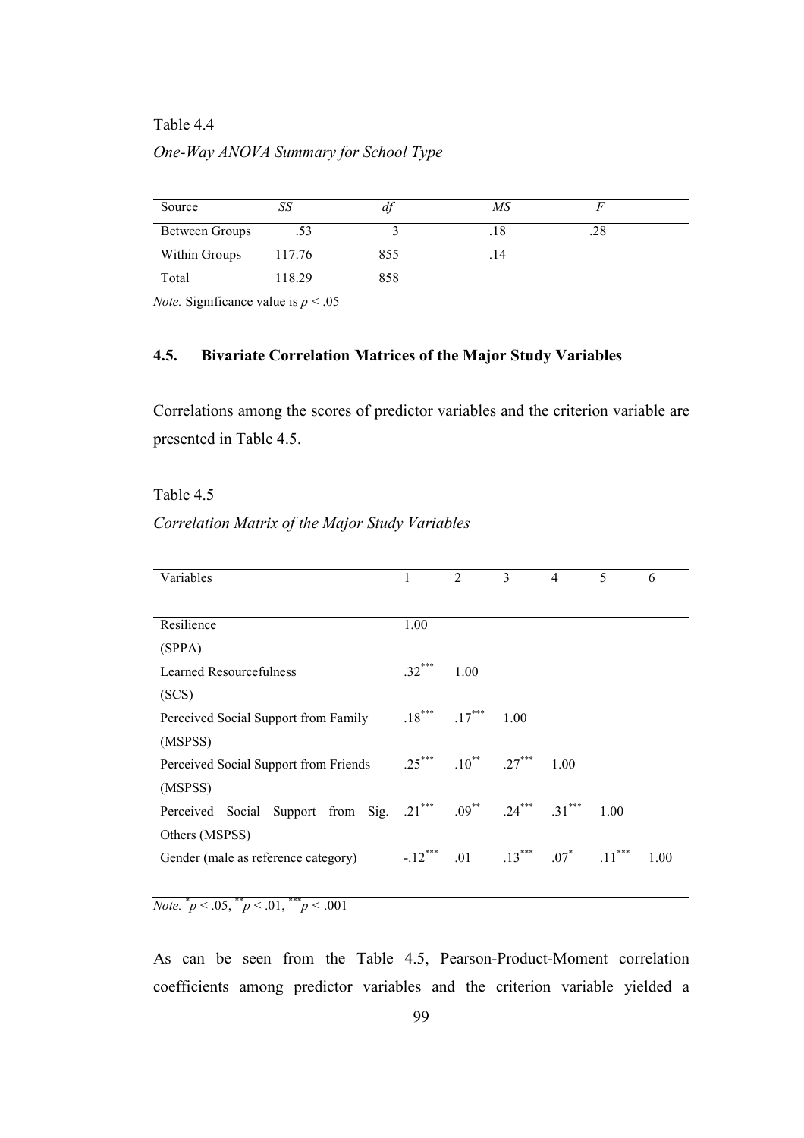### Table 4.4

### One-Way ANOVA Summary for School Type

| Source                | SS     | aj  | MS   |     |  |
|-----------------------|--------|-----|------|-----|--|
| <b>Between Groups</b> | .53    |     | .18  | .28 |  |
| Within Groups         | 117.76 | 855 | . 14 |     |  |
| Total                 | 118.29 | 858 |      |     |  |

*Note.* Significance value is  $p < .05$ 

### 4.5. Bivariate Correlation Matrices of the Major Study Variables

Correlations among the scores of predictor variables and the criterion variable are presented in Table 4.5.

### Table 4.5

# Correlation Matrix of the Major Study Variables

| Variables                                                                         |          | $\overline{2}$                     | $\mathbf{3}$ | $\overline{4}$ | 5    | 6    |
|-----------------------------------------------------------------------------------|----------|------------------------------------|--------------|----------------|------|------|
|                                                                                   |          |                                    |              |                |      |      |
| Resilience                                                                        | 1.00     |                                    |              |                |      |      |
| (SPPA)                                                                            |          |                                    |              |                |      |      |
| Learned Resourcefulness                                                           | $.32***$ | 1.00                               |              |                |      |      |
| (SCS)                                                                             |          |                                    |              |                |      |      |
| Perceived Social Support from Family                                              |          | $.18***$ $.17***$ 1.00             |              |                |      |      |
| (MSPSS)                                                                           |          |                                    |              |                |      |      |
| Perceived Social Support from Friends                                             | $.25***$ | $.10^{**}$ $.27^{***}$             |              | 1.00           |      |      |
| (MSPSS)                                                                           |          |                                    |              |                |      |      |
| Perceived Social Support from Sig. $.21^{***}$ $.09^{**}$ $.24^{***}$ $.31^{***}$ |          |                                    |              |                | 1.00 |      |
| Others (MSPSS)                                                                    |          |                                    |              |                |      |      |
| Gender (male as reference category)                                               |          | $-12^{***}$ .01 .13*** .07* .11*** |              |                |      | 1.00 |
|                                                                                   |          |                                    |              |                |      |      |

Note.  $\degree p < .05, \degree^* p < .01, \degree^* p < .001$ 

As can be seen from the Table 4.5, Pearson-Product-Moment correlation coefficients among predictor variables and the criterion variable yielded a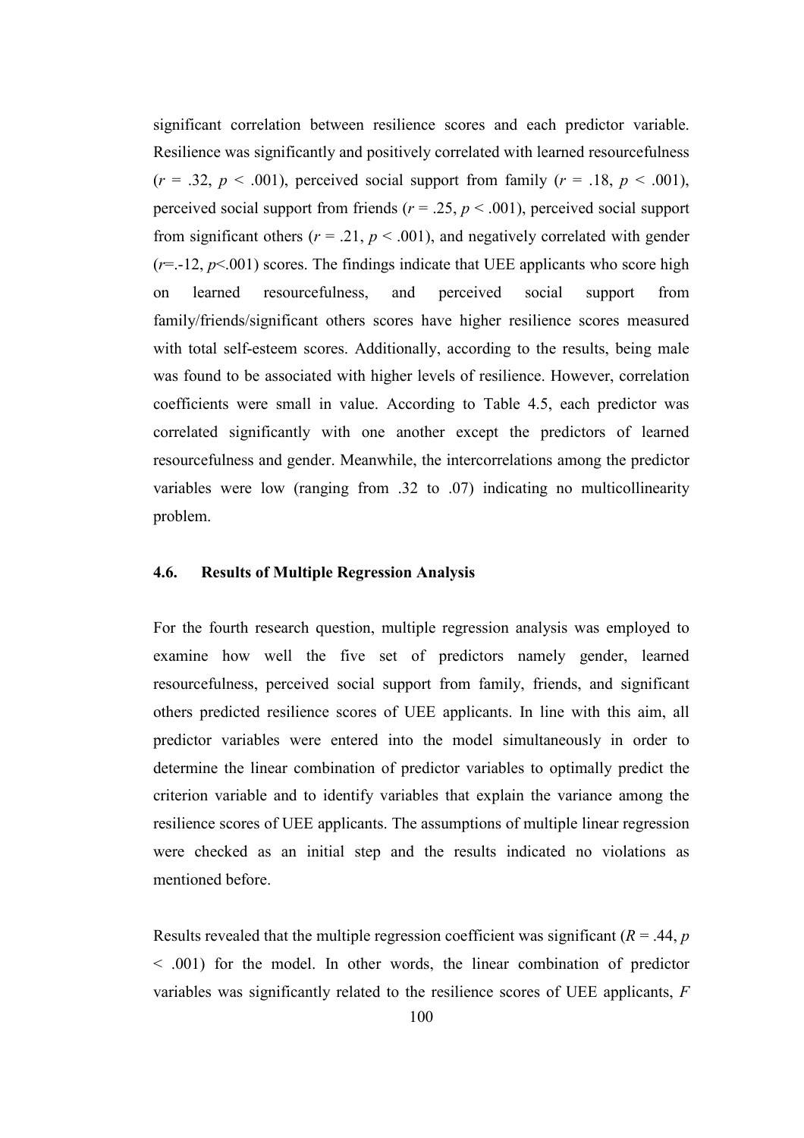significant correlation between resilience scores and each predictor variable. Resilience was significantly and positively correlated with learned resourcefulness  $(r = .32, p < .001)$ , perceived social support from family  $(r = .18, p < .001)$ , perceived social support from friends ( $r = .25$ ,  $p < .001$ ), perceived social support from significant others ( $r = .21$ ,  $p < .001$ ), and negatively correlated with gender  $(r=-12, p<0.01)$  scores. The findings indicate that UEE applicants who score high on learned resourcefulness, and perceived social support from family/friends/significant others scores have higher resilience scores measured with total self-esteem scores. Additionally, according to the results, being male was found to be associated with higher levels of resilience. However, correlation coefficients were small in value. According to Table 4.5, each predictor was correlated significantly with one another except the predictors of learned resourcefulness and gender. Meanwhile, the intercorrelations among the predictor variables were low (ranging from .32 to .07) indicating no multicollinearity problem.

# 4.6. Results of Multiple Regression Analysis

For the fourth research question, multiple regression analysis was employed to examine how well the five set of predictors namely gender, learned resourcefulness, perceived social support from family, friends, and significant others predicted resilience scores of UEE applicants. In line with this aim, all predictor variables were entered into the model simultaneously in order to determine the linear combination of predictor variables to optimally predict the criterion variable and to identify variables that explain the variance among the resilience scores of UEE applicants. The assumptions of multiple linear regression were checked as an initial step and the results indicated no violations as mentioned before.

Results revealed that the multiple regression coefficient was significant ( $R = .44$ ,  $p$ ) < .001) for the model. In other words, the linear combination of predictor variables was significantly related to the resilience scores of UEE applicants,  $F$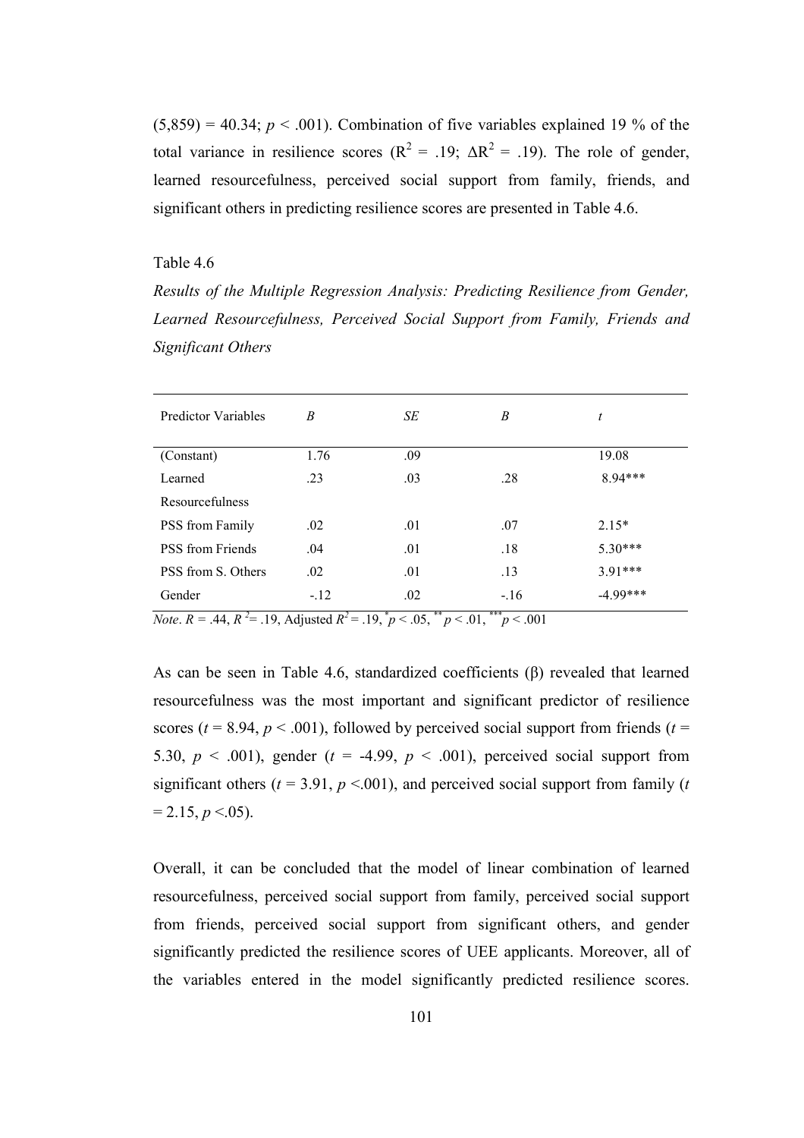$(5,859) = 40.34$ ;  $p < .001$ ). Combination of five variables explained 19 % of the total variance in resilience scores ( $R^2 = .19$ ;  $\Delta R^2 = .19$ ). The role of gender, learned resourcefulness, perceived social support from family, friends, and significant others in predicting resilience scores are presented in Table 4.6.

# Table 4.6

Results of the Multiple Regression Analysis: Predicting Resilience from Gender, Learned Resourcefulness, Perceived Social Support from Family, Friends and Significant Others

| <b>Predictor Variables</b> | B      | SE               | B             | t          |
|----------------------------|--------|------------------|---------------|------------|
| (Constant)                 | 1.76   | .09              |               | 19.08      |
| Learned                    | .23    | .03              | .28           | 8.94***    |
| Resourcefulness            |        |                  |               |            |
| PSS from Family            | .02    | .01              | .07           | $2.15*$    |
| <b>PSS</b> from Friends    | .04    | .01              | .18           | $5.30***$  |
| PSS from S. Others         | .02    | .01              | .13           | $3.91***$  |
| Gender                     | $-.12$ | .02<br>$**$<br>÷ | $-.16$<br>*** | $-4.99***$ |

*Note.*  $R = .44$ ,  $R^2 = .19$ , Adjusted  $R^2 = .19$ ,  $p < .05$ ,  $p < .01$ ,  $p < .001$ 

As can be seen in Table 4.6, standardized coefficients (β) revealed that learned resourcefulness was the most important and significant predictor of resilience scores ( $t = 8.94$ ,  $p < .001$ ), followed by perceived social support from friends ( $t =$ 5.30,  $p \le 0.001$ ), gender (t = -4.99,  $p \le 0.001$ ), perceived social support from significant others ( $t = 3.91$ ,  $p < .001$ ), and perceived social support from family ( $t$ )  $= 2.15, p < .05$ ).

Overall, it can be concluded that the model of linear combination of learned resourcefulness, perceived social support from family, perceived social support from friends, perceived social support from significant others, and gender significantly predicted the resilience scores of UEE applicants. Moreover, all of the variables entered in the model significantly predicted resilience scores.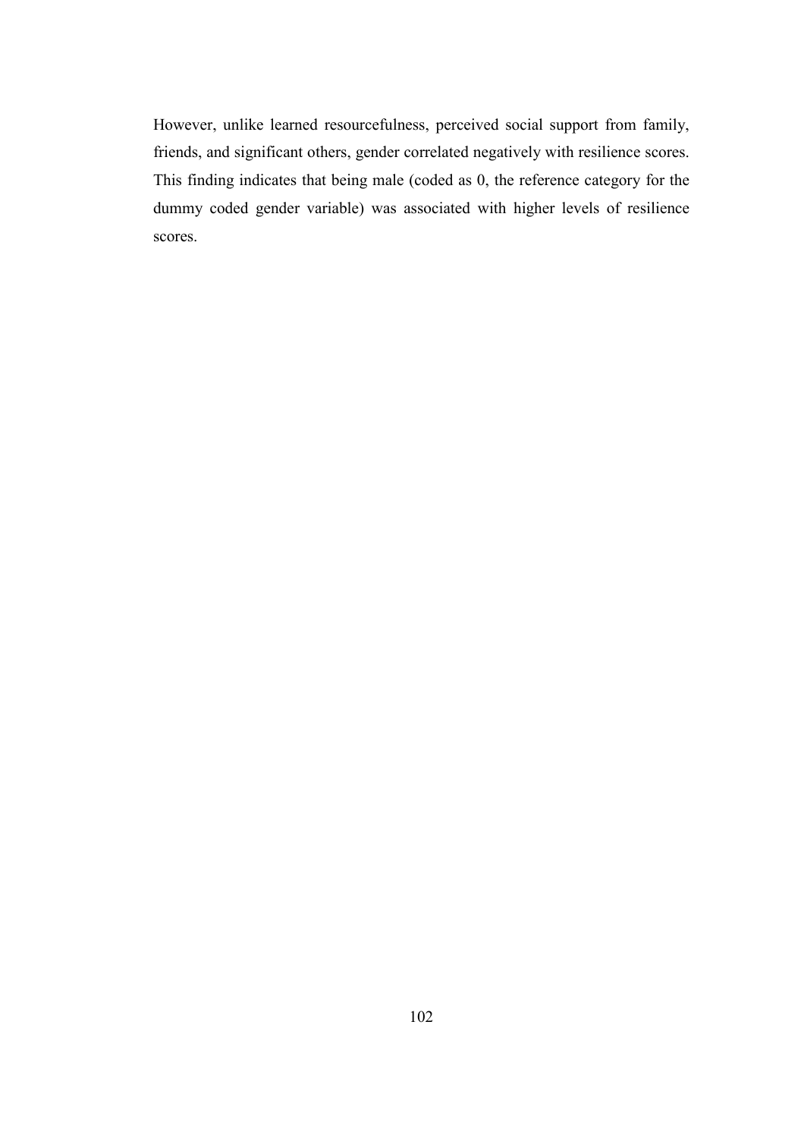However, unlike learned resourcefulness, perceived social support from family, friends, and significant others, gender correlated negatively with resilience scores. This finding indicates that being male (coded as 0, the reference category for the dummy coded gender variable) was associated with higher levels of resilience scores.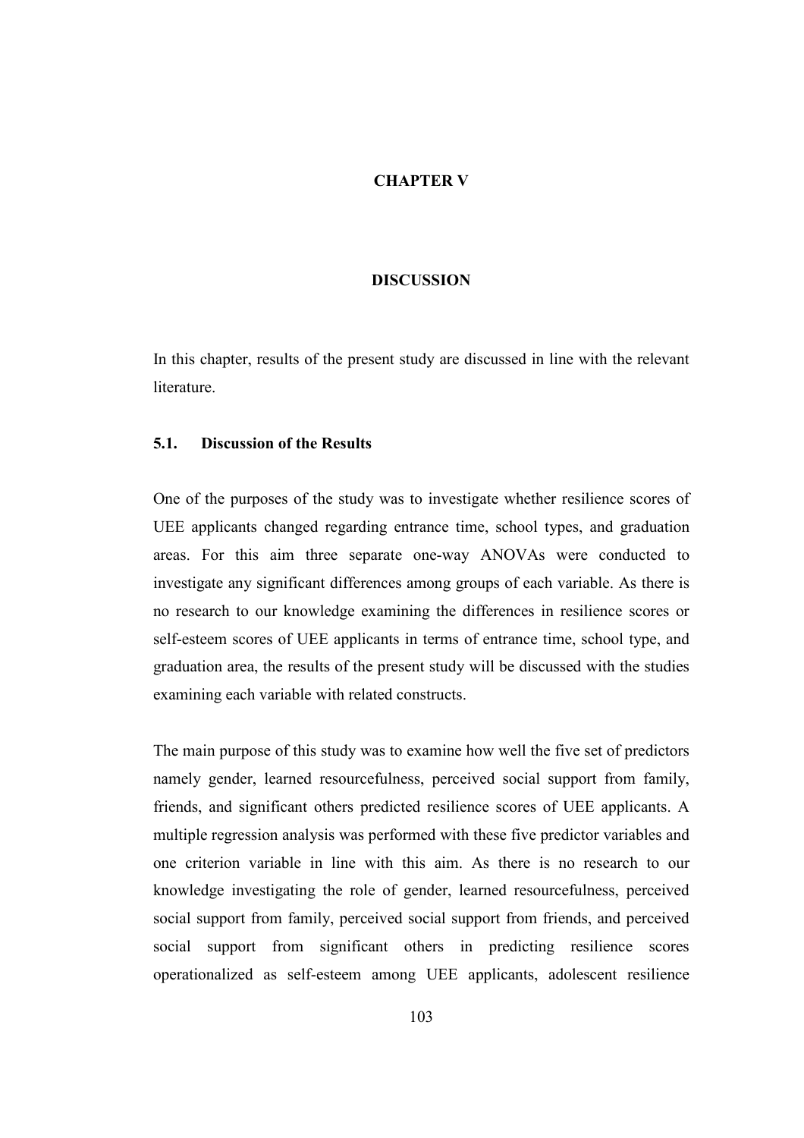### CHAPTER V

### DISCUSSION

In this chapter, results of the present study are discussed in line with the relevant **literature** 

# 5.1. Discussion of the Results

One of the purposes of the study was to investigate whether resilience scores of UEE applicants changed regarding entrance time, school types, and graduation areas. For this aim three separate one-way ANOVAs were conducted to investigate any significant differences among groups of each variable. As there is no research to our knowledge examining the differences in resilience scores or self-esteem scores of UEE applicants in terms of entrance time, school type, and graduation area, the results of the present study will be discussed with the studies examining each variable with related constructs.

The main purpose of this study was to examine how well the five set of predictors namely gender, learned resourcefulness, perceived social support from family, friends, and significant others predicted resilience scores of UEE applicants. A multiple regression analysis was performed with these five predictor variables and one criterion variable in line with this aim. As there is no research to our knowledge investigating the role of gender, learned resourcefulness, perceived social support from family, perceived social support from friends, and perceived social support from significant others in predicting resilience scores operationalized as self-esteem among UEE applicants, adolescent resilience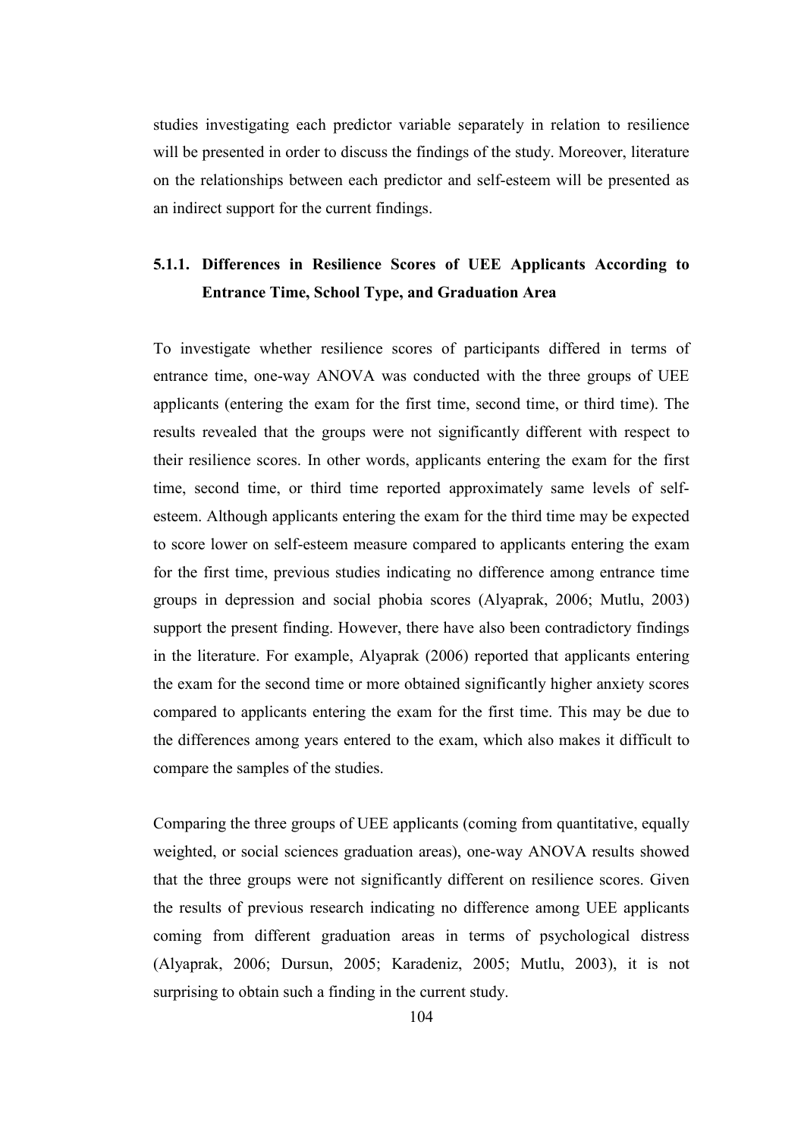studies investigating each predictor variable separately in relation to resilience will be presented in order to discuss the findings of the study. Moreover, literature on the relationships between each predictor and self-esteem will be presented as an indirect support for the current findings.

# 5.1.1. Differences in Resilience Scores of UEE Applicants According to Entrance Time, School Type, and Graduation Area

To investigate whether resilience scores of participants differed in terms of entrance time, one-way ANOVA was conducted with the three groups of UEE applicants (entering the exam for the first time, second time, or third time). The results revealed that the groups were not significantly different with respect to their resilience scores. In other words, applicants entering the exam for the first time, second time, or third time reported approximately same levels of selfesteem. Although applicants entering the exam for the third time may be expected to score lower on self-esteem measure compared to applicants entering the exam for the first time, previous studies indicating no difference among entrance time groups in depression and social phobia scores (Alyaprak, 2006; Mutlu, 2003) support the present finding. However, there have also been contradictory findings in the literature. For example, Alyaprak (2006) reported that applicants entering the exam for the second time or more obtained significantly higher anxiety scores compared to applicants entering the exam for the first time. This may be due to the differences among years entered to the exam, which also makes it difficult to compare the samples of the studies.

Comparing the three groups of UEE applicants (coming from quantitative, equally weighted, or social sciences graduation areas), one-way ANOVA results showed that the three groups were not significantly different on resilience scores. Given the results of previous research indicating no difference among UEE applicants coming from different graduation areas in terms of psychological distress (Alyaprak, 2006; Dursun, 2005; Karadeniz, 2005; Mutlu, 2003), it is not surprising to obtain such a finding in the current study.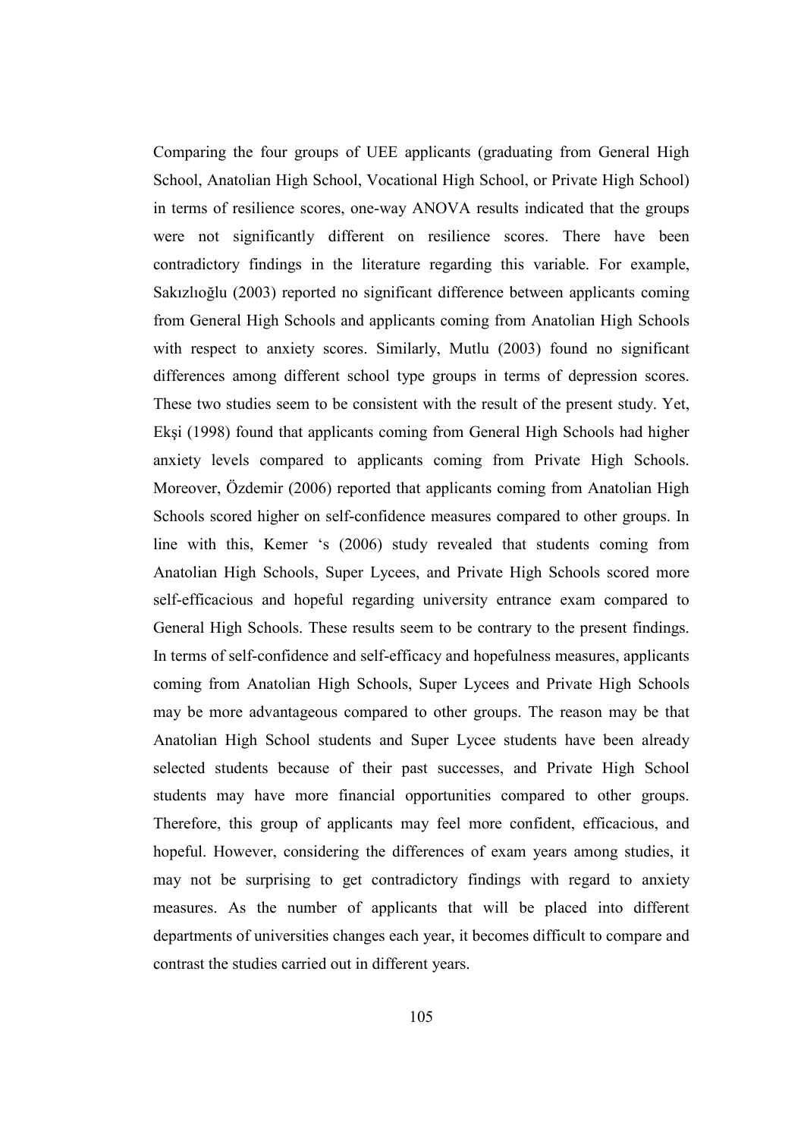Comparing the four groups of UEE applicants (graduating from General High School, Anatolian High School, Vocational High School, or Private High School) in terms of resilience scores, one-way ANOVA results indicated that the groups were not significantly different on resilience scores. There have been contradictory findings in the literature regarding this variable. For example, Sakızlıoğlu (2003) reported no significant difference between applicants coming from General High Schools and applicants coming from Anatolian High Schools with respect to anxiety scores. Similarly, Mutlu (2003) found no significant differences among different school type groups in terms of depression scores. These two studies seem to be consistent with the result of the present study. Yet, Ekşi (1998) found that applicants coming from General High Schools had higher anxiety levels compared to applicants coming from Private High Schools. Moreover, Özdemir (2006) reported that applicants coming from Anatolian High Schools scored higher on self-confidence measures compared to other groups. In line with this, Kemer 's (2006) study revealed that students coming from Anatolian High Schools, Super Lycees, and Private High Schools scored more self-efficacious and hopeful regarding university entrance exam compared to General High Schools. These results seem to be contrary to the present findings. In terms of self-confidence and self-efficacy and hopefulness measures, applicants coming from Anatolian High Schools, Super Lycees and Private High Schools may be more advantageous compared to other groups. The reason may be that Anatolian High School students and Super Lycee students have been already selected students because of their past successes, and Private High School students may have more financial opportunities compared to other groups. Therefore, this group of applicants may feel more confident, efficacious, and hopeful. However, considering the differences of exam years among studies, it may not be surprising to get contradictory findings with regard to anxiety measures. As the number of applicants that will be placed into different departments of universities changes each year, it becomes difficult to compare and contrast the studies carried out in different years.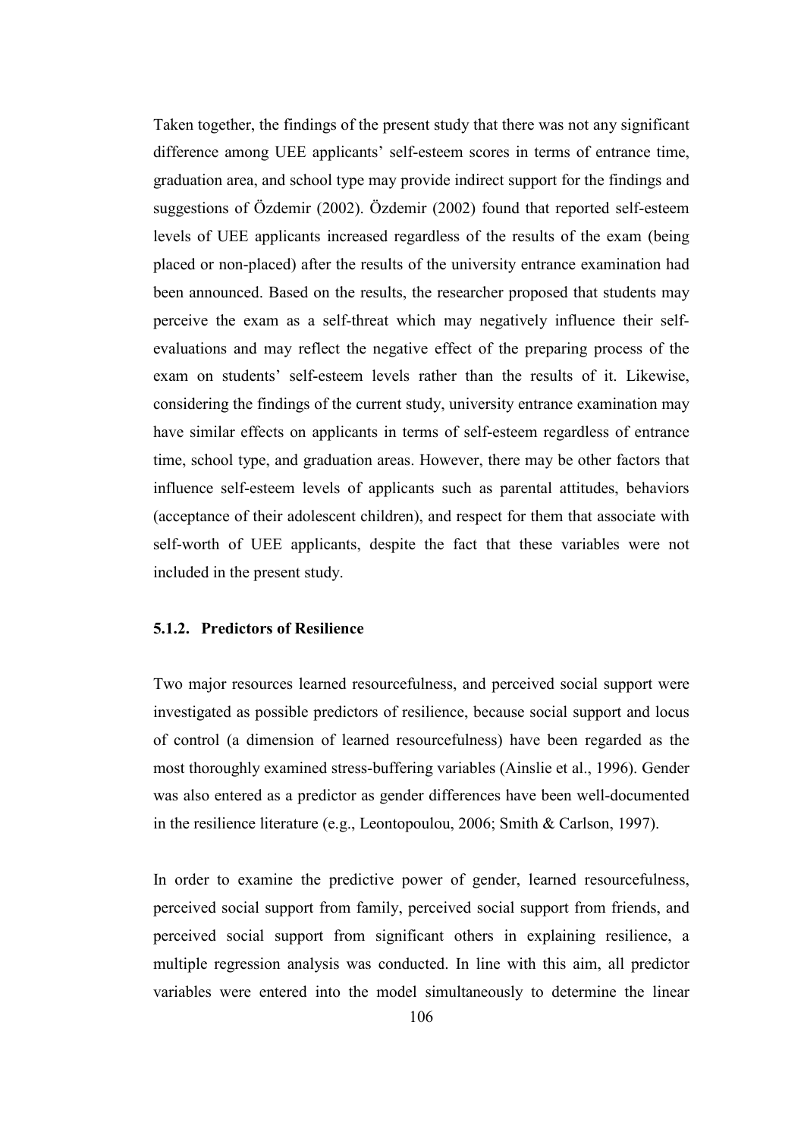Taken together, the findings of the present study that there was not any significant difference among UEE applicants' self-esteem scores in terms of entrance time, graduation area, and school type may provide indirect support for the findings and suggestions of Özdemir (2002). Özdemir (2002) found that reported self-esteem levels of UEE applicants increased regardless of the results of the exam (being placed or non-placed) after the results of the university entrance examination had been announced. Based on the results, the researcher proposed that students may perceive the exam as a self-threat which may negatively influence their selfevaluations and may reflect the negative effect of the preparing process of the exam on students' self-esteem levels rather than the results of it. Likewise, considering the findings of the current study, university entrance examination may have similar effects on applicants in terms of self-esteem regardless of entrance time, school type, and graduation areas. However, there may be other factors that influence self-esteem levels of applicants such as parental attitudes, behaviors (acceptance of their adolescent children), and respect for them that associate with self-worth of UEE applicants, despite the fact that these variables were not included in the present study.

# 5.1.2. Predictors of Resilience

Two major resources learned resourcefulness, and perceived social support were investigated as possible predictors of resilience, because social support and locus of control (a dimension of learned resourcefulness) have been regarded as the most thoroughly examined stress-buffering variables (Ainslie et al., 1996). Gender was also entered as a predictor as gender differences have been well-documented in the resilience literature (e.g., Leontopoulou, 2006; Smith & Carlson, 1997).

In order to examine the predictive power of gender, learned resourcefulness, perceived social support from family, perceived social support from friends, and perceived social support from significant others in explaining resilience, a multiple regression analysis was conducted. In line with this aim, all predictor variables were entered into the model simultaneously to determine the linear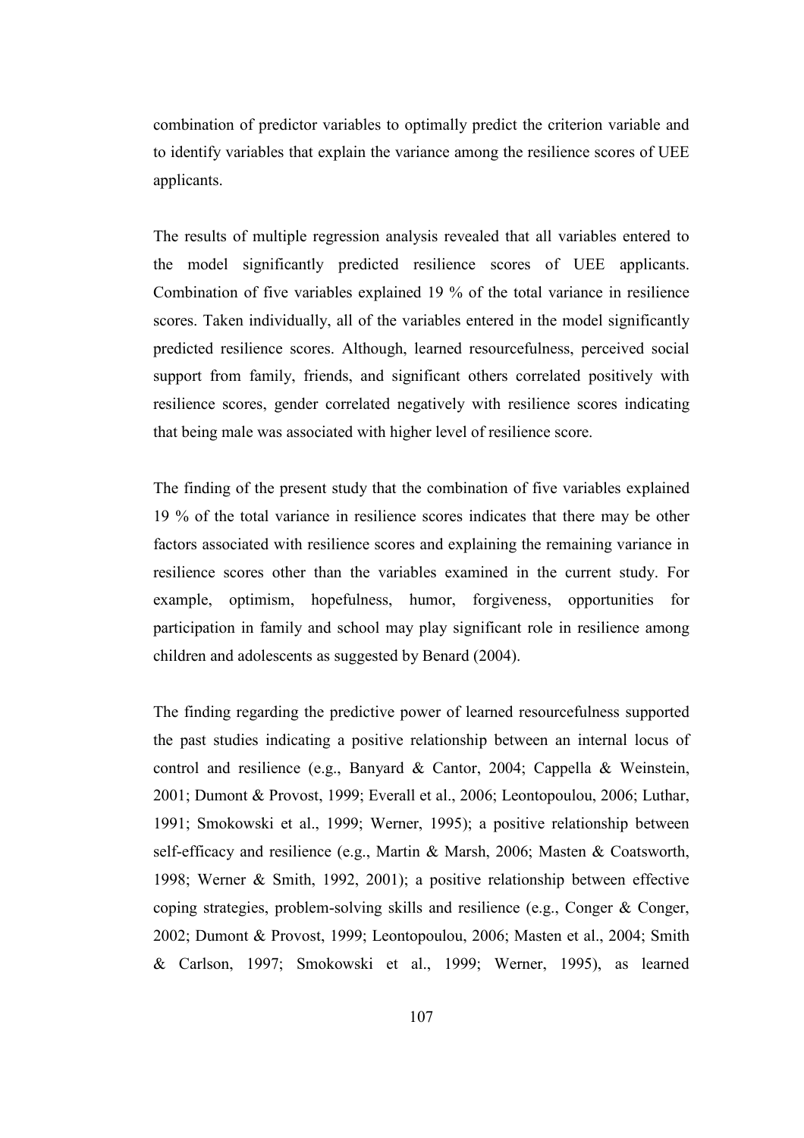combination of predictor variables to optimally predict the criterion variable and to identify variables that explain the variance among the resilience scores of UEE applicants.

The results of multiple regression analysis revealed that all variables entered to the model significantly predicted resilience scores of UEE applicants. Combination of five variables explained 19 % of the total variance in resilience scores. Taken individually, all of the variables entered in the model significantly predicted resilience scores. Although, learned resourcefulness, perceived social support from family, friends, and significant others correlated positively with resilience scores, gender correlated negatively with resilience scores indicating that being male was associated with higher level of resilience score.

The finding of the present study that the combination of five variables explained 19 % of the total variance in resilience scores indicates that there may be other factors associated with resilience scores and explaining the remaining variance in resilience scores other than the variables examined in the current study. For example, optimism, hopefulness, humor, forgiveness, opportunities for participation in family and school may play significant role in resilience among children and adolescents as suggested by Benard (2004).

The finding regarding the predictive power of learned resourcefulness supported the past studies indicating a positive relationship between an internal locus of control and resilience (e.g., Banyard & Cantor, 2004; Cappella & Weinstein, 2001; Dumont & Provost, 1999; Everall et al., 2006; Leontopoulou, 2006; Luthar, 1991; Smokowski et al., 1999; Werner, 1995); a positive relationship between self-efficacy and resilience (e.g., Martin & Marsh, 2006; Masten & Coatsworth, 1998; Werner & Smith, 1992, 2001); a positive relationship between effective coping strategies, problem-solving skills and resilience (e.g., Conger & Conger, 2002; Dumont & Provost, 1999; Leontopoulou, 2006; Masten et al., 2004; Smith & Carlson, 1997; Smokowski et al., 1999; Werner, 1995), as learned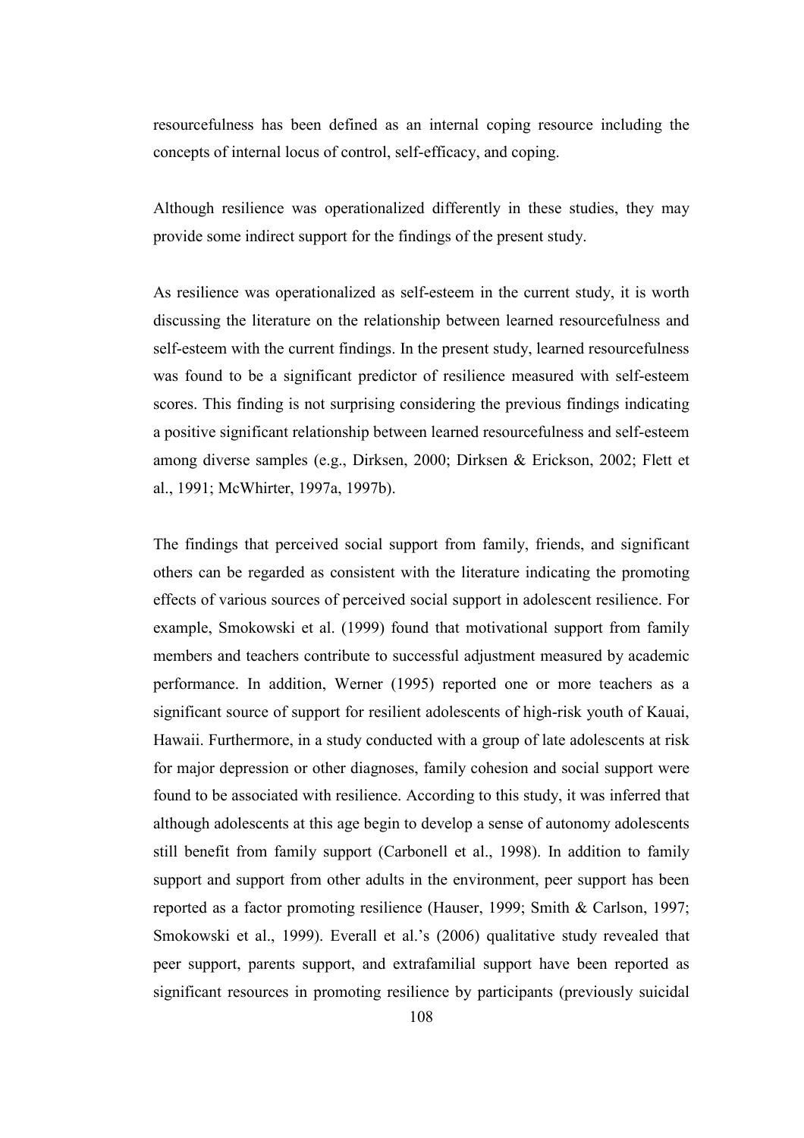resourcefulness has been defined as an internal coping resource including the concepts of internal locus of control, self-efficacy, and coping.

Although resilience was operationalized differently in these studies, they may provide some indirect support for the findings of the present study.

As resilience was operationalized as self-esteem in the current study, it is worth discussing the literature on the relationship between learned resourcefulness and self-esteem with the current findings. In the present study, learned resourcefulness was found to be a significant predictor of resilience measured with self-esteem scores. This finding is not surprising considering the previous findings indicating a positive significant relationship between learned resourcefulness and self-esteem among diverse samples (e.g., Dirksen, 2000; Dirksen & Erickson, 2002; Flett et al., 1991; McWhirter, 1997a, 1997b).

The findings that perceived social support from family, friends, and significant others can be regarded as consistent with the literature indicating the promoting effects of various sources of perceived social support in adolescent resilience. For example, Smokowski et al. (1999) found that motivational support from family members and teachers contribute to successful adjustment measured by academic performance. In addition, Werner (1995) reported one or more teachers as a significant source of support for resilient adolescents of high-risk youth of Kauai, Hawaii. Furthermore, in a study conducted with a group of late adolescents at risk for major depression or other diagnoses, family cohesion and social support were found to be associated with resilience. According to this study, it was inferred that although adolescents at this age begin to develop a sense of autonomy adolescents still benefit from family support (Carbonell et al., 1998). In addition to family support and support from other adults in the environment, peer support has been reported as a factor promoting resilience (Hauser, 1999; Smith & Carlson, 1997; Smokowski et al., 1999). Everall et al.'s (2006) qualitative study revealed that peer support, parents support, and extrafamilial support have been reported as significant resources in promoting resilience by participants (previously suicidal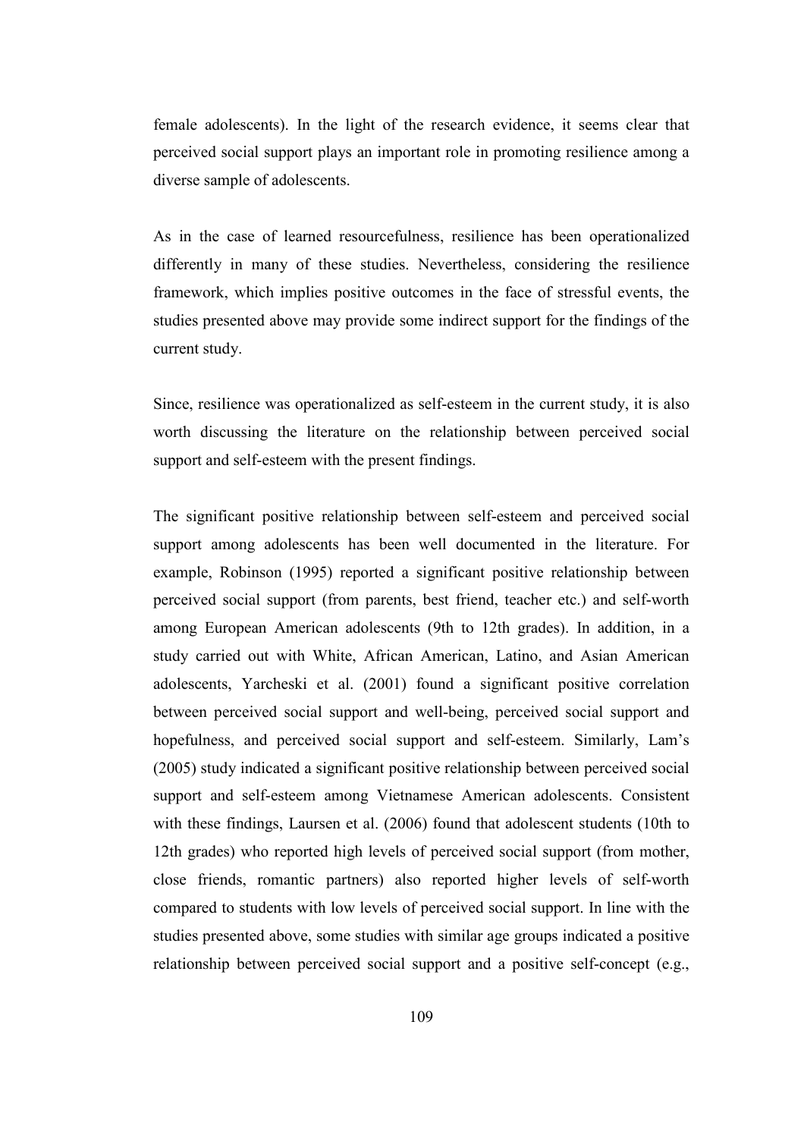female adolescents). In the light of the research evidence, it seems clear that perceived social support plays an important role in promoting resilience among a diverse sample of adolescents.

As in the case of learned resourcefulness, resilience has been operationalized differently in many of these studies. Nevertheless, considering the resilience framework, which implies positive outcomes in the face of stressful events, the studies presented above may provide some indirect support for the findings of the current study.

Since, resilience was operationalized as self-esteem in the current study, it is also worth discussing the literature on the relationship between perceived social support and self-esteem with the present findings.

The significant positive relationship between self-esteem and perceived social support among adolescents has been well documented in the literature. For example, Robinson (1995) reported a significant positive relationship between perceived social support (from parents, best friend, teacher etc.) and self-worth among European American adolescents (9th to 12th grades). In addition, in a study carried out with White, African American, Latino, and Asian American adolescents, Yarcheski et al. (2001) found a significant positive correlation between perceived social support and well-being, perceived social support and hopefulness, and perceived social support and self-esteem. Similarly, Lam's (2005) study indicated a significant positive relationship between perceived social support and self-esteem among Vietnamese American adolescents. Consistent with these findings, Laursen et al. (2006) found that adolescent students (10th to 12th grades) who reported high levels of perceived social support (from mother, close friends, romantic partners) also reported higher levels of self-worth compared to students with low levels of perceived social support. In line with the studies presented above, some studies with similar age groups indicated a positive relationship between perceived social support and a positive self-concept (e.g.,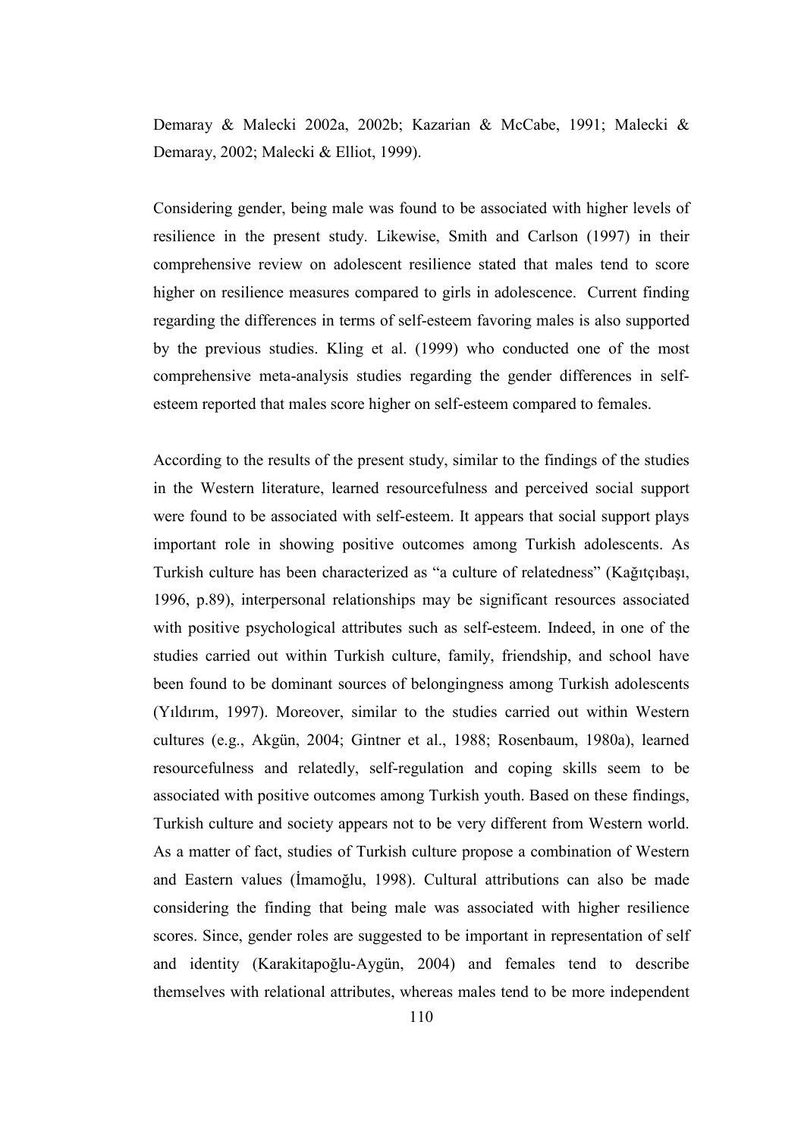Demaray & Malecki 2002a, 2002b; Kazarian & McCabe, 1991; Malecki & Demaray, 2002; Malecki & Elliot, 1999).

Considering gender, being male was found to be associated with higher levels of resilience in the present study. Likewise, Smith and Carlson (1997) in their comprehensive review on adolescent resilience stated that males tend to score higher on resilience measures compared to girls in adolescence. Current finding regarding the differences in terms of self-esteem favoring males is also supported by the previous studies. Kling et al. (1999) who conducted one of the most comprehensive meta-analysis studies regarding the gender differences in selfesteem reported that males score higher on self-esteem compared to females.

According to the results of the present study, similar to the findings of the studies in the Western literature, learned resourcefulness and perceived social support were found to be associated with self-esteem. It appears that social support plays important role in showing positive outcomes among Turkish adolescents. As Turkish culture has been characterized as "a culture of relatedness" (Kağıtçıbaşı, 1996, p.89), interpersonal relationships may be significant resources associated with positive psychological attributes such as self-esteem. Indeed, in one of the studies carried out within Turkish culture, family, friendship, and school have been found to be dominant sources of belongingness among Turkish adolescents (Yıldırım, 1997). Moreover, similar to the studies carried out within Western cultures (e.g., Akgün, 2004; Gintner et al., 1988; Rosenbaum, 1980a), learned resourcefulness and relatedly, self-regulation and coping skills seem to be associated with positive outcomes among Turkish youth. Based on these findings, Turkish culture and society appears not to be very different from Western world. As a matter of fact, studies of Turkish culture propose a combination of Western and Eastern values (İmamoğlu, 1998). Cultural attributions can also be made considering the finding that being male was associated with higher resilience scores. Since, gender roles are suggested to be important in representation of self and identity (Karakitapoğlu-Aygün, 2004) and females tend to describe themselves with relational attributes, whereas males tend to be more independent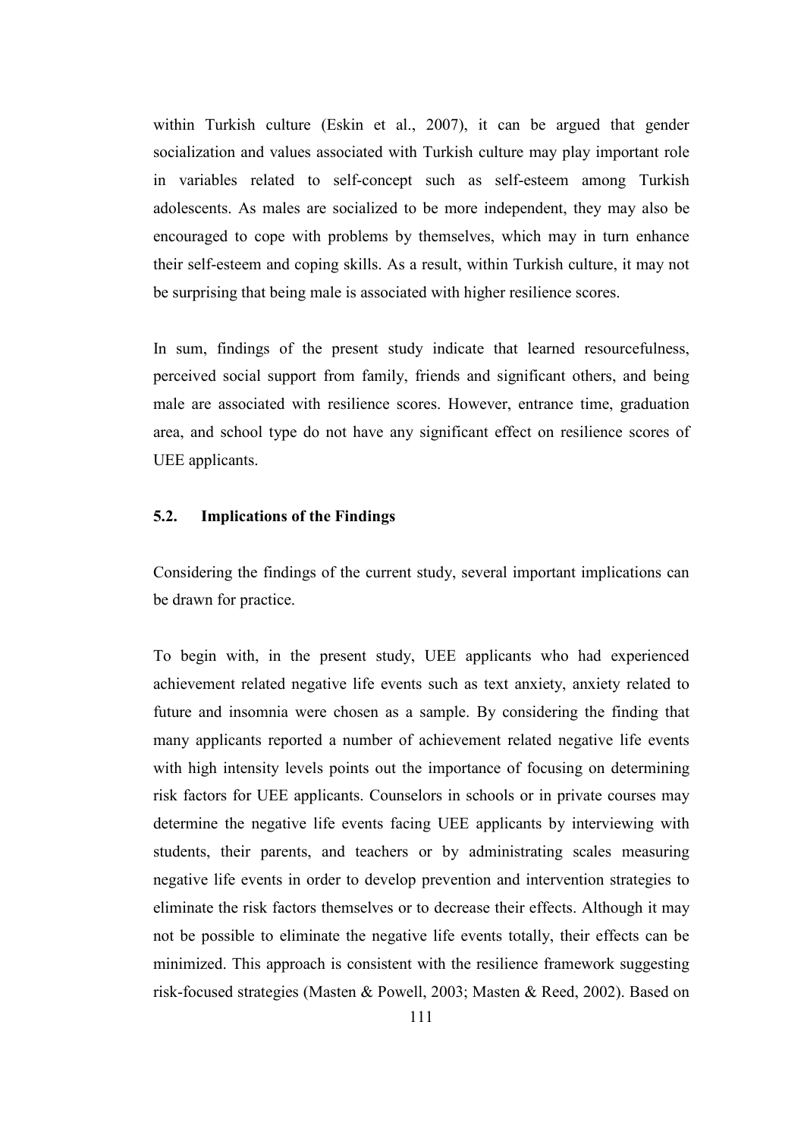within Turkish culture (Eskin et al., 2007), it can be argued that gender socialization and values associated with Turkish culture may play important role in variables related to self-concept such as self-esteem among Turkish adolescents. As males are socialized to be more independent, they may also be encouraged to cope with problems by themselves, which may in turn enhance their self-esteem and coping skills. As a result, within Turkish culture, it may not be surprising that being male is associated with higher resilience scores.

In sum, findings of the present study indicate that learned resourcefulness, perceived social support from family, friends and significant others, and being male are associated with resilience scores. However, entrance time, graduation area, and school type do not have any significant effect on resilience scores of UEE applicants.

### 5.2. Implications of the Findings

Considering the findings of the current study, several important implications can be drawn for practice.

To begin with, in the present study, UEE applicants who had experienced achievement related negative life events such as text anxiety, anxiety related to future and insomnia were chosen as a sample. By considering the finding that many applicants reported a number of achievement related negative life events with high intensity levels points out the importance of focusing on determining risk factors for UEE applicants. Counselors in schools or in private courses may determine the negative life events facing UEE applicants by interviewing with students, their parents, and teachers or by administrating scales measuring negative life events in order to develop prevention and intervention strategies to eliminate the risk factors themselves or to decrease their effects. Although it may not be possible to eliminate the negative life events totally, their effects can be minimized. This approach is consistent with the resilience framework suggesting risk-focused strategies (Masten & Powell, 2003; Masten & Reed, 2002). Based on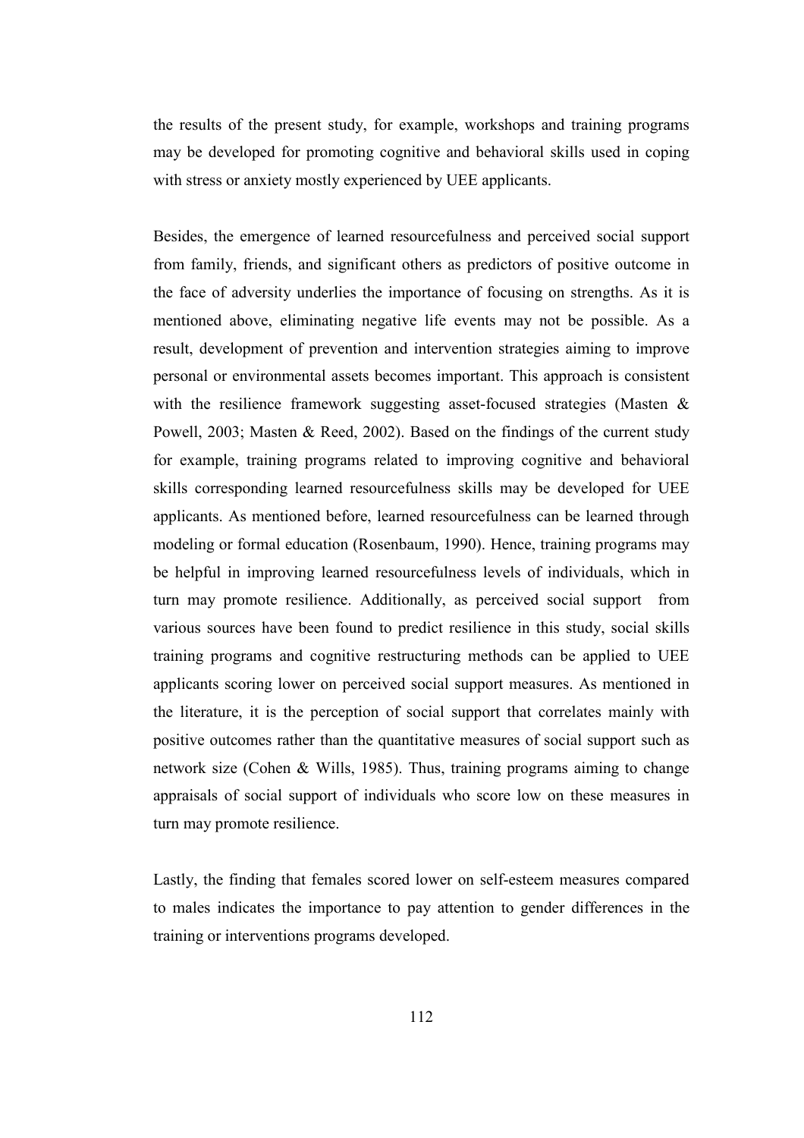the results of the present study, for example, workshops and training programs may be developed for promoting cognitive and behavioral skills used in coping with stress or anxiety mostly experienced by UEE applicants.

Besides, the emergence of learned resourcefulness and perceived social support from family, friends, and significant others as predictors of positive outcome in the face of adversity underlies the importance of focusing on strengths. As it is mentioned above, eliminating negative life events may not be possible. As a result, development of prevention and intervention strategies aiming to improve personal or environmental assets becomes important. This approach is consistent with the resilience framework suggesting asset-focused strategies (Masten & Powell, 2003; Masten & Reed, 2002). Based on the findings of the current study for example, training programs related to improving cognitive and behavioral skills corresponding learned resourcefulness skills may be developed for UEE applicants. As mentioned before, learned resourcefulness can be learned through modeling or formal education (Rosenbaum, 1990). Hence, training programs may be helpful in improving learned resourcefulness levels of individuals, which in turn may promote resilience. Additionally, as perceived social support from various sources have been found to predict resilience in this study, social skills training programs and cognitive restructuring methods can be applied to UEE applicants scoring lower on perceived social support measures. As mentioned in the literature, it is the perception of social support that correlates mainly with positive outcomes rather than the quantitative measures of social support such as network size (Cohen & Wills, 1985). Thus, training programs aiming to change appraisals of social support of individuals who score low on these measures in turn may promote resilience.

Lastly, the finding that females scored lower on self-esteem measures compared to males indicates the importance to pay attention to gender differences in the training or interventions programs developed.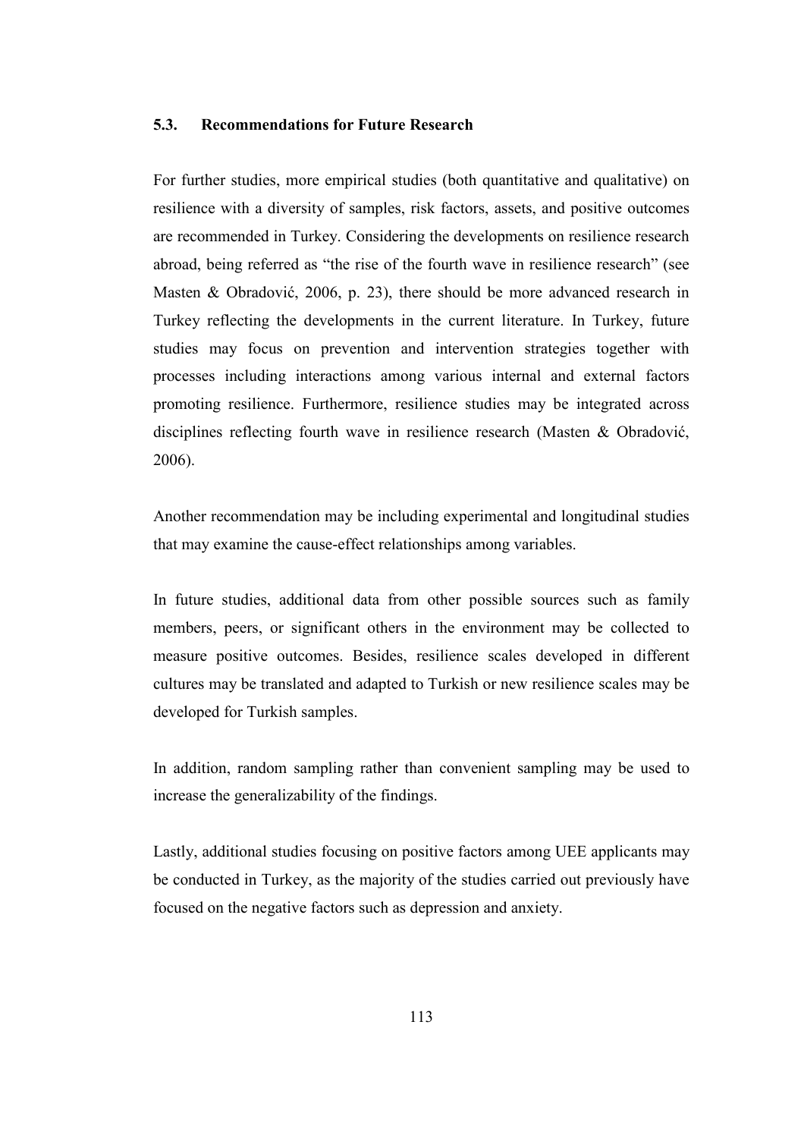### 5.3. Recommendations for Future Research

For further studies, more empirical studies (both quantitative and qualitative) on resilience with a diversity of samples, risk factors, assets, and positive outcomes are recommended in Turkey. Considering the developments on resilience research abroad, being referred as "the rise of the fourth wave in resilience research" (see Masten & Obradović, 2006, p. 23), there should be more advanced research in Turkey reflecting the developments in the current literature. In Turkey, future studies may focus on prevention and intervention strategies together with processes including interactions among various internal and external factors promoting resilience. Furthermore, resilience studies may be integrated across disciplines reflecting fourth wave in resilience research (Masten & Obradović, 2006).

Another recommendation may be including experimental and longitudinal studies that may examine the cause-effect relationships among variables.

In future studies, additional data from other possible sources such as family members, peers, or significant others in the environment may be collected to measure positive outcomes. Besides, resilience scales developed in different cultures may be translated and adapted to Turkish or new resilience scales may be developed for Turkish samples.

In addition, random sampling rather than convenient sampling may be used to increase the generalizability of the findings.

Lastly, additional studies focusing on positive factors among UEE applicants may be conducted in Turkey, as the majority of the studies carried out previously have focused on the negative factors such as depression and anxiety.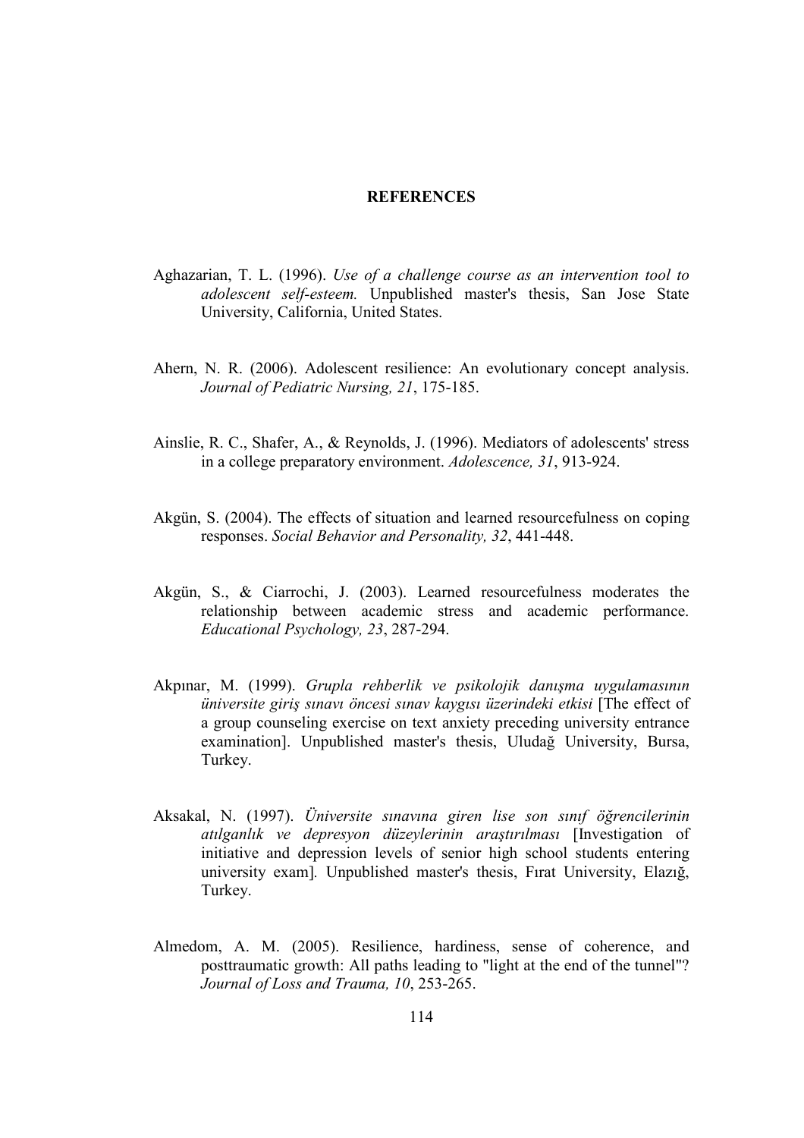#### **REFERENCES**

- Aghazarian, T. L. (1996). Use of a challenge course as an intervention tool to adolescent self-esteem. Unpublished master's thesis, San Jose State University, California, United States.
- Ahern, N. R. (2006). Adolescent resilience: An evolutionary concept analysis. Journal of Pediatric Nursing, 21, 175-185.
- Ainslie, R. C., Shafer, A., & Reynolds, J. (1996). Mediators of adolescents' stress in a college preparatory environment. Adolescence, 31, 913-924.
- Akgün, S. (2004). The effects of situation and learned resourcefulness on coping responses. Social Behavior and Personality, 32, 441-448.
- Akgün, S., & Ciarrochi, J. (2003). Learned resourcefulness moderates the relationship between academic stress and academic performance. Educational Psychology, 23, 287-294.
- Akpınar, M. (1999). Grupla rehberlik ve psikolojik danışma uygulamasının üniversite giriş sınavı öncesi sınav kaygısı üzerindeki etkisi [The effect of a group counseling exercise on text anxiety preceding university entrance examination]. Unpublished master's thesis, Uludağ University, Bursa, Turkey.
- Aksakal, N. (1997). Üniversite sınavına giren lise son sınıf öğrencilerinin atılganlık ve depresyon düzeylerinin araştırılması [Investigation of initiative and depression levels of senior high school students entering university exam]. Unpublished master's thesis, Fırat University, Elazığ, Turkey.
- Almedom, A. M. (2005). Resilience, hardiness, sense of coherence, and posttraumatic growth: All paths leading to "light at the end of the tunnel"? Journal of Loss and Trauma, 10, 253-265.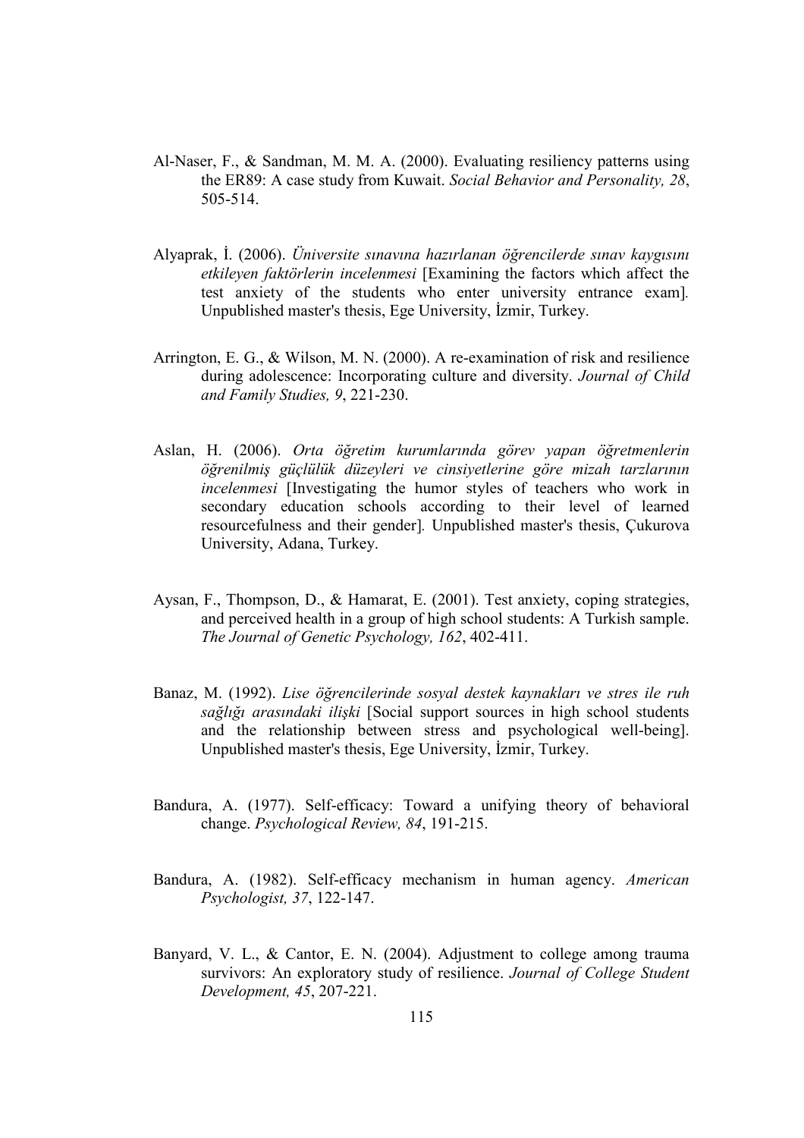- Al-Naser, F., & Sandman, M. M. A. (2000). Evaluating resiliency patterns using the ER89: A case study from Kuwait. Social Behavior and Personality, 28, 505-514.
- Alyaprak, İ. (2006). Üniversite sınavına hazırlanan öğrencilerde sınav kaygısını etkileyen faktörlerin incelenmesi [Examining the factors which affect the test anxiety of the students who enter university entrance exam]. Unpublished master's thesis, Ege University, İzmir, Turkey.
- Arrington, E. G., & Wilson, M. N. (2000). A re-examination of risk and resilience during adolescence: Incorporating culture and diversity. Journal of Child and Family Studies, 9, 221-230.
- Aslan, H. (2006). Orta öğretim kurumlarında görev yapan öğretmenlerin öğrenilmiş güçlülük düzeyleri ve cinsiyetlerine göre mizah tarzlarının incelenmesi [Investigating the humor styles of teachers who work in secondary education schools according to their level of learned resourcefulness and their gender]. Unpublished master's thesis, Çukurova University, Adana, Turkey.
- Aysan, F., Thompson, D., & Hamarat, E. (2001). Test anxiety, coping strategies, and perceived health in a group of high school students: A Turkish sample. The Journal of Genetic Psychology, 162, 402-411.
- Banaz, M. (1992). Lise öğrencilerinde sosyal destek kaynakları ve stres ile ruh sağlığı arasındaki ilişki [Social support sources in high school students and the relationship between stress and psychological well-being]. Unpublished master's thesis, Ege University, İzmir, Turkey.
- Bandura, A. (1977). Self-efficacy: Toward a unifying theory of behavioral change. Psychological Review, 84, 191-215.
- Bandura, A. (1982). Self-efficacy mechanism in human agency. American Psychologist, 37, 122-147.
- Banyard, V. L., & Cantor, E. N. (2004). Adjustment to college among trauma survivors: An exploratory study of resilience. Journal of College Student Development, 45, 207-221.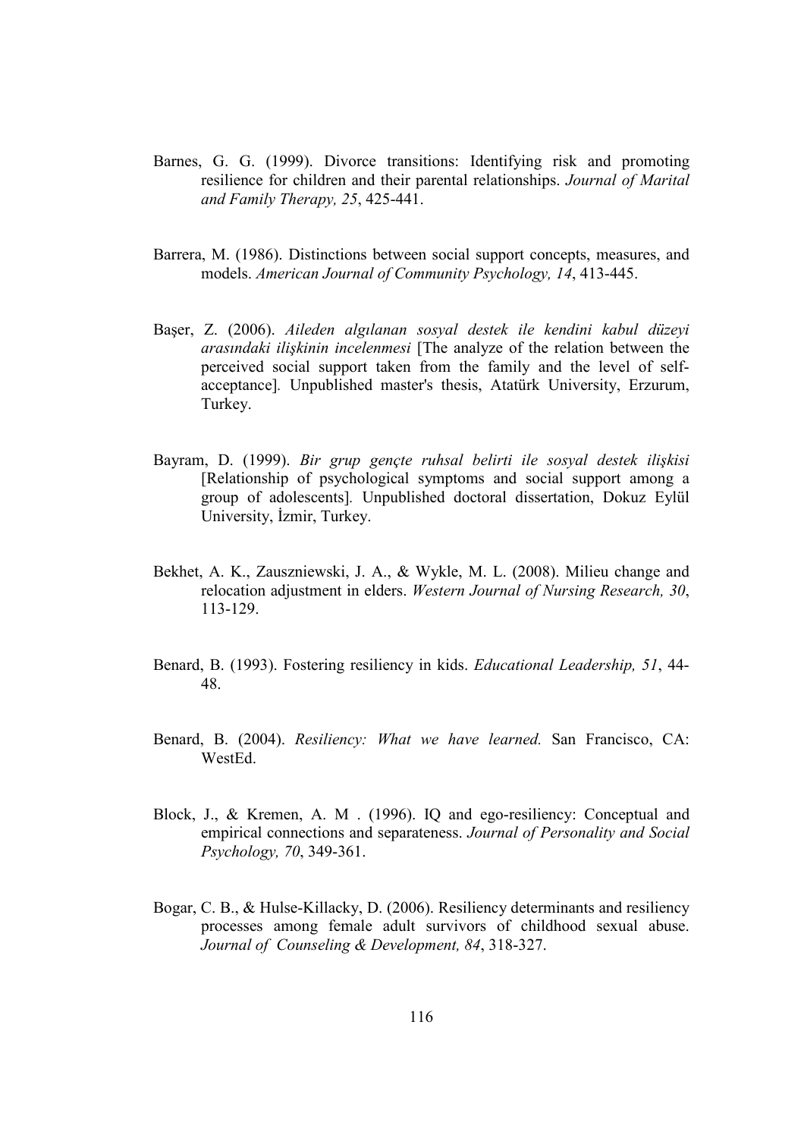- Barnes, G. G. (1999). Divorce transitions: Identifying risk and promoting resilience for children and their parental relationships. Journal of Marital and Family Therapy, 25, 425-441.
- Barrera, M. (1986). Distinctions between social support concepts, measures, and models. American Journal of Community Psychology, 14, 413-445.
- Başer, Z. (2006). Aileden algılanan sosyal destek ile kendini kabul düzeyi arasındaki ilişkinin incelenmesi [The analyze of the relation between the perceived social support taken from the family and the level of selfacceptance]. Unpublished master's thesis, Atatürk University, Erzurum, Turkey.
- Bayram, D. (1999). Bir grup gençte ruhsal belirti ile sosyal destek ilişkisi [Relationship of psychological symptoms and social support among a group of adolescents]. Unpublished doctoral dissertation, Dokuz Eylül University, İzmir, Turkey.
- Bekhet, A. K., Zauszniewski, J. A., & Wykle, M. L. (2008). Milieu change and relocation adjustment in elders. Western Journal of Nursing Research, 30, 113-129.
- Benard, B. (1993). Fostering resiliency in kids. Educational Leadership, 51, 44- 48.
- Benard, B. (2004). Resiliency: What we have learned. San Francisco, CA: WestEd.
- Block, J., & Kremen, A. M . (1996). IQ and ego-resiliency: Conceptual and empirical connections and separateness. Journal of Personality and Social Psychology, 70, 349-361.
- Bogar, C. B., & Hulse-Killacky, D. (2006). Resiliency determinants and resiliency processes among female adult survivors of childhood sexual abuse. Journal of Counseling & Development, 84, 318-327.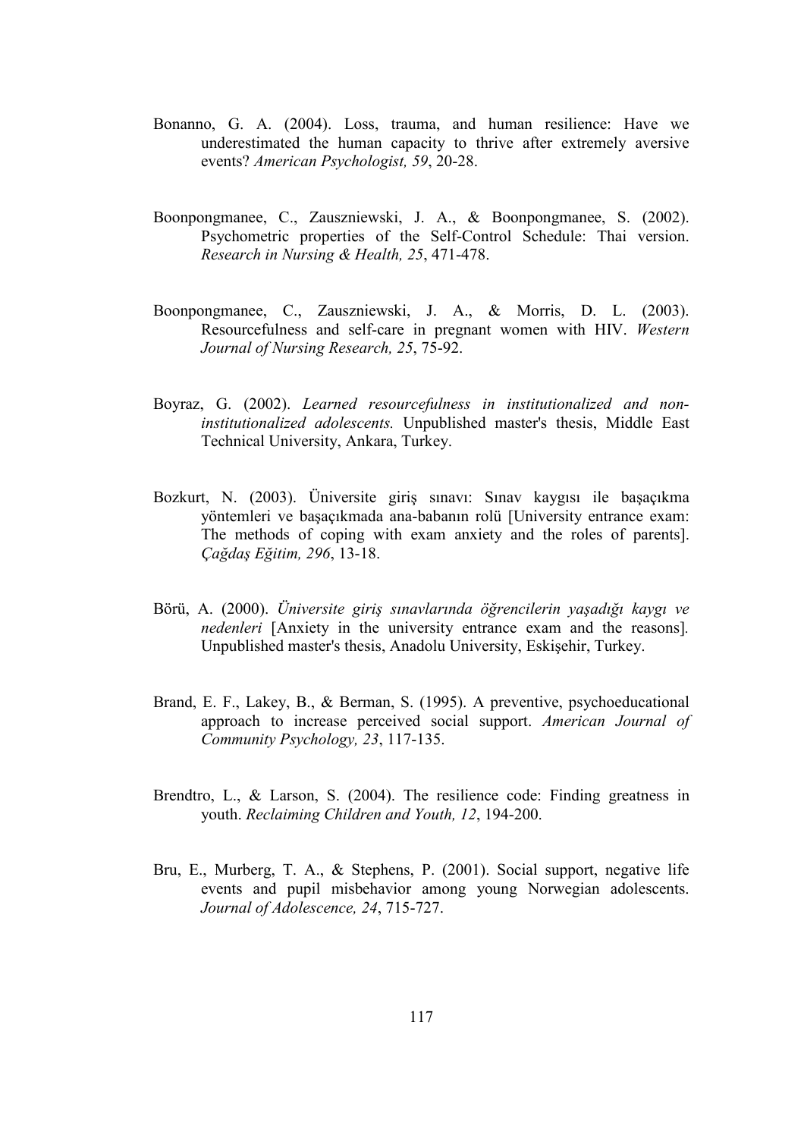- Bonanno, G. A. (2004). Loss, trauma, and human resilience: Have we underestimated the human capacity to thrive after extremely aversive events? American Psychologist, 59, 20-28.
- Boonpongmanee, C., Zauszniewski, J. A., & Boonpongmanee, S. (2002). Psychometric properties of the Self-Control Schedule: Thai version. Research in Nursing & Health, 25, 471-478.
- Boonpongmanee, C., Zauszniewski, J. A., & Morris, D. L. (2003). Resourcefulness and self-care in pregnant women with HIV. Western Journal of Nursing Research, 25, 75-92.
- Boyraz, G. (2002). Learned resourcefulness in institutionalized and noninstitutionalized adolescents. Unpublished master's thesis, Middle East Technical University, Ankara, Turkey.
- Bozkurt, N. (2003). Üniversite giriş sınavı: Sınav kaygısı ile başaçıkma yöntemleri ve başaçıkmada ana-babanın rolü [University entrance exam: The methods of coping with exam anxiety and the roles of parents]. Çağdaş Eğitim, 296, 13-18.
- Börü, A. (2000). Üniversite giriş sınavlarında öğrencilerin yaşadığı kaygı ve nedenleri [Anxiety in the university entrance exam and the reasons]. Unpublished master's thesis, Anadolu University, Eskişehir, Turkey.
- Brand, E. F., Lakey, B., & Berman, S. (1995). A preventive, psychoeducational approach to increase perceived social support. American Journal of Community Psychology, 23, 117-135.
- Brendtro, L., & Larson, S. (2004). The resilience code: Finding greatness in youth. Reclaiming Children and Youth, 12, 194-200.
- Bru, E., Murberg, T. A., & Stephens, P. (2001). Social support, negative life events and pupil misbehavior among young Norwegian adolescents. Journal of Adolescence, 24, 715-727.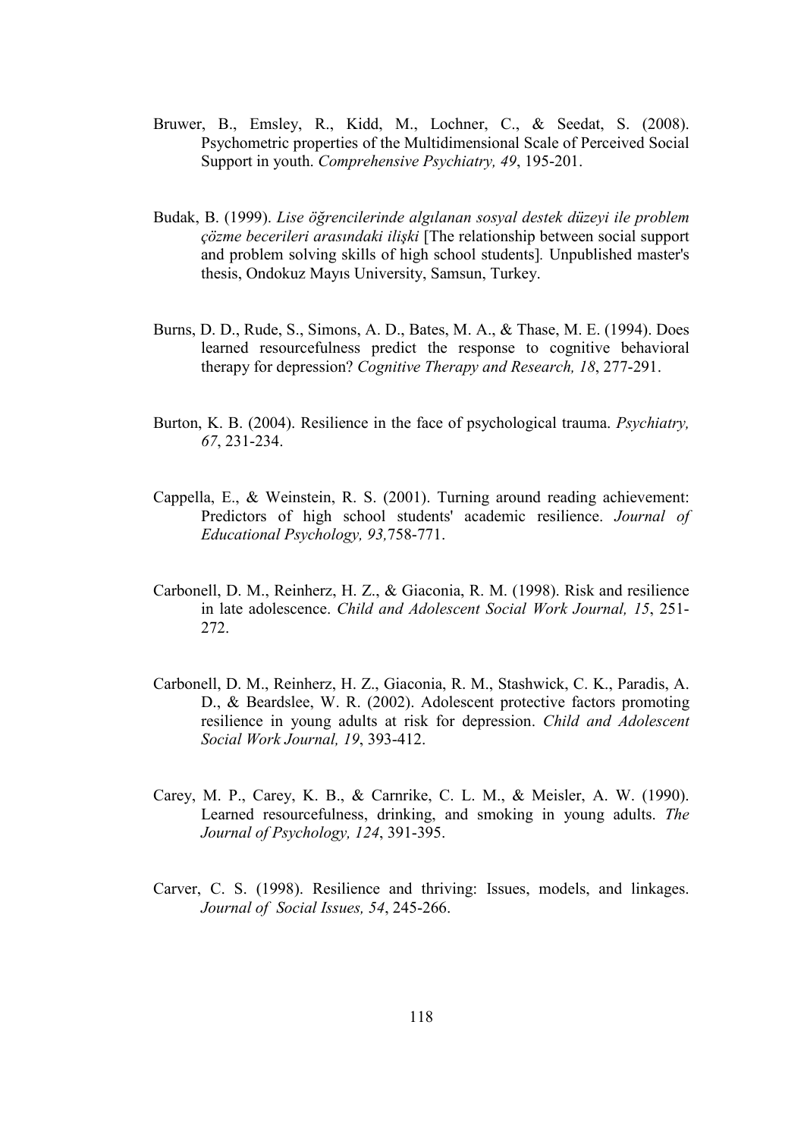- Bruwer, B., Emsley, R., Kidd, M., Lochner, C., & Seedat, S. (2008). Psychometric properties of the Multidimensional Scale of Perceived Social Support in youth. Comprehensive Psychiatry, 49, 195-201.
- Budak, B. (1999). Lise öğrencilerinde algılanan sosyal destek düzeyi ile problem çözme becerileri arasındaki ilişki [The relationship between social support and problem solving skills of high school students]. Unpublished master's thesis, Ondokuz Mayıs University, Samsun, Turkey.
- Burns, D. D., Rude, S., Simons, A. D., Bates, M. A., & Thase, M. E. (1994). Does learned resourcefulness predict the response to cognitive behavioral therapy for depression? Cognitive Therapy and Research, 18, 277-291.
- Burton, K. B. (2004). Resilience in the face of psychological trauma. *Psychiatry*, 67, 231-234.
- Cappella, E., & Weinstein, R. S. (2001). Turning around reading achievement: Predictors of high school students' academic resilience. Journal of Educational Psychology, 93,758-771.
- Carbonell, D. M., Reinherz, H. Z., & Giaconia, R. M. (1998). Risk and resilience in late adolescence. Child and Adolescent Social Work Journal, 15, 251- 272.
- Carbonell, D. M., Reinherz, H. Z., Giaconia, R. M., Stashwick, C. K., Paradis, A. D., & Beardslee, W. R. (2002). Adolescent protective factors promoting resilience in young adults at risk for depression. Child and Adolescent Social Work Journal, 19, 393-412.
- Carey, M. P., Carey, K. B., & Carnrike, C. L. M., & Meisler, A. W. (1990). Learned resourcefulness, drinking, and smoking in young adults. The Journal of Psychology, 124, 391-395.
- Carver, C. S. (1998). Resilience and thriving: Issues, models, and linkages. Journal of Social Issues, 54, 245-266.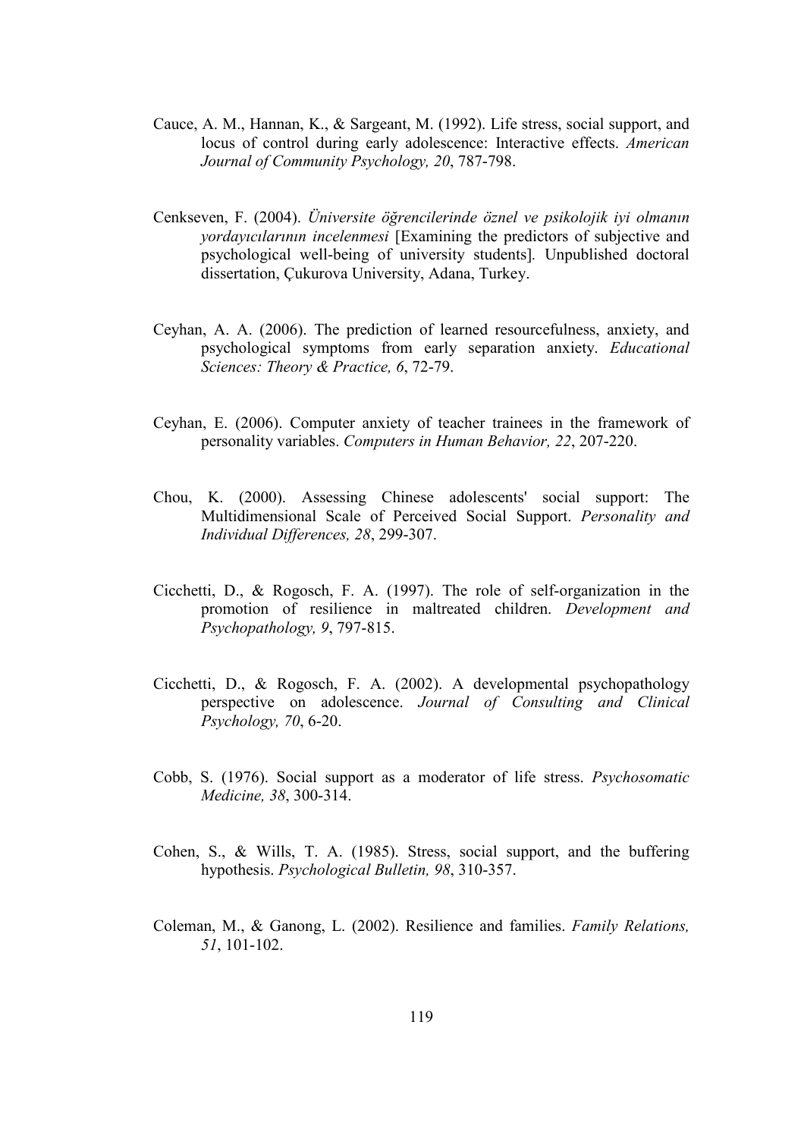- Cauce, A. M., Hannan, K., & Sargeant, M. (1992). Life stress, social support, and locus of control during early adolescence: Interactive effects. American Journal of Community Psychology, 20, 787-798.
- Cenkseven, F. (2004). Üniversite öğrencilerinde öznel ve psikolojik iyi olmanın yordayıcılarının incelenmesi [Examining the predictors of subjective and psychological well-being of university students]. Unpublished doctoral dissertation, Çukurova University, Adana, Turkey.
- Ceyhan, A. A. (2006). The prediction of learned resourcefulness, anxiety, and psychological symptoms from early separation anxiety. Educational Sciences: Theory & Practice, 6, 72-79.
- Ceyhan, E. (2006). Computer anxiety of teacher trainees in the framework of personality variables. Computers in Human Behavior, 22, 207-220.
- Chou, K. (2000). Assessing Chinese adolescents' social support: The Multidimensional Scale of Perceived Social Support. Personality and Individual Differences, 28, 299-307.
- Cicchetti, D., & Rogosch, F. A. (1997). The role of self-organization in the promotion of resilience in maltreated children. Development and Psychopathology, 9, 797-815.
- Cicchetti, D., & Rogosch, F. A. (2002). A developmental psychopathology perspective on adolescence. Journal of Consulting and Clinical Psychology, 70, 6-20.
- Cobb, S. (1976). Social support as a moderator of life stress. Psychosomatic Medicine, 38, 300-314.
- Cohen, S., & Wills, T. A. (1985). Stress, social support, and the buffering hypothesis. Psychological Bulletin, 98, 310-357.
- Coleman, M., & Ganong, L. (2002). Resilience and families. Family Relations, 51, 101-102.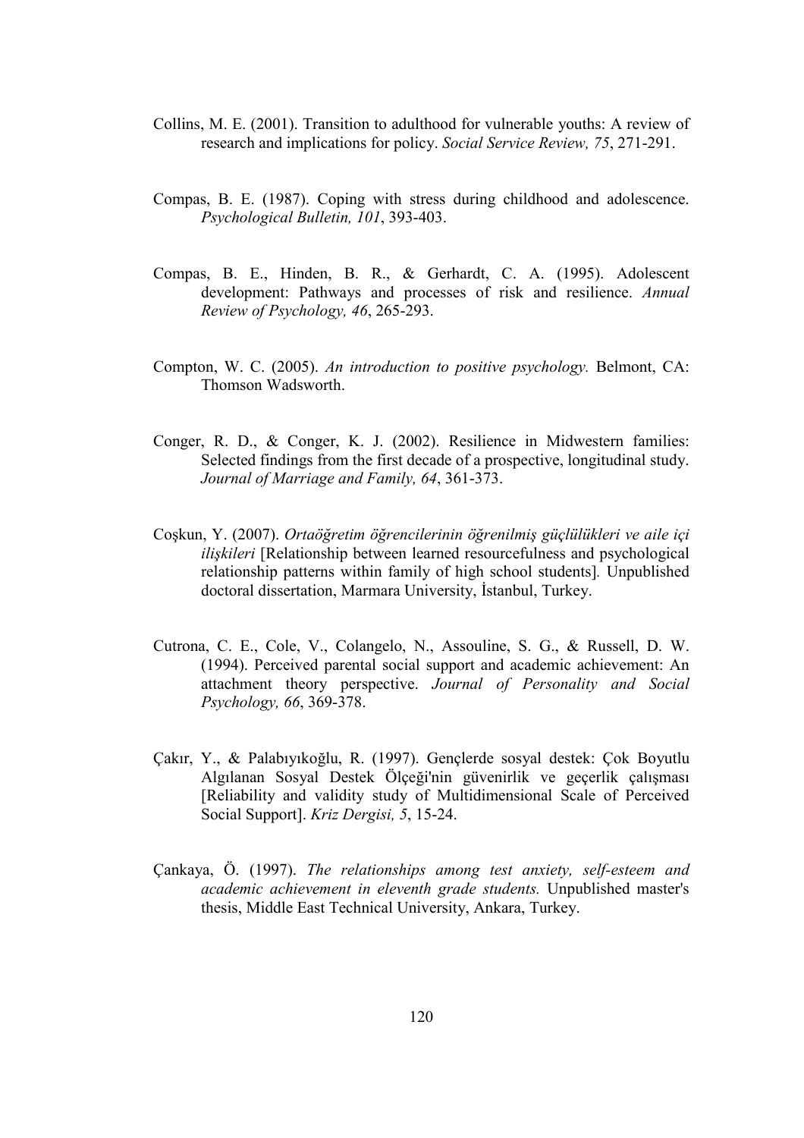- Collins, M. E. (2001). Transition to adulthood for vulnerable youths: A review of research and implications for policy. Social Service Review, 75, 271-291.
- Compas, B. E. (1987). Coping with stress during childhood and adolescence. Psychological Bulletin, 101, 393-403.
- Compas, B. E., Hinden, B. R., & Gerhardt, C. A. (1995). Adolescent development: Pathways and processes of risk and resilience. Annual Review of Psychology, 46, 265-293.
- Compton, W. C. (2005). An introduction to positive psychology. Belmont, CA: Thomson Wadsworth.
- Conger, R. D., & Conger, K. J. (2002). Resilience in Midwestern families: Selected findings from the first decade of a prospective, longitudinal study. Journal of Marriage and Family, 64, 361-373.
- Coşkun, Y. (2007). Ortaöğretim öğrencilerinin öğrenilmiş güçlülükleri ve aile içi ilişkileri [Relationship between learned resourcefulness and psychological relationship patterns within family of high school students]. Unpublished doctoral dissertation, Marmara University, İstanbul, Turkey.
- Cutrona, C. E., Cole, V., Colangelo, N., Assouline, S. G., & Russell, D. W. (1994). Perceived parental social support and academic achievement: An attachment theory perspective. Journal of Personality and Social Psychology, 66, 369-378.
- Çakır, Y., & Palabıyıkoğlu, R. (1997). Gençlerde sosyal destek: Çok Boyutlu Algılanan Sosyal Destek Ölçeği'nin güvenirlik ve geçerlik çalışması [Reliability and validity study of Multidimensional Scale of Perceived Social Support]. Kriz Dergisi, 5, 15-24.
- Çankaya, Ö. (1997). The relationships among test anxiety, self-esteem and academic achievement in eleventh grade students. Unpublished master's thesis, Middle East Technical University, Ankara, Turkey.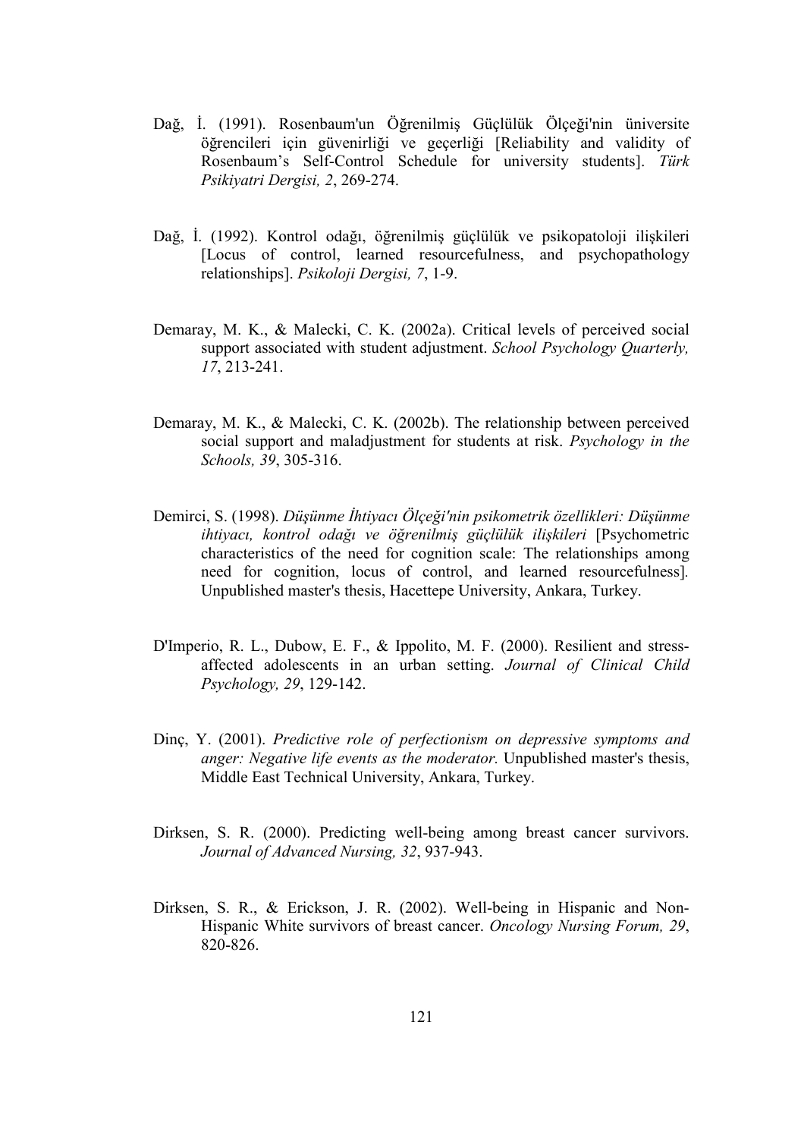- Dağ, İ. (1991). Rosenbaum'un Öğrenilmiş Güçlülük Ölçeği'nin üniversite öğrencileri için güvenirliği ve geçerliği [Reliability and validity of Rosenbaum's Self-Control Schedule for university students]. Türk Psikiyatri Dergisi, 2, 269-274.
- Dağ, İ. (1992). Kontrol odağı, öğrenilmiş güçlülük ve psikopatoloji ilişkileri [Locus of control, learned resourcefulness, and psychopathology relationships]. Psikoloji Dergisi, 7, 1-9.
- Demaray, M. K., & Malecki, C. K. (2002a). Critical levels of perceived social support associated with student adjustment. School Psychology Quarterly, 17, 213-241.
- Demaray, M. K., & Malecki, C. K. (2002b). The relationship between perceived social support and maladjustment for students at risk. Psychology in the Schools, 39, 305-316.
- Demirci, S. (1998). Düşünme İhtiyacı Ölçeği'nin psikometrik özellikleri: Düşünme ihtiyacı, kontrol odağı ve öğrenilmiş güçlülük ilişkileri [Psychometric characteristics of the need for cognition scale: The relationships among need for cognition, locus of control, and learned resourcefulness]. Unpublished master's thesis, Hacettepe University, Ankara, Turkey.
- D'Imperio, R. L., Dubow, E. F., & Ippolito, M. F. (2000). Resilient and stressaffected adolescents in an urban setting. Journal of Clinical Child Psychology, 29, 129-142.
- Dinc, Y. (2001). Predictive role of perfectionism on depressive symptoms and anger: Negative life events as the moderator. Unpublished master's thesis, Middle East Technical University, Ankara, Turkey.
- Dirksen, S. R. (2000). Predicting well-being among breast cancer survivors. Journal of Advanced Nursing, 32, 937-943.
- Dirksen, S. R., & Erickson, J. R. (2002). Well-being in Hispanic and Non-Hispanic White survivors of breast cancer. Oncology Nursing Forum, 29, 820-826.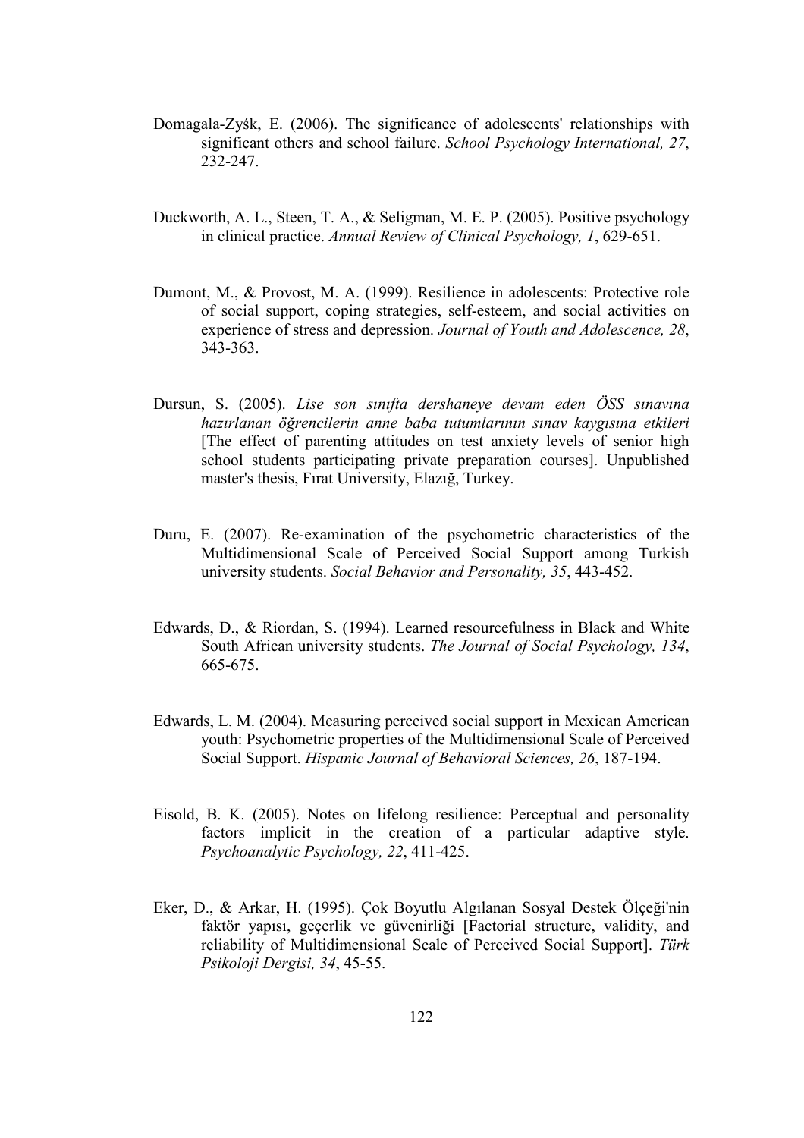- Domagala-Zyśk, E. (2006). The significance of adolescents' relationships with significant others and school failure. School Psychology International, 27, 232-247.
- Duckworth, A. L., Steen, T. A., & Seligman, M. E. P. (2005). Positive psychology in clinical practice. Annual Review of Clinical Psychology, 1, 629-651.
- Dumont, M., & Provost, M. A. (1999). Resilience in adolescents: Protective role of social support, coping strategies, self-esteem, and social activities on experience of stress and depression. Journal of Youth and Adolescence, 28, 343-363.
- Dursun, S. (2005). Lise son sınıfta dershaneye devam eden ÖSS sınavına hazırlanan öğrencilerin anne baba tutumlarının sınav kaygısına etkileri [The effect of parenting attitudes on test anxiety levels of senior high school students participating private preparation courses]. Unpublished master's thesis, Fırat University, Elazığ, Turkey.
- Duru, E. (2007). Re-examination of the psychometric characteristics of the Multidimensional Scale of Perceived Social Support among Turkish university students. Social Behavior and Personality, 35, 443-452.
- Edwards, D., & Riordan, S. (1994). Learned resourcefulness in Black and White South African university students. The Journal of Social Psychology, 134, 665-675.
- Edwards, L. M. (2004). Measuring perceived social support in Mexican American youth: Psychometric properties of the Multidimensional Scale of Perceived Social Support. Hispanic Journal of Behavioral Sciences, 26, 187-194.
- Eisold, B. K. (2005). Notes on lifelong resilience: Perceptual and personality factors implicit in the creation of a particular adaptive style. Psychoanalytic Psychology, 22, 411-425.
- Eker, D., & Arkar, H. (1995). Çok Boyutlu Algılanan Sosyal Destek Ölçeği'nin faktör yapısı, geçerlik ve güvenirliği [Factorial structure, validity, and reliability of Multidimensional Scale of Perceived Social Support]. Türk Psikoloji Dergisi, 34, 45-55.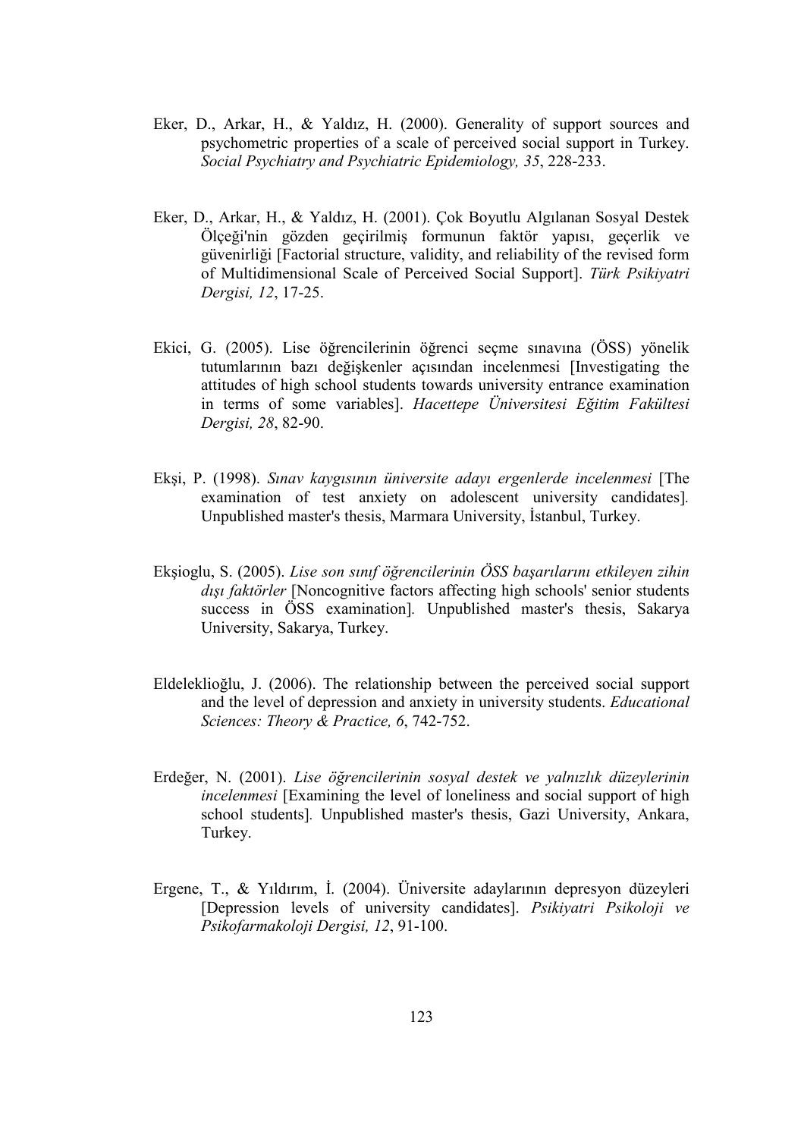- Eker, D., Arkar, H., & Yaldız, H. (2000). Generality of support sources and psychometric properties of a scale of perceived social support in Turkey. Social Psychiatry and Psychiatric Epidemiology, 35, 228-233.
- Eker, D., Arkar, H., & Yaldız, H. (2001). Çok Boyutlu Algılanan Sosyal Destek Ölçeği'nin gözden geçirilmiş formunun faktör yapısı, geçerlik ve güvenirliği [Factorial structure, validity, and reliability of the revised form of Multidimensional Scale of Perceived Social Support]. Türk Psikiyatri Dergisi, 12, 17-25.
- Ekici, G. (2005). Lise öğrencilerinin öğrenci seçme sınavına (ÖSS) yönelik tutumlarının bazı değişkenler açısından incelenmesi [Investigating the attitudes of high school students towards university entrance examination in terms of some variables]. Hacettepe Üniversitesi Eğitim Fakültesi Dergisi, 28, 82-90.
- Ekşi, P. (1998). Sınav kaygısının üniversite adayı ergenlerde incelenmesi [The examination of test anxiety on adolescent university candidates]. Unpublished master's thesis, Marmara University, İstanbul, Turkey.
- Ekşioglu, S. (2005). Lise son sınıf öğrencilerinin ÖSS başarılarını etkileyen zihin dışı faktörler [Noncognitive factors affecting high schools' senior students success in ÖSS examination]. Unpublished master's thesis, Sakarya University, Sakarya, Turkey.
- Eldeleklioğlu, J. (2006). The relationship between the perceived social support and the level of depression and anxiety in university students. Educational Sciences: Theory & Practice, 6, 742-752.
- Erdeğer, N. (2001). Lise öğrencilerinin sosyal destek ve yalnızlık düzeylerinin incelenmesi [Examining the level of loneliness and social support of high school students]. Unpublished master's thesis, Gazi University, Ankara, Turkey.
- Ergene, T., & Yıldırım, İ. (2004). Üniversite adaylarının depresyon düzeyleri [Depression levels of university candidates]. Psikiyatri Psikoloji ve Psikofarmakoloji Dergisi, 12, 91-100.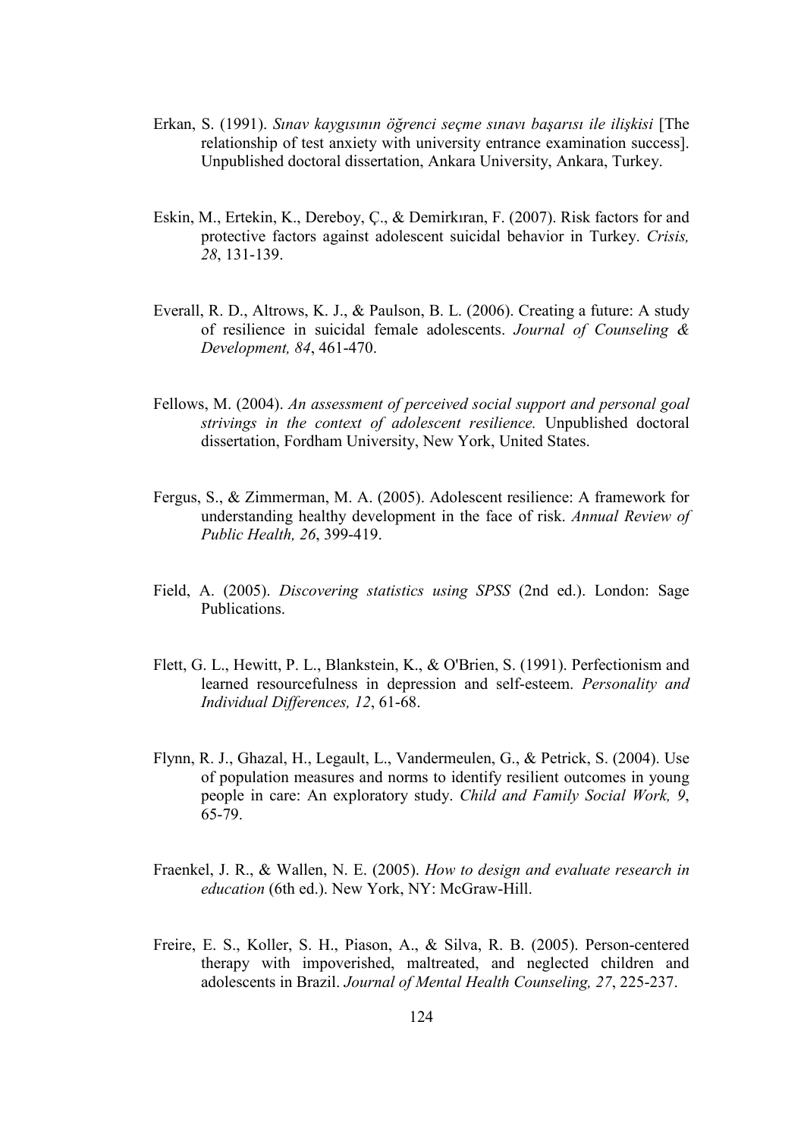- Erkan, S. (1991). Sınav kaygısının öğrenci seçme sınavı başarısı ile ilişkisi [The relationship of test anxiety with university entrance examination success]. Unpublished doctoral dissertation, Ankara University, Ankara, Turkey.
- Eskin, M., Ertekin, K., Dereboy, Ç., & Demirkıran, F. (2007). Risk factors for and protective factors against adolescent suicidal behavior in Turkey. Crisis, 28, 131-139.
- Everall, R. D., Altrows, K. J., & Paulson, B. L. (2006). Creating a future: A study of resilience in suicidal female adolescents. Journal of Counseling & Development, 84, 461-470.
- Fellows, M. (2004). An assessment of perceived social support and personal goal strivings in the context of adolescent resilience. Unpublished doctoral dissertation, Fordham University, New York, United States.
- Fergus, S., & Zimmerman, M. A. (2005). Adolescent resilience: A framework for understanding healthy development in the face of risk. Annual Review of Public Health, 26, 399-419.
- Field, A. (2005). Discovering statistics using SPSS (2nd ed.). London: Sage Publications.
- Flett, G. L., Hewitt, P. L., Blankstein, K., & O'Brien, S. (1991). Perfectionism and learned resourcefulness in depression and self-esteem. Personality and Individual Differences, 12, 61-68.
- Flynn, R. J., Ghazal, H., Legault, L., Vandermeulen, G., & Petrick, S. (2004). Use of population measures and norms to identify resilient outcomes in young people in care: An exploratory study. Child and Family Social Work, 9, 65-79.
- Fraenkel, J. R., & Wallen, N. E. (2005). How to design and evaluate research in education (6th ed.). New York, NY: McGraw-Hill.
- Freire, E. S., Koller, S. H., Piason, A., & Silva, R. B. (2005). Person-centered therapy with impoverished, maltreated, and neglected children and adolescents in Brazil. Journal of Mental Health Counseling, 27, 225-237.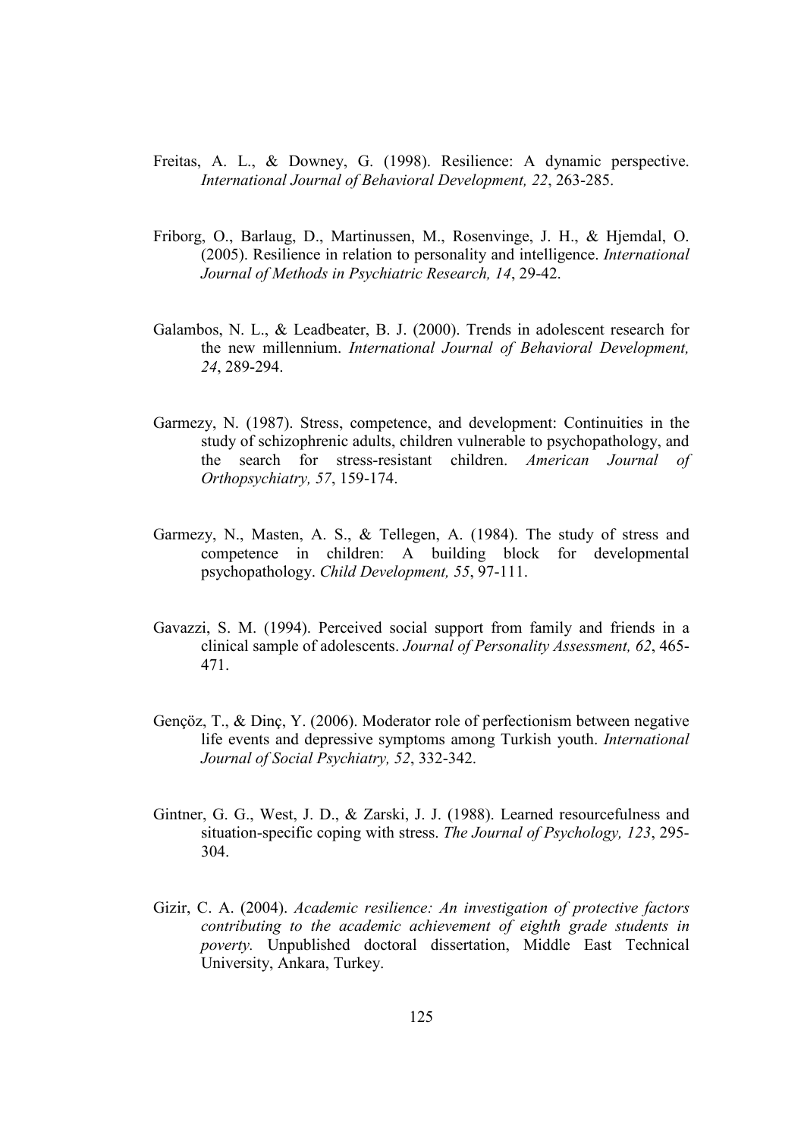- Freitas, A. L., & Downey, G. (1998). Resilience: A dynamic perspective. International Journal of Behavioral Development, 22, 263-285.
- Friborg, O., Barlaug, D., Martinussen, M., Rosenvinge, J. H., & Hjemdal, O. (2005). Resilience in relation to personality and intelligence. International Journal of Methods in Psychiatric Research, 14, 29-42.
- Galambos, N. L., & Leadbeater, B. J. (2000). Trends in adolescent research for the new millennium. International Journal of Behavioral Development, 24, 289-294.
- Garmezy, N. (1987). Stress, competence, and development: Continuities in the study of schizophrenic adults, children vulnerable to psychopathology, and the search for stress-resistant children. American Journal of Orthopsychiatry, 57, 159-174.
- Garmezy, N., Masten, A. S., & Tellegen, A. (1984). The study of stress and competence in children: A building block for developmental psychopathology. Child Development, 55, 97-111.
- Gavazzi, S. M. (1994). Perceived social support from family and friends in a clinical sample of adolescents. Journal of Personality Assessment, 62, 465- 471.
- Gençöz, T., & Dinç, Y. (2006). Moderator role of perfectionism between negative life events and depressive symptoms among Turkish youth. International Journal of Social Psychiatry, 52, 332-342.
- Gintner, G. G., West, J. D., & Zarski, J. J. (1988). Learned resourcefulness and situation-specific coping with stress. The Journal of Psychology, 123, 295- 304.
- Gizir, C. A. (2004). Academic resilience: An investigation of protective factors contributing to the academic achievement of eighth grade students in poverty. Unpublished doctoral dissertation, Middle East Technical University, Ankara, Turkey.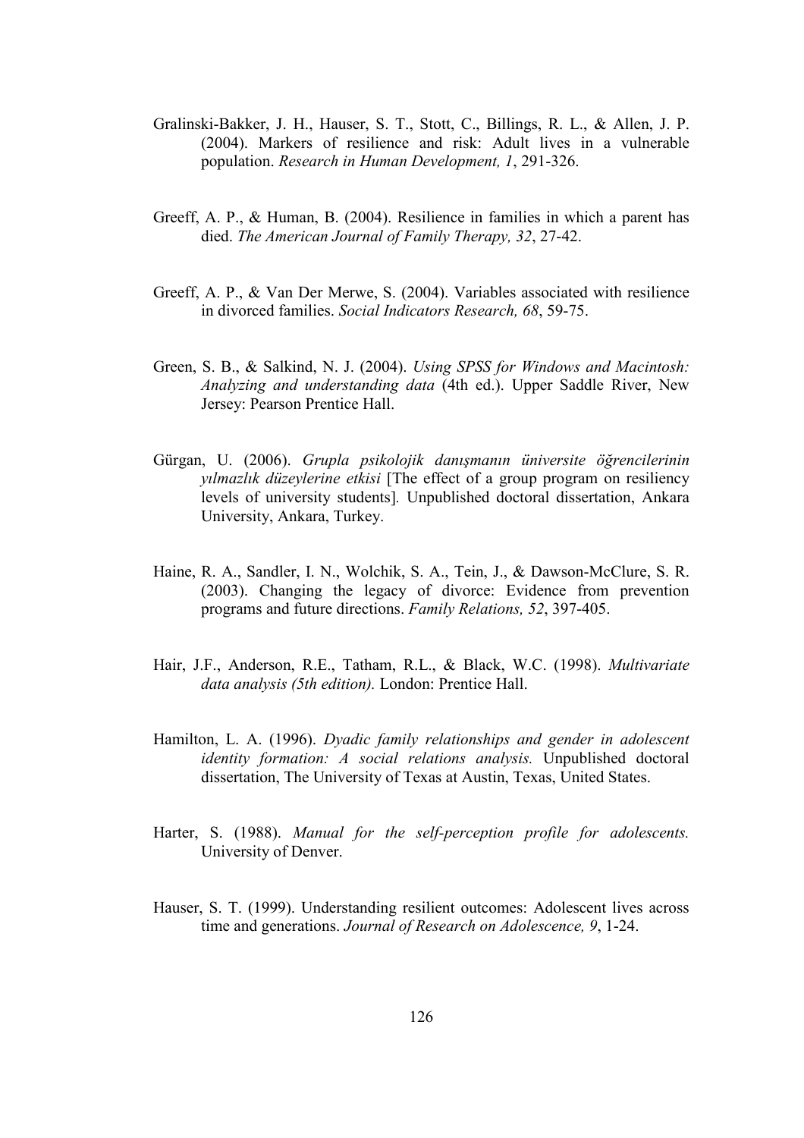- Gralinski-Bakker, J. H., Hauser, S. T., Stott, C., Billings, R. L., & Allen, J. P. (2004). Markers of resilience and risk: Adult lives in a vulnerable population. Research in Human Development, 1, 291-326.
- Greeff, A. P., & Human, B. (2004). Resilience in families in which a parent has died. The American Journal of Family Therapy, 32, 27-42.
- Greeff, A. P., & Van Der Merwe, S. (2004). Variables associated with resilience in divorced families. Social Indicators Research, 68, 59-75.
- Green, S. B., & Salkind, N. J. (2004). Using SPSS for Windows and Macintosh: Analyzing and understanding data (4th ed.). Upper Saddle River, New Jersey: Pearson Prentice Hall.
- Gürgan, U. (2006). Grupla psikolojik danışmanın üniversite öğrencilerinin vilmazlık düzeylerine etkisi [The effect of a group program on resiliency levels of university students]. Unpublished doctoral dissertation, Ankara University, Ankara, Turkey.
- Haine, R. A., Sandler, I. N., Wolchik, S. A., Tein, J., & Dawson-McClure, S. R. (2003). Changing the legacy of divorce: Evidence from prevention programs and future directions. Family Relations, 52, 397-405.
- Hair, J.F., Anderson, R.E., Tatham, R.L., & Black, W.C. (1998). Multivariate data analysis (5th edition). London: Prentice Hall.
- Hamilton, L. A. (1996). Dyadic family relationships and gender in adolescent identity formation: A social relations analysis. Unpublished doctoral dissertation, The University of Texas at Austin, Texas, United States.
- Harter, S. (1988). Manual for the self-perception profile for adolescents. University of Denver.
- Hauser, S. T. (1999). Understanding resilient outcomes: Adolescent lives across time and generations. Journal of Research on Adolescence, 9, 1-24.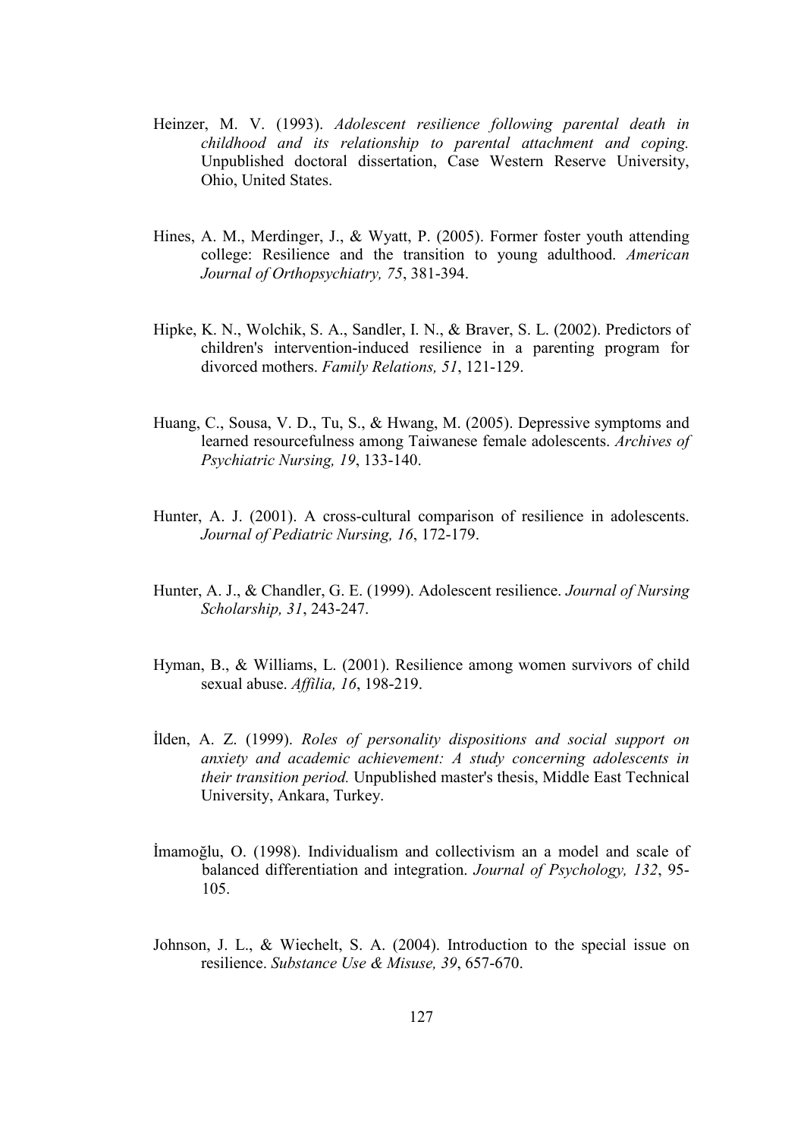- Heinzer, M. V. (1993). Adolescent resilience following parental death in childhood and its relationship to parental attachment and coping. Unpublished doctoral dissertation, Case Western Reserve University, Ohio, United States.
- Hines, A. M., Merdinger, J., & Wyatt, P. (2005). Former foster youth attending college: Resilience and the transition to young adulthood. American Journal of Orthopsychiatry, 75, 381-394.
- Hipke, K. N., Wolchik, S. A., Sandler, I. N., & Braver, S. L. (2002). Predictors of children's intervention-induced resilience in a parenting program for divorced mothers. Family Relations, 51, 121-129.
- Huang, C., Sousa, V. D., Tu, S., & Hwang, M. (2005). Depressive symptoms and learned resourcefulness among Taiwanese female adolescents. Archives of Psychiatric Nursing, 19, 133-140.
- Hunter, A. J. (2001). A cross-cultural comparison of resilience in adolescents. Journal of Pediatric Nursing, 16, 172-179.
- Hunter, A. J., & Chandler, G. E. (1999). Adolescent resilience. Journal of Nursing Scholarship, 31, 243-247.
- Hyman, B., & Williams, L. (2001). Resilience among women survivors of child sexual abuse. Affilia, 16, 198-219.
- İlden, A. Z. (1999). Roles of personality dispositions and social support on anxiety and academic achievement: A study concerning adolescents in their transition period. Unpublished master's thesis, Middle East Technical University, Ankara, Turkey.
- İmamoğlu, O. (1998). Individualism and collectivism an a model and scale of balanced differentiation and integration. Journal of Psychology, 132, 95- 105.
- Johnson, J. L., & Wiechelt, S. A. (2004). Introduction to the special issue on resilience. Substance Use & Misuse, 39, 657-670.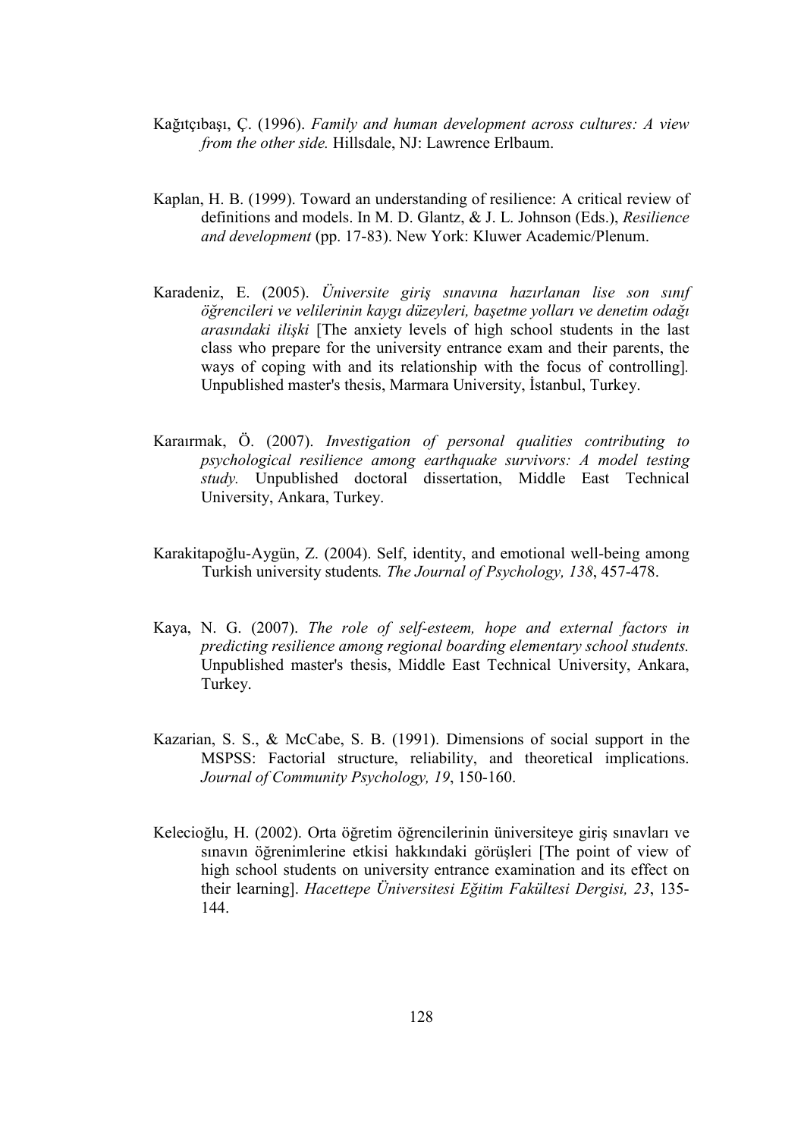- Kağıtçıbaşı, Ç. (1996). Family and human development across cultures: A view from the other side. Hillsdale, NJ: Lawrence Erlbaum.
- Kaplan, H. B. (1999). Toward an understanding of resilience: A critical review of definitions and models. In M. D. Glantz, & J. L. Johnson (Eds.), Resilience and development (pp. 17-83). New York: Kluwer Academic/Plenum.
- Karadeniz, E. (2005). Üniversite giriş sınavına hazırlanan lise son sınıf öğrencileri ve velilerinin kaygı düzeyleri, başetme yolları ve denetim odağı arasındaki ilişki [The anxiety levels of high school students in the last class who prepare for the university entrance exam and their parents, the ways of coping with and its relationship with the focus of controlling]. Unpublished master's thesis, Marmara University, İstanbul, Turkey.
- Karaırmak, Ö. (2007). Investigation of personal qualities contributing to psychological resilience among earthquake survivors: A model testing study. Unpublished doctoral dissertation, Middle East Technical University, Ankara, Turkey.
- Karakitapoğlu-Aygün, Z. (2004). Self, identity, and emotional well-being among Turkish university students. The Journal of Psychology, 138, 457-478.
- Kaya, N. G. (2007). The role of self-esteem, hope and external factors in predicting resilience among regional boarding elementary school students. Unpublished master's thesis, Middle East Technical University, Ankara, Turkey.
- Kazarian, S. S., & McCabe, S. B. (1991). Dimensions of social support in the MSPSS: Factorial structure, reliability, and theoretical implications. Journal of Community Psychology, 19, 150-160.
- Kelecioğlu, H. (2002). Orta öğretim öğrencilerinin üniversiteye giriş sınavları ve sınavın öğrenimlerine etkisi hakkındaki görüşleri [The point of view of high school students on university entrance examination and its effect on their learning]. Hacettepe Üniversitesi Eğitim Fakültesi Dergisi, 23, 135- 144.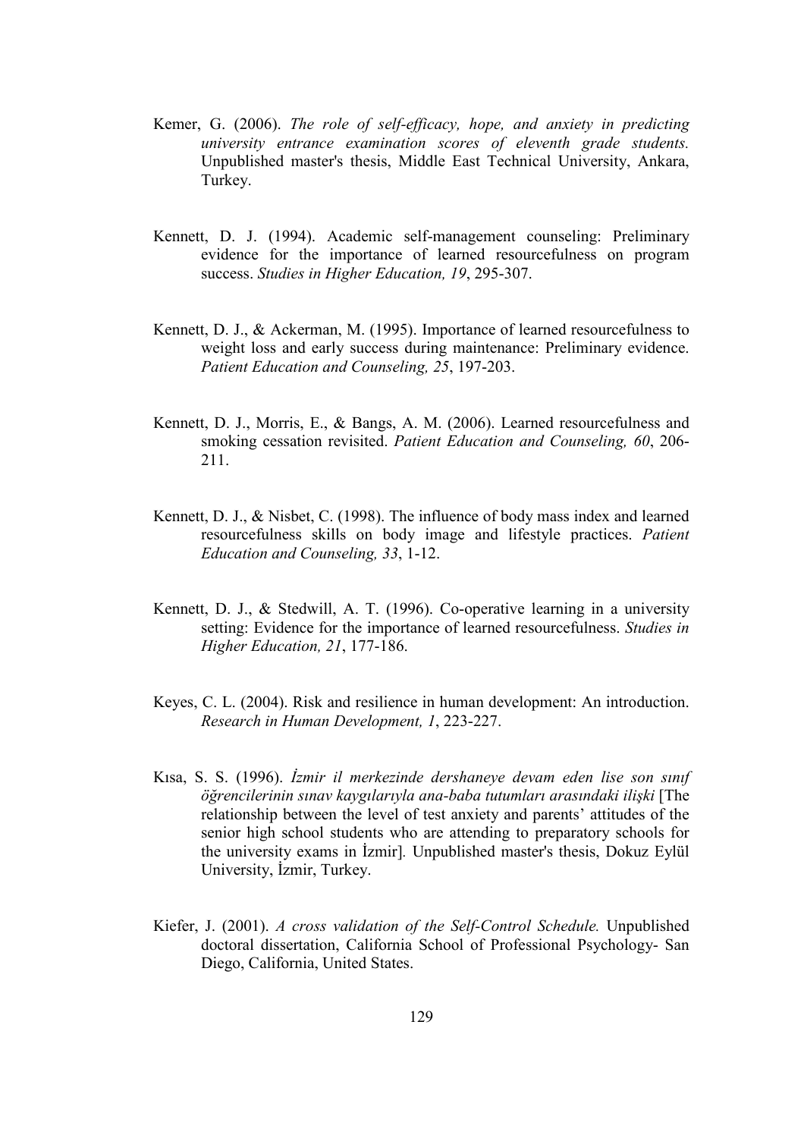- Kemer, G. (2006). The role of self-efficacy, hope, and anxiety in predicting university entrance examination scores of eleventh grade students. Unpublished master's thesis, Middle East Technical University, Ankara, Turkey.
- Kennett, D. J. (1994). Academic self-management counseling: Preliminary evidence for the importance of learned resourcefulness on program success. Studies in Higher Education, 19, 295-307.
- Kennett, D. J., & Ackerman, M. (1995). Importance of learned resourcefulness to weight loss and early success during maintenance: Preliminary evidence. Patient Education and Counseling, 25, 197-203.
- Kennett, D. J., Morris, E., & Bangs, A. M. (2006). Learned resourcefulness and smoking cessation revisited. Patient Education and Counseling, 60, 206- 211.
- Kennett, D. J., & Nisbet, C. (1998). The influence of body mass index and learned resourcefulness skills on body image and lifestyle practices. Patient Education and Counseling, 33, 1-12.
- Kennett, D. J., & Stedwill, A. T. (1996). Co-operative learning in a university setting: Evidence for the importance of learned resourcefulness. Studies in Higher Education, 21, 177-186.
- Keyes, C. L. (2004). Risk and resilience in human development: An introduction. Research in Human Development, 1, 223-227.
- Kısa, S. S. (1996). İzmir il merkezinde dershaneye devam eden lise son sınıf öğrencilerinin sınav kaygılarıyla ana-baba tutumları arasındaki ilişki [The relationship between the level of test anxiety and parents' attitudes of the senior high school students who are attending to preparatory schools for the university exams in İzmir]. Unpublished master's thesis, Dokuz Eylül University, İzmir, Turkey.
- Kiefer, J. (2001). A cross validation of the Self-Control Schedule. Unpublished doctoral dissertation, California School of Professional Psychology- San Diego, California, United States.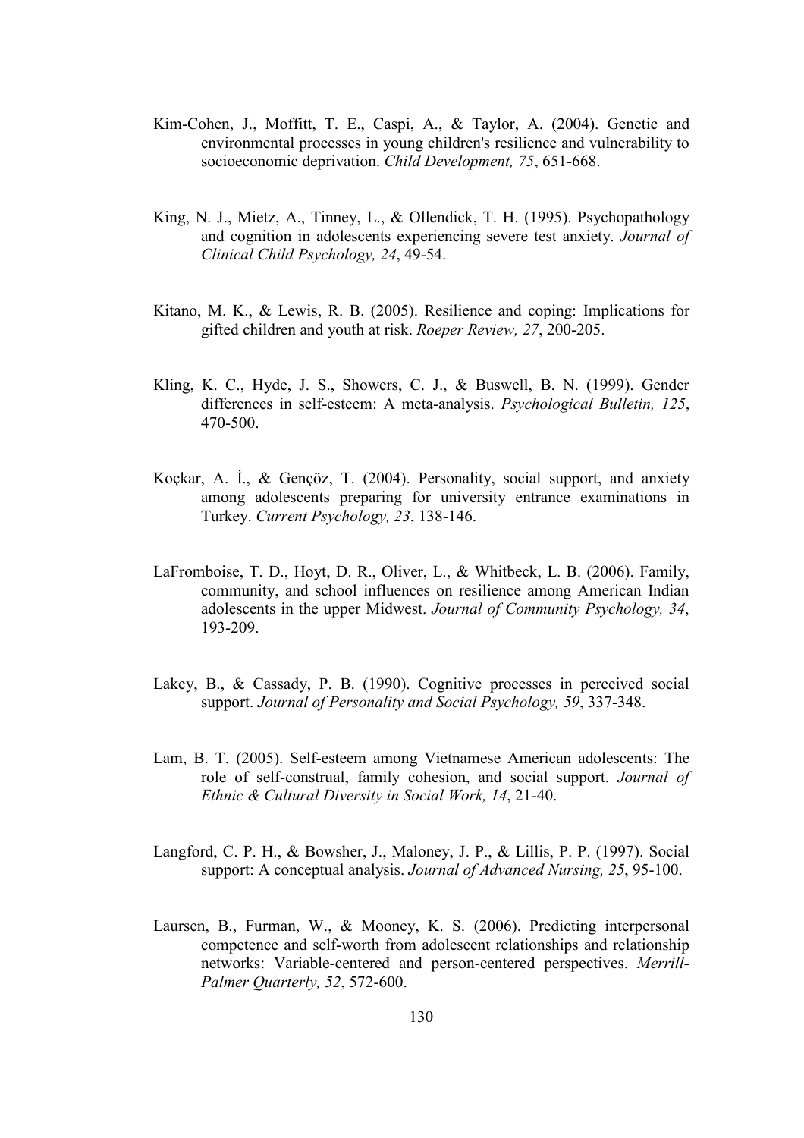- Kim-Cohen, J., Moffitt, T. E., Caspi, A., & Taylor, A. (2004). Genetic and environmental processes in young children's resilience and vulnerability to socioeconomic deprivation. *Child Development*, 75, 651-668.
- King, N. J., Mietz, A., Tinney, L., & Ollendick, T. H. (1995). Psychopathology and cognition in adolescents experiencing severe test anxiety. Journal of Clinical Child Psychology, 24, 49-54.
- Kitano, M. K., & Lewis, R. B. (2005). Resilience and coping: Implications for gifted children and youth at risk. Roeper Review, 27, 200-205.
- Kling, K. C., Hyde, J. S., Showers, C. J., & Buswell, B. N. (1999). Gender differences in self-esteem: A meta-analysis. Psychological Bulletin, 125, 470-500.
- Koçkar, A. İ., & Gençöz, T. (2004). Personality, social support, and anxiety among adolescents preparing for university entrance examinations in Turkey. Current Psychology, 23, 138-146.
- LaFromboise, T. D., Hoyt, D. R., Oliver, L., & Whitbeck, L. B. (2006). Family, community, and school influences on resilience among American Indian adolescents in the upper Midwest. Journal of Community Psychology, 34, 193-209.
- Lakey, B., & Cassady, P. B. (1990). Cognitive processes in perceived social support. Journal of Personality and Social Psychology, 59, 337-348.
- Lam, B. T. (2005). Self-esteem among Vietnamese American adolescents: The role of self-construal, family cohesion, and social support. Journal of Ethnic & Cultural Diversity in Social Work, 14, 21-40.
- Langford, C. P. H., & Bowsher, J., Maloney, J. P., & Lillis, P. P. (1997). Social support: A conceptual analysis. *Journal of Advanced Nursing*, 25, 95-100.
- Laursen, B., Furman, W., & Mooney, K. S. (2006). Predicting interpersonal competence and self-worth from adolescent relationships and relationship networks: Variable-centered and person-centered perspectives. Merrill-Palmer Quarterly, 52, 572-600.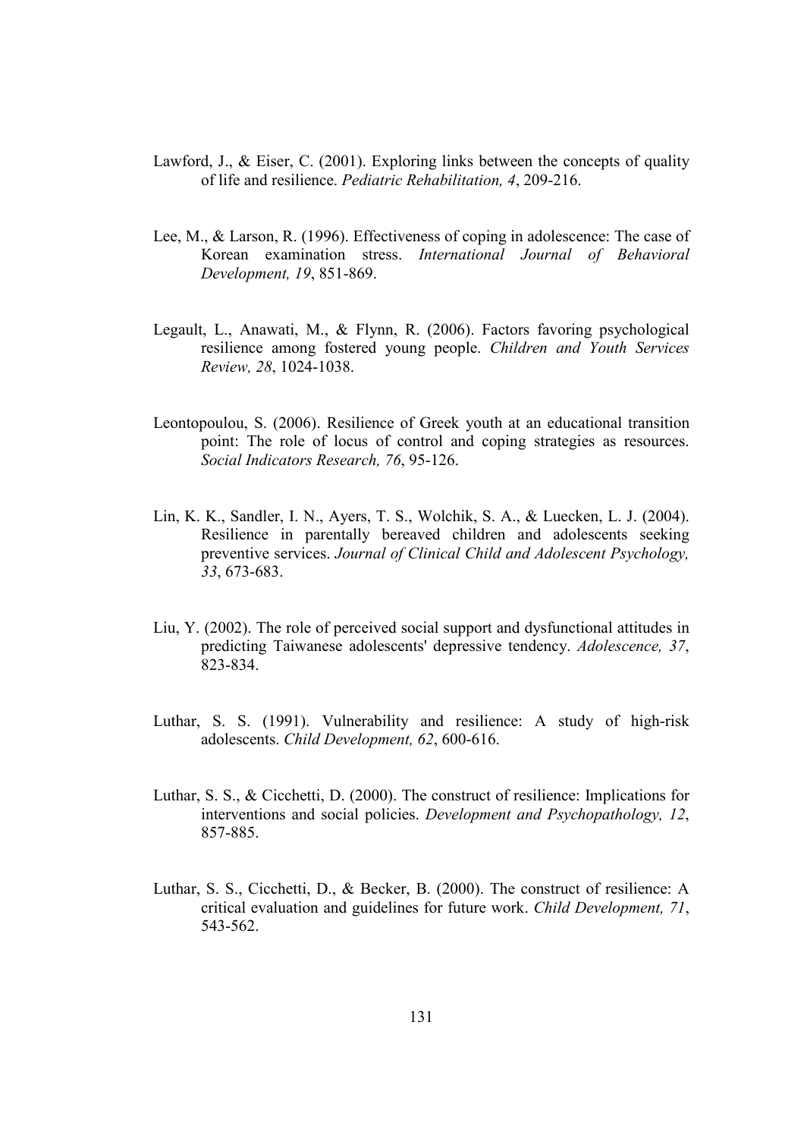- Lawford, J., & Eiser, C. (2001). Exploring links between the concepts of quality of life and resilience. Pediatric Rehabilitation, 4, 209-216.
- Lee, M., & Larson, R. (1996). Effectiveness of coping in adolescence: The case of Korean examination stress. International Journal of Behavioral Development, 19, 851-869.
- Legault, L., Anawati, M., & Flynn, R. (2006). Factors favoring psychological resilience among fostered young people. Children and Youth Services Review, 28, 1024-1038.
- Leontopoulou, S. (2006). Resilience of Greek youth at an educational transition point: The role of locus of control and coping strategies as resources. Social Indicators Research, 76, 95-126.
- Lin, K. K., Sandler, I. N., Ayers, T. S., Wolchik, S. A., & Luecken, L. J. (2004). Resilience in parentally bereaved children and adolescents seeking preventive services. Journal of Clinical Child and Adolescent Psychology, 33, 673-683.
- Liu, Y. (2002). The role of perceived social support and dysfunctional attitudes in predicting Taiwanese adolescents' depressive tendency. Adolescence, 37, 823-834.
- Luthar, S. S. (1991). Vulnerability and resilience: A study of high-risk adolescents. Child Development, 62, 600-616.
- Luthar, S. S., & Cicchetti, D. (2000). The construct of resilience: Implications for interventions and social policies. Development and Psychopathology, 12, 857-885.
- Luthar, S. S., Cicchetti, D., & Becker, B. (2000). The construct of resilience: A critical evaluation and guidelines for future work. Child Development, 71, 543-562.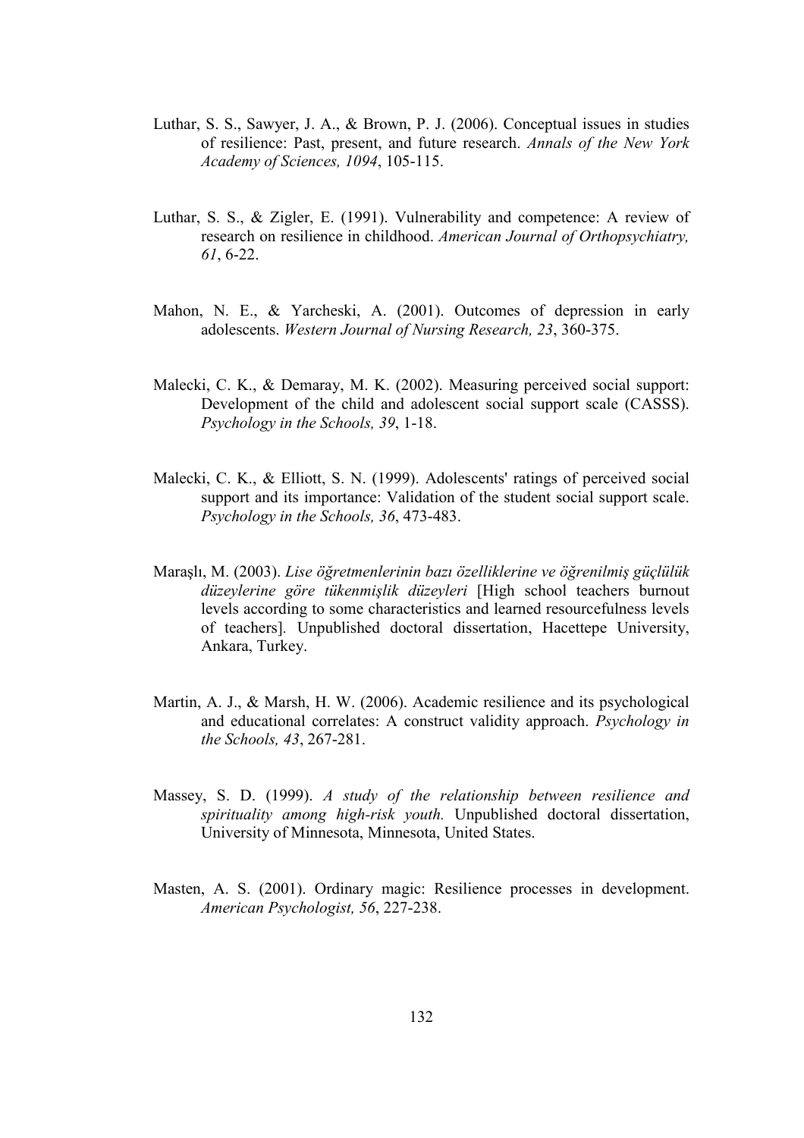- Luthar, S. S., Sawyer, J. A., & Brown, P. J. (2006). Conceptual issues in studies of resilience: Past, present, and future research. Annals of the New York Academy of Sciences, 1094, 105-115.
- Luthar, S. S., & Zigler, E. (1991). Vulnerability and competence: A review of research on resilience in childhood. American Journal of Orthopsychiatry, 61, 6-22.
- Mahon, N. E., & Yarcheski, A. (2001). Outcomes of depression in early adolescents. Western Journal of Nursing Research, 23, 360-375.
- Malecki, C. K., & Demaray, M. K. (2002). Measuring perceived social support: Development of the child and adolescent social support scale (CASSS). Psychology in the Schools, 39, 1-18.
- Malecki, C. K., & Elliott, S. N. (1999). Adolescents' ratings of perceived social support and its importance: Validation of the student social support scale. Psychology in the Schools, 36, 473-483.
- Maraşlı, M. (2003). Lise öğretmenlerinin bazı özelliklerine ve öğrenilmiş güçlülük düzeylerine göre tükenmişlik düzeyleri [High school teachers burnout levels according to some characteristics and learned resourcefulness levels of teachers]. Unpublished doctoral dissertation, Hacettepe University, Ankara, Turkey.
- Martin, A. J., & Marsh, H. W. (2006). Academic resilience and its psychological and educational correlates: A construct validity approach. Psychology in the Schools, 43, 267-281.
- Massey, S. D. (1999). A study of the relationship between resilience and spirituality among high-risk youth. Unpublished doctoral dissertation, University of Minnesota, Minnesota, United States.
- Masten, A. S. (2001). Ordinary magic: Resilience processes in development. American Psychologist, 56, 227-238.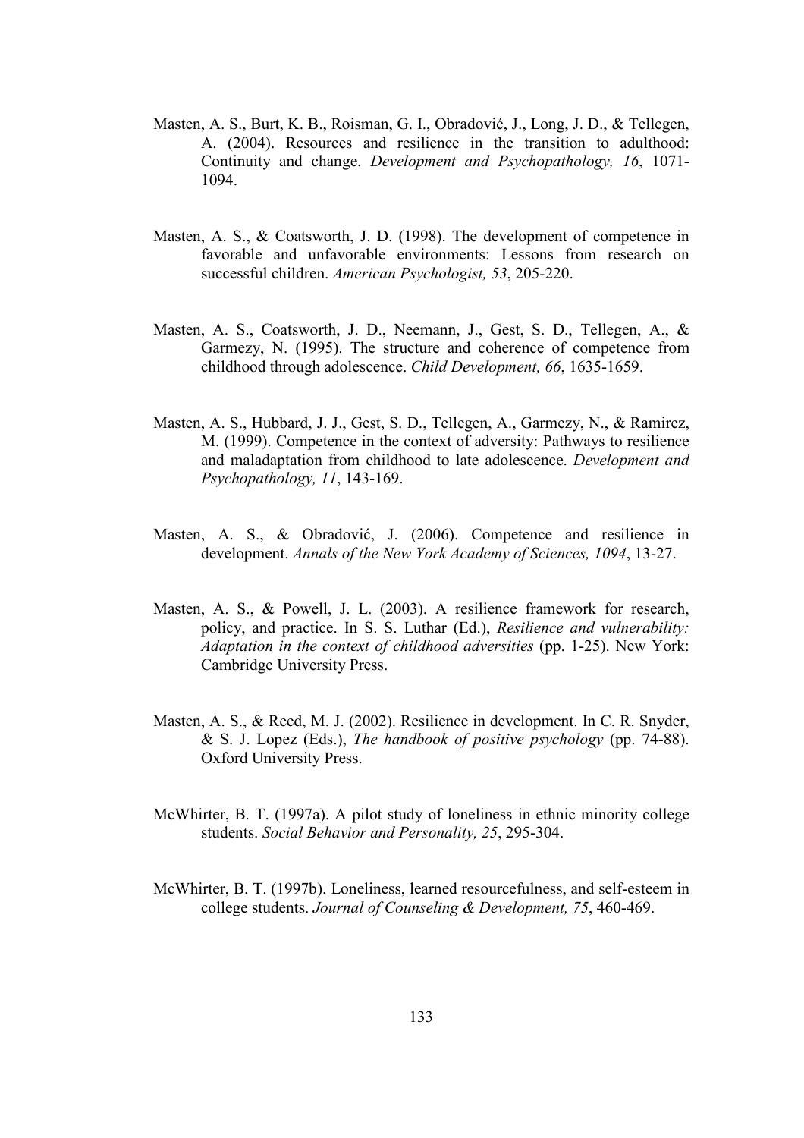- Masten, A. S., Burt, K. B., Roisman, G. I., Obradović, J., Long, J. D., & Tellegen, A. (2004). Resources and resilience in the transition to adulthood: Continuity and change. Development and Psychopathology, 16, 1071- 1094.
- Masten, A. S., & Coatsworth, J. D. (1998). The development of competence in favorable and unfavorable environments: Lessons from research on successful children. American Psychologist, 53, 205-220.
- Masten, A. S., Coatsworth, J. D., Neemann, J., Gest, S. D., Tellegen, A., & Garmezy, N. (1995). The structure and coherence of competence from childhood through adolescence. Child Development, 66, 1635-1659.
- Masten, A. S., Hubbard, J. J., Gest, S. D., Tellegen, A., Garmezy, N., & Ramirez, M. (1999). Competence in the context of adversity: Pathways to resilience and maladaptation from childhood to late adolescence. Development and Psychopathology, 11, 143-169.
- Masten, A. S., & Obradović, J. (2006). Competence and resilience in development. Annals of the New York Academy of Sciences, 1094, 13-27.
- Masten, A. S., & Powell, J. L. (2003). A resilience framework for research, policy, and practice. In S. S. Luthar (Ed.), Resilience and vulnerability: Adaptation in the context of childhood adversities (pp. 1-25). New York: Cambridge University Press.
- Masten, A. S., & Reed, M. J. (2002). Resilience in development. In C. R. Snyder, & S. J. Lopez (Eds.), The handbook of positive psychology (pp. 74-88). Oxford University Press.
- McWhirter, B. T. (1997a). A pilot study of loneliness in ethnic minority college students. Social Behavior and Personality, 25, 295-304.
- McWhirter, B. T. (1997b). Loneliness, learned resourcefulness, and self-esteem in college students. Journal of Counseling & Development, 75, 460-469.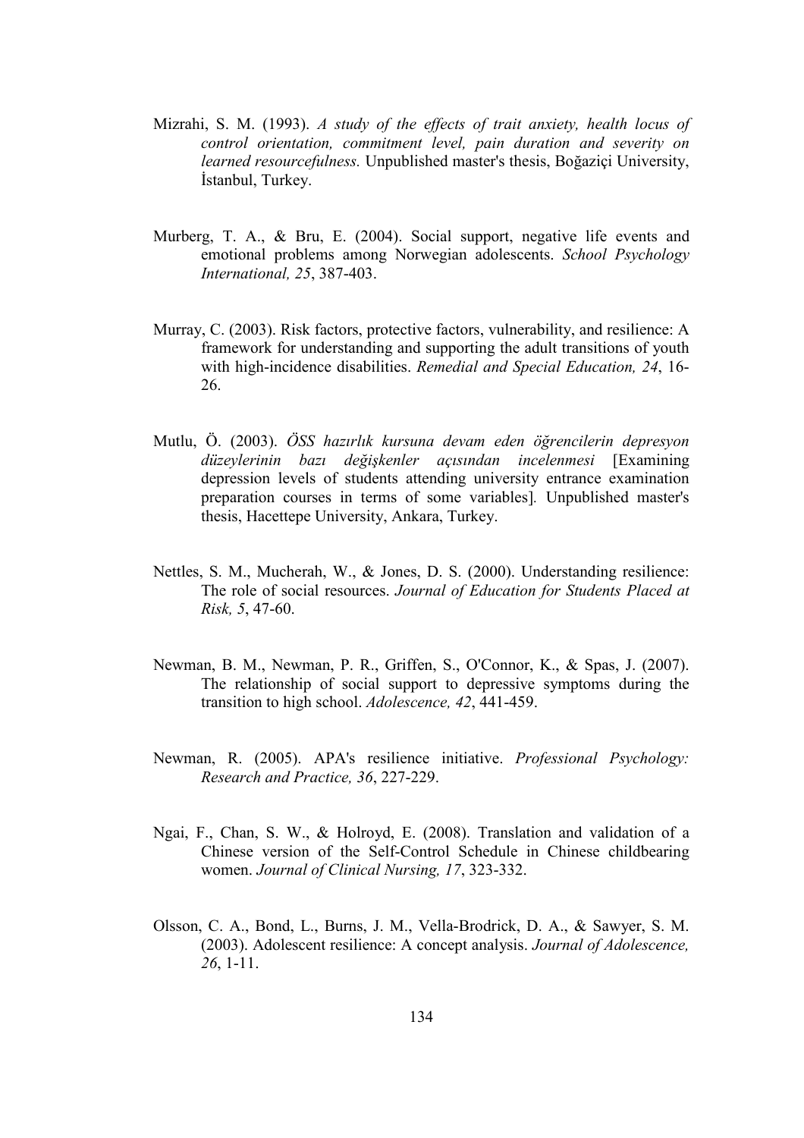- Mizrahi, S. M. (1993). A study of the effects of trait anxiety, health locus of control orientation, commitment level, pain duration and severity on learned resourcefulness. Unpublished master's thesis, Boğaziçi University, İstanbul, Turkey.
- Murberg, T. A., & Bru, E. (2004). Social support, negative life events and emotional problems among Norwegian adolescents. School Psychology International, 25, 387-403.
- Murray, C. (2003). Risk factors, protective factors, vulnerability, and resilience: A framework for understanding and supporting the adult transitions of youth with high-incidence disabilities. Remedial and Special Education, 24, 16-26.
- Mutlu, Ö. (2003). ÖSS hazırlık kursuna devam eden öğrencilerin depresyon düzeylerinin bazı değişkenler açısından incelenmesi [Examining depression levels of students attending university entrance examination preparation courses in terms of some variables]. Unpublished master's thesis, Hacettepe University, Ankara, Turkey.
- Nettles, S. M., Mucherah, W., & Jones, D. S. (2000). Understanding resilience: The role of social resources. Journal of Education for Students Placed at Risk, 5, 47-60.
- Newman, B. M., Newman, P. R., Griffen, S., O'Connor, K., & Spas, J. (2007). The relationship of social support to depressive symptoms during the transition to high school. Adolescence, 42, 441-459.
- Newman, R. (2005). APA's resilience initiative. Professional Psychology: Research and Practice, 36, 227-229.
- Ngai, F., Chan, S. W., & Holroyd, E. (2008). Translation and validation of a Chinese version of the Self-Control Schedule in Chinese childbearing women. Journal of Clinical Nursing, 17, 323-332.
- Olsson, C. A., Bond, L., Burns, J. M., Vella-Brodrick, D. A., & Sawyer, S. M. (2003). Adolescent resilience: A concept analysis. Journal of Adolescence, 26, 1-11.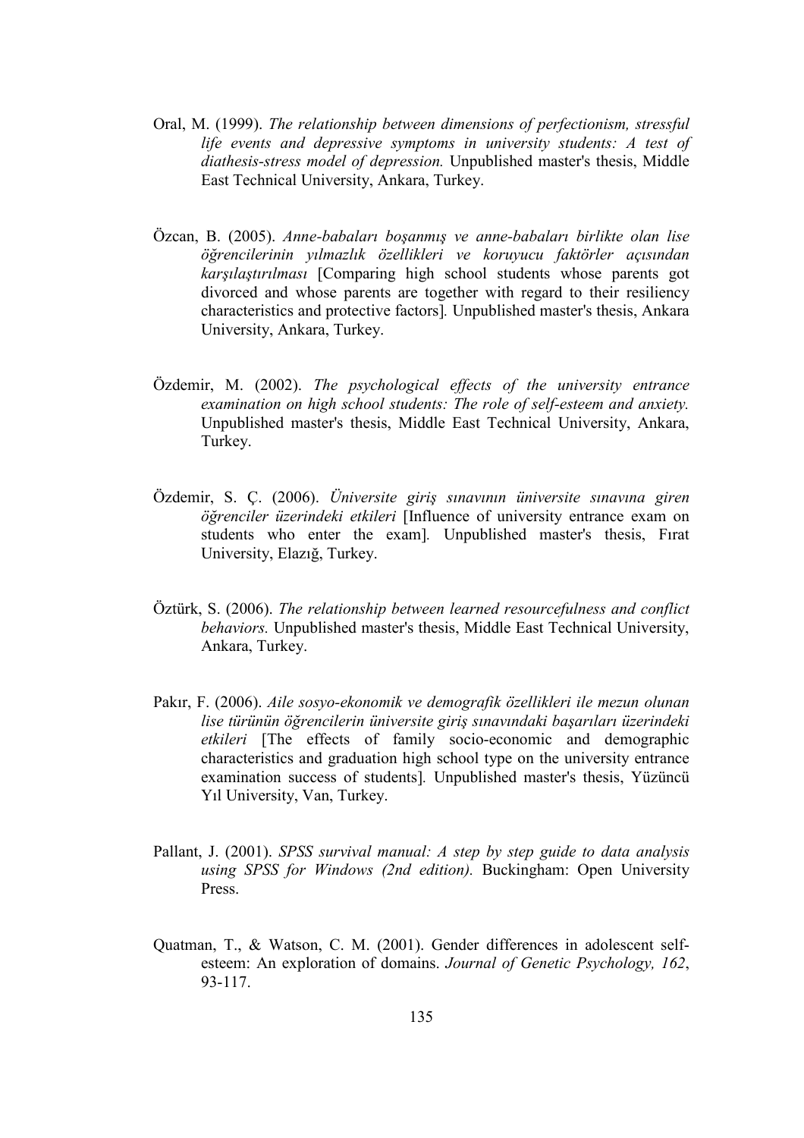- Oral, M. (1999). The relationship between dimensions of perfectionism, stressful life events and depressive symptoms in university students: A test of diathesis-stress model of depression. Unpublished master's thesis, Middle East Technical University, Ankara, Turkey.
- Özcan, B. (2005). Anne-babaları boşanmış ve anne-babaları birlikte olan lise öğrencilerinin yılmazlık özellikleri ve koruyucu faktörler açısından karşılaştırılması [Comparing high school students whose parents got divorced and whose parents are together with regard to their resiliency characteristics and protective factors]. Unpublished master's thesis, Ankara University, Ankara, Turkey.
- Özdemir, M. (2002). The psychological effects of the university entrance examination on high school students: The role of self-esteem and anxiety. Unpublished master's thesis, Middle East Technical University, Ankara, Turkey.
- Özdemir, S. Ç. (2006). Üniversite giriş sınavının üniversite sınavına giren öğrenciler üzerindeki etkileri [Influence of university entrance exam on students who enter the exam]. Unpublished master's thesis, Fırat University, Elazığ, Turkey.
- Öztürk, S. (2006). The relationship between learned resourcefulness and conflict behaviors. Unpublished master's thesis, Middle East Technical University, Ankara, Turkey.
- Pakır, F. (2006). Aile sosyo-ekonomik ve demografik özellikleri ile mezun olunan lise türünün öğrencilerin üniversite giriş sınavındaki başarıları üzerindeki etkileri [The effects of family socio-economic and demographic characteristics and graduation high school type on the university entrance examination success of students]. Unpublished master's thesis, Yüzüncü Yıl University, Van, Turkey.
- Pallant, J. (2001). SPSS survival manual: A step by step guide to data analysis using SPSS for Windows (2nd edition). Buckingham: Open University Press.
- Quatman, T., & Watson, C. M. (2001). Gender differences in adolescent selfesteem: An exploration of domains. Journal of Genetic Psychology, 162, 93-117.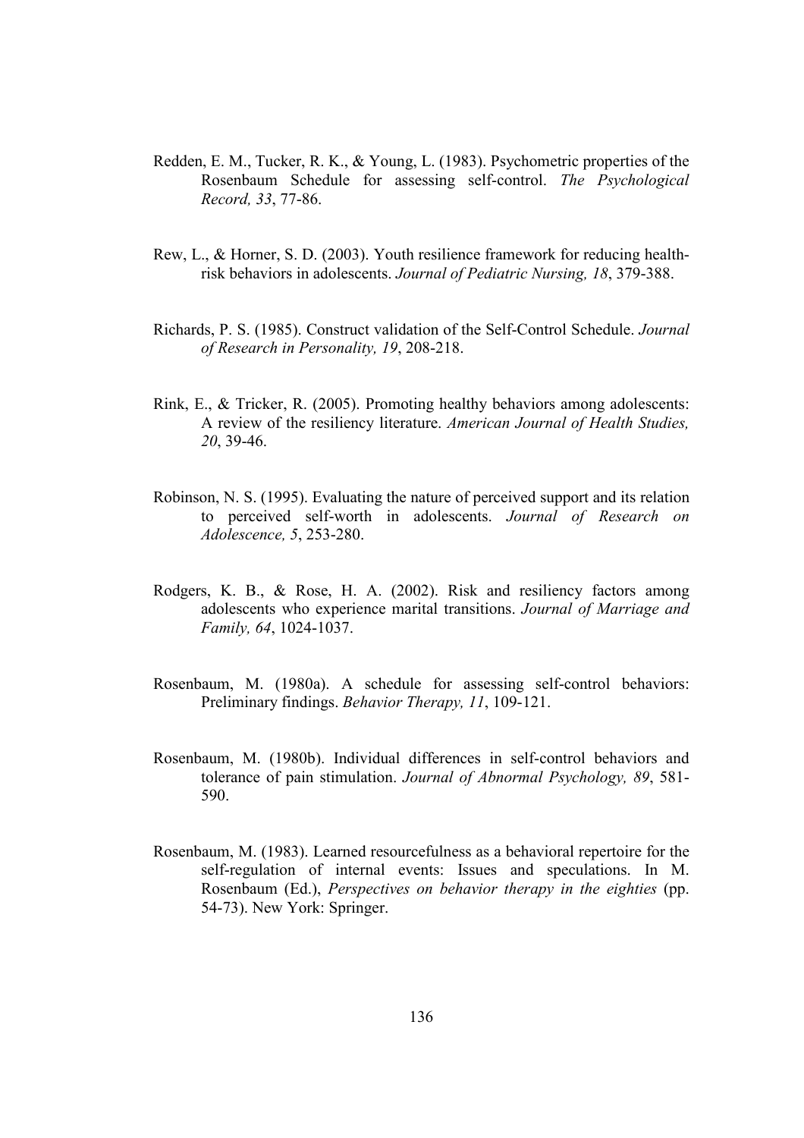- Redden, E. M., Tucker, R. K., & Young, L. (1983). Psychometric properties of the Rosenbaum Schedule for assessing self-control. The Psychological Record, 33, 77-86.
- Rew, L., & Horner, S. D. (2003). Youth resilience framework for reducing healthrisk behaviors in adolescents. Journal of Pediatric Nursing, 18, 379-388.
- Richards, P. S. (1985). Construct validation of the Self-Control Schedule. Journal of Research in Personality, 19, 208-218.
- Rink, E., & Tricker, R. (2005). Promoting healthy behaviors among adolescents: A review of the resiliency literature. American Journal of Health Studies, 20, 39-46.
- Robinson, N. S. (1995). Evaluating the nature of perceived support and its relation to perceived self-worth in adolescents. Journal of Research on Adolescence, 5, 253-280.
- Rodgers, K. B., & Rose, H. A. (2002). Risk and resiliency factors among adolescents who experience marital transitions. Journal of Marriage and Family, 64, 1024-1037.
- Rosenbaum, M. (1980a). A schedule for assessing self-control behaviors: Preliminary findings. Behavior Therapy, 11, 109-121.
- Rosenbaum, M. (1980b). Individual differences in self-control behaviors and tolerance of pain stimulation. Journal of Abnormal Psychology, 89, 581- 590.
- Rosenbaum, M. (1983). Learned resourcefulness as a behavioral repertoire for the self-regulation of internal events: Issues and speculations. In M. Rosenbaum (Ed.), Perspectives on behavior therapy in the eighties (pp. 54-73). New York: Springer.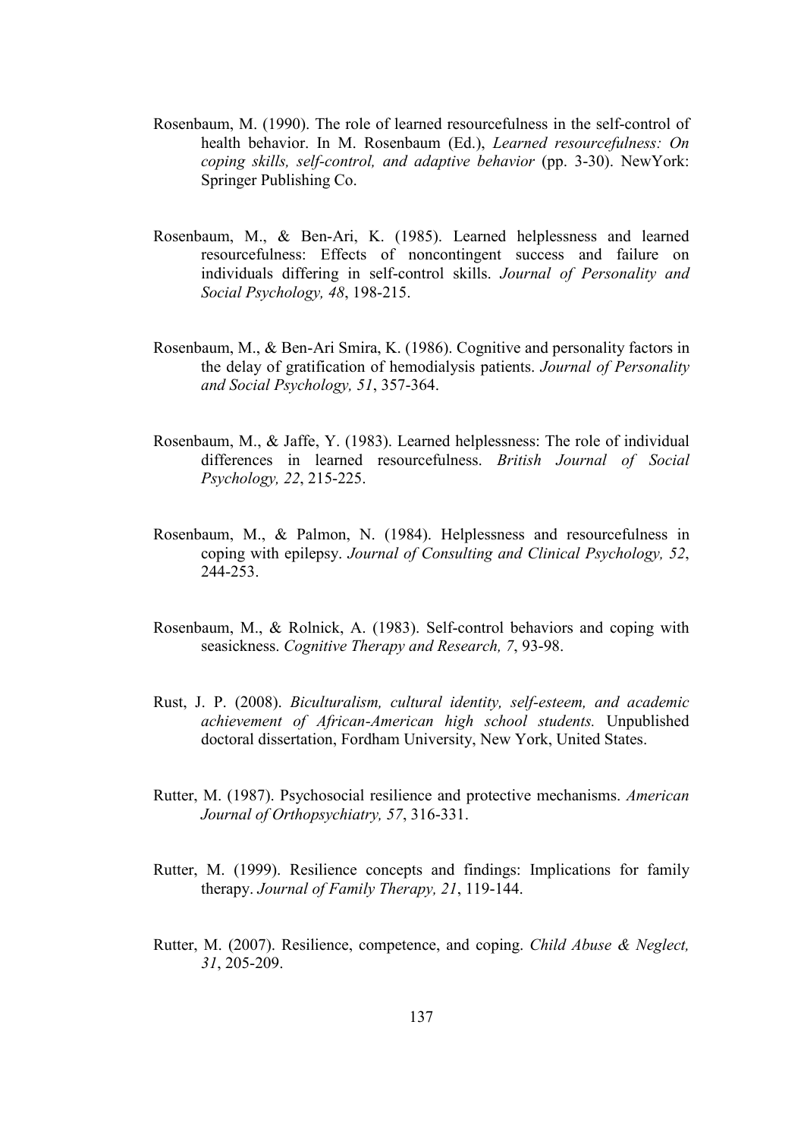- Rosenbaum, M. (1990). The role of learned resourcefulness in the self-control of health behavior. In M. Rosenbaum (Ed.), *Learned resourcefulness: On* coping skills, self-control, and adaptive behavior (pp. 3-30). NewYork: Springer Publishing Co.
- Rosenbaum, M., & Ben-Ari, K. (1985). Learned helplessness and learned resourcefulness: Effects of noncontingent success and failure on individuals differing in self-control skills. Journal of Personality and Social Psychology, 48, 198-215.
- Rosenbaum, M., & Ben-Ari Smira, K. (1986). Cognitive and personality factors in the delay of gratification of hemodialysis patients. Journal of Personality and Social Psychology, 51, 357-364.
- Rosenbaum, M., & Jaffe, Y. (1983). Learned helplessness: The role of individual differences in learned resourcefulness. British Journal of Social Psychology, 22, 215-225.
- Rosenbaum, M., & Palmon, N. (1984). Helplessness and resourcefulness in coping with epilepsy. Journal of Consulting and Clinical Psychology, 52, 244-253.
- Rosenbaum, M., & Rolnick, A. (1983). Self-control behaviors and coping with seasickness. Cognitive Therapy and Research, 7, 93-98.
- Rust, J. P. (2008). Biculturalism, cultural identity, self-esteem, and academic achievement of African-American high school students. Unpublished doctoral dissertation, Fordham University, New York, United States.
- Rutter, M. (1987). Psychosocial resilience and protective mechanisms. American Journal of Orthopsychiatry, 57, 316-331.
- Rutter, M. (1999). Resilience concepts and findings: Implications for family therapy. Journal of Family Therapy, 21, 119-144.
- Rutter, M. (2007). Resilience, competence, and coping. Child Abuse & Neglect, 31, 205-209.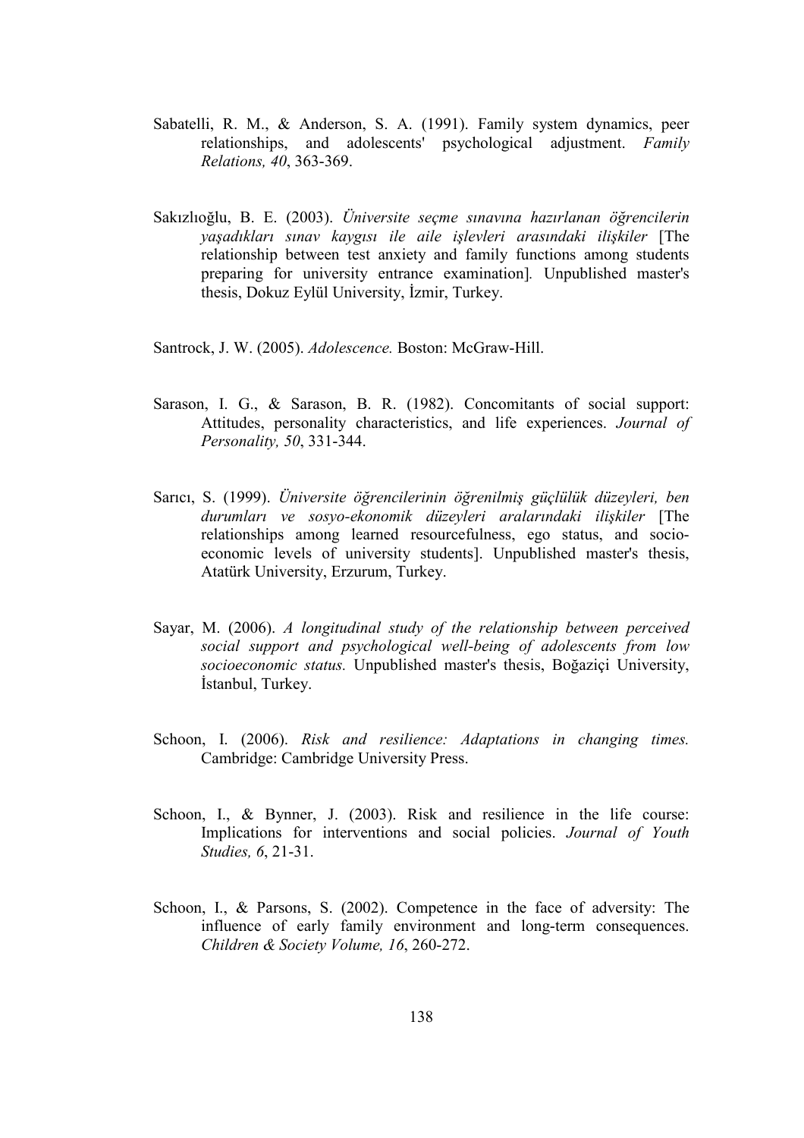- Sabatelli, R. M., & Anderson, S. A. (1991). Family system dynamics, peer relationships, and adolescents' psychological adjustment. Family Relations, 40, 363-369.
- Sakızlıoğlu, B. E. (2003). Üniversite seçme sınavına hazırlanan öğrencilerin yaşadıkları sınav kaygısı ile aile işlevleri arasındaki ilişkiler [The relationship between test anxiety and family functions among students preparing for university entrance examination]. Unpublished master's thesis, Dokuz Eylül University, İzmir, Turkey.
- Santrock, J. W. (2005). Adolescence. Boston: McGraw-Hill.
- Sarason, I. G., & Sarason, B. R. (1982). Concomitants of social support: Attitudes, personality characteristics, and life experiences. Journal of Personality, 50, 331-344.
- Sarıcı, S. (1999). Üniversite öğrencilerinin öğrenilmiş güçlülük düzeyleri, ben durumları ve sosyo-ekonomik düzeyleri aralarındaki ilişkiler [The relationships among learned resourcefulness, ego status, and socioeconomic levels of university students]. Unpublished master's thesis, Atatürk University, Erzurum, Turkey.
- Sayar, M. (2006). A longitudinal study of the relationship between perceived social support and psychological well-being of adolescents from low socioeconomic status. Unpublished master's thesis, Boğaziçi University, İstanbul, Turkey.
- Schoon, I. (2006). Risk and resilience: Adaptations in changing times. Cambridge: Cambridge University Press.
- Schoon, I., & Bynner, J. (2003). Risk and resilience in the life course: Implications for interventions and social policies. Journal of Youth Studies, 6, 21-31.
- Schoon, I., & Parsons, S. (2002). Competence in the face of adversity: The influence of early family environment and long-term consequences. Children & Society Volume, 16, 260-272.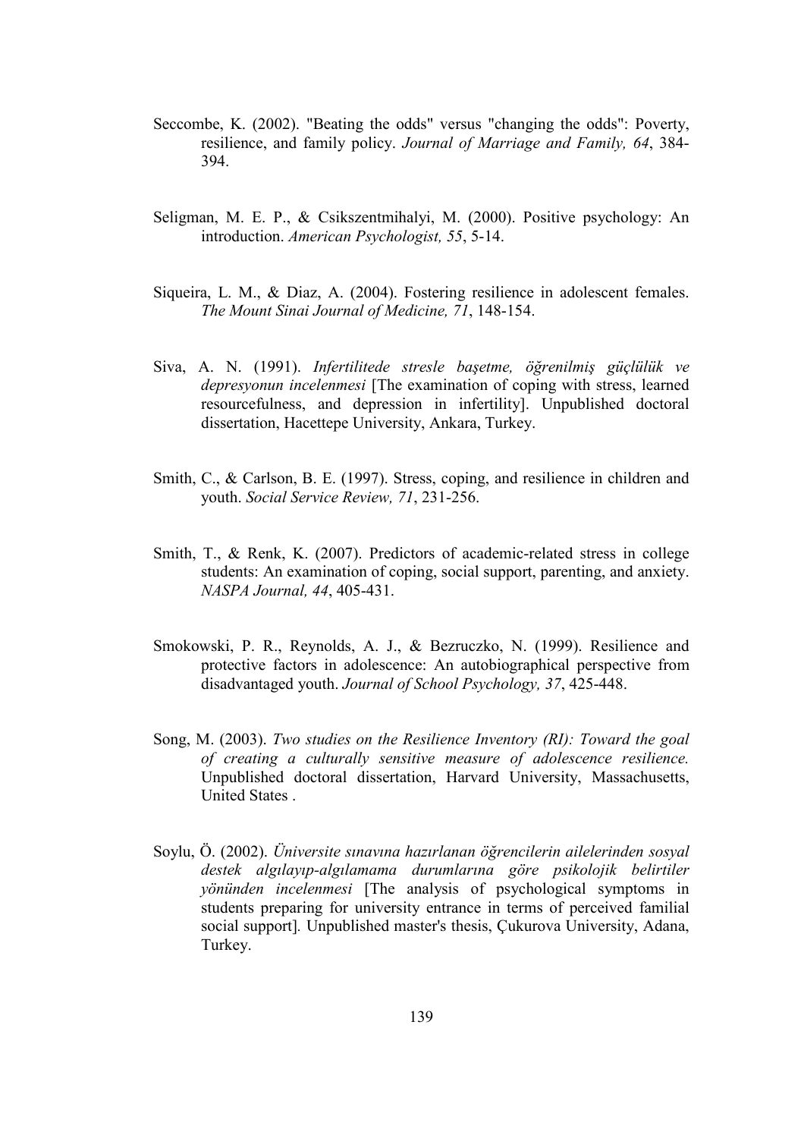- Seccombe, K. (2002). "Beating the odds" versus "changing the odds": Poverty, resilience, and family policy. Journal of Marriage and Family, 64, 384- 394.
- Seligman, M. E. P., & Csikszentmihalyi, M. (2000). Positive psychology: An introduction. American Psychologist, 55, 5-14.
- Siqueira, L. M., & Diaz, A. (2004). Fostering resilience in adolescent females. The Mount Sinai Journal of Medicine, 71, 148-154.
- Siva, A. N. (1991). Infertilitede stresle başetme, öğrenilmiş güçlülük ve depresyonun incelenmesi [The examination of coping with stress, learned resourcefulness, and depression in infertility]. Unpublished doctoral dissertation, Hacettepe University, Ankara, Turkey.
- Smith, C., & Carlson, B. E. (1997). Stress, coping, and resilience in children and youth. Social Service Review, 71, 231-256.
- Smith, T., & Renk, K. (2007). Predictors of academic-related stress in college students: An examination of coping, social support, parenting, and anxiety. NASPA Journal, 44, 405-431.
- Smokowski, P. R., Reynolds, A. J., & Bezruczko, N. (1999). Resilience and protective factors in adolescence: An autobiographical perspective from disadvantaged youth. Journal of School Psychology, 37, 425-448.
- Song, M. (2003). Two studies on the Resilience Inventory (RI): Toward the goal of creating a culturally sensitive measure of adolescence resilience. Unpublished doctoral dissertation, Harvard University, Massachusetts, United States .
- Soylu, Ö. (2002). Üniversite sınavına hazırlanan öğrencilerin ailelerinden sosyal destek algılayıp-algılamama durumlarına göre psikolojik belirtiler yönünden incelenmesi [The analysis of psychological symptoms in students preparing for university entrance in terms of perceived familial social support]. Unpublished master's thesis, Çukurova University, Adana, Turkey.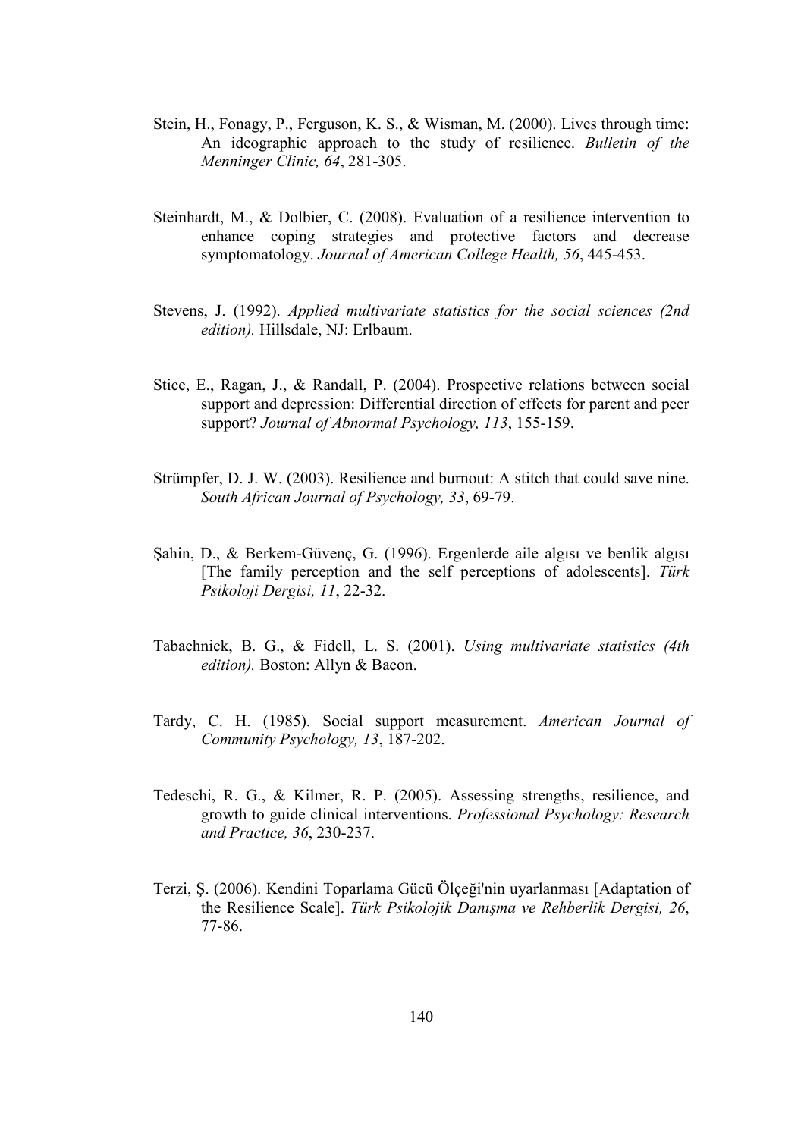- Stein, H., Fonagy, P., Ferguson, K. S., & Wisman, M. (2000). Lives through time: An ideographic approach to the study of resilience. Bulletin of the Menninger Clinic, 64, 281-305.
- Steinhardt, M., & Dolbier, C. (2008). Evaluation of a resilience intervention to enhance coping strategies and protective factors and decrease symptomatology. Journal of American College Health, 56, 445-453.
- Stevens, J. (1992). Applied multivariate statistics for the social sciences (2nd edition). Hillsdale, NJ: Erlbaum.
- Stice, E., Ragan, J., & Randall, P. (2004). Prospective relations between social support and depression: Differential direction of effects for parent and peer support? Journal of Abnormal Psychology, 113, 155-159.
- Strümpfer, D. J. W. (2003). Resilience and burnout: A stitch that could save nine. South African Journal of Psychology, 33, 69-79.
- Şahin, D., & Berkem-Güvenç, G. (1996). Ergenlerde aile algısı ve benlik algısı [The family perception and the self perceptions of adolescents]. Türk Psikoloji Dergisi, 11, 22-32.
- Tabachnick, B. G., & Fidell, L. S. (2001). Using multivariate statistics (4th edition). Boston: Allyn & Bacon.
- Tardy, C. H. (1985). Social support measurement. American Journal of Community Psychology, 13, 187-202.
- Tedeschi, R. G., & Kilmer, R. P. (2005). Assessing strengths, resilience, and growth to guide clinical interventions. Professional Psychology: Research and Practice, 36, 230-237.
- Terzi, Ş. (2006). Kendini Toparlama Gücü Ölçeği'nin uyarlanması [Adaptation of the Resilience Scale]. Türk Psikolojik Danışma ve Rehberlik Dergisi, 26, 77-86.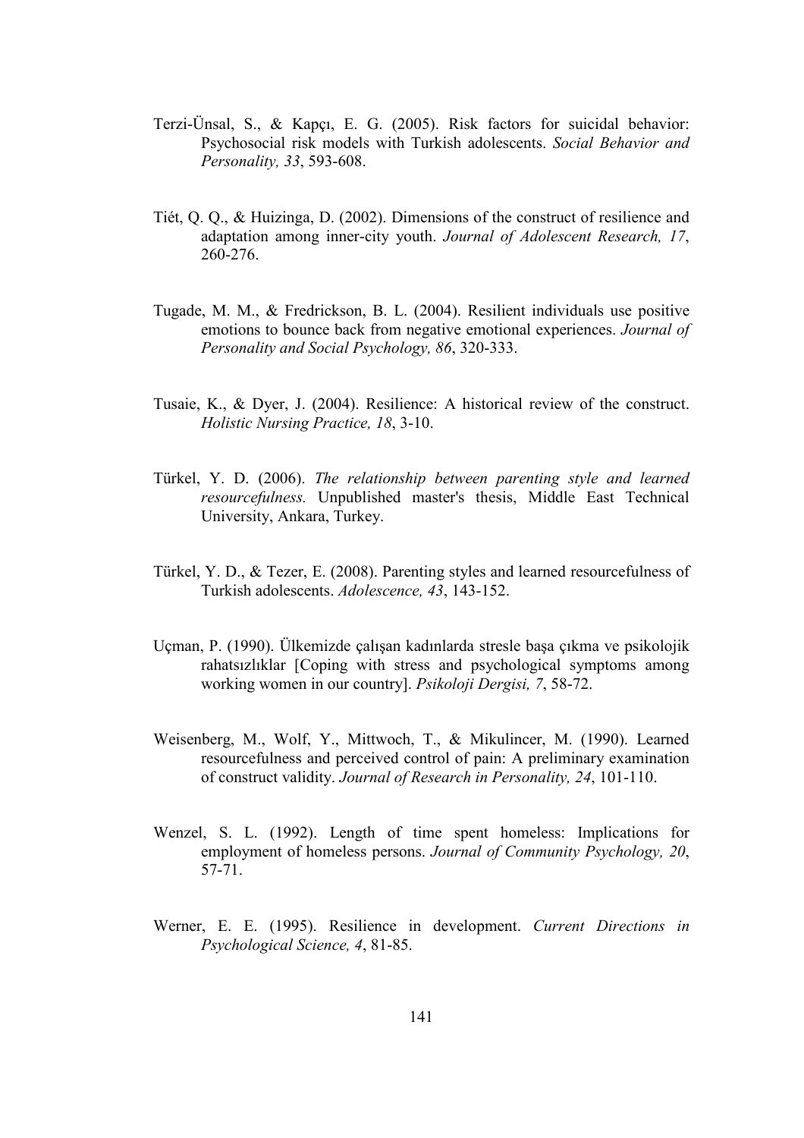- Terzi-Ünsal, S., & Kapçı, E. G. (2005). Risk factors for suicidal behavior: Psychosocial risk models with Turkish adolescents. Social Behavior and Personality, 33, 593-608.
- Tiét, Q. Q., & Huizinga, D. (2002). Dimensions of the construct of resilience and adaptation among inner-city youth. Journal of Adolescent Research, 17, 260-276.
- Tugade, M. M., & Fredrickson, B. L. (2004). Resilient individuals use positive emotions to bounce back from negative emotional experiences. Journal of Personality and Social Psychology, 86, 320-333.
- Tusaie, K., & Dyer, J. (2004). Resilience: A historical review of the construct. Holistic Nursing Practice, 18, 3-10.
- Türkel, Y. D. (2006). The relationship between parenting style and learned resourcefulness. Unpublished master's thesis, Middle East Technical University, Ankara, Turkey.
- Türkel, Y. D., & Tezer, E. (2008). Parenting styles and learned resourcefulness of Turkish adolescents. Adolescence, 43, 143-152.
- Uçman, P. (1990). Ülkemizde çalışan kadınlarda stresle başa çıkma ve psikolojik rahatsızlıklar [Coping with stress and psychological symptoms among working women in our country]. Psikoloji Dergisi, 7, 58-72.
- Weisenberg, M., Wolf, Y., Mittwoch, T., & Mikulincer, M. (1990). Learned resourcefulness and perceived control of pain: A preliminary examination of construct validity. Journal of Research in Personality, 24, 101-110.
- Wenzel, S. L. (1992). Length of time spent homeless: Implications for employment of homeless persons. Journal of Community Psychology, 20, 57-71.
- Werner, E. E. (1995). Resilience in development. Current Directions in Psychological Science, 4, 81-85.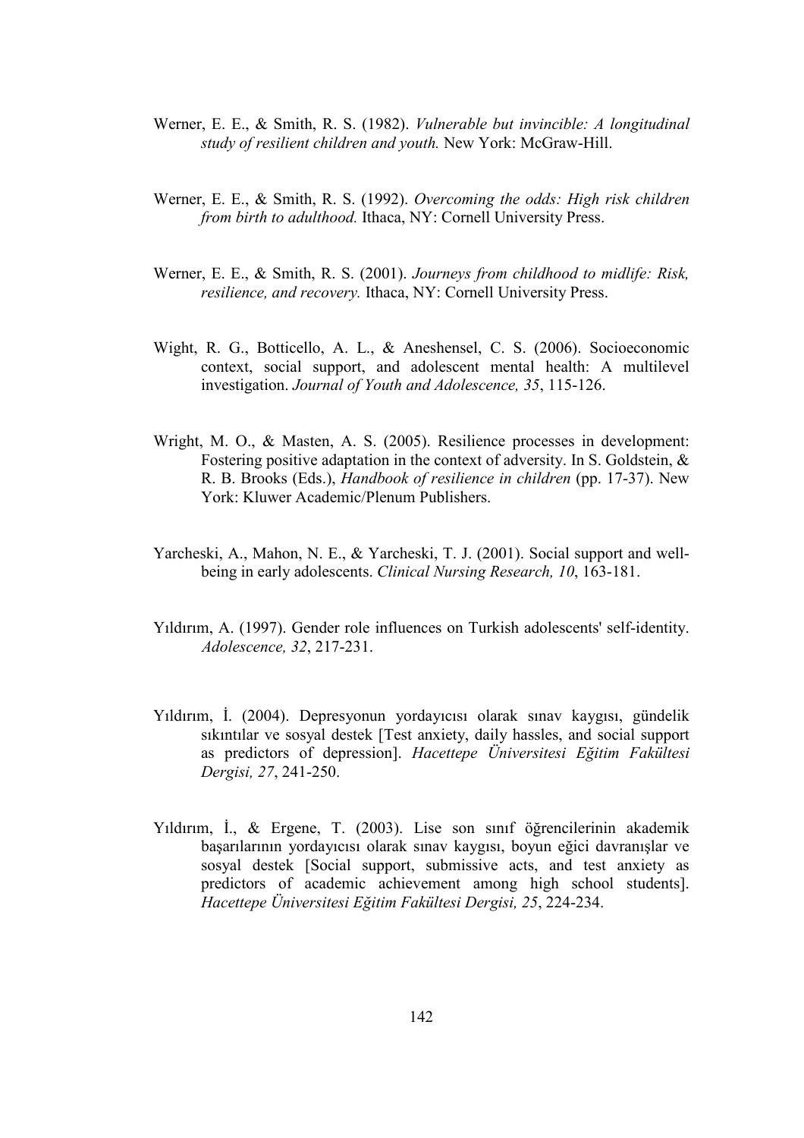- Werner, E. E., & Smith, R. S. (1982). Vulnerable but invincible: A longitudinal study of resilient children and youth. New York: McGraw-Hill.
- Werner, E. E., & Smith, R. S. (1992). Overcoming the odds: High risk children from birth to adulthood. Ithaca, NY: Cornell University Press.
- Werner, E. E., & Smith, R. S. (2001). Journeys from childhood to midlife: Risk, resilience, and recovery. Ithaca, NY: Cornell University Press.
- Wight, R. G., Botticello, A. L., & Aneshensel, C. S. (2006). Socioeconomic context, social support, and adolescent mental health: A multilevel investigation. Journal of Youth and Adolescence, 35, 115-126.
- Wright, M. O., & Masten, A. S. (2005). Resilience processes in development: Fostering positive adaptation in the context of adversity. In S. Goldstein, & R. B. Brooks (Eds.), Handbook of resilience in children (pp. 17-37). New York: Kluwer Academic/Plenum Publishers.
- Yarcheski, A., Mahon, N. E., & Yarcheski, T. J. (2001). Social support and wellbeing in early adolescents. Clinical Nursing Research, 10, 163-181.
- Yıldırım, A. (1997). Gender role influences on Turkish adolescents' self-identity. Adolescence, 32, 217-231.
- Yıldırım, İ. (2004). Depresyonun yordayıcısı olarak sınav kaygısı, gündelik sıkıntılar ve sosyal destek [Test anxiety, daily hassles, and social support as predictors of depression]. Hacettepe Üniversitesi Eğitim Fakültesi Dergisi, 27, 241-250.
- Yıldırım, İ., & Ergene, T. (2003). Lise son sınıf öğrencilerinin akademik başarılarının yordayıcısı olarak sınav kaygısı, boyun eğici davranışlar ve sosyal destek [Social support, submissive acts, and test anxiety as predictors of academic achievement among high school students]. Hacettepe Üniversitesi Eğitim Fakültesi Dergisi, 25, 224-234.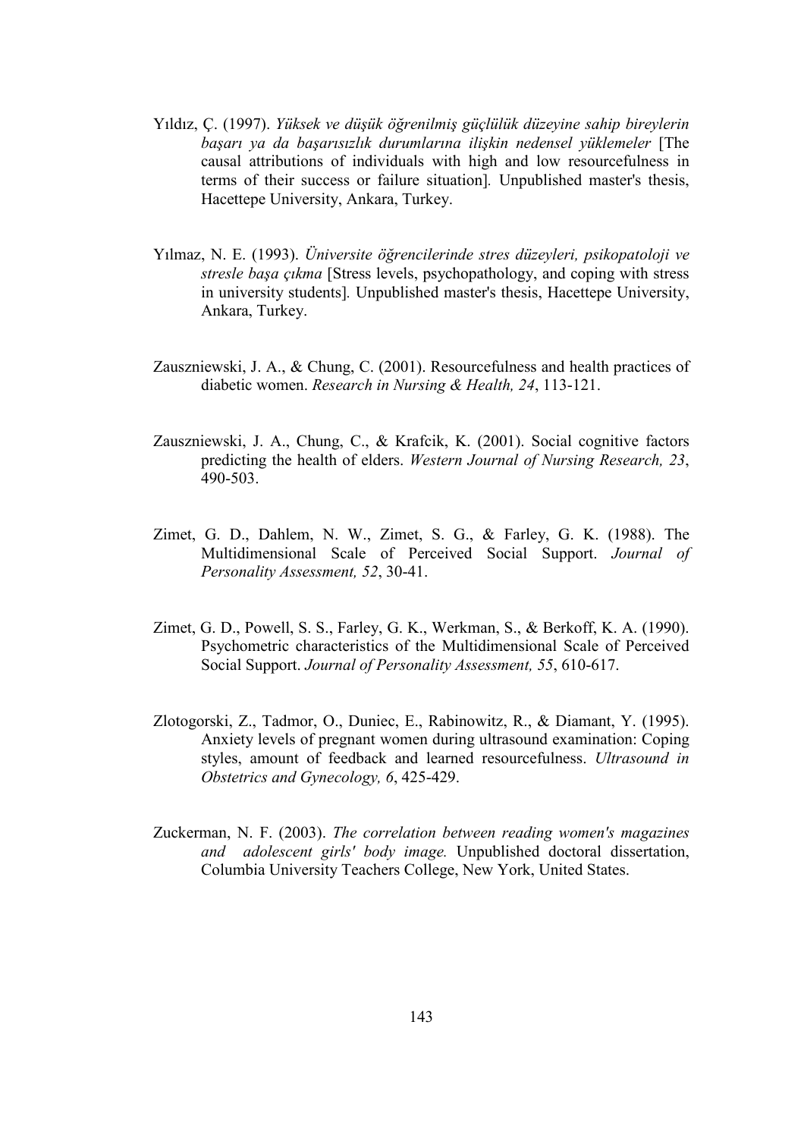- Yıldız, Ç. (1997). Yüksek ve düşük öğrenilmiş güçlülük düzeyine sahip bireylerin başarı ya da başarısızlık durumlarına ilişkin nedensel yüklemeler [The causal attributions of individuals with high and low resourcefulness in terms of their success or failure situation]. Unpublished master's thesis, Hacettepe University, Ankara, Turkey.
- Yılmaz, N. E. (1993). Üniversite öğrencilerinde stres düzeyleri, psikopatoloji ve stresle başa çıkma [Stress levels, psychopathology, and coping with stress in university students]. Unpublished master's thesis, Hacettepe University, Ankara, Turkey.
- Zauszniewski, J. A., & Chung, C. (2001). Resourcefulness and health practices of diabetic women. Research in Nursing & Health, 24, 113-121.
- Zauszniewski, J. A., Chung, C., & Krafcik, K. (2001). Social cognitive factors predicting the health of elders. Western Journal of Nursing Research, 23, 490-503.
- Zimet, G. D., Dahlem, N. W., Zimet, S. G., & Farley, G. K. (1988). The Multidimensional Scale of Perceived Social Support. Journal of Personality Assessment, 52, 30-41.
- Zimet, G. D., Powell, S. S., Farley, G. K., Werkman, S., & Berkoff, K. A. (1990). Psychometric characteristics of the Multidimensional Scale of Perceived Social Support. Journal of Personality Assessment, 55, 610-617.
- Zlotogorski, Z., Tadmor, O., Duniec, E., Rabinowitz, R., & Diamant, Y. (1995). Anxiety levels of pregnant women during ultrasound examination: Coping styles, amount of feedback and learned resourcefulness. Ultrasound in Obstetrics and Gynecology, 6, 425-429.
- Zuckerman, N. F. (2003). The correlation between reading women's magazines and adolescent girls' body image. Unpublished doctoral dissertation, Columbia University Teachers College, New York, United States.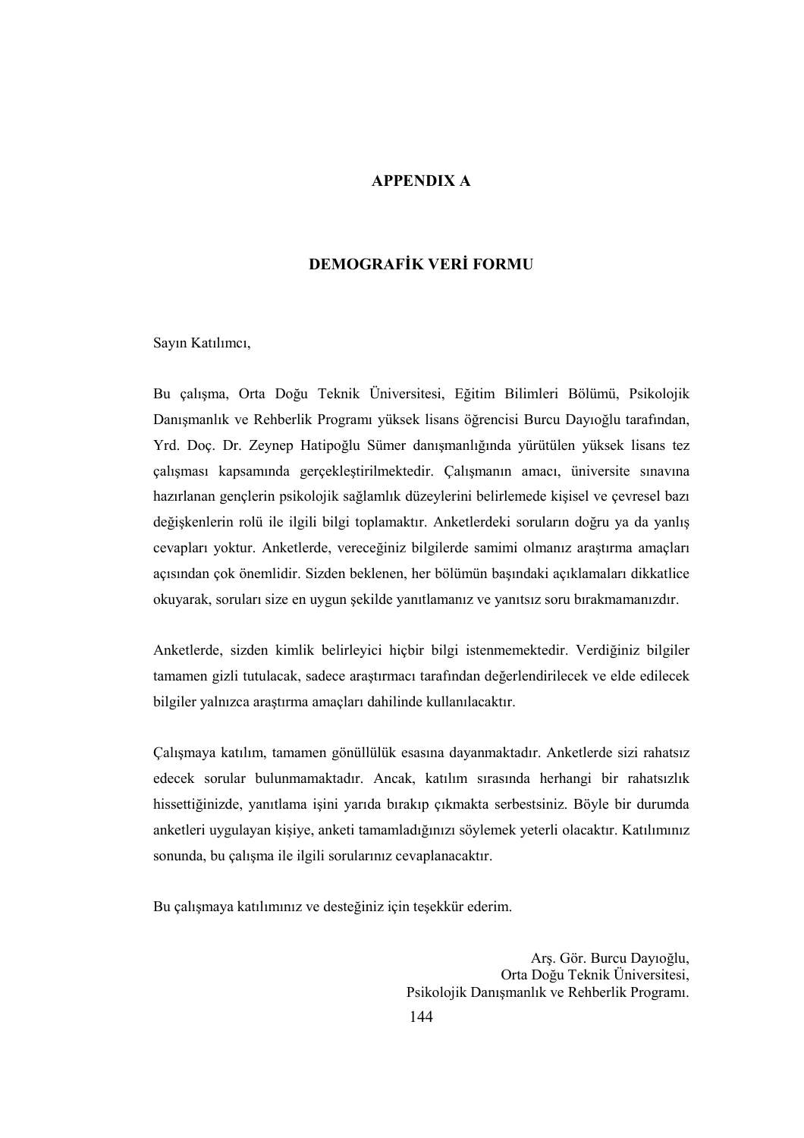### APPENDIX A

# DEMOGRAFİK VERİ FORMU

Sayın Katılımcı,

Bu çalışma, Orta Doğu Teknik Üniversitesi, Eğitim Bilimleri Bölümü, Psikolojik Danışmanlık ve Rehberlik Programı yüksek lisans öğrencisi Burcu Dayıoğlu tarafından, Yrd. Doç. Dr. Zeynep Hatipoğlu Sümer danışmanlığında yürütülen yüksek lisans tez çalışması kapsamında gerçekleştirilmektedir. Çalışmanın amacı, üniversite sınavına hazırlanan gençlerin psikolojik sağlamlık düzeylerini belirlemede kişisel ve çevresel bazı değişkenlerin rolü ile ilgili bilgi toplamaktır. Anketlerdeki soruların doğru ya da yanlış cevapları yoktur. Anketlerde, vereceğiniz bilgilerde samimi olmanız araştırma amaçları açısından çok önemlidir. Sizden beklenen, her bölümün başındaki açıklamaları dikkatlice okuyarak, soruları size en uygun şekilde yanıtlamanız ve yanıtsız soru bırakmamanızdır.

Anketlerde, sizden kimlik belirleyici hiçbir bilgi istenmemektedir. Verdiğiniz bilgiler tamamen gizli tutulacak, sadece araştırmacı tarafından değerlendirilecek ve elde edilecek bilgiler yalnızca araştırma amaçları dahilinde kullanılacaktır.

Çalışmaya katılım, tamamen gönüllülük esasına dayanmaktadır. Anketlerde sizi rahatsız edecek sorular bulunmamaktadır. Ancak, katılım sırasında herhangi bir rahatsızlık hissettiğinizde, yanıtlama işini yarıda bırakıp çıkmakta serbestsiniz. Böyle bir durumda anketleri uygulayan kişiye, anketi tamamladığınızı söylemek yeterli olacaktır. Katılımınız sonunda, bu çalışma ile ilgili sorularınız cevaplanacaktır.

Bu çalışmaya katılımınız ve desteğiniz için teşekkür ederim.

144 Arş. Gör. Burcu Dayıoğlu, Orta Doğu Teknik Üniversitesi, Psikolojik Danışmanlık ve Rehberlik Programı.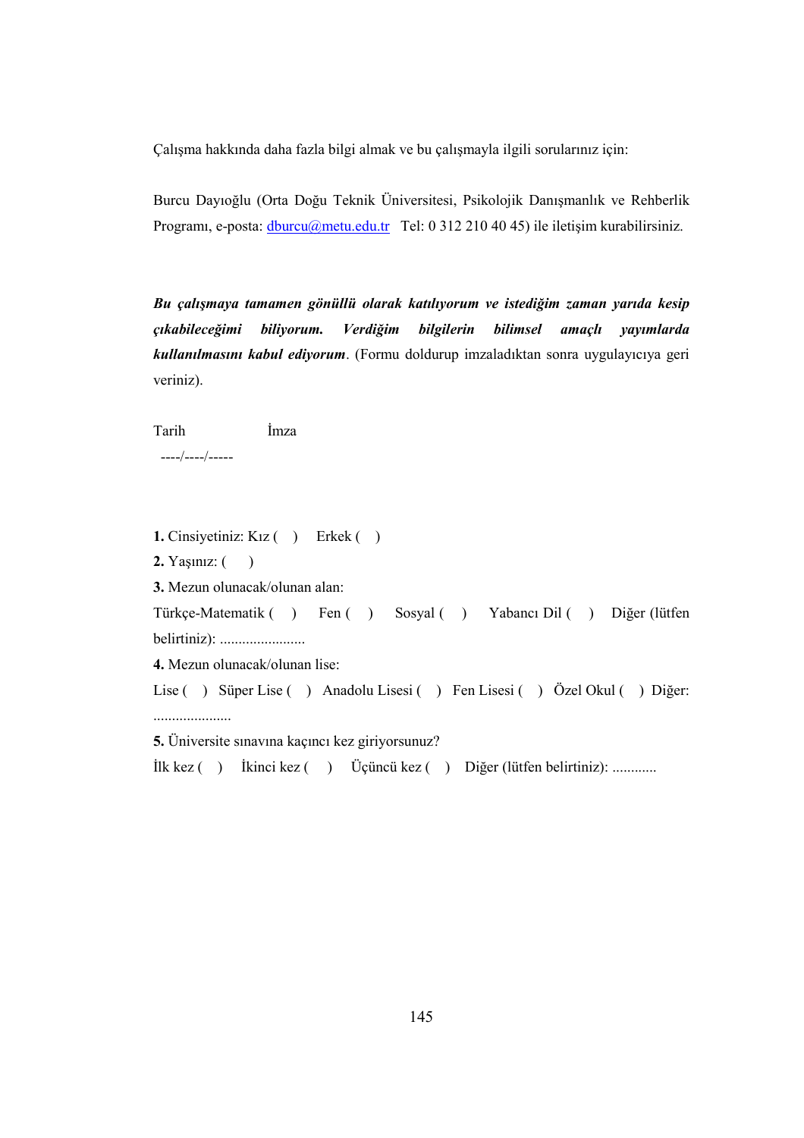Çalışma hakkında daha fazla bilgi almak ve bu çalışmayla ilgili sorularınız için:

Burcu Dayıoğlu (Orta Doğu Teknik Üniversitesi, Psikolojik Danışmanlık ve Rehberlik Programı, e-posta: dburcu@metu.edu.tr Tel: 0 312 210 40 45) ile iletişim kurabilirsiniz.

Bu çalışmaya tamamen gönüllü olarak katılıyorum ve istediğim zaman yarıda kesip çıkabileceğimi biliyorum. Verdiğim bilgilerin bilimsel amaçlı yayımlarda kullanılmasını kabul ediyorum. (Formu doldurup imzaladıktan sonra uygulayıcıya geri veriniz).

Tarih İmza

----/----/-----

1. Cinsiyetiniz: Kız ( ) Erkek ( ) **2.** Yaşınız:  $($ 3. Mezun olunacak/olunan alan: Türkçe-Matematik ( ) Fen ( ) Sosyal ( ) Yabancı Dil ( ) Diğer (lütfen belirtiniz): ....................... 4. Mezun olunacak/olunan lise: Lise ( ) Süper Lise ( ) Anadolu Lisesi ( ) Fen Lisesi ( ) Özel Okul ( ) Diğer: ..................... 5. Üniversite sınavına kaçıncı kez giriyorsunuz?

İlk kez ( ) İkinci kez ( ) Üçüncü kez ( ) Diğer (lütfen belirtiniz): ............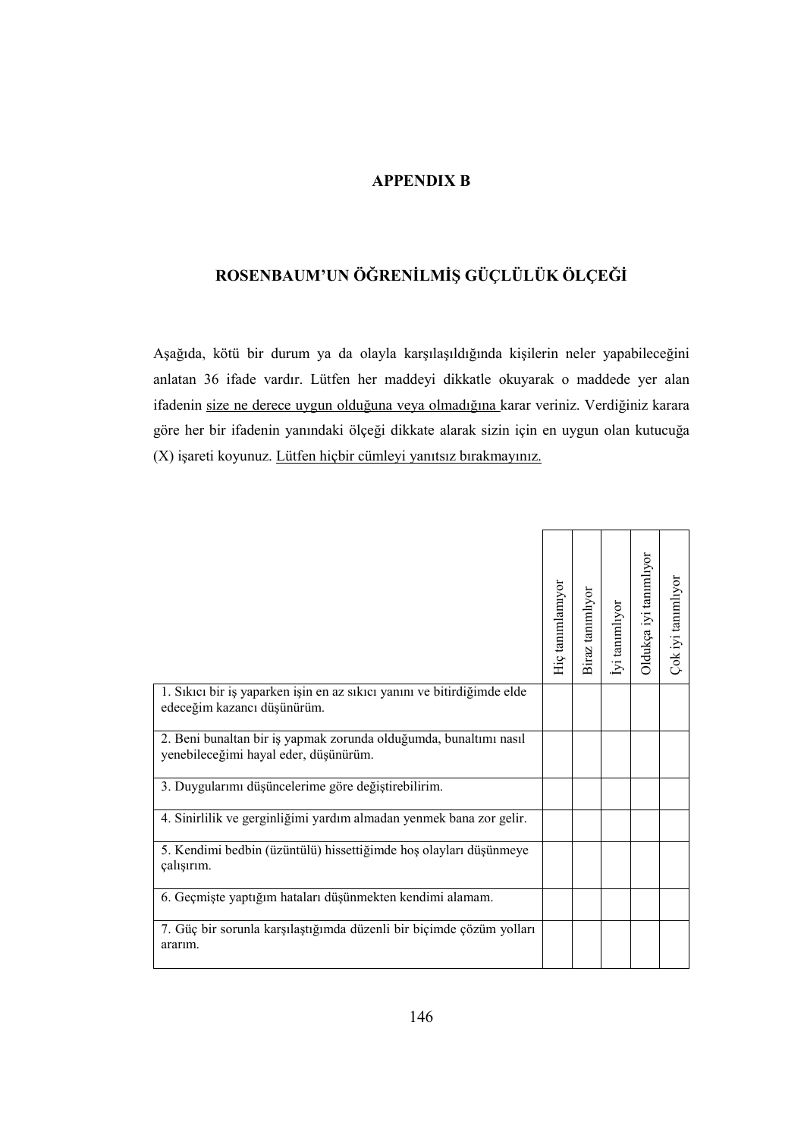## APPENDIX B

# ROSENBAUM'UN ÖĞRENİLMİŞ GÜÇLÜLÜK ÖLÇEĞİ

Aşağıda, kötü bir durum ya da olayla karşılaşıldığında kişilerin neler yapabileceğini anlatan 36 ifade vardır. Lütfen her maddeyi dikkatle okuyarak o maddede yer alan ifadenin size ne derece uygun olduğuna veya olmadığına karar veriniz. Verdiğiniz karara göre her bir ifadenin yanındaki ölçeği dikkate alarak sizin için en uygun olan kutucuğa (X) işareti koyunuz. Lütfen hiçbir cümleyi yanıtsız bırakmayınız.

|                                                                                                            | Hiç tanımlamıyor | Biraz tanımlıyor | İyi tanımlıyor | Oldukça iyi tanımlıyor | Çok iyi tanımlıyor |
|------------------------------------------------------------------------------------------------------------|------------------|------------------|----------------|------------------------|--------------------|
| 1. Sıkıcı bir iş yaparken işin en az sıkıcı yanını ve bitirdiğimde elde<br>edeceğim kazancı düşünürüm.     |                  |                  |                |                        |                    |
| 2. Beni bunaltan bir iş yapmak zorunda olduğumda, bunaltımı nasıl<br>yenebileceğimi hayal eder, düşünürüm. |                  |                  |                |                        |                    |
| 3. Duygularımı düşüncelerime göre değiştirebilirim.                                                        |                  |                  |                |                        |                    |
| 4. Sinirlilik ve gerginliğimi yardım almadan yenmek bana zor gelir.                                        |                  |                  |                |                        |                    |
| 5. Kendimi bedbin (üzüntülü) hissettiğimde hoş olayları düşünmeye<br>çalışırım.                            |                  |                  |                |                        |                    |
| 6. Geçmişte yaptığım hataları düşünmekten kendimi alamam.                                                  |                  |                  |                |                        |                    |
| 7. Güç bir sorunla karşılaştığımda düzenli bir biçimde çözüm yolları<br>ararım.                            |                  |                  |                |                        |                    |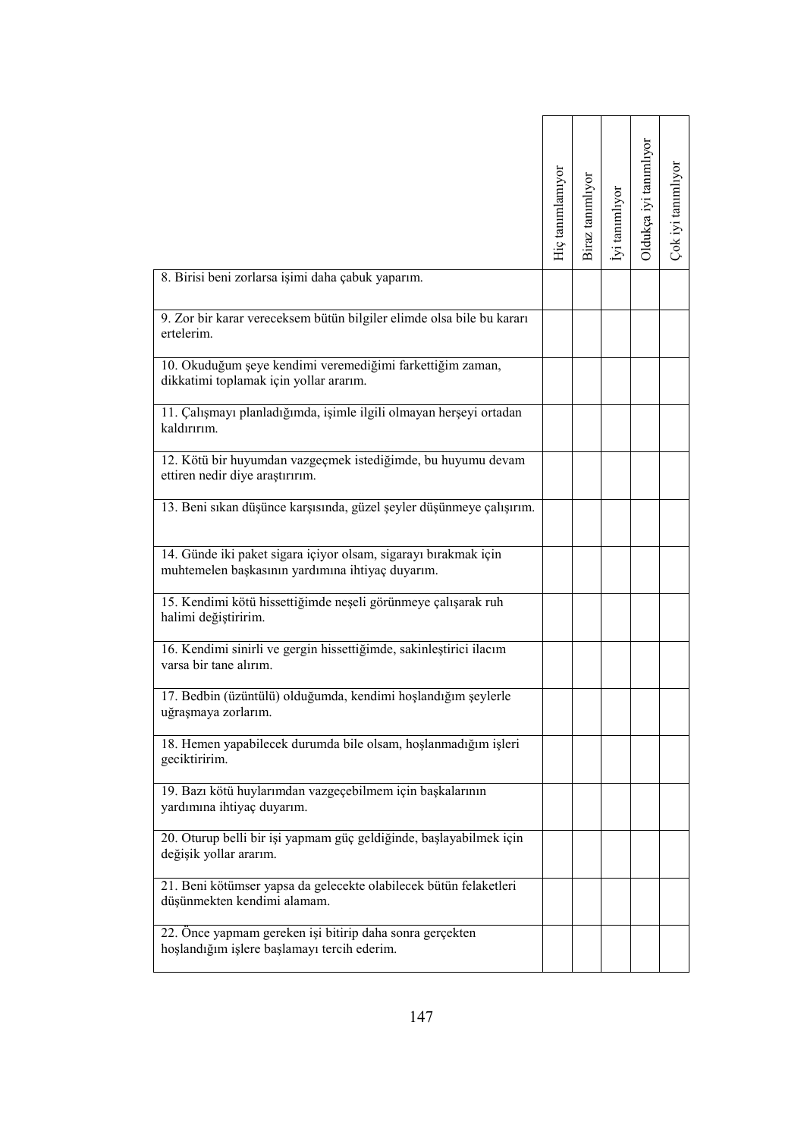|                                                                                                                     | Hiç tanımlamıyor | Biraz tanımlıyor | İyi tanımlıyor | Oldukça iyi tanımlıyor | Çok iyi tanımlıyor |
|---------------------------------------------------------------------------------------------------------------------|------------------|------------------|----------------|------------------------|--------------------|
| 8. Birisi beni zorlarsa işimi daha çabuk yaparım.                                                                   |                  |                  |                |                        |                    |
| 9. Zor bir karar vereceksem bütün bilgiler elimde olsa bile bu kararı<br>ertelerim.                                 |                  |                  |                |                        |                    |
| 10. Okuduğum şeye kendimi veremediğimi farkettiğim zaman,<br>dikkatimi toplamak için yollar ararım.                 |                  |                  |                |                        |                    |
| 11. Çalışmayı planladığımda, işimle ilgili olmayan herşeyi ortadan<br>kaldırırım.                                   |                  |                  |                |                        |                    |
| 12. Kötü bir huyumdan vazgeçmek istediğimde, bu huyumu devam<br>ettiren nedir diye araştırırım.                     |                  |                  |                |                        |                    |
| 13. Beni sıkan düşünce karşısında, güzel şeyler düşünmeye çalışırım.                                                |                  |                  |                |                        |                    |
| 14. Günde iki paket sigara içiyor olsam, sigarayı bırakmak için<br>muhtemelen başkasının yardımına ihtiyaç duyarım. |                  |                  |                |                        |                    |
| 15. Kendimi kötü hissettiğimde neşeli görünmeye çalışarak ruh<br>halimi değiştiririm.                               |                  |                  |                |                        |                    |
| 16. Kendimi sinirli ve gergin hissettiğimde, sakinleştirici ilacım<br>varsa bir tane alırım.                        |                  |                  |                |                        |                    |
| 17. Bedbin (üzüntülü) olduğumda, kendimi hoşlandığım şeylerle<br>uğraşmaya zorlarım.                                |                  |                  |                |                        |                    |
| 18. Hemen yapabilecek durumda bile olsam, hoşlanmadığım işleri<br>geciktiririm.                                     |                  |                  |                |                        |                    |
| 19. Bazı kötü huylarımdan vazgeçebilmem için başkalarının<br>yardımına ihtiyaç duyarım.                             |                  |                  |                |                        |                    |
| 20. Oturup belli bir işi yapmam güç geldiğinde, başlayabilmek için<br>değişik yollar ararım.                        |                  |                  |                |                        |                    |
| 21. Beni kötümser yapsa da gelecekte olabilecek bütün felaketleri<br>düşünmekten kendimi alamam.                    |                  |                  |                |                        |                    |
| 22. Önce yapmam gereken işi bitirip daha sonra gerçekten<br>hoşlandığım işlere başlamayı tercih ederim.             |                  |                  |                |                        |                    |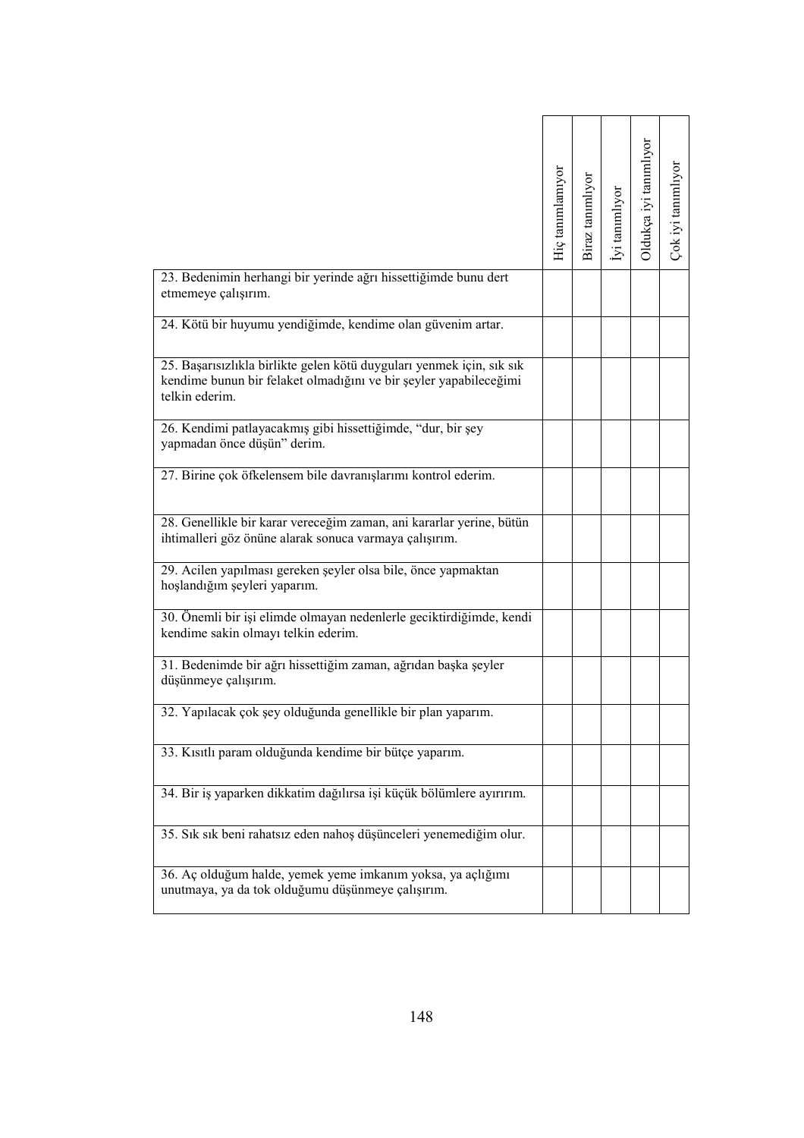|                                                                                                                                                              | Hiç tanımlamıyor | Biraz tanımlıyor | lyi tanımlıyor | Oldukça iyi tanımlıyor | Çok iyi tanımlıyor |
|--------------------------------------------------------------------------------------------------------------------------------------------------------------|------------------|------------------|----------------|------------------------|--------------------|
| 23. Bedenimin herhangi bir yerinde ağrı hissettiğimde bunu dert<br>etmemeye çalışırım.                                                                       |                  |                  |                |                        |                    |
| 24. Kötü bir huyumu yendiğimde, kendime olan güvenim artar.                                                                                                  |                  |                  |                |                        |                    |
| 25. Başarısızlıkla birlikte gelen kötü duyguları yenmek için, sık sık<br>kendime bunun bir felaket olmadığını ve bir şeyler yapabileceğimi<br>telkin ederim. |                  |                  |                |                        |                    |
| 26. Kendimi patlayacakmış gibi hissettiğimde, "dur, bir şey<br>yapmadan önce düşün" derim.                                                                   |                  |                  |                |                        |                    |
| 27. Birine çok öfkelensem bile davranışlarımı kontrol ederim.                                                                                                |                  |                  |                |                        |                    |
| 28. Genellikle bir karar vereceğim zaman, ani kararlar yerine, bütün<br>ihtimalleri göz önüne alarak sonuca varmaya çalışırım.                               |                  |                  |                |                        |                    |
| 29. Acilen yapılması gereken şeyler olsa bile, önce yapmaktan<br>hoşlandığım şeyleri yaparım.                                                                |                  |                  |                |                        |                    |
| 30. Önemli bir işi elimde olmayan nedenlerle geciktirdiğimde, kendi<br>kendime sakin olmayı telkin ederim.                                                   |                  |                  |                |                        |                    |
| 31. Bedenimde bir ağrı hissettiğim zaman, ağrıdan başka şeyler<br>düşünmeye çalışırım.                                                                       |                  |                  |                |                        |                    |
| 32. Yapılacak çok şey olduğunda genellikle bir plan yaparım.                                                                                                 |                  |                  |                |                        |                    |
| 33. Kısıtlı param olduğunda kendime bir bütçe yaparım.                                                                                                       |                  |                  |                |                        |                    |
| 34. Bir iş yaparken dikkatim dağılırsa işi küçük bölümlere ayırırım.                                                                                         |                  |                  |                |                        |                    |
| 35. Sık sık beni rahatsız eden nahoş düşünceleri yenemediğim olur.                                                                                           |                  |                  |                |                        |                    |
| 36. Aç olduğum halde, yemek yeme imkanım yoksa, ya açlığımı<br>unutmaya, ya da tok olduğumu düşünmeye çalışırım.                                             |                  |                  |                |                        |                    |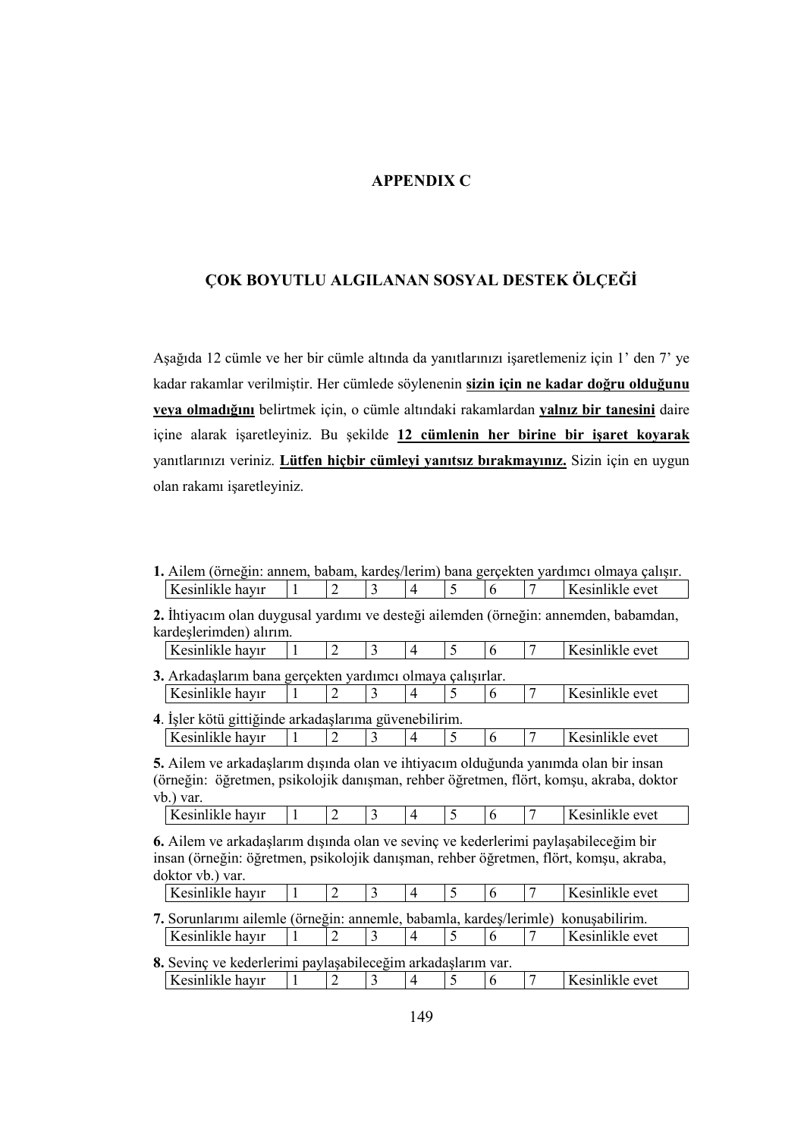### APPENDIX C

# ÇOK BOYUTLU ALGILANAN SOSYAL DESTEK ÖLÇEĞİ

Aşağıda 12 cümle ve her bir cümle altında da yanıtlarınızı işaretlemeniz için 1' den 7' ye kadar rakamlar verilmiştir. Her cümlede söylenenin sizin için ne kadar doğru olduğunu veya olmadığını belirtmek için, o cümle altındaki rakamlardan yalnız bir tanesini daire içine alarak işaretleyiniz. Bu şekilde 12 cümlenin her birine bir işaret koyarak yanıtlarınızı veriniz. Lütfen hiçbir cümleyi yanıtsız bırakmayınız. Sizin için en uygun olan rakamı işaretleyiniz.

1. Ailem (örneğin: annem, babam, kardeş/lerim) bana gerçekten yardımcı olmaya çalışır. Kesinlikle hayır  $\begin{array}{|c|c|c|c|c|c|c|c|c|} \hline 1 & 2 & 3 & 4 & 5 & 6 & 7 & \text{Kesinlikle evet} \ \hline \end{array}$ 

<sup>2.</sup> İhtiyacım olan duygusal yardımı ve desteği ailemden (örneğin: annemden, babamdan, kardeşlerimden) alırım. Kesinlikle hayır  $\begin{array}{|c|c|c|c|c|c|c|c|c|} \hline \end{array}$  Kesinlikle evet

| 3. Arkadaslarım bana gerçekten yardımcı olmaya çalışırlar. |  |  |  |                 |
|------------------------------------------------------------|--|--|--|-----------------|
| Kesinlikle havır                                           |  |  |  | Kesinlikle evet |

4. İşler kötü gittiğinde arkadaşlarıma güvenebilirim. Kesinlikle hayır  $\begin{array}{|c|c|c|c|c|c|c|c|c|} \hline \end{array}$  Kesinlikle evet

5. Ailem ve arkadaşlarım dışında olan ve ihtiyacım olduğunda yanımda olan bir insan (örneğin: öğretmen, psikolojik danışman, rehber öğretmen, flört, komşu, akraba, doktor vb.) var.

|  | Kesinlikle havir |  |  |  |  |  |  |  | Kesinlikle evet |
|--|------------------|--|--|--|--|--|--|--|-----------------|
|--|------------------|--|--|--|--|--|--|--|-----------------|

6. Ailem ve arkadaşlarım dışında olan ve sevinç ve kederlerimi paylaşabileceğim bir insan (örneğin: öğretmen, psikolojik danışman, rehber öğretmen, flört, komşu, akraba, doktor vb.) var.

| Kesinlikle havir                                                                  |  |  |  | Kesinlikle evet |
|-----------------------------------------------------------------------------------|--|--|--|-----------------|
| 7. Sorunlarımı ailemle (örneğin: annemle, babamla, kardes/lerimle) konusabilirim. |  |  |  |                 |
| Kesinlikle havır                                                                  |  |  |  | Kesinlikle evet |

| 8. Sevinç ve kederlerimi paylaşabileceğim arkadaşlarım var. |  |  |  |                 |
|-------------------------------------------------------------|--|--|--|-----------------|
| Kesinlikle havır                                            |  |  |  | Kesinlikle evet |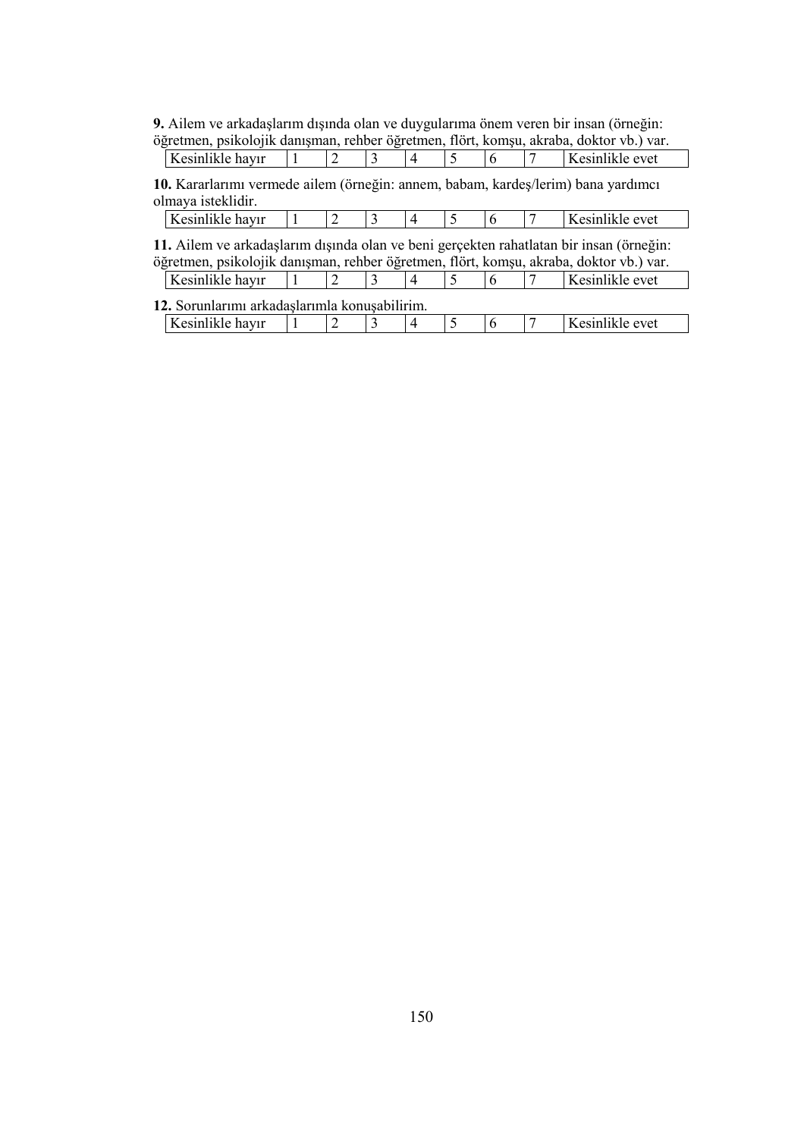9. Ailem ve arkadaşlarım dışında olan ve duygularıma önem veren bir insan (örneğin:

|                  |  |  |  |  | öğretmen, psikolojik danışman, rehber öğretmen, flört, komşu, akraba, doktor vb.) var. |
|------------------|--|--|--|--|----------------------------------------------------------------------------------------|
| Kesinlikle havır |  |  |  |  | Kesinlikle evet                                                                        |

10. Kararlarımı vermede ailem (örneğin: annem, babam, kardeş/lerim) bana yardımcı olmaya isteklidir.

|--|

11. Ailem ve arkadaşlarım dışında olan ve beni gerçekten rahatlatan bir insan (örneğin: öğretmen, psikolojik danışman, rehber öğretmen, flört, komşu, akraba, doktor vb.) var.

Kesinlikle hayır  $\begin{array}{|c|c|c|c|c|c|c|c|c|} \hline \end{array}$  Kesinlikle hayır  $\begin{array}{|c|c|c|c|c|c|c|c|} \hline 1 & 3 & 4 & 5 & 6 \\\hline \end{array}$ 

12. Sorunlarımı arkadaşlarımla konuşabilirim. Kesinlikle hayır  $\begin{array}{|c|c|c|c|c|c|c|c|c|} \hline \end{array}$  Kesinlikle evet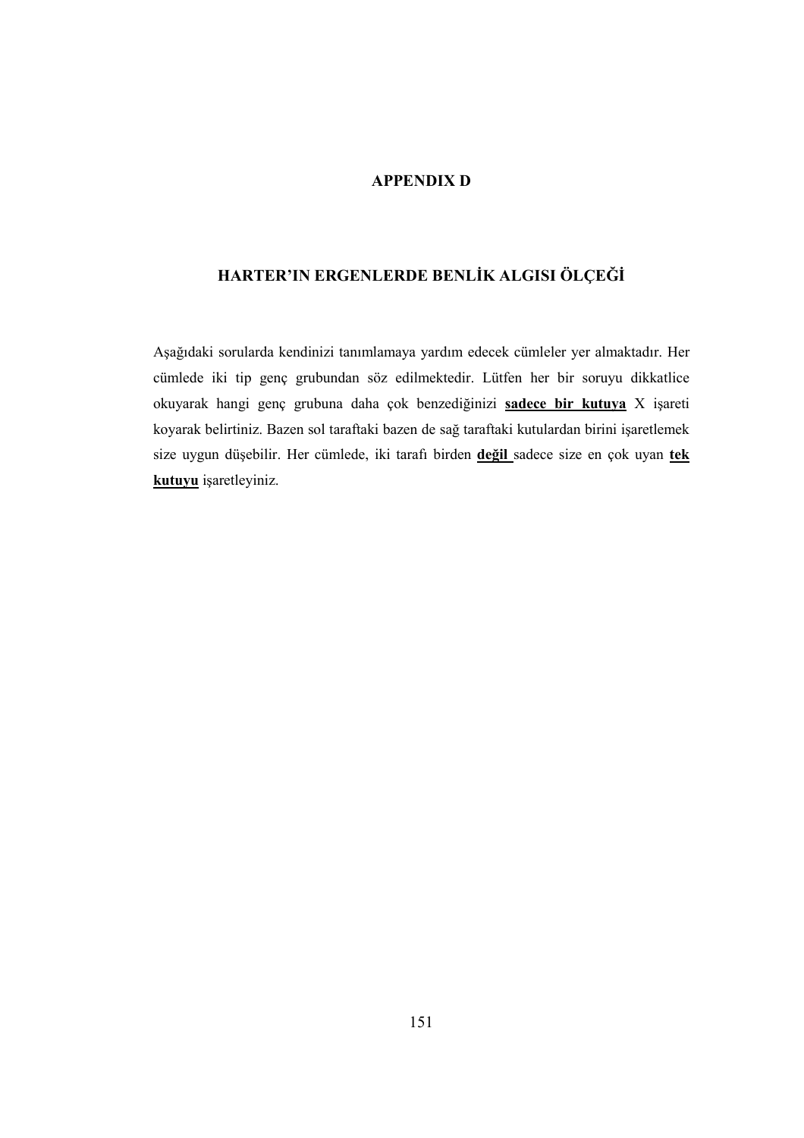## APPENDIX D

# HARTER'IN ERGENLERDE BENLİK ALGISI ÖLÇEĞİ

Aşağıdaki sorularda kendinizi tanımlamaya yardım edecek cümleler yer almaktadır. Her cümlede iki tip genç grubundan söz edilmektedir. Lütfen her bir soruyu dikkatlice okuyarak hangi genç grubuna daha çok benzediğinizi sadece bir kutuya X işareti koyarak belirtiniz. Bazen sol taraftaki bazen de sağ taraftaki kutulardan birini işaretlemek size uygun düşebilir. Her cümlede, iki tarafı birden değil sadece size en çok uyan tek kutuyu işaretleyiniz.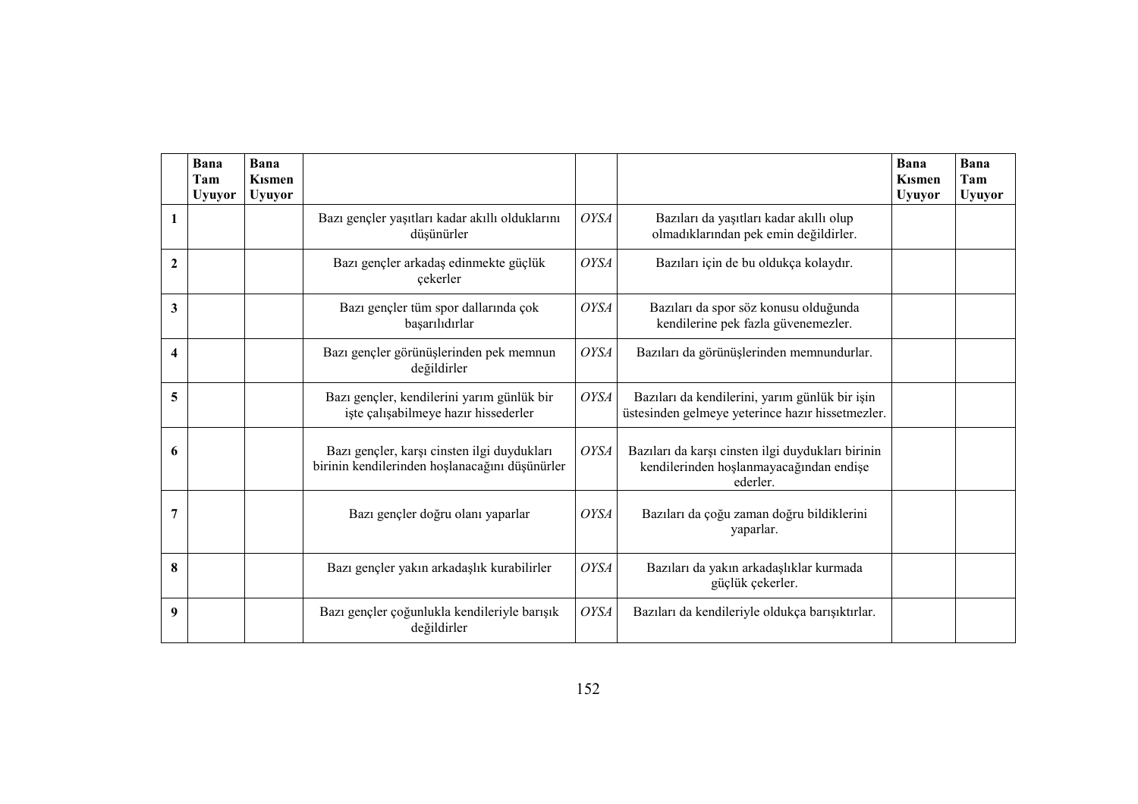|                | Bana<br>Tam<br><b>Uyuyor</b> | Bana<br><b>K</b> ismen<br><b>Uyuyor</b> |                                                                                               |             |                                                                                                          | Bana<br><b>Kismen</b><br><b>Uyuyor</b> | Bana<br>Tam<br><b>Uyuyor</b> |
|----------------|------------------------------|-----------------------------------------|-----------------------------------------------------------------------------------------------|-------------|----------------------------------------------------------------------------------------------------------|----------------------------------------|------------------------------|
| 1              |                              |                                         | Bazı gençler yaşıtları kadar akıllı olduklarını<br>düşünürler                                 | <b>OYSA</b> | Bazıları da yaşıtları kadar akıllı olup<br>olmadıklarından pek emin değildirler.                         |                                        |                              |
| $\overline{2}$ |                              |                                         | Bazı gençler arkadaş edinmekte güçlük<br>çekerler                                             | <b>OYSA</b> | Bazıları için de bu oldukça kolaydır.                                                                    |                                        |                              |
| 3              |                              |                                         | Bazı gençler tüm spor dallarında çok<br>başarılıdırlar                                        | <b>OYSA</b> | Bazıları da spor söz konusu olduğunda<br>kendilerine pek fazla güvenemezler.                             |                                        |                              |
| 4              |                              |                                         | Bazı gençler görünüşlerinden pek memnun<br>değildirler                                        | <b>OYSA</b> | Bazıları da görünüşlerinden memnundurlar.                                                                |                                        |                              |
| 5              |                              |                                         | Bazı gençler, kendilerini yarım günlük bir<br>işte çalışabilmeye hazır hissederler            | <b>OYSA</b> | Bazıları da kendilerini, yarım günlük bir işin<br>üstesinden gelmeye yeterince hazır hissetmezler.       |                                        |                              |
| 6              |                              |                                         | Bazı gençler, karşı cinsten ilgi duydukları<br>birinin kendilerinden hoşlanacağını düşünürler | <b>OYSA</b> | Bazıları da karşı cinsten ilgi duydukları birinin<br>kendilerinden hoşlanmayacağından endişe<br>ederler. |                                        |                              |
| $\overline{7}$ |                              |                                         | Bazı gençler doğru olanı yaparlar                                                             | <b>OYSA</b> | Bazıları da çoğu zaman doğru bildiklerini<br>yaparlar.                                                   |                                        |                              |
| 8              |                              |                                         | Bazı gençler yakın arkadaşlık kurabilirler                                                    | <b>OYSA</b> | Bazıları da yakın arkadaşlıklar kurmada<br>güçlük çekerler.                                              |                                        |                              |
| 9              |                              |                                         | Bazı gençler çoğunlukla kendileriyle barışık<br>değildirler                                   | <b>OYSA</b> | Bazıları da kendileriyle oldukça barışıktırlar.                                                          |                                        |                              |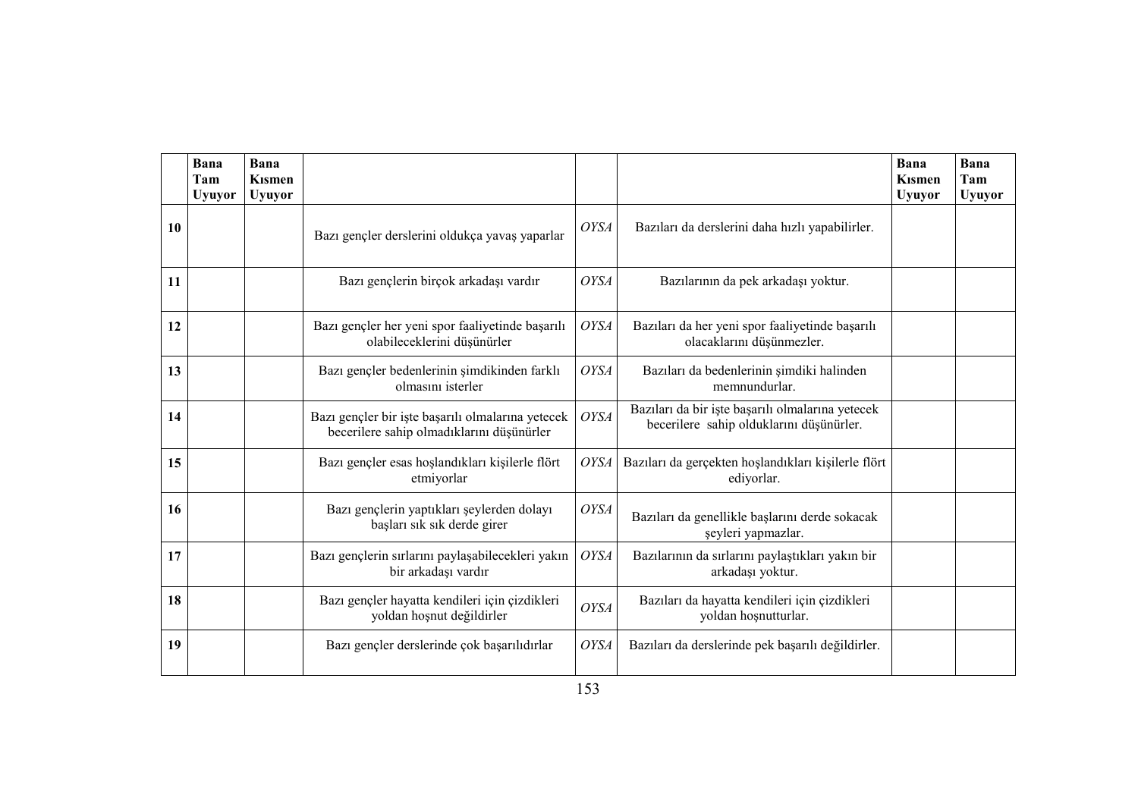|    | Bana<br>Tam<br><b>Uyuyor</b> | Bana<br><b>Kismen</b><br><b>Uyuyor</b> |                                                                                                |             |                                                                                              | Bana<br><b>K</b> ismen<br><b>Uyuyor</b> | Bana<br>Tam<br><b>Uyuyor</b> |
|----|------------------------------|----------------------------------------|------------------------------------------------------------------------------------------------|-------------|----------------------------------------------------------------------------------------------|-----------------------------------------|------------------------------|
| 10 |                              |                                        | Bazı gençler derslerini oldukça yavaş yaparlar                                                 | <b>OYSA</b> | Bazıları da derslerini daha hızlı yapabilirler.                                              |                                         |                              |
| 11 |                              |                                        | Bazı gençlerin birçok arkadaşı vardır                                                          | <b>OYSA</b> | Bazılarının da pek arkadaşı yoktur.                                                          |                                         |                              |
| 12 |                              |                                        | Bazı gençler her yeni spor faaliyetinde başarılı<br>olabileceklerini düşünürler                | <b>OYSA</b> | Bazıları da her yeni spor faaliyetinde başarılı<br>olacaklarını düşünmezler.                 |                                         |                              |
| 13 |                              |                                        | Bazı gençler bedenlerinin şimdikinden farklı<br>olmasını isterler                              | <b>OYSA</b> | Bazıları da bedenlerinin şimdiki halinden<br>memnundurlar.                                   |                                         |                              |
| 14 |                              |                                        | Bazı gençler bir işte başarılı olmalarına yetecek<br>becerilere sahip olmadıklarını düşünürler | <b>OYSA</b> | Bazıları da bir işte başarılı olmalarına yetecek<br>becerilere sahip olduklarını düşünürler. |                                         |                              |
| 15 |                              |                                        | Bazı gençler esas hoşlandıkları kişilerle flört<br>etmiyorlar                                  | <b>OYSA</b> | Bazıları da gerçekten hoşlandıkları kişilerle flört<br>ediyorlar.                            |                                         |                              |
| 16 |                              |                                        | Bazı gençlerin yaptıkları şeylerden dolayı<br>başları sık sık derde girer                      | <b>OYSA</b> | Bazıları da genellikle başlarını derde sokacak<br>şeyleri yapmazlar.                         |                                         |                              |
| 17 |                              |                                        | Bazı gençlerin sırlarını paylaşabilecekleri yakın<br>bir arkadaşı vardır                       | <b>OYSA</b> | Bazılarının da sırlarını paylaştıkları yakın bir<br>arkadaşı yoktur.                         |                                         |                              |
| 18 |                              |                                        | Bazı gençler hayatta kendileri için çizdikleri<br>yoldan hoşnut değildirler                    | <b>OYSA</b> | Bazıları da hayatta kendileri için çizdikleri<br>yoldan hoşnutturlar.                        |                                         |                              |
| 19 |                              |                                        | Bazı gençler derslerinde çok başarılıdırlar                                                    | <b>OYSA</b> | Bazıları da derslerinde pek başarılı değildirler.                                            |                                         |                              |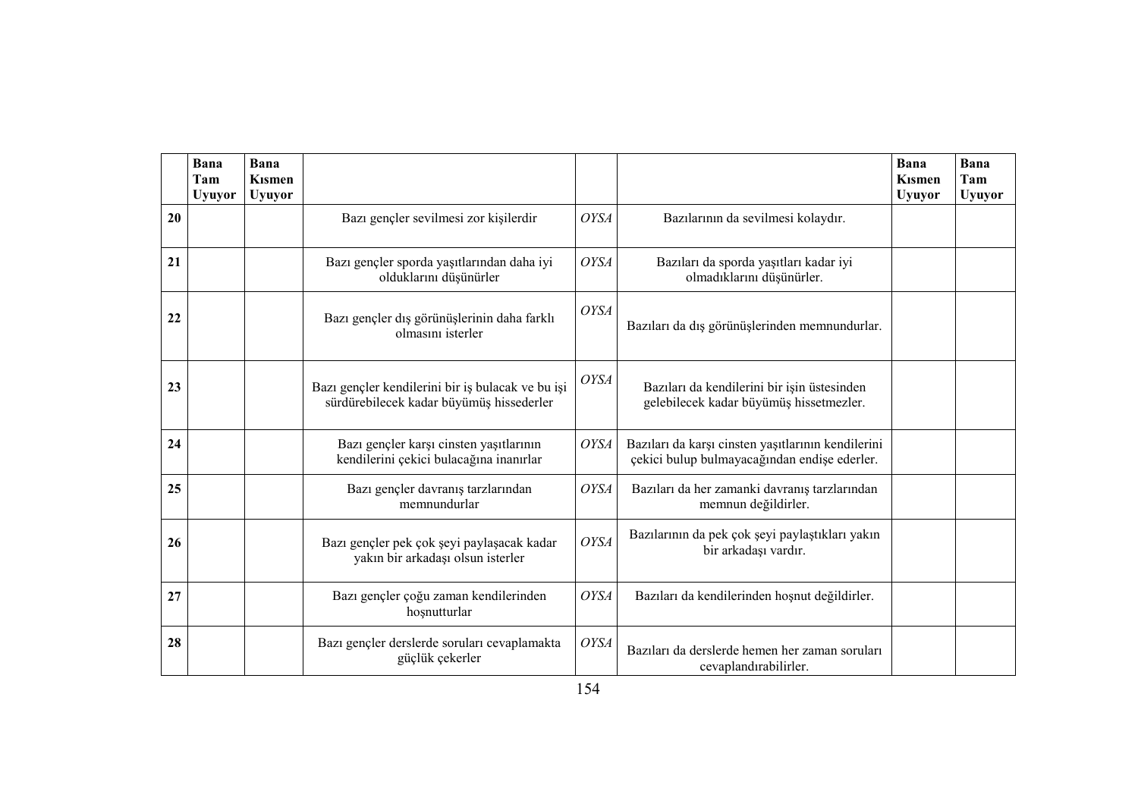|    | Bana<br>Tam<br><b>Uyuyor</b> | Bana<br><b>K</b> ismen<br><b>Uyuyor</b> |                                                                                               |             |                                                                                                    | Bana<br><b>K</b> ismen<br><b>Uyuyor</b> | Bana<br>Tam<br><b>Uyuyor</b> |
|----|------------------------------|-----------------------------------------|-----------------------------------------------------------------------------------------------|-------------|----------------------------------------------------------------------------------------------------|-----------------------------------------|------------------------------|
| 20 |                              |                                         | Bazı gençler sevilmesi zor kişilerdir                                                         | <b>OYSA</b> | Bazılarının da sevilmesi kolaydır.                                                                 |                                         |                              |
| 21 |                              |                                         | Bazı gençler sporda yaşıtlarından daha iyi<br>olduklarını düşünürler                          | <b>OYSA</b> | Bazıları da sporda yaşıtları kadar iyi<br>olmadıklarını düşünürler.                                |                                         |                              |
| 22 |                              |                                         | Bazı gençler dış görünüşlerinin daha farklı<br>olmasını isterler                              | <b>OYSA</b> | Bazıları da dış görünüşlerinden memnundurlar.                                                      |                                         |                              |
| 23 |                              |                                         | Bazı gençler kendilerini bir iş bulacak ve bu işi<br>sürdürebilecek kadar büyümüş hissederler | <b>OYSA</b> | Bazıları da kendilerini bir işin üstesinden<br>gelebilecek kadar büyümüş hissetmezler.             |                                         |                              |
| 24 |                              |                                         | Bazı gençler karşı cinsten yaşıtlarının<br>kendilerini çekici bulacağına inanırlar            | <b>OYSA</b> | Bazıları da karşı cinsten yaşıtlarının kendilerini<br>çekici bulup bulmayacağından endişe ederler. |                                         |                              |
| 25 |                              |                                         | Bazı gençler davranış tarzlarından<br>memnundurlar                                            | <b>OYSA</b> | Bazıları da her zamanki davranış tarzlarından<br>memnun değildirler.                               |                                         |                              |
| 26 |                              |                                         | Bazı gençler pek çok şeyi paylaşacak kadar<br>yakın bir arkadaşı olsun isterler               | <b>OYSA</b> | Bazılarının da pek çok şeyi paylaştıkları yakın<br>bir arkadaşı vardır.                            |                                         |                              |
| 27 |                              |                                         | Bazı gençler çoğu zaman kendilerinden<br>hoşnutturlar                                         | <b>OYSA</b> | Bazıları da kendilerinden hoşnut değildirler.                                                      |                                         |                              |
| 28 |                              |                                         | Bazı gençler derslerde soruları cevaplamakta<br>güçlük çekerler                               | <b>OYSA</b> | Bazıları da derslerde hemen her zaman soruları<br>cevaplandırabilirler.                            |                                         |                              |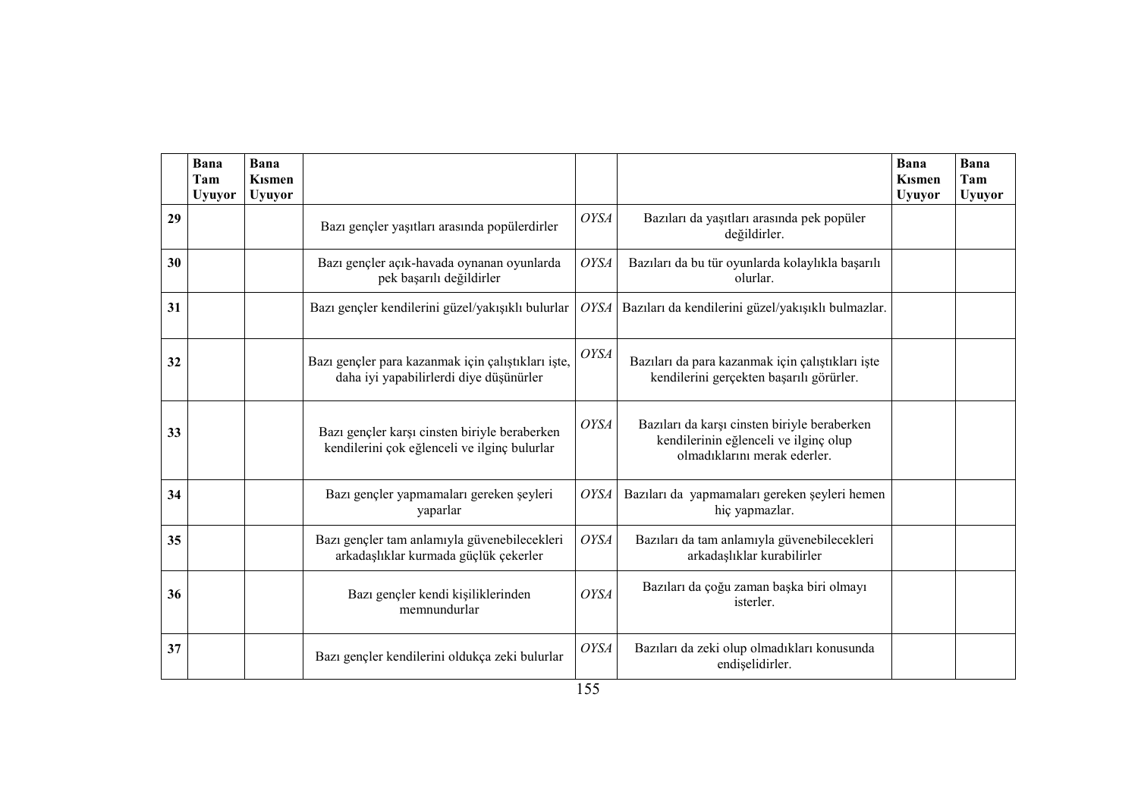|    | Bana<br>Tam<br><b>Uyuyor</b> | Bana<br><b>K</b> ismen<br><b>Uyuyor</b> |                                                                                               |             |                                                                                                                       | Bana<br><b>K</b> ismen<br><b>Uyuyor</b> | Bana<br>Tam<br><b>Uyuyor</b> |
|----|------------------------------|-----------------------------------------|-----------------------------------------------------------------------------------------------|-------------|-----------------------------------------------------------------------------------------------------------------------|-----------------------------------------|------------------------------|
| 29 |                              |                                         | Bazı gençler yaşıtları arasında popülerdirler                                                 | <b>OYSA</b> | Bazıları da yaşıtları arasında pek popüler<br>değildirler.                                                            |                                         |                              |
| 30 |                              |                                         | Bazı gençler açık-havada oynanan oyunlarda<br>pek başarılı değildirler                        | <b>OYSA</b> | Bazıları da bu tür oyunlarda kolaylıkla başarılı<br>olurlar.                                                          |                                         |                              |
| 31 |                              |                                         | Bazı gençler kendilerini güzel/yakışıklı bulurlar                                             | <b>OYSA</b> | Bazıları da kendilerini güzel/yakışıklı bulmazlar.                                                                    |                                         |                              |
| 32 |                              |                                         | Bazı gençler para kazanmak için çalıştıkları işte,<br>daha iyi yapabilirlerdi diye düşünürler | <b>OYSA</b> | Bazıları da para kazanmak için çalıştıkları işte<br>kendilerini gerçekten başarılı görürler.                          |                                         |                              |
| 33 |                              |                                         | Bazı gençler karşı cinsten biriyle beraberken<br>kendilerini çok eğlenceli ve ilginç bulurlar | <b>OYSA</b> | Bazıları da karşı cinsten biriyle beraberken<br>kendilerinin eğlenceli ve ilginç olup<br>olmadıklarını merak ederler. |                                         |                              |
| 34 |                              |                                         | Bazı gençler yapmamaları gereken şeyleri<br>yaparlar                                          | <b>OYSA</b> | Bazıları da yapmamaları gereken şeyleri hemen<br>hiç yapmazlar.                                                       |                                         |                              |
| 35 |                              |                                         | Bazı gençler tam anlamıyla güvenebilecekleri<br>arkadaşlıklar kurmada güçlük çekerler         | <b>OYSA</b> | Bazıları da tam anlamıyla güvenebilecekleri<br>arkadaşlıklar kurabilirler                                             |                                         |                              |
| 36 |                              |                                         | Bazı gençler kendi kişiliklerinden<br>memnundurlar                                            | <b>OYSA</b> | Bazıları da çoğu zaman başka biri olmayı<br>isterler.                                                                 |                                         |                              |
| 37 |                              |                                         | Bazı gençler kendilerini oldukça zeki bulurlar                                                | <b>OYSA</b> | Bazıları da zeki olup olmadıkları konusunda<br>endişelidirler.                                                        |                                         |                              |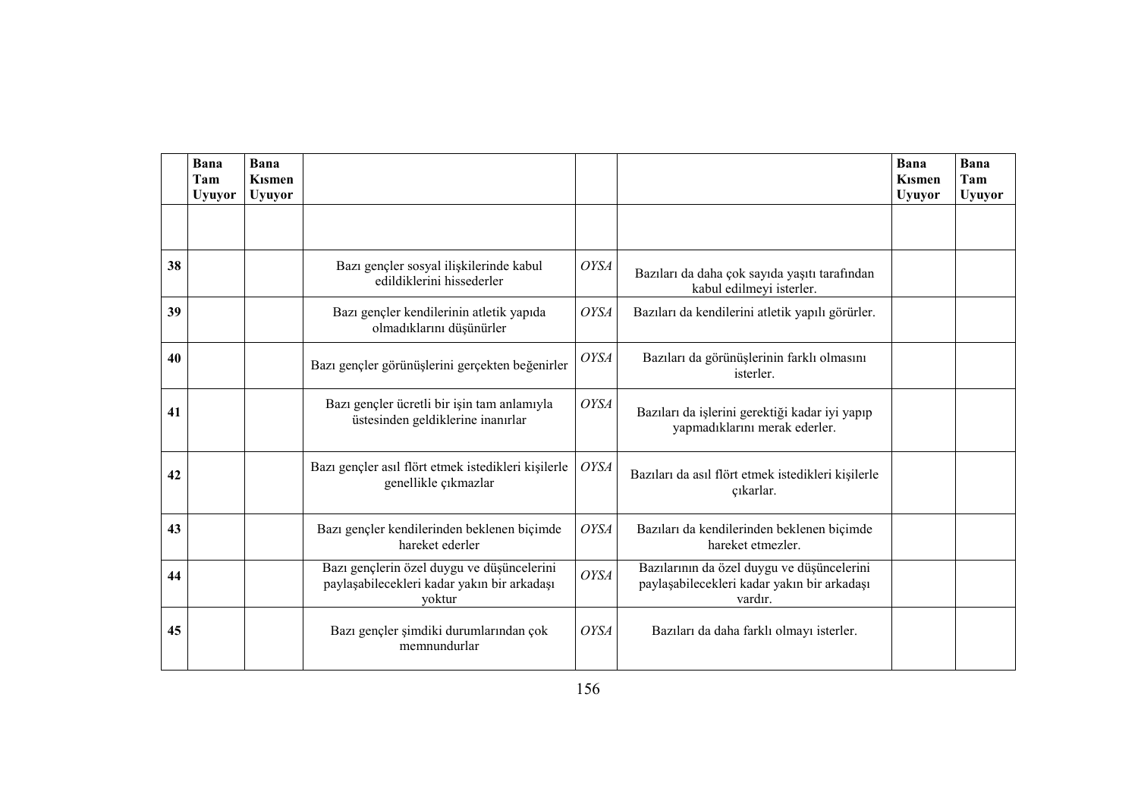|    | Bana<br>Tam<br><b>Uyuyor</b> | <b>Bana</b><br><b>K</b> ismen<br><b>Uyuyor</b> |                                                                                                     |             |                                                                                                      | Bana<br><b>K</b> ismen<br><b>Uyuyor</b> | Bana<br>Tam<br><b>Uyuyor</b> |
|----|------------------------------|------------------------------------------------|-----------------------------------------------------------------------------------------------------|-------------|------------------------------------------------------------------------------------------------------|-----------------------------------------|------------------------------|
|    |                              |                                                |                                                                                                     |             |                                                                                                      |                                         |                              |
| 38 |                              |                                                | Bazı gençler sosyal ilişkilerinde kabul<br>edildiklerini hissederler                                | <b>OYSA</b> | Bazıları da daha çok sayıda yaşıtı tarafından<br>kabul edilmeyi isterler.                            |                                         |                              |
| 39 |                              |                                                | Bazı gençler kendilerinin atletik yapıda<br>olmadıklarını düşünürler                                | <b>OYSA</b> | Bazıları da kendilerini atletik yapılı görürler.                                                     |                                         |                              |
| 40 |                              |                                                | Bazı gençler görünüşlerini gerçekten beğenirler                                                     | <b>OYSA</b> | Bazıları da görünüşlerinin farklı olmasını<br>isterler.                                              |                                         |                              |
| 41 |                              |                                                | Bazı gençler ücretli bir işin tam anlamıyla<br>üstesinden geldiklerine inanırlar                    | <b>OYSA</b> | Bazıları da işlerini gerektiği kadar iyi yapıp<br>yapmadıklarını merak ederler.                      |                                         |                              |
| 42 |                              |                                                | Bazı gençler asıl flört etmek istedikleri kişilerle<br>genellikle çıkmazlar                         | <b>OYSA</b> | Bazıları da asıl flört etmek istedikleri kişilerle<br>çıkarlar.                                      |                                         |                              |
| 43 |                              |                                                | Bazı gençler kendilerinden beklenen biçimde<br>hareket ederler                                      | <b>OYSA</b> | Bazıları da kendilerinden beklenen biçimde<br>hareket etmezler.                                      |                                         |                              |
| 44 |                              |                                                | Bazı gençlerin özel duygu ve düşüncelerini<br>paylaşabilecekleri kadar yakın bir arkadaşı<br>yoktur | <b>OYSA</b> | Bazılarının da özel duygu ve düşüncelerini<br>paylaşabilecekleri kadar yakın bir arkadaşı<br>vardır. |                                         |                              |
| 45 |                              |                                                | Bazı gençler şimdiki durumlarından çok<br>memnundurlar                                              | OYSA        | Bazıları da daha farklı olmayı isterler.                                                             |                                         |                              |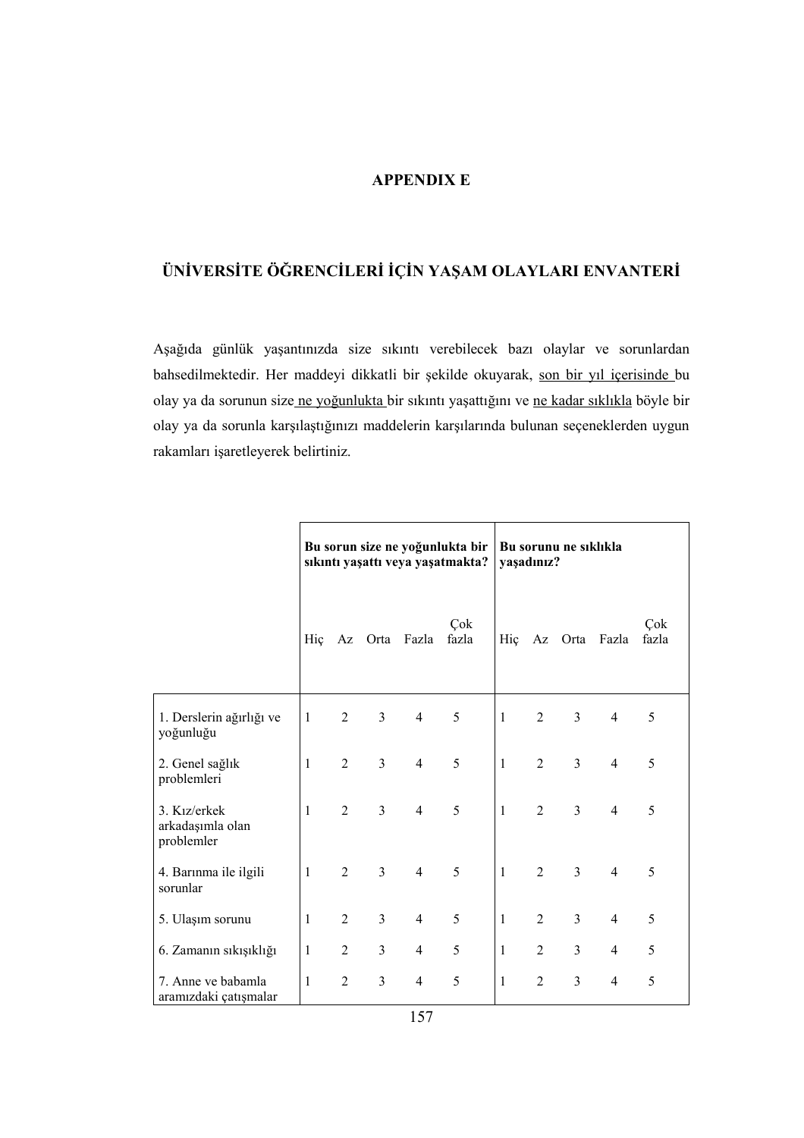### APPENDIX E

# ÜNİVERSİTE ÖĞRENCİLERİ İÇİN YAŞAM OLAYLARI ENVANTERİ

Aşağıda günlük yaşantınızda size sıkıntı verebilecek bazı olaylar ve sorunlardan bahsedilmektedir. Her maddeyi dikkatli bir şekilde okuyarak, son bir yıl içerisinde bu olay ya da sorunun size ne yoğunlukta bir sıkıntı yaşattığını ve ne kadar sıklıkla böyle bir olay ya da sorunla karşılaştığınızı maddelerin karşılarında bulunan seçeneklerden uygun rakamları işaretleyerek belirtiniz.

|                                                             | Bu sorun size ne yoğunlukta bir<br>sıkıntı yaşattı veya yaşatmakta? |                |                |                | Bu sorunu ne siklikla<br>yaşadınız? |              |                |                |                |              |
|-------------------------------------------------------------|---------------------------------------------------------------------|----------------|----------------|----------------|-------------------------------------|--------------|----------------|----------------|----------------|--------------|
|                                                             | Hiç                                                                 | Az             |                | Orta Fazla     | Çok<br>fazla                        | Hiç          | Az             | Orta           | Fazla          | Çok<br>fazla |
| 1. Derslerin ağırlığı ve<br>yoğunluğu                       | 1                                                                   | $\overline{2}$ | 3              | $\overline{4}$ | 5                                   | 1            | $\overline{2}$ | $\overline{3}$ | $\overline{4}$ | 5            |
| 2. Genel sağlık<br>problemleri                              | 1                                                                   | $\overline{2}$ | $\overline{3}$ | $\overline{4}$ | 5                                   | 1            | $\overline{2}$ | $\overline{3}$ | $\overline{4}$ | 5            |
| 3. K <sub>17</sub> /erkek<br>arkadaşımla olan<br>problemler | 1                                                                   | $\overline{2}$ | $\overline{3}$ | $\overline{4}$ | 5                                   | 1            | $\overline{2}$ | $\overline{3}$ | $\overline{4}$ | 5            |
| 4. Barınma ile ilgili<br>sorunlar                           | 1                                                                   | $\overline{2}$ | $\overline{3}$ | $\overline{4}$ | 5                                   | $\mathbf{1}$ | $\overline{2}$ | $\overline{3}$ | $\overline{4}$ | 5            |
| 5. Ulaşım sorunu                                            | 1                                                                   | $\overline{2}$ | $\overline{3}$ | $\overline{4}$ | 5                                   | 1            | $\overline{2}$ | $\overline{3}$ | 4              | 5            |
| 6. Zamanın sıkışıklığı                                      | 1                                                                   | $\overline{2}$ | 3              | $\overline{4}$ | 5                                   | $\mathbf{1}$ | $\overline{2}$ | 3              | 4              | 5            |
| 7. Anne ve babamla<br>aramızdaki çatışmalar                 | $\mathbf{1}$                                                        | $\overline{2}$ | $\overline{3}$ | $\overline{4}$ | 5                                   | $\mathbf{1}$ | $\overline{2}$ | 3              | 4              | 5            |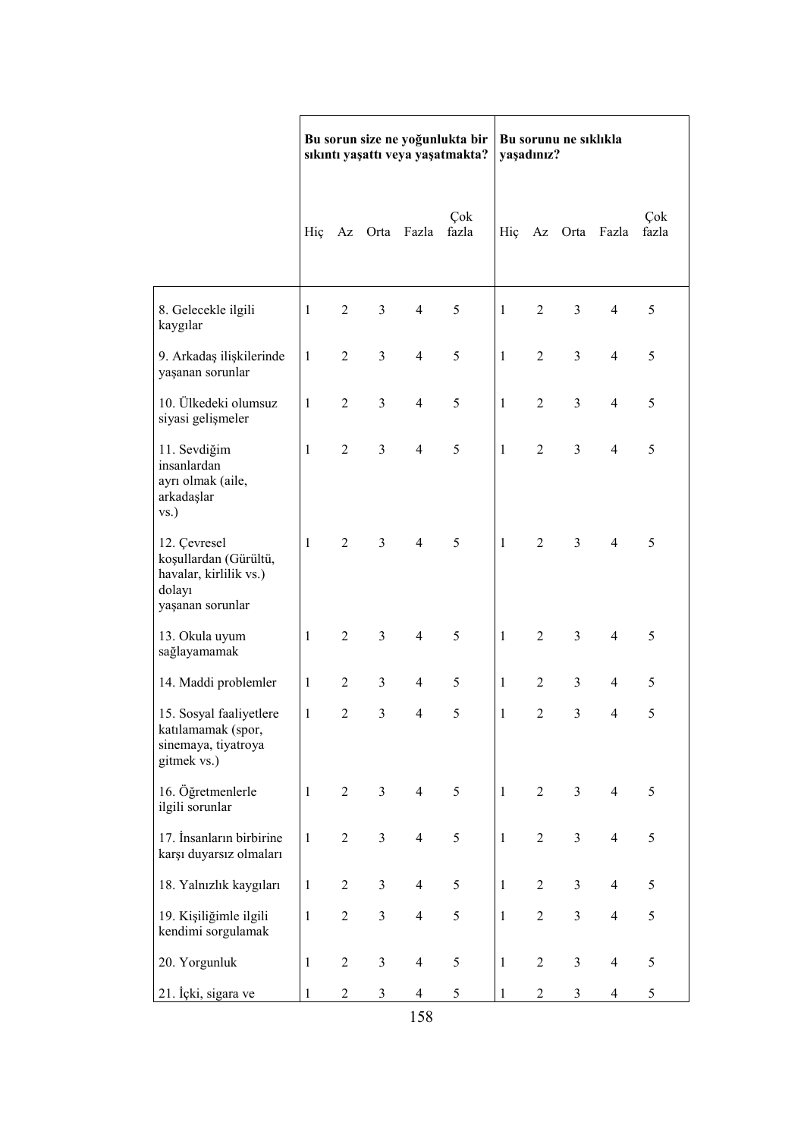|                                                                                               | Bu sorun size ne yoğunlukta bir<br>sıkıntı yaşattı veya yaşatmakta? |                |                |                |              | Bu sorunu ne sıklıkla<br>yaşadınız? |                |                         |                |              |
|-----------------------------------------------------------------------------------------------|---------------------------------------------------------------------|----------------|----------------|----------------|--------------|-------------------------------------|----------------|-------------------------|----------------|--------------|
|                                                                                               | Hiç                                                                 |                |                | Az Orta Fazla  | Çok<br>fazla | Hiç                                 |                |                         | Az Orta Fazla  | Çok<br>fazla |
| 8. Gelecekle ilgili<br>kaygılar                                                               | $\mathbf{1}$                                                        | $\overline{2}$ | $\overline{3}$ | $\overline{4}$ | 5            | $\mathbf{1}$                        | $\overline{2}$ | 3                       | $\overline{4}$ | 5            |
| 9. Arkadaş ilişkilerinde<br>yaşanan sorunlar                                                  | $\mathbf{1}$                                                        | $\overline{2}$ | 3              | $\overline{4}$ | 5            | 1                                   | $\overline{2}$ | 3                       | $\overline{4}$ | 5            |
| 10. Ülkedeki olumsuz<br>siyasi gelişmeler                                                     | $\mathbf{1}$                                                        | $\overline{2}$ | 3              | $\overline{4}$ | 5            | 1                                   | $\overline{2}$ | 3                       | $\overline{4}$ | 5            |
| 11. Sevdiğim<br>insanlardan<br>ayrı olmak (aile,<br>arkadaşlar<br>$\mathbf{VS}$ .             | $\mathbf{1}$                                                        | $\overline{2}$ | $\overline{3}$ | $\overline{4}$ | 5            | 1                                   | $\overline{2}$ | $\overline{3}$          | $\overline{4}$ | 5            |
| 12. Çevresel<br>koşullardan (Gürültü,<br>havalar, kirlilik vs.)<br>dolayı<br>yaşanan sorunlar | $\mathbf{1}$                                                        | $\overline{2}$ | $\overline{3}$ | $\overline{4}$ | 5            | $\mathbf{1}$                        | $\overline{2}$ | $\overline{3}$          | $\overline{4}$ | 5            |
| 13. Okula uyum<br>sağlayamamak                                                                | $\mathbf{1}$                                                        | $\overline{2}$ | $\overline{3}$ | $\overline{4}$ | 5            | 1                                   | $\overline{2}$ | $\overline{3}$          | $\overline{4}$ | 5            |
| 14. Maddi problemler                                                                          | $\mathbf{1}$                                                        | $\overline{2}$ | 3              | $\overline{4}$ | 5            | 1                                   | $\overline{2}$ | $\overline{3}$          | $\overline{4}$ | 5            |
| 15. Sosyal faaliyetlere<br>katılamamak (spor,<br>sinemaya, tiyatroya<br>gitmek vs.)           | $\mathbf{1}$                                                        | $\overline{2}$ | 3              | $\overline{4}$ | 5            | 1                                   | $\overline{2}$ | 3                       | $\overline{4}$ | 5            |
| 16. Öğretmenlerle<br>ilgili sorunlar                                                          | $\mathbf{1}$                                                        | $\overline{2}$ | $\overline{3}$ | $\overline{4}$ | 5            | $\mathbf{1}$                        | $\overline{2}$ | $\overline{3}$          | $\overline{4}$ | 5            |
| 17. İnsanların birbirine<br>karşı duyarsız olmaları                                           | $\mathbf{1}$                                                        | $\overline{2}$ | $\overline{3}$ | $\overline{4}$ | $\sqrt{5}$   | $\mathbf{1}$                        | $\overline{2}$ | $\overline{3}$          | $\overline{4}$ | 5            |
| 18. Yalnızlık kaygıları                                                                       | $\mathbf{1}$                                                        | $\overline{2}$ | $\overline{3}$ | $\overline{4}$ | $\sqrt{5}$   | $\mathbf{1}$                        | $\overline{2}$ | $\overline{3}$          | $\overline{4}$ | 5            |
| 19. Kişiliğimle ilgili<br>kendimi sorgulamak                                                  | $\mathbf{1}$                                                        | $\mathbf{2}$   | 3              | $\overline{4}$ | $\sqrt{5}$   | $\mathbf{1}$                        | $\overline{c}$ | 3                       | $\overline{4}$ | 5            |
| 20. Yorgunluk                                                                                 | 1                                                                   | $\sqrt{2}$     | 3              | $\overline{4}$ | 5            | $\mathbf{1}$                        | $\sqrt{2}$     | $\overline{\mathbf{3}}$ | $\overline{4}$ | 5            |
| 21. İçki, sigara ve                                                                           | $\mathbf{1}$                                                        | $\overline{2}$ | 3              | $\overline{4}$ | 5            | 1                                   | $\overline{c}$ | 3                       | 4              | 5            |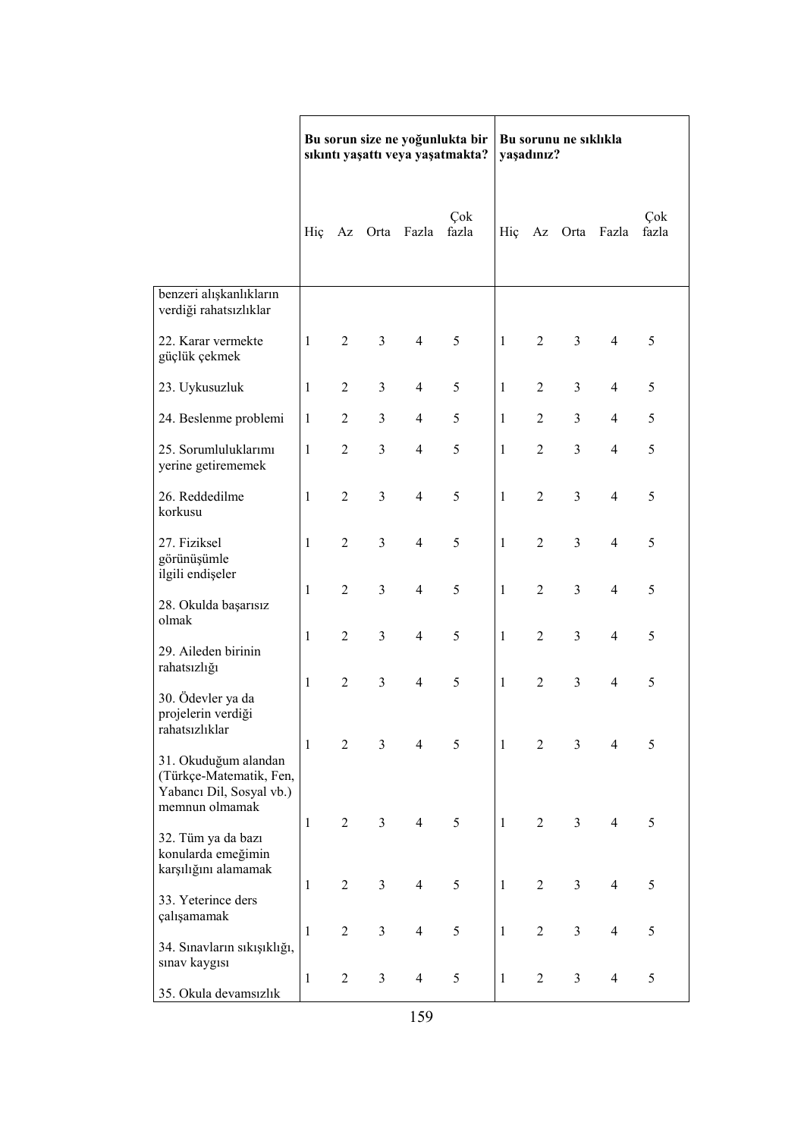|                                                                             | Bu sorun size ne yoğunlukta bir<br>sıkıntı yaşattı veya yaşatmakta? |                |                         |                |              | Bu sorunu ne sıklıkla<br>yaşadınız? |                  |                |                |              |
|-----------------------------------------------------------------------------|---------------------------------------------------------------------|----------------|-------------------------|----------------|--------------|-------------------------------------|------------------|----------------|----------------|--------------|
|                                                                             | Hiç                                                                 | Az             |                         | Orta Fazla     | Çok<br>fazla | Hiç                                 |                  |                | Az Orta Fazla  | Çok<br>fazla |
| benzeri alışkanlıkların<br>verdiği rahatsızlıklar                           |                                                                     |                |                         |                |              |                                     |                  |                |                |              |
| 22. Karar vermekte<br>güçlük çekmek                                         | $\mathbf{1}$                                                        | 2              | $\overline{3}$          | $\overline{4}$ | 5            | $\mathbf{1}$                        | $\overline{2}$   | $\overline{3}$ | $\overline{4}$ | 5            |
| 23. Uykusuzluk                                                              | $\mathbf{1}$                                                        | $\overline{2}$ | 3                       | $\overline{4}$ | 5            | 1                                   | $\overline{2}$   | 3              | $\overline{4}$ | 5            |
| 24. Beslenme problemi                                                       | $\mathbf{1}$                                                        | $\overline{2}$ | 3                       | $\overline{4}$ | 5            | 1                                   | $\overline{2}$   | $\overline{3}$ | $\overline{4}$ | 5            |
| 25. Sorumluluklarımı<br>yerine getirememek                                  | $\mathbf{1}$                                                        | $\overline{2}$ | 3                       | $\overline{4}$ | 5            | $\mathbf{1}$                        | $\overline{2}$   | $\overline{3}$ | $\overline{4}$ | 5            |
| 26. Reddedilme<br>korkusu                                                   | $\mathbf{1}$                                                        | $\overline{2}$ | $\overline{\mathbf{3}}$ | $\overline{4}$ | 5            | $\mathbf{1}$                        | $\overline{2}$   | $\overline{3}$ | $\overline{4}$ | 5            |
| 27. Fiziksel<br>görünüşümle                                                 | $\mathbf{1}$                                                        | $\overline{2}$ | 3                       | $\overline{4}$ | 5            | $\mathbf{1}$                        | $\overline{2}$   | $\overline{3}$ | $\overline{4}$ | 5            |
| ilgili endişeler<br>28. Okulda başarısız                                    | $\mathbf{1}$                                                        | $\overline{2}$ | 3                       | $\overline{4}$ | 5            | 1                                   | $\overline{2}$   | $\overline{3}$ | $\overline{4}$ | 5            |
| olmak<br>29. Aileden birinin                                                | $\mathbf{1}$                                                        | $\overline{2}$ | 3                       | $\overline{4}$ | 5            | $\mathbf{1}$                        | $\overline{2}$   | $\overline{3}$ | $\overline{4}$ | 5            |
| rahatsızlığı<br>30. Ödevler ya da                                           | $\mathbf{1}$                                                        | $\overline{2}$ | $\overline{3}$          | $\overline{4}$ | 5            | 1                                   | $\overline{2}$   | $\overline{3}$ | $\overline{4}$ | 5            |
| projelerin verdiği<br>rahatsızlıklar                                        | $\mathbf{1}$                                                        | $\overline{2}$ | $\overline{3}$          | $\overline{4}$ | 5            | $\mathbf{1}$                        | $\overline{2}$   | $\overline{3}$ | 4              | 5            |
| 31. Okuduğum alandan<br>(Türkçe-Matematik, Fen,<br>Yabancı Dil, Sosyal vb.) |                                                                     |                |                         |                |              |                                     |                  |                |                |              |
| memnun olmamak<br>32. Tüm ya da bazı                                        | $\mathbf{1}$                                                        | $\overline{2}$ | $\overline{3}$          | $\overline{4}$ | 5            | $\mathbf{1}$                        | $\overline{2}$   | $\overline{3}$ | $\overline{4}$ | 5            |
| konularda emeğimin<br>karşılığını alamamak                                  | $\mathbf{1}$                                                        | $\overline{2}$ | 3                       | $\overline{4}$ | 5            | $\mathbf{1}$                        | $\overline{2}$   | $\overline{3}$ | $\overline{4}$ | 5            |
| 33. Yeterince ders<br>çalışamamak                                           | $\mathbf{1}$                                                        | $\overline{2}$ | 3                       | $\overline{4}$ | 5            | $\mathbf{1}$                        | $\overline{2}$   | $\mathfrak{Z}$ | 4              | 5            |
| 34. Sınavların sıkışıklığı,                                                 |                                                                     |                |                         |                |              |                                     |                  |                |                |              |
| sınav kaygısı<br>35. Okula devamsızlık                                      | $\mathbf{1}$                                                        | $\mathbf{2}$   | 3                       | $\overline{4}$ | 5            | $\mathbf{1}$                        | $\boldsymbol{2}$ | $\mathfrak{Z}$ | $\overline{4}$ | 5            |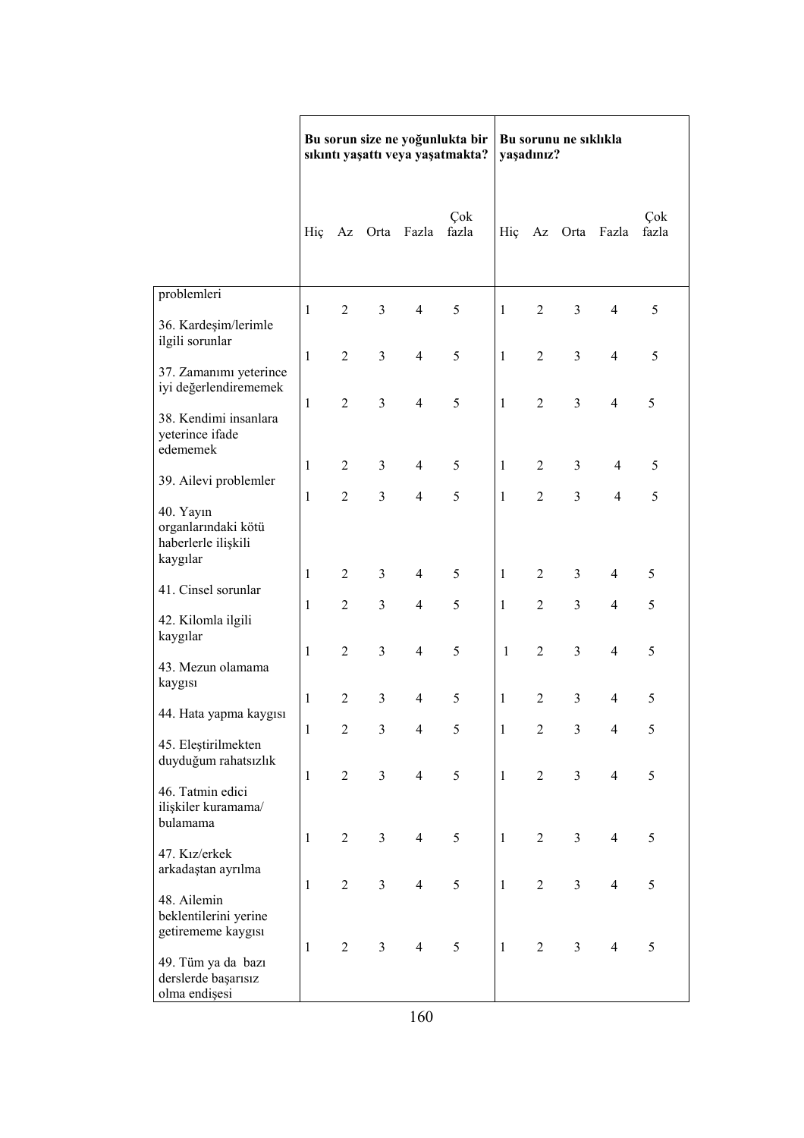|                                                                     |              |                |                         |                          | Bu sorun size ne yoğunlukta bir<br>sıkıntı yaşattı veya yaşatmakta? | Bu sorunu ne sıklıkla<br>yaşadınız? |                  |                |                          |              |
|---------------------------------------------------------------------|--------------|----------------|-------------------------|--------------------------|---------------------------------------------------------------------|-------------------------------------|------------------|----------------|--------------------------|--------------|
|                                                                     | Hiç          |                |                         | Az Orta Fazla            | Çok<br>fazla                                                        | Hiç                                 |                  | Az Orta        | Fazla                    | Çok<br>fazla |
| problemleri                                                         |              |                |                         |                          |                                                                     |                                     |                  |                |                          |              |
| 36. Kardeşim/lerimle<br>ilgili sorunlar                             | $\mathbf{1}$ | $\overline{2}$ | 3                       | $\overline{4}$           | 5                                                                   | $\mathbf{1}$                        | $\overline{2}$   | $\mathfrak{Z}$ | $\overline{\mathcal{A}}$ | 5            |
| 37. Zamanımı yeterince<br>iyi değerlendirememek                     | $\mathbf{1}$ | $\overline{2}$ | 3                       | $\overline{4}$           | 5                                                                   | $\mathbf{1}$                        | $\overline{2}$   | $\overline{3}$ | 4                        | 5            |
| 38. Kendimi insanlara<br>yeterince ifade                            | $\mathbf{1}$ | $\overline{2}$ | 3                       | $\overline{4}$           | 5                                                                   | 1                                   | $\overline{2}$   | $\overline{3}$ | $\overline{\mathcal{A}}$ | 5            |
| edememek<br>39. Ailevi problemler                                   | $\mathbf{1}$ | $\overline{2}$ | 3                       | $\overline{4}$           | 5                                                                   | 1                                   | $\overline{2}$   | 3              | $\overline{4}$           | 5            |
| 40. Yayın<br>organlarındaki kötü<br>haberlerle ilişkili<br>kaygılar | $\mathbf{1}$ | $\overline{2}$ | $\overline{3}$          | $\overline{4}$           | 5                                                                   | $\mathbf{1}$                        | $\overline{2}$   | $\overline{3}$ | $\overline{4}$           | 5            |
|                                                                     | 1            | $\overline{2}$ | 3                       | $\overline{\mathcal{A}}$ | 5                                                                   | 1                                   | $\overline{2}$   | 3              | $\overline{\mathcal{A}}$ | 5            |
| 41. Cinsel sorunlar<br>42. Kilomla ilgili                           | 1            | $\overline{2}$ | 3                       | $\overline{4}$           | 5                                                                   | 1                                   | $\overline{2}$   | $\overline{3}$ | 4                        | 5            |
| kaygılar<br>43. Mezun olamama                                       | 1            | $\overline{2}$ | 3                       | $\overline{4}$           | 5                                                                   | $\mathbf{1}$                        | $\overline{2}$   | $\overline{3}$ | 4                        | 5            |
| kaygısı                                                             | $\mathbf{1}$ | $\overline{2}$ | 3                       | $\overline{4}$           | 5                                                                   | 1                                   | $\overline{2}$   | $\overline{3}$ | 4                        | 5            |
| 44. Hata yapma kaygısı                                              | $\mathbf{1}$ | $\overline{2}$ | $\overline{\mathbf{3}}$ | $\overline{\mathbf{4}}$  | 5                                                                   | 1                                   | $\overline{2}$   | $\overline{3}$ | $\overline{\mathcal{L}}$ | 5            |
| 45. Eleştirilmekten<br>duyduğum rahatsızlık                         | $\mathbf{1}$ | $\mathbf{2}$   | $\overline{\mathbf{3}}$ | $\overline{4}$           | 5                                                                   | $\mathbf{1}$                        | $\boldsymbol{2}$ | $\mathfrak{Z}$ | $\overline{4}$           | 5            |
| 46. Tatmin edici<br>ilişkiler kuramama/<br>bulamama                 |              |                |                         |                          |                                                                     |                                     |                  |                |                          |              |
| 47. Kız/erkek<br>arkadaştan ayrılma                                 | 1            | $\overline{2}$ | 3                       | $\overline{4}$           | 5                                                                   | 1                                   | $\overline{2}$   | 3              | $\overline{\mathcal{A}}$ | 5            |
| 48. Ailemin<br>beklentilerini yerine<br>getirememe kaygısı          | $\mathbf{1}$ | $\overline{2}$ | $\overline{3}$          | $\overline{4}$           | 5                                                                   | $\mathbf{1}$                        | $\overline{2}$   | $\mathfrak{Z}$ | 4                        | 5            |
| 49. Tüm ya da bazı<br>derslerde başarısız<br>olma endișesi          | $\mathbf{1}$ | $\sqrt{2}$     | $\overline{\mathbf{3}}$ | $\overline{4}$           | 5                                                                   | $\mathbf{1}$                        | $\sqrt{2}$       | $\overline{3}$ | $\overline{\mathcal{A}}$ | 5            |